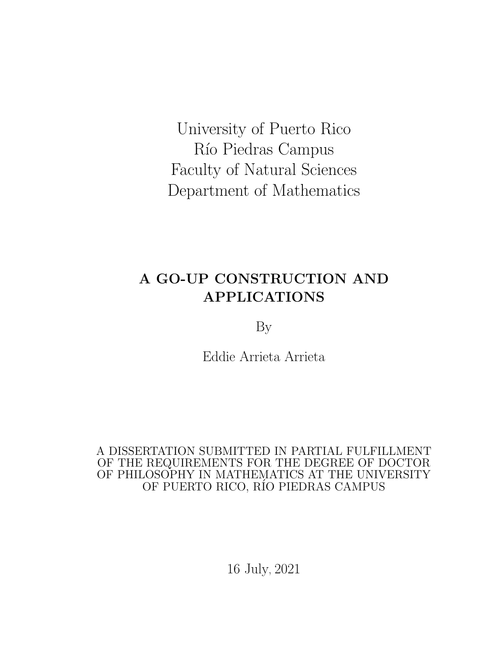<span id="page-0-0"></span>University of Puerto Rico Río Piedras Campus Faculty of Natural Sciences Department of Mathematics

# A GO-UP CONSTRUCTION AND APPLICATIONS

By

Eddie Arrieta Arrieta

A DISSERTATION SUBMITTED IN PARTIAL FULFILLMENT OF THE REQUIREMENTS FOR THE DEGREE OF DOCTOR OF PHILOSOPHY IN MATHEMATICS AT THE UNIVERSITY OF PUERTO RICO, RÍO PIEDRAS CAMPUS

16 July, 2021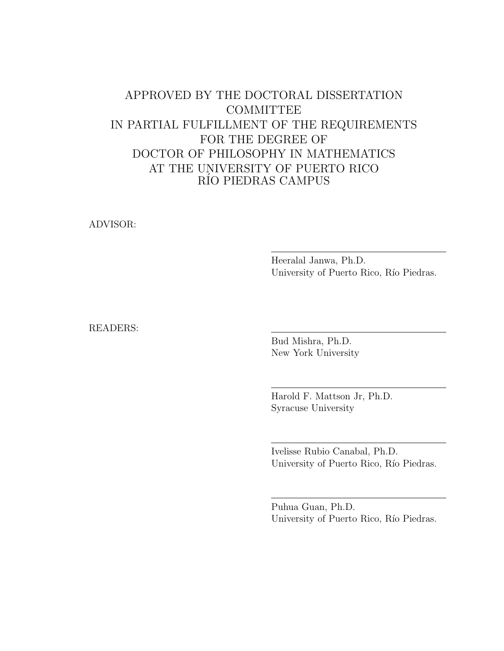### APPROVED BY THE DOCTORAL DISSERTATION **COMMITTEE** IN PARTIAL FULFILLMENT OF THE REQUIREMENTS FOR THE DEGREE OF DOCTOR OF PHILOSOPHY IN MATHEMATICS AT THE UNIVERSITY OF PUERTO RICO RÍO PIEDRAS CAMPUS

ADVISOR:

Heeralal Janwa, Ph.D. University of Puerto Rico, Río Piedras.

READERS:

Bud Mishra, Ph.D. New York University

Harold F. Mattson Jr, Ph.D. Syracuse University

Ivelisse Rubio Canabal, Ph.D. University of Puerto Rico, Río Piedras.

Puhua Guan, Ph.D. University of Puerto Rico, Río Piedras.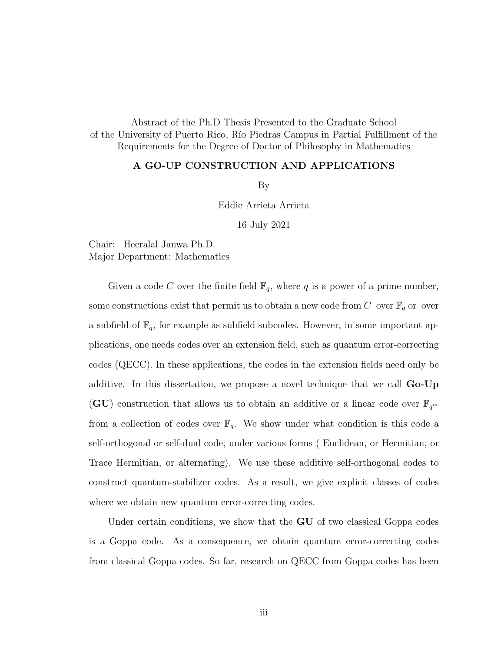Abstract of the Ph.D Thesis Presented to the Graduate School of the University of Puerto Rico, R´ıo Piedras Campus in Partial Fulfillment of the Requirements for the Degree of Doctor of Philosophy in Mathematics

#### A GO-UP CONSTRUCTION AND APPLICATIONS

By

Eddie Arrieta Arrieta

16 July 2021

Chair: Heeralal Janwa Ph.D. Major Department: Mathematics

Given a code C over the finite field  $\mathbb{F}_q$ , where q is a power of a prime number, some constructions exist that permit us to obtain a new code from  $C$  over  $\mathbb{F}_q$  or over a subfield of  $\mathbb{F}_q$ , for example as subfield subcodes. However, in some important applications, one needs codes over an extension field, such as quantum error-correcting codes (QECC). In these applications, the codes in the extension fields need only be additive. In this dissertation, we propose a novel technique that we call **Go-Up** (GU) construction that allows us to obtain an additive or a linear code over  $\mathbb{F}_{q^m}$ from a collection of codes over  $\mathbb{F}_q$ . We show under what condition is this code a self-orthogonal or self-dual code, under various forms ( Euclidean, or Hermitian, or Trace Hermitian, or alternating). We use these additive self-orthogonal codes to construct quantum-stabilizer codes. As a result, we give explicit classes of codes where we obtain new quantum error-correcting codes.

Under certain conditions, we show that the **GU** of two classical Goppa codes is a Goppa code. As a consequence, we obtain quantum error-correcting codes from classical Goppa codes. So far, research on QECC from Goppa codes has been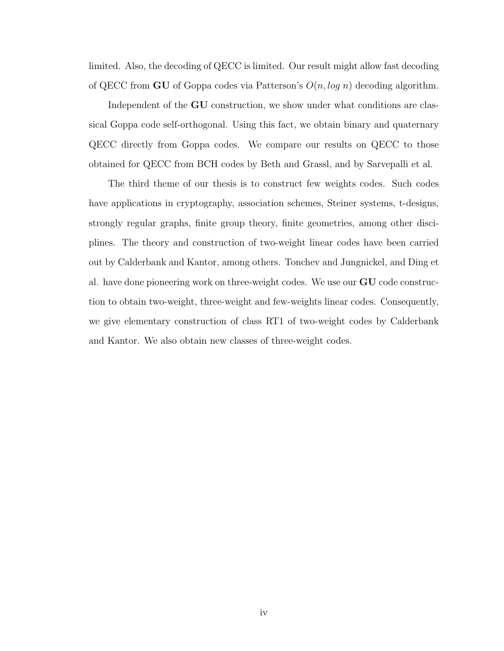limited. Also, the decoding of QECC is limited. Our result might allow fast decoding of QECC from **GU** of Goppa codes via Patterson's  $O(n, \log n)$  decoding algorithm.

Independent of the GU construction, we show under what conditions are classical Goppa code self-orthogonal. Using this fact, we obtain binary and quaternary QECC directly from Goppa codes. We compare our results on QECC to those obtained for QECC from BCH codes by Beth and Grassl, and by Sarvepalli et al.

The third theme of our thesis is to construct few weights codes. Such codes have applications in cryptography, association schemes, Steiner systems, t-designs, strongly regular graphs, finite group theory, finite geometries, among other disciplines. The theory and construction of two-weight linear codes have been carried out by Calderbank and Kantor, among others. Tonchev and Jungnickel, and Ding et al. have done pioneering work on three-weight codes. We use our GU code construction to obtain two-weight, three-weight and few-weights linear codes. Consequently, we give elementary construction of class RT1 of two-weight codes by Calderbank and Kantor. We also obtain new classes of three-weight codes.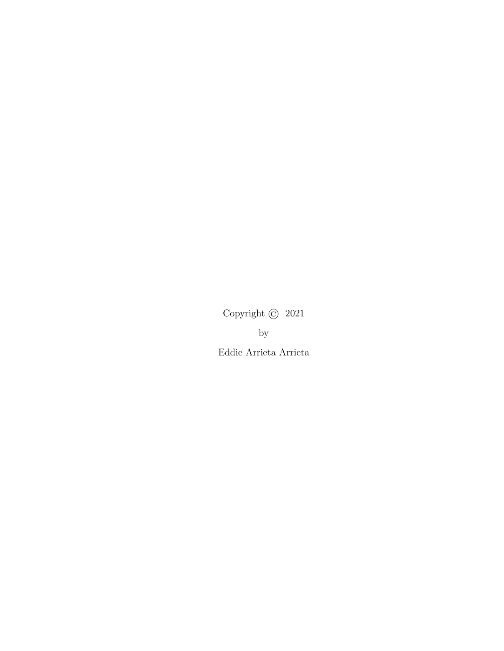Copyright © 2021 by Eddie Arrieta Arrieta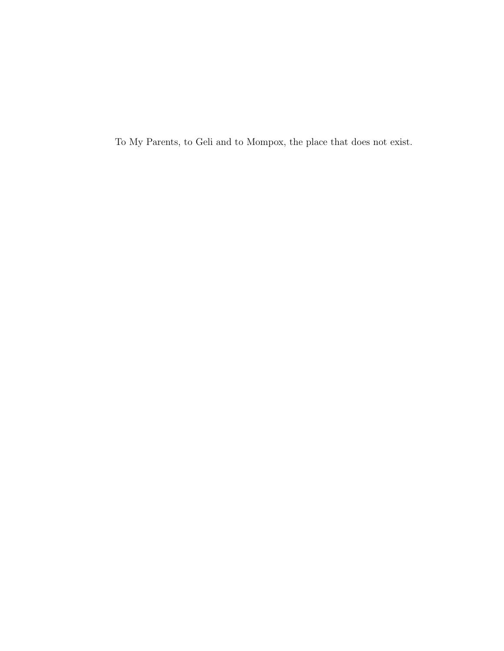To My Parents, to Geli and to Mompox, the place that does not exist.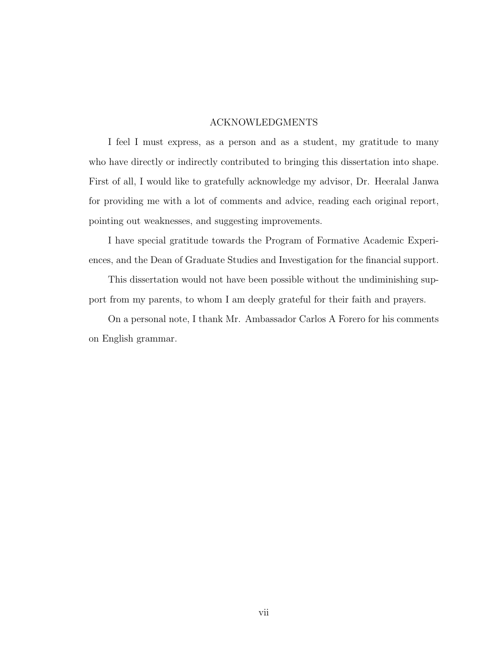### ACKNOWLEDGMENTS

<span id="page-6-0"></span>I feel I must express, as a person and as a student, my gratitude to many who have directly or indirectly contributed to bringing this dissertation into shape. First of all, I would like to gratefully acknowledge my advisor, Dr. Heeralal Janwa for providing me with a lot of comments and advice, reading each original report, pointing out weaknesses, and suggesting improvements.

I have special gratitude towards the Program of Formative Academic Experiences, and the Dean of Graduate Studies and Investigation for the financial support.

This dissertation would not have been possible without the undiminishing support from my parents, to whom I am deeply grateful for their faith and prayers.

On a personal note, I thank Mr. Ambassador Carlos A Forero for his comments on English grammar.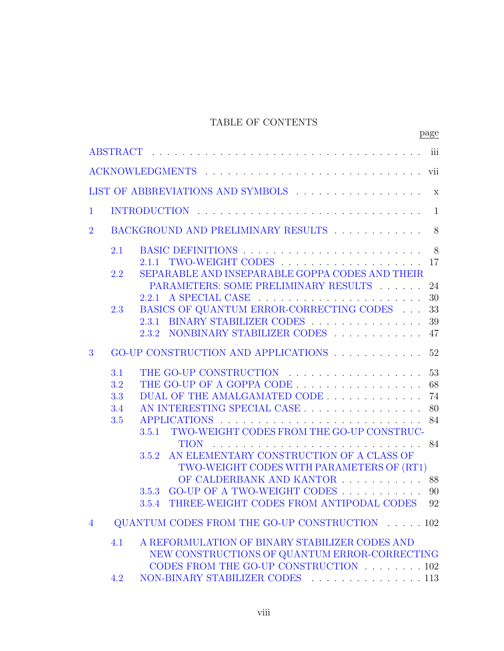### TABLE OF CONTENTS

|                |                                 |                                                                                                                                                                       | page                       |
|----------------|---------------------------------|-----------------------------------------------------------------------------------------------------------------------------------------------------------------------|----------------------------|
|                |                                 |                                                                                                                                                                       |                            |
|                |                                 |                                                                                                                                                                       |                            |
|                |                                 | LIST OF ABBREVIATIONS AND SYMBOLS x                                                                                                                                   |                            |
| $\mathbf{1}$   |                                 | INTRODUCTION                                                                                                                                                          | 1                          |
| $\overline{2}$ |                                 | BACKGROUND AND PRELIMINARY RESULTS                                                                                                                                    | 8                          |
|                | 2.1<br>2.2                      | 2.1.1 TWO-WEIGHT CODES<br>SEPARABLE AND INSEPARABLE GOPPA CODES AND THEIR                                                                                             | - 8<br>17                  |
|                |                                 | PARAMETERS: SOME PRELIMINARY RESULTS                                                                                                                                  | 24<br>30                   |
|                | 2.3                             | BASICS OF QUANTUM ERROR-CORRECTING CODES $\quad \ldots$<br>2.3.1 BINARY STABILIZER CODES<br>2.3.2 NONBINARY STABILIZER CODES  47                                      | 33<br>39                   |
| 3              |                                 | GO-UP CONSTRUCTION AND APPLICATIONS 52                                                                                                                                |                            |
|                | 3.1<br>3.2<br>3.3<br>3.4<br>3.5 | THE GO-UP OF A GOPPA CODE<br>DUAL OF THE AMALGAMATED CODE<br>AN INTERESTING SPECIAL CASE<br><b>APPLICATIONS</b><br>TWO-WEIGHT CODES FROM THE GO-UP CONSTRUC-<br>3.5.1 | 53<br>68<br>74<br>80<br>84 |
|                |                                 | <b>TION</b><br>3.5.2 AN ELEMENTARY CONSTRUCTION OF A CLASS OF<br>TWO-WEIGHT CODES WITH PARAMETERS OF (RT1)<br>OF CALDERBANK AND KANTOR                                | 84<br>88                   |
|                |                                 | 3.5.3 GO-UP OF A TWO-WEIGHT CODES<br>THREE-WEIGHT CODES FROM ANTIPODAL CODES<br>3.5.4                                                                                 | 90<br>92                   |
| $\overline{4}$ |                                 | QUANTUM CODES FROM THE GO-UP CONSTRUCTION 102                                                                                                                         |                            |
|                | 4.1                             | A REFORMULATION OF BINARY STABILIZER CODES AND<br>NEW CONSTRUCTIONS OF QUANTUM ERROR-CORRECTING<br>CODES FROM THE GO-UP CONSTRUCTION 102                              |                            |
|                | 4.2                             | NON-BINARY STABILIZER CODES 113                                                                                                                                       |                            |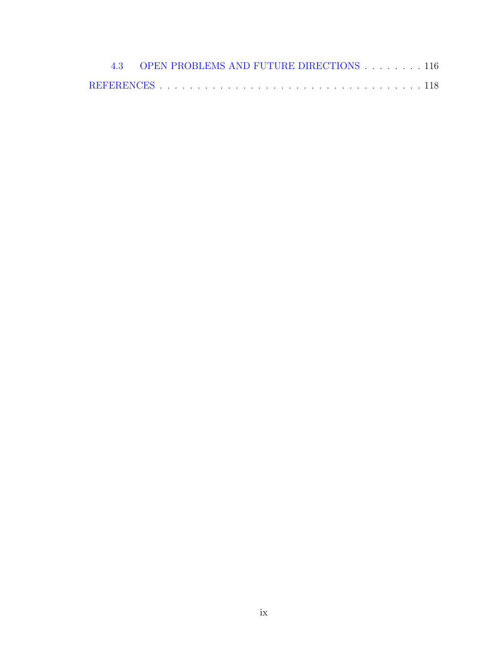| 4.3 OPEN PROBLEMS AND FUTURE DIRECTIONS 116 |  |  |  |  |  |  |  |  |  |
|---------------------------------------------|--|--|--|--|--|--|--|--|--|
|                                             |  |  |  |  |  |  |  |  |  |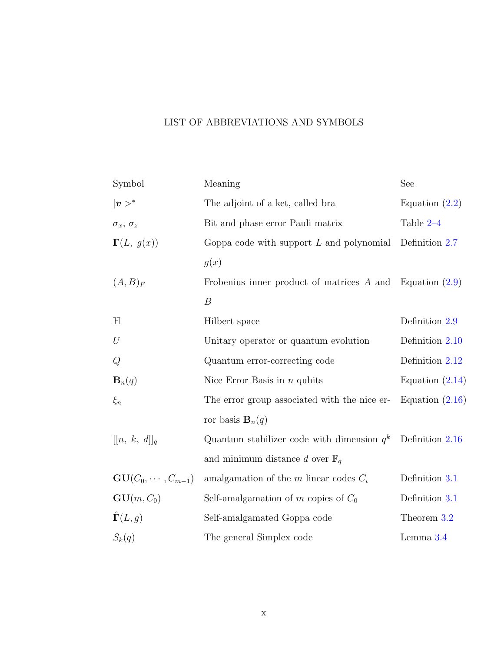### <span id="page-9-0"></span>LIST OF ABBREVIATIONS AND SYMBOLS

| Symbol                            | Meaning                                                      | See               |
|-----------------------------------|--------------------------------------------------------------|-------------------|
| $ \boldsymbol{v}>^*$              | The adjoint of a ket, called bra                             | Equation $(2.2)$  |
| $\sigma_x,\:\sigma_z$             | Bit and phase error Pauli matrix                             | Table 2-4         |
| $\Gamma(L, g(x))$                 | Goppa code with support $L$ and polynomial                   | Definition 2.7    |
|                                   | g(x)                                                         |                   |
| $(A, B)_F$                        | Frobenius inner product of matrices $A$ and Equation $(2.9)$ |                   |
|                                   | $\boldsymbol{B}$                                             |                   |
| $\mathbb H$                       | Hilbert space                                                | Definition 2.9    |
| $\cal U$                          | Unitary operator or quantum evolution                        | Definition 2.10   |
| $\cal Q$                          | Quantum error-correcting code                                | Definition 2.12   |
| $\mathbf{B}_n(q)$                 | Nice Error Basis in $n$ qubits                               | Equation $(2.14)$ |
| $\xi_n$                           | The error group associated with the nice er-                 | Equation $(2.16)$ |
|                                   | ror basis $\mathbf{B}_n(q)$                                  |                   |
| $[[n, k, d]]_q$                   | Quantum stabilizer code with dimension $q^k$                 | Definition 2.16   |
|                                   | and minimum distance d over $\mathbb{F}_q$                   |                   |
| $\mathbf{GU}(C_0,\cdots,C_{m-1})$ | amalgamation of the $m$ linear codes $C_i$                   | Definition 3.1    |
| $GU(m, C_0)$                      | Self-amalgamation of m copies of $C_0$                       | Definition 3.1    |
| $\hat{\mathbf{\Gamma}}(L,g)$      | Self-amalgamated Goppa code                                  | Theorem 3.2       |
| $S_k(q)$                          | The general Simplex code                                     | Lemma 3.4         |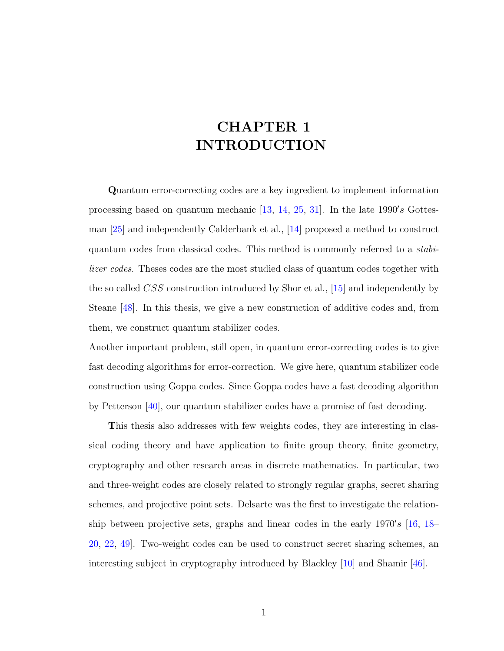# <span id="page-10-0"></span>CHAPTER 1 INTRODUCTION

Quantum error-correcting codes are a key ingredient to implement information processing based on quantum mechanic  $[13, 14, 25, 31]$  $[13, 14, 25, 31]$  $[13, 14, 25, 31]$  $[13, 14, 25, 31]$  $[13, 14, 25, 31]$  $[13, 14, 25, 31]$ . In the late 1990's Gottesman [\[25\]](#page-129-0) and independently Calderbank et al., [\[14\]](#page-128-1) proposed a method to construct quantum codes from classical codes. This method is commonly referred to a stabilizer codes. Theses codes are the most studied class of quantum codes together with the so called CSS construction introduced by Shor et al., [\[15\]](#page-128-2) and independently by Steane [\[48\]](#page-131-0). In this thesis, we give a new construction of additive codes and, from them, we construct quantum stabilizer codes.

Another important problem, still open, in quantum error-correcting codes is to give fast decoding algorithms for error-correction. We give here, quantum stabilizer code construction using Goppa codes. Since Goppa codes have a fast decoding algorithm by Petterson [\[40\]](#page-130-0), our quantum stabilizer codes have a promise of fast decoding.

This thesis also addresses with few weights codes, they are interesting in classical coding theory and have application to finite group theory, finite geometry, cryptography and other research areas in discrete mathematics. In particular, two and three-weight codes are closely related to strongly regular graphs, secret sharing schemes, and projective point sets. Delsarte was the first to investigate the relationship between projective sets, graphs and linear codes in the early  $1970's$  [\[16,](#page-128-3) [18–](#page-128-4) [20,](#page-128-5) [22,](#page-129-2) [49\]](#page-131-1). Two-weight codes can be used to construct secret sharing schemes, an interesting subject in cryptography introduced by Blackley [\[10\]](#page-127-0) and Shamir [\[46\]](#page-130-1).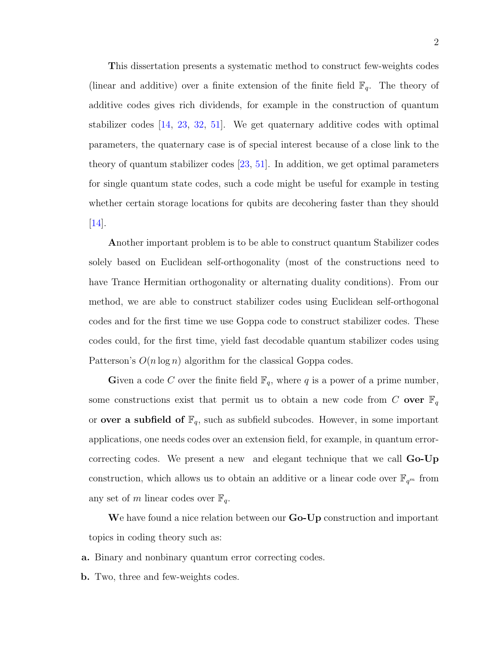This dissertation presents a systematic method to construct few-weights codes (linear and additive) over a finite extension of the finite field  $\mathbb{F}_q$ . The theory of additive codes gives rich dividends, for example in the construction of quantum stabilizer codes [\[14,](#page-128-1) [23,](#page-129-3) [32,](#page-129-4) [51\]](#page-131-2). We get quaternary additive codes with optimal parameters, the quaternary case is of special interest because of a close link to the theory of quantum stabilizer codes [\[23,](#page-129-3) [51\]](#page-131-2). In addition, we get optimal parameters for single quantum state codes, such a code might be useful for example in testing whether certain storage locations for qubits are decohering faster than they should  $|14|$ .

Another important problem is to be able to construct quantum Stabilizer codes solely based on Euclidean self-orthogonality (most of the constructions need to have Trance Hermitian orthogonality or alternating duality conditions). From our method, we are able to construct stabilizer codes using Euclidean self-orthogonal codes and for the first time we use Goppa code to construct stabilizer codes. These codes could, for the first time, yield fast decodable quantum stabilizer codes using Patterson's  $O(n \log n)$  algorithm for the classical Goppa codes.

Given a code C over the finite field  $\mathbb{F}_q$ , where q is a power of a prime number, some constructions exist that permit us to obtain a new code from C over  $\mathbb{F}_q$ or **over a subfield of**  $\mathbb{F}_q$ , such as subfield subcodes. However, in some important applications, one needs codes over an extension field, for example, in quantum errorcorrecting codes. We present a new and elegant technique that we call Go-Up construction, which allows us to obtain an additive or a linear code over  $\mathbb{F}_{q^m}$  from any set of m linear codes over  $\mathbb{F}_q$ .

We have found a nice relation between our **Go-Up** construction and important topics in coding theory such as:

a. Binary and nonbinary quantum error correcting codes.

b. Two, three and few-weights codes.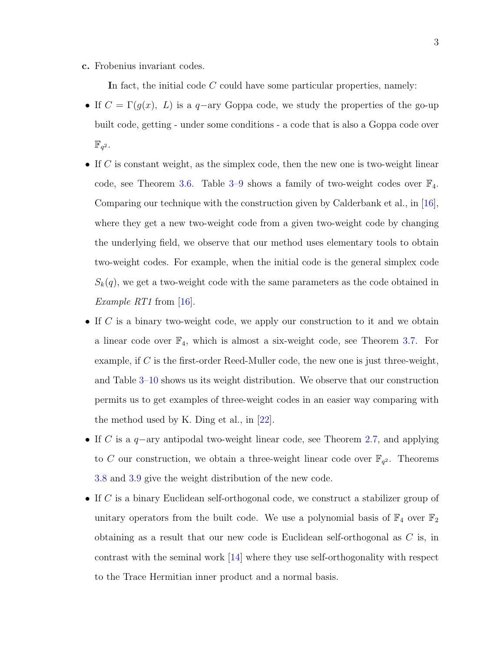c. Frobenius invariant codes.

In fact, the initial code  $C$  could have some particular properties, namely:

- If  $C = \Gamma(g(x), L)$  is a q-ary Goppa code, we study the properties of the go-up built code, getting - under some conditions - a code that is also a Goppa code over  $\mathbb{F}_{q^2}$ .
- If C is constant weight, as the simplex code, then the new one is two-weight linear code, see Theorem [3.6.](#page-96-0) Table  $3-9$  shows a family of two-weight codes over  $\mathbb{F}_4$ . Comparing our technique with the construction given by Calderbank et al., in [\[16\]](#page-128-3), where they get a new two-weight code from a given two-weight code by changing the underlying field, we observe that our method uses elementary tools to obtain two-weight codes. For example, when the initial code is the general simplex code  $S_k(q)$ , we get a two-weight code with the same parameters as the code obtained in Example RT1 from [\[16\]](#page-128-3).
- If C is a binary two-weight code, we apply our construction to it and we obtain a linear code over  $\mathbb{F}_4$ , which is almost a six-weight code, see Theorem [3.7.](#page-101-1) For example, if C is the first-order Reed-Muller code, the new one is just three-weight, and Table [3–10](#page-107-0) shows us its weight distribution. We observe that our construction permits us to get examples of three-weight codes in an easier way comparing with the method used by K. Ding et al., in  $[22]$ .
- If C is a q−ary antipodal two-weight linear code, see Theorem [2.7,](#page-30-0) and applying to C our construction, we obtain a three-weight linear code over  $\mathbb{F}_{q^2}$ . Theorems [3.8](#page-103-0) and [3.9](#page-106-0) give the weight distribution of the new code.
- If C is a binary Euclidean self-orthogonal code, we construct a stabilizer group of unitary operators from the built code. We use a polynomial basis of  $\mathbb{F}_4$  over  $\mathbb{F}_2$ obtaining as a result that our new code is Euclidean self-orthogonal as C is, in contrast with the seminal work [\[14\]](#page-128-1) where they use self-orthogonality with respect to the Trace Hermitian inner product and a normal basis.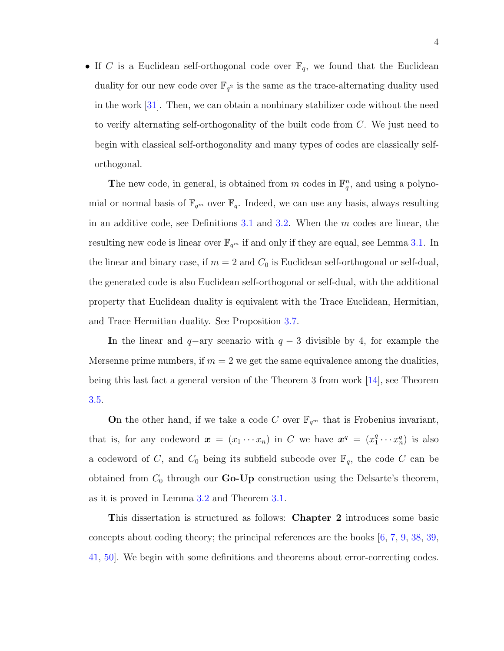• If C is a Euclidean self-orthogonal code over  $\mathbb{F}_q$ , we found that the Euclidean duality for our new code over  $\mathbb{F}_{q^2}$  is the same as the trace-alternating duality used in the work [\[31\]](#page-129-1). Then, we can obtain a nonbinary stabilizer code without the need to verify alternating self-orthogonality of the built code from  $C$ . We just need to begin with classical self-orthogonality and many types of codes are classically selforthogonal.

The new code, in general, is obtained from m codes in  $\mathbb{F}_q^n$ , and using a polynomial or normal basis of  $\mathbb{F}_{q^m}$  over  $\mathbb{F}_q$ . Indeed, we can use any basis, always resulting in an additive code, see Definitions [3.1](#page-65-0) and [3.2.](#page-76-0) When the  $m$  codes are linear, the resulting new code is linear over  $\mathbb{F}_{q^m}$  if and only if they are equal, see Lemma [3.1.](#page-70-0) In the linear and binary case, if  $m = 2$  and  $C_0$  is Euclidean self-orthogonal or self-dual, the generated code is also Euclidean self-orthogonal or self-dual, with the additional property that Euclidean duality is equivalent with the Trace Euclidean, Hermitian, and Trace Hermitian duality. See Proposition [3.7.](#page-88-0)

In the linear and  $q$ -ary scenario with  $q-3$  divisible by 4, for example the Mersenne prime numbers, if  $m = 2$  we get the same equivalence among the dualities, being this last fact a general version of the Theorem 3 from work [\[14\]](#page-128-1), see Theorem [3.5.](#page-91-0)

On the other hand, if we take a code C over  $\mathbb{F}_{q^m}$  that is Frobenius invariant, that is, for any codeword  $\boldsymbol{x} = (x_1 \cdots x_n)$  in C we have  $\boldsymbol{x}^q = (x_1^q)$  $j_1^q \cdots x_n^q$  is also a codeword of C, and  $C_0$  being its subfield subcode over  $\mathbb{F}_q$ , the code C can be obtained from  $C_0$  through our **Go-Up** construction using the Delsarte's theorem, as it is proved in Lemma [3.2](#page-75-0) and Theorem [3.1.](#page-75-1)

This dissertation is structured as follows: Chapter 2 introduces some basic concepts about coding theory; the principal references are the books [\[6,](#page-127-1) [7,](#page-127-2) [9,](#page-127-3) [38,](#page-130-2) [39,](#page-130-3) [41,](#page-130-4) [50\]](#page-131-3). We begin with some definitions and theorems about error-correcting codes.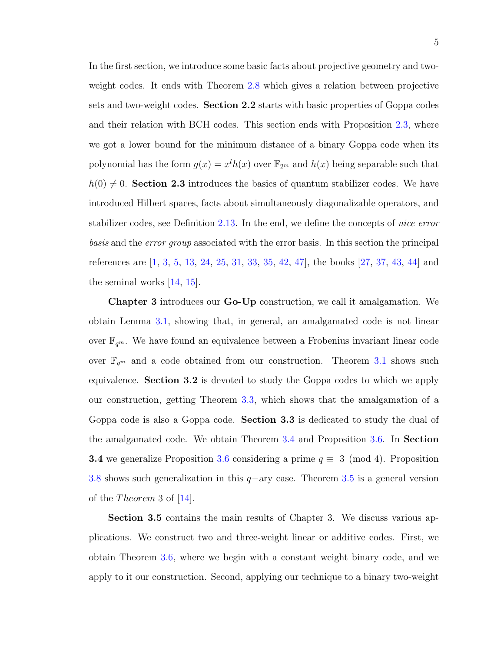In the first section, we introduce some basic facts about projective geometry and twoweight codes. It ends with Theorem [2.8](#page-32-0) which gives a relation between projective sets and two-weight codes. Section 2.2 starts with basic properties of Goppa codes and their relation with BCH codes. This section ends with Proposition [2.3,](#page-41-0) where we got a lower bound for the minimum distance of a binary Goppa code when its polynomial has the form  $g(x) = x^l h(x)$  over  $\mathbb{F}_{2^m}$  and  $h(x)$  being separable such that  $h(0) \neq 0$ . Section 2.3 introduces the basics of quantum stabilizer codes. We have introduced Hilbert spaces, facts about simultaneously diagonalizable operators, and stabilizer codes, see Definition [2.13.](#page-55-0) In the end, we define the concepts of nice error basis and the error group associated with the error basis. In this section the principal references are [\[1,](#page-127-4) [3,](#page-127-5) [5,](#page-127-6) [13,](#page-128-0) [24,](#page-129-5) [25,](#page-129-0) [31,](#page-129-1) [33,](#page-130-5) [35,](#page-130-6) [42,](#page-130-7) [47\]](#page-130-8), the books [\[27,](#page-129-6) [37,](#page-130-9) [43,](#page-130-10) [44\]](#page-130-11) and the seminal works [\[14,](#page-128-1) [15\]](#page-128-2).

Chapter 3 introduces our Go-Up construction, we call it amalgamation. We obtain Lemma [3.1,](#page-70-0) showing that, in general, an amalgamated code is not linear over  $\mathbb{F}_{q^m}$ . We have found an equivalence between a Frobenius invariant linear code over  $\mathbb{F}_{q^m}$  and a code obtained from our construction. Theorem [3.1](#page-75-1) shows such equivalence. Section 3.2 is devoted to study the Goppa codes to which we apply our construction, getting Theorem [3.3,](#page-82-0) which shows that the amalgamation of a Goppa code is also a Goppa code. Section 3.3 is dedicated to study the dual of the amalgamated code. We obtain Theorem [3.4](#page-85-0) and Proposition [3.6.](#page-87-0) In Section **3.4** we generalize Proposition [3.6](#page-87-0) considering a prime  $q \equiv 3 \pmod{4}$ . Proposition [3.8](#page-90-0) shows such generalization in this q−ary case. Theorem [3.5](#page-91-0) is a general version of the *Theorem* 3 of  $|14|$ .

Section 3.5 contains the main results of Chapter 3. We discuss various applications. We construct two and three-weight linear or additive codes. First, we obtain Theorem [3.6,](#page-96-0) where we begin with a constant weight binary code, and we apply to it our construction. Second, applying our technique to a binary two-weight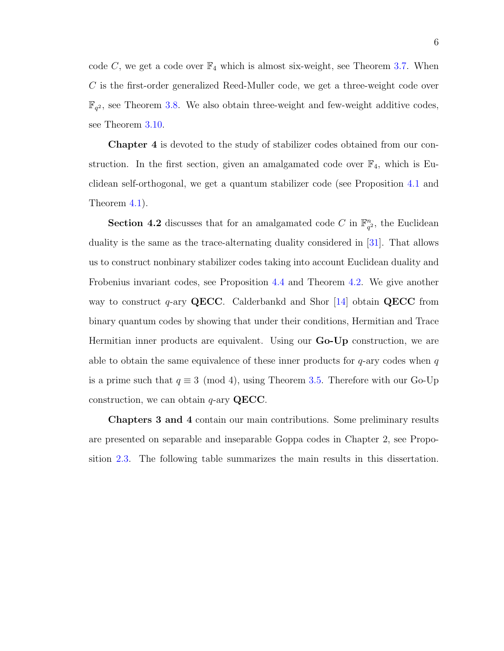code C, we get a code over  $\mathbb{F}_4$  which is almost six-weight, see Theorem [3.7.](#page-101-1) When C is the first-order generalized Reed-Muller code, we get a three-weight code over  $\mathbb{F}_{q^2}$ , see Theorem [3.8.](#page-103-0) We also obtain three-weight and few-weight additive codes, see Theorem [3.10.](#page-108-0)

Chapter 4 is devoted to the study of stabilizer codes obtained from our construction. In the first section, given an amalgamated code over  $\mathbb{F}_4$ , which is Euclidean self-orthogonal, we get a quantum stabilizer code (see Proposition [4.1](#page-113-0) and Theorem [4.1\)](#page-115-0).

**Section 4.2** discusses that for an amalgamated code C in  $\mathbb{F}_q^n$  $\frac{n}{q^2}$ , the Euclidean duality is the same as the trace-alternating duality considered in [\[31\]](#page-129-1). That allows us to construct nonbinary stabilizer codes taking into account Euclidean duality and Frobenius invariant codes, see Proposition [4.4](#page-123-0) and Theorem [4.2.](#page-124-0) We give another way to construct q-ary QECC. Calderbankd and Shor [\[14\]](#page-128-1) obtain QECC from binary quantum codes by showing that under their conditions, Hermitian and Trace Hermitian inner products are equivalent. Using our Go-Up construction, we are able to obtain the same equivalence of these inner products for  $q$ -ary codes when  $q$ is a prime such that  $q \equiv 3 \pmod{4}$ , using Theorem [3.5.](#page-91-0) Therefore with our Go-Up construction, we can obtain  $q$ -ary QECC.

Chapters 3 and 4 contain our main contributions. Some preliminary results are presented on separable and inseparable Goppa codes in Chapter 2, see Proposition [2.3.](#page-41-0) The following table summarizes the main results in this dissertation.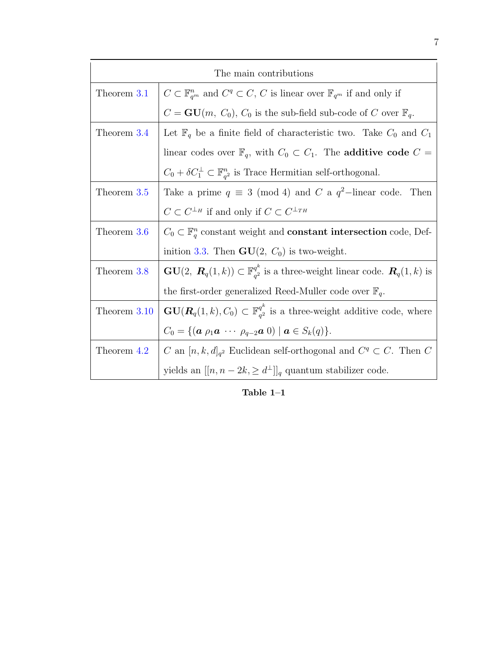| The main contributions |                                                                                                                                 |  |  |  |  |  |
|------------------------|---------------------------------------------------------------------------------------------------------------------------------|--|--|--|--|--|
| Theorem 3.1            | $C \subset \mathbb{F}_{q^m}^n$ and $C^q \subset C$ , C is linear over $\mathbb{F}_{q^m}$ if and only if                         |  |  |  |  |  |
|                        | $C = \mathbf{GU}(m, C_0), C_0$ is the sub-field sub-code of C over $\mathbb{F}_q$ .                                             |  |  |  |  |  |
| Theorem 3.4            | Let $\mathbb{F}_q$ be a finite field of characteristic two. Take $C_0$ and $C_1$                                                |  |  |  |  |  |
|                        | linear codes over $\mathbb{F}_q$ , with $C_0 \subset C_1$ . The <b>additive code</b> $C =$                                      |  |  |  |  |  |
|                        | $C_0 + \delta C_1^{\perp} \subset \mathbb{F}_{q^2}^n$ is Trace Hermitian self-orthogonal.                                       |  |  |  |  |  |
| Theorem 3.5            | Take a prime $q \equiv 3 \pmod{4}$ and C a $q^2$ -linear code. Then                                                             |  |  |  |  |  |
|                        | $C \subset C^{\perp_H}$ if and only if $C \subset C^{\perp_{TH}}$                                                               |  |  |  |  |  |
| Theorem 3.6            | $C_0 \subset \mathbb{F}_q^n$ constant weight and <b>constant intersection</b> code, Def-                                        |  |  |  |  |  |
|                        | inition 3.3. Then $GU(2, C_0)$ is two-weight.                                                                                   |  |  |  |  |  |
| Theorem 3.8            | $\mathbf{GU}(2,\ \mathbf{R}_q(1,k))\subset \mathbb{F}_{q^2}^{q^k}$ is a three-weight linear code. $\mathbf{R}_q(1,k)$ is        |  |  |  |  |  |
|                        | the first-order generalized Reed-Muller code over $\mathbb{F}_q$ .                                                              |  |  |  |  |  |
| Theorem 3.10           | $GU(R_q(1,k), C_0) \subset \mathbb{F}_{q^2}^{q^k}$ is a three-weight additive code, where                                       |  |  |  |  |  |
|                        | $C_0 = \{ (\boldsymbol{a} \ \rho_1 \boldsymbol{a} \ \cdots \ \rho_{q-2} \boldsymbol{a} \ 0) \mid \boldsymbol{a} \in S_k(q) \}.$ |  |  |  |  |  |
| Theorem 4.2            | C an $[n, k, d]_{q^2}$ Euclidean self-orthogonal and $C^q \subset C$ . Then C                                                   |  |  |  |  |  |
|                        | yields an $[[n, n-2k, \geq d^{\perp}]]_q$ quantum stabilizer code.                                                              |  |  |  |  |  |

Table  $1\hbox{--}1$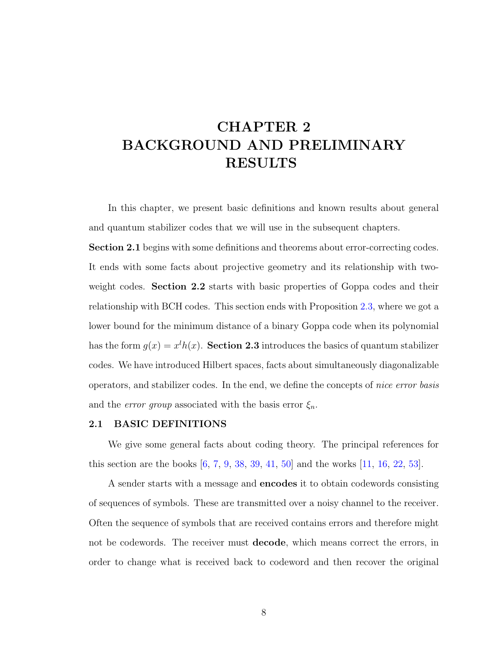# <span id="page-17-0"></span>CHAPTER 2 BACKGROUND AND PRELIMINARY RESULTS

In this chapter, we present basic definitions and known results about general and quantum stabilizer codes that we will use in the subsequent chapters.

Section 2.1 begins with some definitions and theorems about error-correcting codes. It ends with some facts about projective geometry and its relationship with twoweight codes. Section 2.2 starts with basic properties of Goppa codes and their relationship with BCH codes. This section ends with Proposition [2.3,](#page-41-0) where we got a lower bound for the minimum distance of a binary Goppa code when its polynomial has the form  $g(x) = x^l h(x)$ . Section 2.3 introduces the basics of quantum stabilizer codes. We have introduced Hilbert spaces, facts about simultaneously diagonalizable operators, and stabilizer codes. In the end, we define the concepts of nice error basis and the *error group* associated with the basis error  $\xi_n$ .

#### <span id="page-17-1"></span>2.1 BASIC DEFINITIONS

We give some general facts about coding theory. The principal references for this section are the books [\[6,](#page-127-1) [7,](#page-127-2) [9,](#page-127-3) [38,](#page-130-2) [39,](#page-130-3) [41,](#page-130-4) [50\]](#page-131-3) and the works [\[11,](#page-128-6) [16,](#page-128-3) [22,](#page-129-2) [53\]](#page-131-4).

A sender starts with a message and encodes it to obtain codewords consisting of sequences of symbols. These are transmitted over a noisy channel to the receiver. Often the sequence of symbols that are received contains errors and therefore might not be codewords. The receiver must decode, which means correct the errors, in order to change what is received back to codeword and then recover the original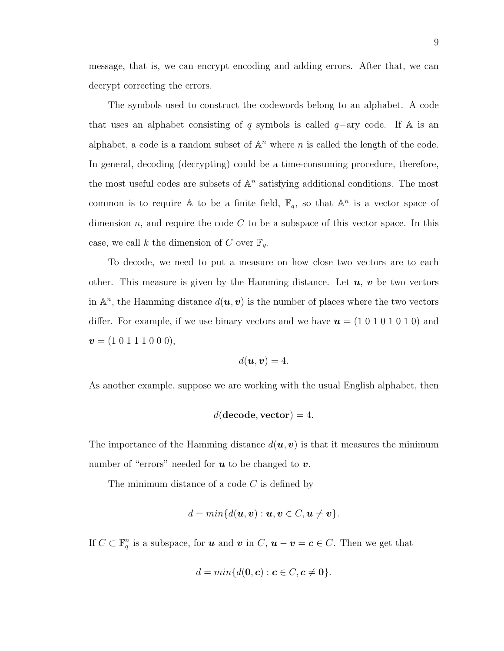message, that is, we can encrypt encoding and adding errors. After that, we can decrypt correcting the errors.

The symbols used to construct the codewords belong to an alphabet. A code that uses an alphabet consisting of q symbols is called  $q$ -ary code. If A is an alphabet, a code is a random subset of  $\mathbb{A}^n$  where n is called the length of the code. In general, decoding (decrypting) could be a time-consuming procedure, therefore, the most useful codes are subsets of  $\mathbb{A}^n$  satisfying additional conditions. The most common is to require A to be a finite field,  $\mathbb{F}_q$ , so that  $\mathbb{A}^n$  is a vector space of dimension n, and require the code  $C$  to be a subspace of this vector space. In this case, we call k the dimension of C over  $\mathbb{F}_q$ .

To decode, we need to put a measure on how close two vectors are to each other. This measure is given by the Hamming distance. Let  $u, v$  be two vectors in  $\mathbb{A}^n$ , the Hamming distance  $d(\boldsymbol{u}, \boldsymbol{v})$  is the number of places where the two vectors differ. For example, if we use binary vectors and we have  $u = (1 0 1 0 1 0 1 0)$  and  $v = (1 \ 0 \ 1 \ 1 \ 1 \ 0 \ 0 \ 0),$ 

$$
d(\boldsymbol{u},\boldsymbol{v})=4.
$$

As another example, suppose we are working with the usual English alphabet, then

$$
d(\text{decode}, \text{vector}) = 4.
$$

The importance of the Hamming distance  $d(\boldsymbol{u}, \boldsymbol{v})$  is that it measures the minimum number of "errors" needed for  $u$  to be changed to  $v$ .

The minimum distance of a code  $C$  is defined by

$$
d = min{d(\mathbf{u}, \mathbf{v}) : \mathbf{u}, \mathbf{v} \in C, \mathbf{u} \neq \mathbf{v}}.
$$

If  $C \subset \mathbb{F}_q^n$  is a subspace, for **u** and **v** in  $C$ ,  $u - v = c \in C$ . Then we get that

$$
d = min{d(\mathbf{0}, \mathbf{c}) : \mathbf{c} \in C, \mathbf{c} \neq \mathbf{0}}.
$$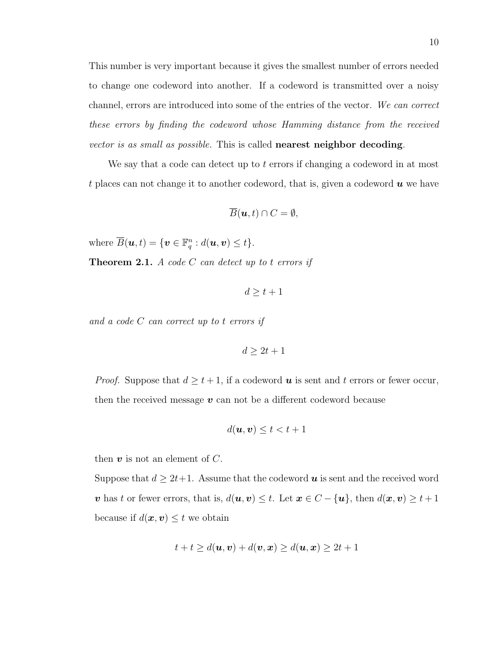This number is very important because it gives the smallest number of errors needed to change one codeword into another. If a codeword is transmitted over a noisy channel, errors are introduced into some of the entries of the vector. We can correct these errors by finding the codeword whose Hamming distance from the received vector is as small as possible. This is called nearest neighbor decoding.

We say that a code can detect up to  $t$  errors if changing a codeword in at most t places can not change it to another codeword, that is, given a codeword  $\boldsymbol{u}$  we have

$$
\overline{B}(\boldsymbol{u},t)\cap C=\emptyset,
$$

where  $\overline{B}(\boldsymbol{u},t) = \{\boldsymbol{v} \in \mathbb{F}_q^n : d(\boldsymbol{u},\boldsymbol{v}) \leq t\}.$ 

**Theorem 2.1.** A code  $C$  can detect up to t errors if

$$
d \geq t + 1
$$

and a code C can correct up to t errors if

 $d > 2t + 1$ 

*Proof.* Suppose that  $d \geq t + 1$ , if a codeword **u** is sent and t errors or fewer occur, then the received message  $v$  can not be a different codeword because

$$
d(\boldsymbol{u},\boldsymbol{v})\leq t < t+1
$$

then  $v$  is not an element of  $C$ .

Suppose that  $d \geq 2t+1$ . Assume that the codeword  $u$  is sent and the received word v has t or fewer errors, that is,  $d(\mathbf{u}, \mathbf{v}) \leq t$ . Let  $\mathbf{x} \in C - {\mathbf{u}}$ , then  $d(\mathbf{x}, \mathbf{v}) \geq t + 1$ because if  $d(\boldsymbol{x}, \boldsymbol{v}) \leq t$  we obtain

$$
t+t \geq d(\boldsymbol{u},\boldsymbol{v})+d(\boldsymbol{v},\boldsymbol{x}) \geq d(\boldsymbol{u},\boldsymbol{x}) \geq 2t+1
$$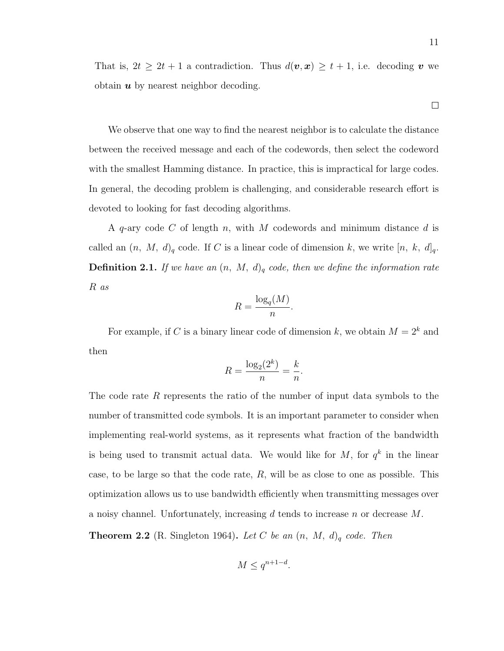That is,  $2t \geq 2t + 1$  a contradiction. Thus  $d(\boldsymbol{v}, \boldsymbol{x}) \geq t + 1$ , i.e. decoding  $\boldsymbol{v}$  we obtain  $\boldsymbol{u}$  by nearest neighbor decoding.

We observe that one way to find the nearest neighbor is to calculate the distance between the received message and each of the codewords, then select the codeword with the smallest Hamming distance. In practice, this is impractical for large codes. In general, the decoding problem is challenging, and considerable research effort is devoted to looking for fast decoding algorithms.

A q-ary code C of length n, with M codewords and minimum distance d is called an  $(n, M, d)_q$  code. If C is a linear code of dimension k, we write  $[n, k, d]_q$ . **Definition 2.1.** If we have an  $(n, M, d)$ <sub>q</sub> code, then we define the information rate R as

$$
R = \frac{\log_q(M)}{n}.
$$

For example, if C is a binary linear code of dimension k, we obtain  $M = 2^k$  and then

$$
R = \frac{\log_2(2^k)}{n} = \frac{k}{n}.
$$

The code rate R represents the ratio of the number of input data symbols to the number of transmitted code symbols. It is an important parameter to consider when implementing real-world systems, as it represents what fraction of the bandwidth is being used to transmit actual data. We would like for  $M$ , for  $q^k$  in the linear case, to be large so that the code rate,  $R$ , will be as close to one as possible. This optimization allows us to use bandwidth efficiently when transmitting messages over a noisy channel. Unfortunately, increasing d tends to increase n or decrease  $M$ .

**Theorem 2.2** (R. Singleton 1964). Let C be an  $(n, M, d)$ <sub>q</sub> code. Then

$$
M \le q^{n+1-d}.
$$

 $\Box$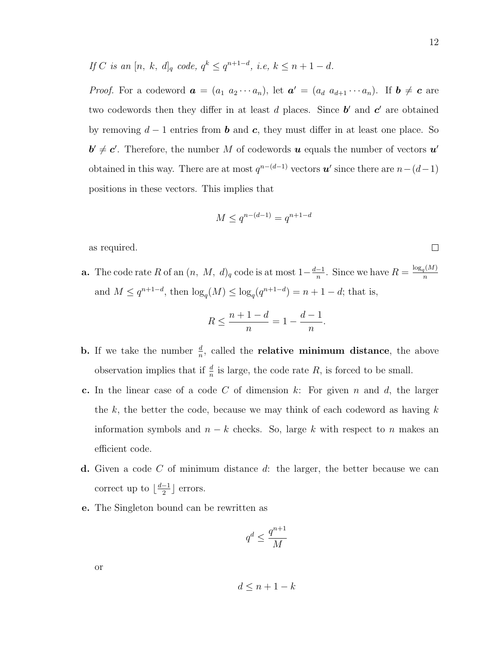If C is an  $[n, k, d]_q$  code,  $q^k \leq q^{n+1-d}$ , i.e,  $k \leq n+1-d$ .

*Proof.* For a codeword  $\boldsymbol{a} = (a_1 \ a_2 \cdots a_n)$ , let  $\boldsymbol{a}' = (a_d \ a_{d+1} \cdots a_n)$ . If  $\boldsymbol{b} \neq \boldsymbol{c}$  are two codewords then they differ in at least  $d$  places. Since  $b'$  and  $c'$  are obtained by removing  $d-1$  entries from **b** and **c**, they must differ in at least one place. So  $\mathbf{b}' \neq \mathbf{c}'$ . Therefore, the number M of codewords **u** equals the number of vectors  $\mathbf{u}'$ obtained in this way. There are at most  $q^{n-(d-1)}$  vectors  $u'$  since there are  $n-(d-1)$ positions in these vectors. This implies that

$$
M \le q^{n - (d - 1)} = q^{n + 1 - d}
$$

as required.

**a.** The code rate R of an  $(n, M, d)$ <sub>q</sub> code is at most  $1-\frac{d-1}{n}$  $\frac{-1}{n}$ . Since we have  $R = \frac{\log_q(M)}{n}$ n and  $M \leq q^{n+1-d}$ , then  $\log_q(M) \leq \log_q(q^{n+1-d}) = n+1-d$ ; that is,

$$
R\leq \frac{n+1-d}{n}=1-\frac{d-1}{n}.
$$

- **b.** If we take the number  $\frac{d}{n}$ , called the **relative minimum distance**, the above observation implies that if  $\frac{d}{n}$  is large, the code rate R, is forced to be small.
- c. In the linear case of a code  $C$  of dimension  $k$ : For given  $n$  and  $d$ , the larger the k, the better the code, because we may think of each codeword as having  $k$ information symbols and  $n - k$  checks. So, large k with respect to n makes an efficient code.
- d. Given a code  $C$  of minimum distance  $d$ : the larger, the better because we can correct up to  $\frac{d-1}{2}$  $\frac{-1}{2}$  errors.
- e. The Singleton bound can be rewritten as

$$
q^d \leq \frac{q^{n+1}}{M}
$$

or

$$
d \le n + 1 - k
$$

 $\Box$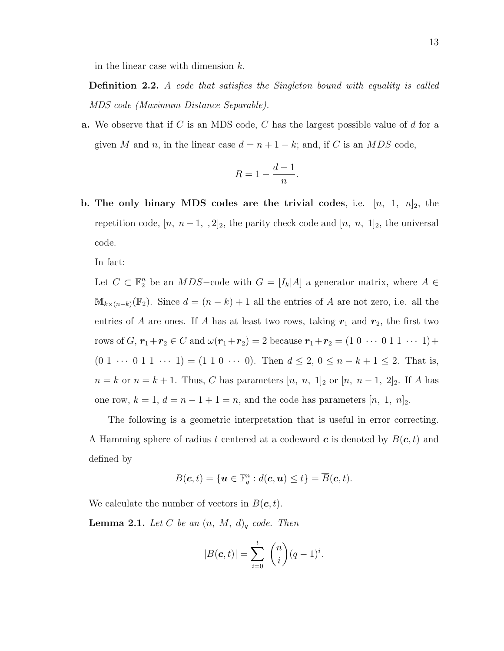in the linear case with dimension k.

Definition 2.2. A code that satisfies the Singleton bound with equality is called MDS code (Maximum Distance Separable).

**a.** We observe that if C is an MDS code, C has the largest possible value of  $d$  for a given M and n, in the linear case  $d = n + 1 - k$ ; and, if C is an MDS code,

$$
R = 1 - \frac{d-1}{n}.
$$

b. The only binary MDS codes are the trivial codes, i.e.  $[n, 1, n]_2$ , the repetition code,  $[n, n-1, 2]_2$ , the parity check code and  $[n, n, 1]_2$ , the universal code.

In fact:

Let  $C \subset \mathbb{F}_2^n$  be an  $MDS$ -code with  $G = [I_k|A]$  a generator matrix, where  $A \in$  $M_{k\times(n-k)}(\mathbb{F}_2)$ . Since  $d=(n-k)+1$  all the entries of A are not zero, i.e. all the entries of A are ones. If A has at least two rows, taking  $r_1$  and  $r_2$ , the first two rows of  $G$ ,  $r_1+r_2 \in C$  and  $\omega(r_1+r_2) = 2$  because  $r_1+r_2 = (1 \ 0 \ \cdots \ 0 \ 1 \ 1 \ \cdots \ 1) +$  $(0 \; 1 \; \cdots \; 0 \; 1 \; 1 \; \cdots \; 1) = (1 \; 1 \; 0 \; \cdots \; 0).$  Then  $d \leq 2, 0 \leq n - k + 1 \leq 2.$  That is,  $n = k$  or  $n = k + 1$ . Thus, C has parameters  $[n, n, 1]_2$  or  $[n, n-1, 2]_2$ . If A has one row,  $k = 1$ ,  $d = n - 1 + 1 = n$ , and the code has parameters  $[n, 1, n]_2$ .

The following is a geometric interpretation that is useful in error correcting. A Hamming sphere of radius t centered at a codeword c is denoted by  $B(c, t)$  and defined by

$$
B(\mathbf{c},t) = \{\mathbf{u} \in \mathbb{F}_q^n : d(\mathbf{c},\mathbf{u}) \le t\} = \overline{B}(\mathbf{c},t).
$$

We calculate the number of vectors in  $B(\mathbf{c}, t)$ .

**Lemma 2.1.** Let C be an  $(n, M, d)$ <sub>q</sub> code. Then

$$
|B(c,t)| = \sum_{i=0}^{t} {n \choose i} (q-1)^{i}.
$$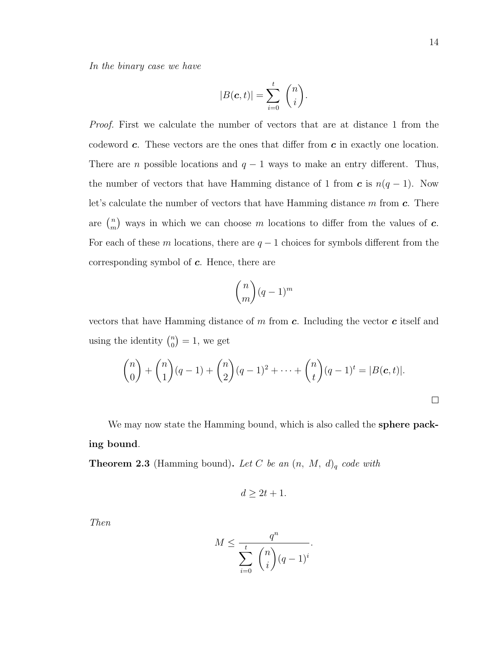In the binary case we have

$$
|B(\mathbf{c},t)| = \sum_{i=0}^t {n \choose i}.
$$

Proof. First we calculate the number of vectors that are at distance 1 from the codeword  $c$ . These vectors are the ones that differ from  $c$  in exactly one location. There are *n* possible locations and  $q - 1$  ways to make an entry different. Thus, the number of vectors that have Hamming distance of 1 from  $\boldsymbol{c}$  is  $n(q-1)$ . Now let's calculate the number of vectors that have Hamming distance  $m$  from  $c$ . There are  $\binom{n}{m}$  $\binom{n}{m}$  ways in which we can choose m locations to differ from the values of **c**. For each of these m locations, there are  $q-1$  choices for symbols different from the corresponding symbol of  $c$ . Hence, there are

$$
\binom{n}{m}(q-1)^m
$$

vectors that have Hamming distance of  $m$  from  $c$ . Including the vector  $c$  itself and using the identity  $\binom{n}{0}$  $\binom{n}{0} = 1$ , we get

$$
\binom{n}{0} + \binom{n}{1}(q-1) + \binom{n}{2}(q-1)^2 + \dots + \binom{n}{t}(q-1)^t = |B(\mathbf{c},t)|.
$$

We may now state the Hamming bound, which is also called the **sphere pack**ing bound.

**Theorem 2.3** (Hamming bound). Let C be an  $(n, M, d)$ <sub>q</sub> code with

$$
d \geq 2t + 1.
$$

Then

$$
M \le \frac{q^n}{\sum_{i=0}^t \binom{n}{i} (q-1)^i}.
$$

 $\Box$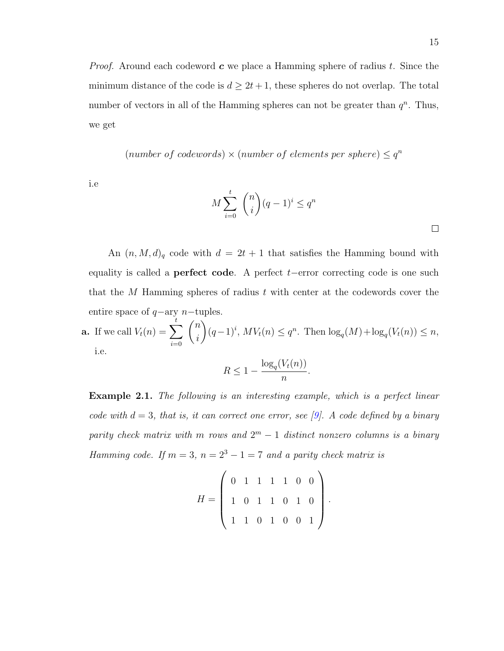*Proof.* Around each codeword  $c$  we place a Hamming sphere of radius t. Since the minimum distance of the code is  $d \geq 2t + 1$ , these spheres do not overlap. The total number of vectors in all of the Hamming spheres can not be greater than  $q^n$ . Thus, we get

(number of codewords)  $\times$  (number of elements per sphere)  $\leq q^n$ 

i.e

$$
M\sum_{i=0}^{t} \binom{n}{i} (q-1)^{i} \leq q^{n}
$$

.

An  $(n, M, d)$ <sub>q</sub> code with  $d = 2t + 1$  that satisfies the Hamming bound with equality is called a **perfect code**. A perfect  $t$ −error correcting code is one such that the M Hamming spheres of radius t with center at the codewords cover the entire space of  $q$ -ary  $n$ -tuples.

**a.** If we call 
$$
V_t(n) = \sum_{i=0}^t \binom{n}{i} (q-1)^i
$$
,  $MV_t(n) \leq q^n$ . Then  $\log_q(M) + \log_q(V_t(n)) \leq n$ , i.e.

$$
R \le 1 - \frac{\log_q(V_t(n))}{n}.
$$

Example 2.1. The following is an interesting example, which is a perfect linear code with  $d = 3$ , that is, it can correct one error, see [\[9\]](#page-127-3). A code defined by a binary parity check matrix with m rows and  $2^m - 1$  distinct nonzero columns is a binary Hamming code. If  $m = 3$ ,  $n = 2<sup>3</sup> - 1 = 7$  and a parity check matrix is

$$
H = \left(\begin{array}{rrrrrrr} 0 & 1 & 1 & 1 & 1 & 0 & 0 \\ 1 & 0 & 1 & 1 & 0 & 1 & 0 \\ 1 & 1 & 0 & 1 & 0 & 0 & 1 \end{array}\right)
$$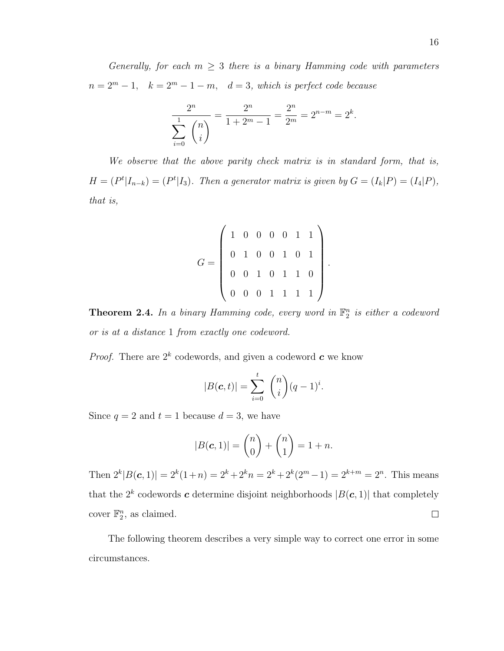Generally, for each  $m \geq 3$  there is a binary Hamming code with parameters  $n = 2<sup>m</sup> - 1$ ,  $k = 2<sup>m</sup> - 1 - m$ ,  $d = 3$ , which is perfect code because

$$
\frac{2^n}{\sum_{i=0}^1 \binom{n}{i}} = \frac{2^n}{1+2^m-1} = \frac{2^n}{2^m} = 2^{n-m} = 2^k.
$$

We observe that the above parity check matrix is in standard form, that is,  $H = (P<sup>t</sup>|I<sub>n-k</sub>) = (P<sup>t</sup>|I<sub>3</sub>)$ . Then a generator matrix is given by  $G = (I<sub>k</sub>|P) = (I<sub>4</sub>|P)$ , that is,

$$
G = \left(\begin{array}{cccccc} 1 & 0 & 0 & 0 & 0 & 1 & 1 \\ 0 & 1 & 0 & 0 & 1 & 0 & 1 \\ 0 & 0 & 1 & 0 & 1 & 1 & 0 \\ 0 & 0 & 0 & 1 & 1 & 1 & 1 \end{array}\right)
$$

.

**Theorem 2.4.** In a binary Hamming code, every word in  $\mathbb{F}_2^n$  is either a codeword or is at a distance 1 from exactly one codeword.

*Proof.* There are  $2^k$  codewords, and given a codeword  $c$  we know

$$
|B(\mathbf{c},t)| = \sum_{i=0}^t \binom{n}{i} (q-1)^i.
$$

Since  $q = 2$  and  $t = 1$  because  $d = 3$ , we have

$$
|B(c, 1)| = {n \choose 0} + {n \choose 1} = 1 + n.
$$

Then  $2^{k}|B(c, 1)| = 2^{k}(1+n) = 2^{k} + 2^{k}n = 2^{k} + 2^{k}(2^{m} - 1) = 2^{k+m} = 2^{n}$ . This means that the  $2^k$  codewords c determine disjoint neighborhoods  $|B(c, 1)|$  that completely cover  $\mathbb{F}_2^n$ , as claimed.  $\Box$ 

The following theorem describes a very simple way to correct one error in some circumstances.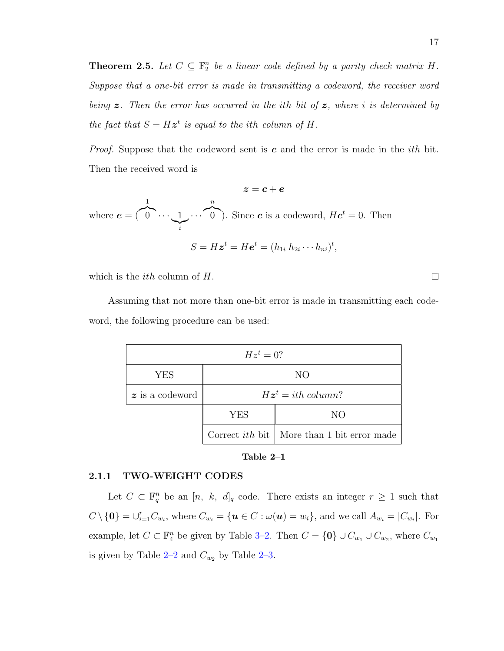**Theorem 2.5.** Let  $C \subseteq \mathbb{F}_2^n$  be a linear code defined by a parity check matrix H. Suppose that a one-bit error is made in transmitting a codeword, the receiver word being  $z$ . Then the error has occurred in the ith bit of  $z$ , where i is determined by the fact that  $S = Hz^t$  is equal to the ith column of H.

*Proof.* Suppose that the codeword sent is c and the error is made in the *i*th bit. Then the received word is

 $z = c + e$ where  $e = ($ 1  $\bigcap_{i=1}^{\infty}$  $\sum_{i}$  $\cdots$   $\vdots$ n  $\binom{0}{0}$ . Since **c** is a codeword,  $He^{t} = 0$ . Then  $S=H\boldsymbol{z}^{t}=H\boldsymbol{e}^{t}=(h_{1i}~h_{2i}\cdots h_{ni})^{t},$ 

which is the *ith* column of  $H$ .

Assuming that not more than one-bit error is made in transmitting each codeword, the following procedure can be used:

| $Hz^t=0$ ?                     |                                          |                                                     |  |  |  |  |  |  |
|--------------------------------|------------------------------------------|-----------------------------------------------------|--|--|--|--|--|--|
| YES                            | NO                                       |                                                     |  |  |  |  |  |  |
| $\boldsymbol{z}$ is a codeword | $H\boldsymbol{z}^t = i\text{th column?}$ |                                                     |  |  |  |  |  |  |
|                                | <b>YES</b>                               | NO.                                                 |  |  |  |  |  |  |
|                                |                                          | Correct <i>ith</i> bit   More than 1 bit error made |  |  |  |  |  |  |

Table 2–1

#### <span id="page-26-0"></span>2.1.1 TWO-WEIGHT CODES

Let  $C \subset \mathbb{F}_q^n$  be an  $[n, k, d]_q$  code. There exists an integer  $r \geq 1$  such that  $C \setminus \{\mathbf{0}\} = \bigcup_{i=1}^r C_{w_i}$ , where  $C_{w_i} = \{\mathbf{u} \in C : \omega(\mathbf{u}) = w_i\}$ , and we call  $A_{w_i} = |C_{w_i}|$ . For example, let  $C \subset \mathbb{F}_4^n$  be given by Table [3–2.](#page-66-0) Then  $C = \{0\} \cup C_{w_1} \cup C_{w_2}$ , where  $C_{w_1}$ is given by Table [2–2](#page-27-0) and  $C_{w_2}$  by Table [2–3.](#page-27-1)

 $\Box$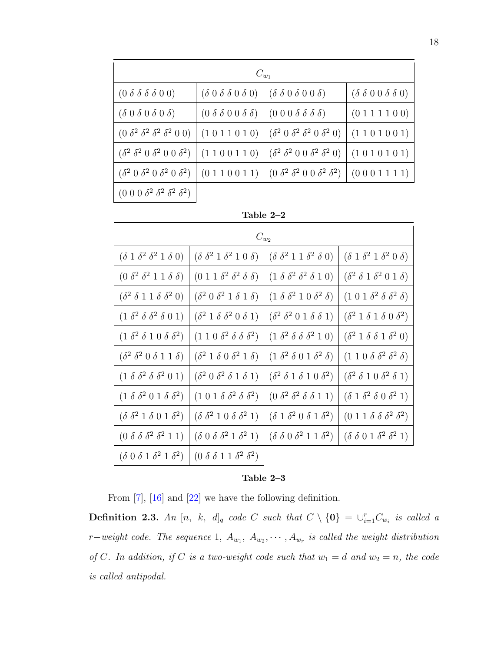| $C_{w_1}$                                                                                             |                                                                         |                                                                                                               |                                       |  |  |  |  |  |  |
|-------------------------------------------------------------------------------------------------------|-------------------------------------------------------------------------|---------------------------------------------------------------------------------------------------------------|---------------------------------------|--|--|--|--|--|--|
| $(0 \delta \delta \delta \delta 0 0)$                                                                 |                                                                         | $(\delta 0 \delta \delta 0 \delta 0)   (\delta \delta 0 \delta 0 \delta 0)$                                   | $(\delta \delta 0 0 \delta \delta 0)$ |  |  |  |  |  |  |
| $(\delta 0 \delta 0 \delta 0 \delta)$                                                                 | $(0 \delta \delta 0 0 \delta \delta)$ $(0 \delta \delta \delta \delta)$ |                                                                                                               | (0 1 1 1 1 0 0)                       |  |  |  |  |  |  |
| $(0 \delta^2 \delta^2 \delta^2 \delta^2 0 0)$                                                         |                                                                         | $(1\;0\;1\;1\;0\;1\;0)$ $(\delta^2\;0\;\delta^2\;\delta^2\;0\;\delta^2\;0)$                                   | (1101001)                             |  |  |  |  |  |  |
| $(\delta^2 \delta^2 0 \delta^2 0 0 \delta^2)$ (1100110) $(\delta^2 \delta^2 0 0 \delta^2 \delta^2 0)$ |                                                                         |                                                                                                               | (1010101)                             |  |  |  |  |  |  |
|                                                                                                       |                                                                         | $(\delta^2 0 \delta^2 0 \delta^2 0 \delta^2)$ $(0 1 1 0 0 1 1)$ $(0 \delta^2 \delta^2 0 0 \delta^2 \delta^2)$ | (0 0 0 1 1 1 1)                       |  |  |  |  |  |  |
| $(0\;0\;0\; \delta^2\; \delta^2\; \delta^2\; \delta^2)$                                               |                                                                         |                                                                                                               |                                       |  |  |  |  |  |  |

<span id="page-27-0"></span>

| `able |  |  |
|-------|--|--|
|-------|--|--|

| $C_{w}$                                               |                                                       |                                                       |                                                       |  |  |  |  |  |  |
|-------------------------------------------------------|-------------------------------------------------------|-------------------------------------------------------|-------------------------------------------------------|--|--|--|--|--|--|
| $(\delta 1 \delta^2 \delta^2 1 \delta 0)$             | $(\delta \ \delta^2 \ 1 \ \delta^2 \ 1 \ 0 \ \delta)$ | $(\delta \ \delta^2 \ 1 \ 1 \ \delta^2 \ \delta \ 0)$ | $(\delta 1 \delta^2 1 \delta^2 0 \delta)$             |  |  |  |  |  |  |
| $(0 \delta^2 \delta^2 1 1 \delta \delta)$             | $(0 1 1 \delta^2 \delta^2 \delta \delta)$             | $(1 \delta \delta^2 \delta^2 \delta 1 0)$             | $(\delta^2 \delta 1 \delta^2 0 1 \delta)$             |  |  |  |  |  |  |
| $(\delta^2 \delta 1 1 \delta \delta^2 0)$             | $(\delta^2 0 \delta^2 1 \delta 1 \delta)$             | $(1 \delta \delta^2 1 0 \delta^2 \delta)$             | $(1\;0\;1\;\delta^2\;\delta\;\delta^2\;\delta)$       |  |  |  |  |  |  |
| $(1 \delta^2 \delta \delta^2 \delta 0 1)$             | $(\delta^2 1 \delta \delta^2 0 \delta 1)$             | $(\delta^2 \delta^2 0 1 \delta \delta 1)$             | $(\delta^2 1 \delta 1 \delta 0 \delta^2)$             |  |  |  |  |  |  |
| $(1 \delta^2 \delta 1 0 \delta \delta^2)$             | $(1\ 1\ 0\ \delta^2\ \delta\ \delta\ \delta^2)$       | $(1 \delta^2 \delta \delta^2 1 0)$                    | $(\delta^2 1 \delta \delta 1 \delta^2 0)$             |  |  |  |  |  |  |
| $(\delta^2 \delta^2 0 \delta 1 1 \delta)$             | $(\delta^2 1 \delta 0 \delta^2 1 \delta)$             | $(1 \delta^2 \delta 0 1 \delta^2 \delta)$             | $(1\; 1\; 0\; \delta\; \delta^2\; \delta^2\; \delta)$ |  |  |  |  |  |  |
| $(1 \delta \delta^2 \delta \delta^2 0 1)$             | $(\delta^2 0 \delta^2 \delta 1 \delta 1)$             | $(\delta^2 \delta 1 \delta 1 0 \delta^2)$             | $(\delta^2 \delta 1 0 \delta^2 \delta 1)$             |  |  |  |  |  |  |
| $(1 \delta \delta^2 0 1 \delta \delta^2)$             | $(1\;0\;1\; \delta\; \delta^2\; \delta\; \delta^2)$   | $(0 \delta^2 \delta^2 \delta \delta 1 1)$             | $(\delta \ 1 \ \delta^2 \ \delta \ 0 \ \delta^2 \ 1)$ |  |  |  |  |  |  |
| $(\delta \ \delta^2 \ 1 \ \delta \ 0 \ 1 \ \delta^2)$ | $(\delta \ \delta^2 \ 1 \ 0 \ \delta \ \delta^2 \ 1)$ | $(\delta 1 \delta^2 0 \delta 1 \delta^2)$             | $(0 1 1 \delta \delta \delta^2 \delta^2)$             |  |  |  |  |  |  |
| $(0 \delta \delta \delta^2 \delta^2 1 1)$             | $(\delta\ 0\ \delta\ \delta^2\ 1\ \delta^2\ 1)$       | $(\delta \delta 0 \delta^2 1 1 \delta^2)$             | $(\delta \ \delta \ 0 \ 1 \ \delta^2 \ \delta^2 \ 1)$ |  |  |  |  |  |  |
| $(\delta\ 0\ \delta\ 1\ \delta^2\ 1\ \delta^2)$       | $(0 \delta \delta 1 1 \delta^2 \delta^2)$             |                                                       |                                                       |  |  |  |  |  |  |

### <span id="page-27-1"></span>Table 2–3

From [\[7\]](#page-127-2), [\[16\]](#page-128-3) and [\[22\]](#page-129-2) we have the following definition.

**Definition 2.3.** An  $[n, k, d]_q$  code C such that  $C \setminus \{0\} = \bigcup_{i=1}^r C_{w_i}$  is called a r-weight code. The sequence 1,  $A_{w_1}, A_{w_2}, \cdots, A_{w_r}$  is called the weight distribution of C. In addition, if C is a two-weight code such that  $w_1 = d$  and  $w_2 = n$ , the code is called antipodal.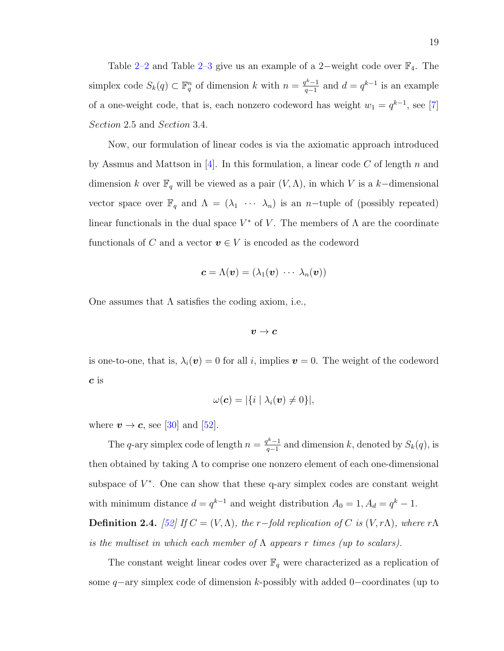Table [2–2](#page-27-0) and Table [2–3](#page-27-1) give us an example of a 2–weight code over  $\mathbb{F}_4$ . The simplex code  $S_k(q) \subset \mathbb{F}_q^n$  of dimension k with  $n = \frac{q^{k-1}}{q-1}$  $q_{q-1}^{k-1}$  and  $d = q^{k-1}$  is an example of a one-weight code, that is, each nonzero codeword has weight  $w_1 = q^{k-1}$ , see [\[7\]](#page-127-2) Section 2.5 and Section 3.4.

Now, our formulation of linear codes is via the axiomatic approach introduced by Assmus and Mattson in [\[4\]](#page-127-7). In this formulation, a linear code C of length n and dimension k over  $\mathbb{F}_q$  will be viewed as a pair  $(V, \Lambda)$ , in which V is a k–dimensional vector space over  $\mathbb{F}_q$  and  $\Lambda = (\lambda_1 \cdots \lambda_n)$  is an n-tuple of (possibly repeated) linear functionals in the dual space  $V^*$  of V. The members of  $\Lambda$  are the coordinate functionals of C and a vector  $v \in V$  is encoded as the codeword

$$
\boldsymbol{c} = \Lambda(\boldsymbol{v}) = (\lambda_1(\boldsymbol{v}) \ \cdots \ \lambda_n(\boldsymbol{v}))
$$

One assumes that  $\Lambda$  satisfies the coding axiom, i.e.,

$$
\boldsymbol{v} \rightarrow \boldsymbol{c}
$$

is one-to-one, that is,  $\lambda_i(\boldsymbol{v}) = 0$  for all i, implies  $\boldsymbol{v} = 0$ . The weight of the codeword c is

$$
\omega(\boldsymbol{c})=|\{i\mid\lambda_i(\boldsymbol{v})\neq 0\}|,
$$

where  $v \to c$ , see [\[30\]](#page-129-7) and [\[52\]](#page-131-5).

The q-ary simplex code of length  $n = \frac{q^k-1}{q-1}$  $\frac{q^{k-1}}{q-1}$  and dimension k, denoted by  $S_k(q)$ , is then obtained by taking  $\Lambda$  to comprise one nonzero element of each one-dimensional subspace of  $V^*$ . One can show that these q-ary simplex codes are constant weight with minimum distance  $d = q^{k-1}$  and weight distribution  $A_0 = 1, A_d = q^k - 1$ . **Definition 2.4.** [\[52\]](#page-131-5) If  $C = (V, \Lambda)$ , the r-fold replication of C is  $(V, r\Lambda)$ , where r $\Lambda$ 

is the multiset in which each member of  $\Lambda$  appears r times (up to scalars).

The constant weight linear codes over  $\mathbb{F}_q$  were characterized as a replication of some q–ary simplex code of dimension k-possibly with added 0–coordinates (up to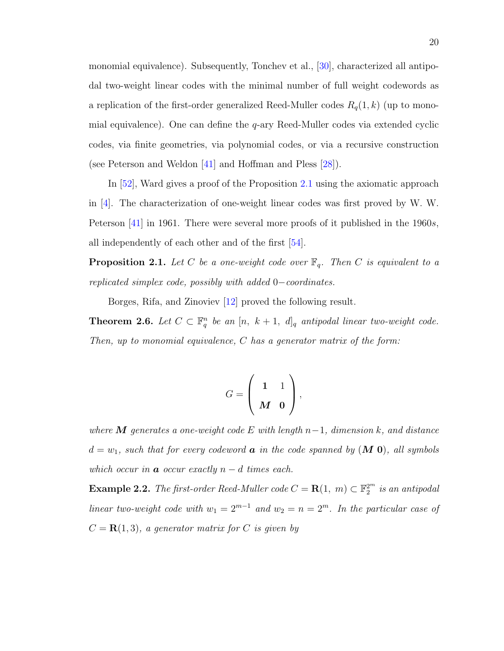monomial equivalence). Subsequently, Tonchev et al., [\[30\]](#page-129-7), characterized all antipodal two-weight linear codes with the minimal number of full weight codewords as a replication of the first-order generalized Reed-Muller codes  $R_q(1, k)$  (up to monomial equivalence). One can define the  $q$ -ary Reed-Muller codes via extended cyclic codes, via finite geometries, via polynomial codes, or via a recursive construction (see Peterson and Weldon [\[41\]](#page-130-4) and Hoffman and Pless [\[28\]](#page-129-8)).

In [\[52\]](#page-131-5), Ward gives a proof of the Proposition [2.1](#page-29-0) using the axiomatic approach in [\[4\]](#page-127-7). The characterization of one-weight linear codes was first proved by W. W. Peterson [\[41\]](#page-130-4) in 1961. There were several more proofs of it published in the 1960s, all independently of each other and of the first [\[54\]](#page-131-6).

<span id="page-29-0"></span>**Proposition 2.1.** Let C be a one-weight code over  $\mathbb{F}_q$ . Then C is equivalent to a replicated simplex code, possibly with added 0−coordinates.

Borges, Rifa, and Zinoviev [\[12\]](#page-128-7) proved the following result.

**Theorem 2.6.** Let  $C \subset \mathbb{F}_q^n$  be an  $[n, k+1, d]_q$  antipodal linear two-weight code. Then, up to monomial equivalence, C has a generator matrix of the form:

$$
G=\left(\begin{array}{cc}1&1\\M&0\end{array}\right),\,
$$

where **M** generates a one-weight code E with length  $n-1$ , dimension k, and distance  $d = w_1$ , such that for every codeword **a** in the code spanned by  $(M 0)$ , all symbols which occur in  $\boldsymbol{a}$  occur exactly  $n - d$  times each.

**Example 2.2.** The first-order Reed-Muller code  $C = \mathbf{R}(1, m) \subset \mathbb{F}_2^{2^m}$  is an antipodal linear two-weight code with  $w_1 = 2^{m-1}$  and  $w_2 = n = 2^m$ . In the particular case of  $C = \mathbf{R}(1, 3)$ , a generator matrix for C is given by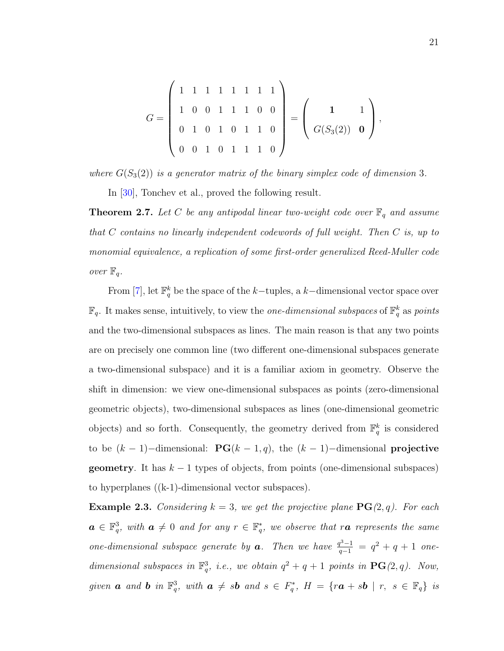$$
G = \left(\begin{array}{rrrrrrr} 1 & 1 & 1 & 1 & 1 & 1 & 1 \\ 1 & 0 & 0 & 1 & 1 & 1 & 0 & 0 \\ 0 & 1 & 0 & 1 & 0 & 1 & 1 & 0 \\ 0 & 0 & 1 & 0 & 1 & 1 & 1 & 0 \end{array}\right) = \left(\begin{array}{rrrrr} 1 & 1 \\ G(S_3(2)) & 0 \end{array}\right),
$$

where  $G(S_3(2))$  is a generator matrix of the binary simplex code of dimension 3.

In [\[30\]](#page-129-7), Tonchev et al., proved the following result.

<span id="page-30-0"></span>**Theorem 2.7.** Let C be any antipodal linear two-weight code over  $\mathbb{F}_q$  and assume that  $C$  contains no linearly independent codewords of full weight. Then  $C$  is, up to monomial equivalence, a replication of some first-order generalized Reed-Muller code over  $\mathbb{F}_q$ .

From [\[7\]](#page-127-2), let  $\mathbb{F}_q^k$  be the space of the k-tuples, a k-dimensional vector space over  $\mathbb{F}_q$ . It makes sense, intuitively, to view the *one-dimensional subspaces* of  $\mathbb{F}_q^k$  as *points* and the two-dimensional subspaces as lines. The main reason is that any two points are on precisely one common line (two different one-dimensional subspaces generate a two-dimensional subspace) and it is a familiar axiom in geometry. Observe the shift in dimension: we view one-dimensional subspaces as points (zero-dimensional geometric objects), two-dimensional subspaces as lines (one-dimensional geometric objects) and so forth. Consequently, the geometry derived from  $\mathbb{F}_q^k$  is considered to be  $(k-1)$ –dimensional: **PG**( $k-1$ , q), the  $(k-1)$ –dimensional **projective geometry**. It has  $k-1$  types of objects, from points (one-dimensional subspaces) to hyperplanes ((k-1)-dimensional vector subspaces).

**Example 2.3.** Considering  $k = 3$ , we get the projective plane  $\textbf{PG}(2,q)$ . For each  $a \in \mathbb{F}_q^3$ , with  $a \neq 0$  and for any  $r \in \mathbb{F}_q^*$ , we observe that ra represents the same one-dimensional subspace generate by **a**. Then we have  $\frac{q^3-1}{q-1} = q^2 + q + 1$  onedimensional subspaces in  $\mathbb{F}_q^3$ , i.e., we obtain  $q^2 + q + 1$  points in  $\text{PG}(2, q)$ . Now, given **a** and **b** in  $\mathbb{F}_q^3$ , with  $a \neq sb$  and  $s \in F_q^*$ ,  $H = \{ra + sb \mid r, s \in \mathbb{F}_q\}$  is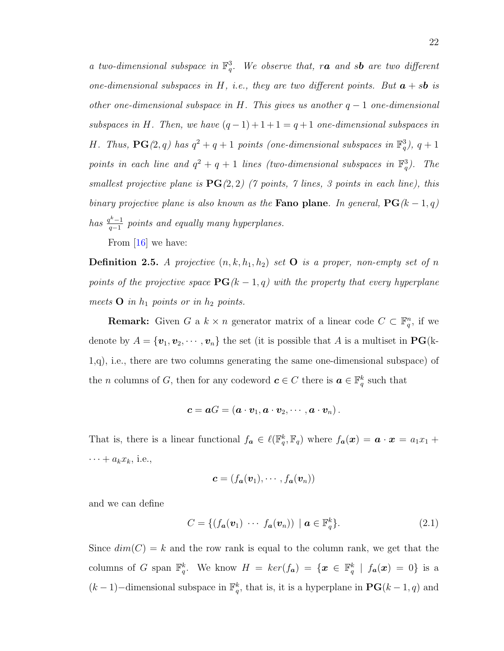a two-dimensional subspace in  $\mathbb{F}_q^3$ . We observe that, ra and sb are two different one-dimensional subspaces in H, i.e., they are two different points. But  $\boldsymbol{a} + s\boldsymbol{b}$  is other one-dimensional subspace in H. This gives us another  $q-1$  one-dimensional subspaces in H. Then, we have  $(q-1)+1+1=q+1$  one-dimensional subspaces in H. Thus,  $\mathbf{PG}(2,q)$  has  $q^2+q+1$  points (one-dimensional subspaces in  $\mathbb{F}_q^3$ ),  $q+1$ points in each line and  $q^2 + q + 1$  lines (two-dimensional subspaces in  $\mathbb{F}_q^3$ ). The smallest projective plane is  $PG(2, 2)$  (7 points, 7 lines, 3 points in each line), this binary projective plane is also known as the **Fano plane**. In general,  $\mathbf{PG}(k-1,q)$ has  $\frac{q^k-1}{q-1}$  $\frac{q^{n}-1}{q-1}$  points and equally many hyperplanes.

From [\[16\]](#page-128-3) we have:

**Definition 2.5.** A projective  $(n, k, h_1, h_2)$  set **O** is a proper, non-empty set of n points of the projective space  $\mathbf{PG}(k-1,q)$  with the property that every hyperplane meets  $O$  in  $h_1$  points or in  $h_2$  points.

**Remark:** Given G a  $k \times n$  generator matrix of a linear code  $C \subset \mathbb{F}_q^n$ , if we denote by  $A = {\mathbf{v}_1, \mathbf{v}_2, \cdots, \mathbf{v}_n}$  the set (it is possible that A is a multiset in  $\mathbf{PG}(k-1)$ 1,q), i.e., there are two columns generating the same one-dimensional subspace) of the *n* columns of *G*, then for any codeword  $c \in C$  there is  $a \in \mathbb{F}_q^k$  such that

$$
\boldsymbol{c} = \boldsymbol{a}G = (\boldsymbol{a} \cdot \boldsymbol{v}_1, \boldsymbol{a} \cdot \boldsymbol{v}_2, \cdots, \boldsymbol{a} \cdot \boldsymbol{v}_n).
$$

That is, there is a linear functional  $f_a \in \ell(\mathbb{F}_q^k, \mathbb{F}_q)$  where  $f_a(x) = a \cdot x = a_1x_1 +$  $\cdots + a_k x_k$ , i.e.,

$$
\boldsymbol{c} = (f_{\boldsymbol{a}}(\boldsymbol{v}_1), \cdots, f_{\boldsymbol{a}}(\boldsymbol{v}_n))
$$

and we can define

<span id="page-31-0"></span>
$$
C = \{ (f_{\boldsymbol{a}}(\boldsymbol{v}_1) \ \cdots \ f_{\boldsymbol{a}}(\boldsymbol{v}_n)) \mid \boldsymbol{a} \in \mathbb{F}_q^k \}. \tag{2.1}
$$

Since  $dim(C) = k$  and the row rank is equal to the column rank, we get that the columns of G span  $\mathbb{F}_q^k$ . We know  $H = ker(f_a) = \{x \in \mathbb{F}_q^k \mid f_a(x) = 0\}$  is a  $(k-1)$ –dimensional subspace in  $\mathbb{F}_q^k$ , that is, it is a hyperplane in  $\mathbf{PG}(k-1,q)$  and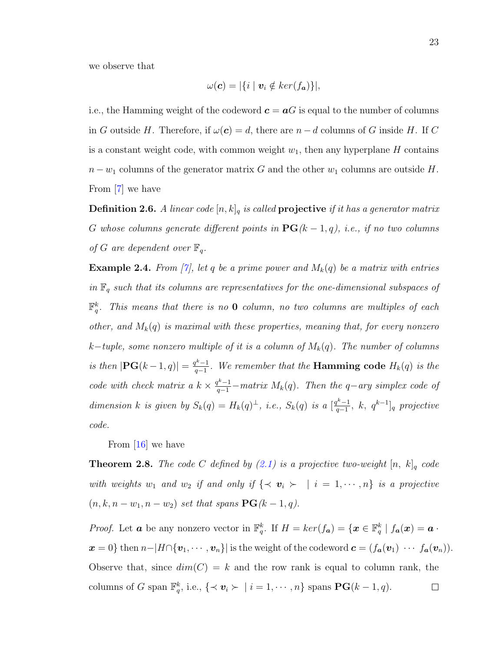we observe that

$$
\omega(\mathbf{c})=|\{i\mid \mathbf{v}_i\notin ker(f_{\mathbf{a}})\}|,
$$

i.e., the Hamming weight of the codeword  $c = aG$  is equal to the number of columns in G outside H. Therefore, if  $\omega(c) = d$ , there are  $n - d$  columns of G inside H. If C is a constant weight code, with common weight  $w_1$ , then any hyperplane H contains  $n - w_1$  columns of the generator matrix G and the other  $w_1$  columns are outside H. From [\[7\]](#page-127-2) we have

**Definition 2.6.** A linear code  $[n, k]_q$  is called **projective** if it has a generator matrix G whose columns generate different points in  $\mathbf{PG}(k-1, q)$ , i.e., if no two columns of G are dependent over  $\mathbb{F}_q$ .

**Example 2.4.** From [\[7\]](#page-127-2), let q be a prime power and  $M_k(q)$  be a matrix with entries in  $\mathbb{F}_q$  such that its columns are representatives for the one-dimensional subspaces of  $\mathbb{F}_q^k$ . This means that there is no **0** column, no two columns are multiples of each other, and  $M_k(q)$  is maximal with these properties, meaning that, for every nonzero k−tuple, some nonzero multiple of it is a column of  $M_k(q)$ . The number of columns is then  $|\mathbf{PG}(k-1,q)| = \frac{q^k-1}{q-1}$  $\frac{q^{n}-1}{q-1}$ . We remember that the **Hamming code**  $H_k(q)$  is the code with check matrix a  $k \times \frac{q^{k}-1}{q-1}$  – matrix  $M_k(q)$ . Then the q-ary simplex code of dimension k is given by  $S_k(q) = H_k(q)^\perp$ , i.e.,  $S_k(q)$  is a  $\left[\frac{q^k-1}{q-1}\right]$  $\frac{q^{k}-1}{q-1},\;k,\;q^{k-1}]_q\;projective$ code.

From [\[16\]](#page-128-3) we have

<span id="page-32-0"></span>**Theorem 2.8.** The code C defined by [\(2.1\)](#page-31-0) is a projective two-weight  $[n, k]_q$  code with weights  $w_1$  and  $w_2$  if and only if  $\{\prec v_i \succ \mid i = 1, \cdots, n\}$  is a projective  $(n, k, n - w_1, n - w_2)$  set that spans  $\mathbf{PG}(k-1, q)$ .

*Proof.* Let **a** be any nonzero vector in  $\mathbb{F}_q^k$ . If  $H = \ker(f_a) = \{x \in \mathbb{F}_q^k \mid f_a(x) = a$ .  $\mathbf{x} = 0$ } then  $n-|H \cap {\mathbf{v}_1, \cdots, \mathbf{v}_n}$ } is the weight of the codeword  $\mathbf{c} = (f_{\mathbf{a}}(\mathbf{v}_1) \cdots f_{\mathbf{a}}(\mathbf{v}_n)).$ Observe that, since  $dim(C) = k$  and the row rank is equal to column rank, the columns of G span  $\mathbb{F}_q^k$ , i.e.,  $\{\prec v_i \succ | i = 1, \cdots, n\}$  spans  $\mathbf{PG}(k-1, q)$ .  $\Box$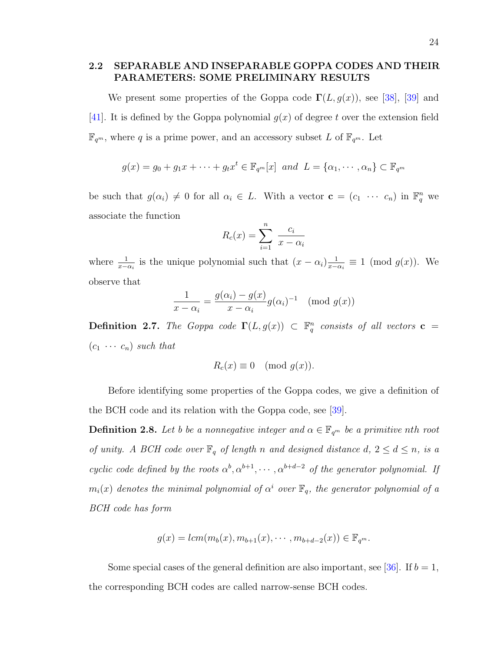### <span id="page-33-0"></span>2.2 SEPARABLE AND INSEPARABLE GOPPA CODES AND THEIR PARAMETERS: SOME PRELIMINARY RESULTS

We present some properties of the Goppa code  $\Gamma(L, g(x))$ , see [\[38\]](#page-130-2), [\[39\]](#page-130-3) and [\[41\]](#page-130-4). It is defined by the Goppa polynomial  $g(x)$  of degree t over the extension field  $\mathbb{F}_{q^m}$ , where q is a prime power, and an accessory subset L of  $\mathbb{F}_{q^m}$ . Let

$$
g(x) = g_0 + g_1 x + \cdots + g_t x^t \in \mathbb{F}_{q^m}[x]
$$
 and  $L = {\alpha_1, \cdots, \alpha_n} \subset \mathbb{F}_{q^m}$ 

be such that  $g(\alpha_i) \neq 0$  for all  $\alpha_i \in L$ . With a vector  $\mathbf{c} = (c_1 \cdots c_n)$  in  $\mathbb{F}_q^n$  we associate the function

$$
R_c(x) = \sum_{i=1}^{n} \frac{c_i}{x - \alpha_i}
$$

where  $\frac{1}{x-\alpha_i}$  is the unique polynomial such that  $(x-\alpha_i)\frac{1}{x-\alpha_i}$  $\frac{1}{x-\alpha_i} \equiv 1 \pmod{g(x)}$ . We observe that

$$
\frac{1}{x - \alpha_i} = \frac{g(\alpha_i) - g(x)}{x - \alpha_i} g(\alpha_i)^{-1} \pmod{g(x)}
$$

<span id="page-33-1"></span>**Definition 2.7.** The Goppa code  $\Gamma(L, g(x)) \subset \mathbb{F}_q^n$  consists of all vectors  $\mathbf{c} =$  $(c_1 \cdots c_n)$  such that

$$
R_c(x) \equiv 0 \pmod{g(x)}.
$$

Before identifying some properties of the Goppa codes, we give a definition of the BCH code and its relation with the Goppa code, see [\[39\]](#page-130-3).

**Definition 2.8.** Let b be a nonnegative integer and  $\alpha \in \mathbb{F}_{q^m}$  be a primitive nth root of unity. A BCH code over  $\mathbb{F}_q$  of length n and designed distance  $d, 2 \leq d \leq n$ , is a cyclic code defined by the roots  $\alpha^b, \alpha^{b+1}, \cdots, \alpha^{b+d-2}$  of the generator polynomial. If  $m_i(x)$  denotes the minimal polynomial of  $\alpha^i$  over  $\mathbb{F}_q$ , the generator polynomial of a BCH code has form

$$
g(x) = lcm(m_b(x), m_{b+1}(x), \cdots, m_{b+d-2}(x)) \in \mathbb{F}_{q^m}.
$$

Some special cases of the general definition are also important, see [\[36\]](#page-130-12). If  $b = 1$ , the corresponding BCH codes are called narrow-sense BCH codes.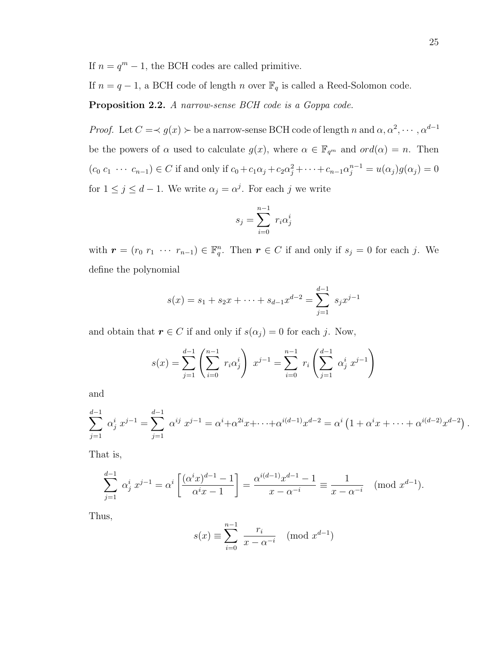If  $n = q^m - 1$ , the BCH codes are called primitive.

If  $n = q - 1$ , a BCH code of length n over  $\mathbb{F}_q$  is called a Reed-Solomon code.

Proposition 2.2. A narrow-sense BCH code is a Goppa code.

*Proof.* Let  $C = \prec g(x) \succ$  be a narrow-sense BCH code of length n and  $\alpha, \alpha^2, \cdots, \alpha^{d-1}$ be the powers of  $\alpha$  used to calculate  $g(x)$ , where  $\alpha \in \mathbb{F}_{q^m}$  and  $ord(\alpha) = n$ . Then  $(c_0 c_1 \cdots c_{n-1}) \in C$  if and only if  $c_0 + c_1 \alpha_j + c_2 \alpha_j^2 + \cdots + c_{n-1} \alpha_j^{n-1} = u(\alpha_j) g(\alpha_j) = 0$ for  $1 \leq j \leq d-1$ . We write  $\alpha_j = \alpha^j$ . For each j we write

$$
s_j = \sum_{i=0}^{n-1} r_i \alpha_j^i
$$

with  $\mathbf{r} = (r_0 \ r_1 \ \cdots \ r_{n-1}) \in \mathbb{F}_q^n$ . Then  $\mathbf{r} \in C$  if and only if  $s_j = 0$  for each j. We define the polynomial

$$
s(x) = s_1 + s_2 x + \dots + s_{d-1} x^{d-2} = \sum_{j=1}^{d-1} s_j x^{j-1}
$$

and obtain that  $r \in C$  if and only if  $s(\alpha_j) = 0$  for each j. Now,

$$
s(x) = \sum_{j=1}^{d-1} \left( \sum_{i=0}^{n-1} r_i \alpha_j^i \right) x^{j-1} = \sum_{i=0}^{n-1} r_i \left( \sum_{j=1}^{d-1} \alpha_j^i x^{j-1} \right)
$$

and

$$
\sum_{j=1}^{d-1} \alpha_j^i x^{j-1} = \sum_{j=1}^{d-1} \alpha^{ij} x^{j-1} = \alpha^i + \alpha^{2i} x + \dots + \alpha^{i(d-1)} x^{d-2} = \alpha^i \left( 1 + \alpha^i x + \dots + \alpha^{i(d-2)} x^{d-2} \right).
$$

That is,

$$
\sum_{j=1}^{d-1} \alpha_j^i x^{j-1} = \alpha^i \left[ \frac{(\alpha^i x)^{d-1} - 1}{\alpha^i x - 1} \right] = \frac{\alpha^{i(d-1)} x^{d-1} - 1}{x - \alpha^{-i}} \equiv \frac{1}{x - \alpha^{-i}} \pmod{x^{d-1}}.
$$

Thus,

$$
s(x) \equiv \sum_{i=0}^{n-1} \frac{r_i}{x - \alpha^{-i}} \pmod{x^{d-1}}
$$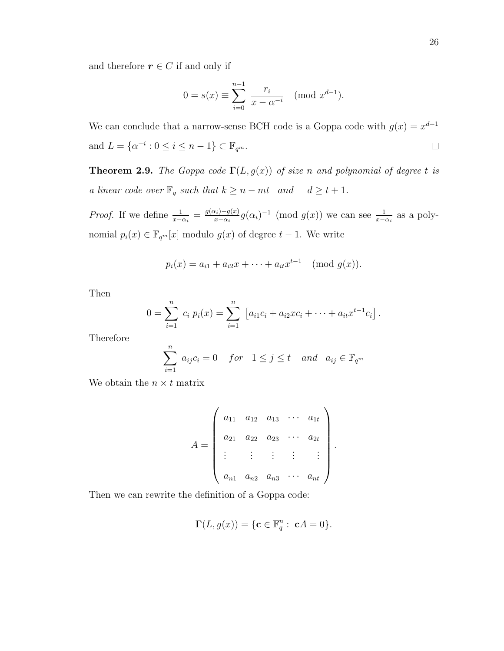and therefore  $r \in C$  if and only if

$$
0 = s(x) \equiv \sum_{i=0}^{n-1} \frac{r_i}{x - \alpha^{-i}} \pmod{x^{d-1}}.
$$

We can conclude that a narrow-sense BCH code is a Goppa code with  $g(x) = x^{d-1}$ and  $L = \{ \alpha^{-i} : 0 \le i \le n - 1 \} \subset \mathbb{F}_{q^m}$ .  $\Box$ 

**Theorem 2.9.** The Goppa code  $\Gamma(L, g(x))$  of size n and polynomial of degree t is a linear code over  $\mathbb{F}_q$  such that  $k \geq n - mt$  and  $d \geq t + 1$ .

*Proof.* If we define  $\frac{1}{x-\alpha_i} = \frac{g(\alpha_i)-g(x)}{x-\alpha_i}$  $\frac{u_i)-g(x)}{x-\alpha_i}g(\alpha_i)^{-1}$  (mod  $g(x)$ ) we can see  $\frac{1}{x-\alpha_i}$  as a polynomial  $p_i(x) \in \mathbb{F}_{q^m}[x]$  modulo  $g(x)$  of degree  $t-1$ . We write

$$
p_i(x) = a_{i1} + a_{i2}x + \cdots + a_{it}x^{t-1} \pmod{g(x)}
$$
.

Then

$$
0 = \sum_{i=1}^{n} c_i p_i(x) = \sum_{i=1}^{n} [a_{i1}c_i + a_{i2}xc_i + \cdots + a_{it}x^{t-1}c_i].
$$

Therefore

$$
\sum_{i=1}^{n} a_{ij}c_i = 0 \quad for \quad 1 \le j \le t \quad and \quad a_{ij} \in \mathbb{F}_{q^m}
$$

We obtain the  $n \times t$  matrix

$$
A = \begin{pmatrix} a_{11} & a_{12} & a_{13} & \cdots & a_{1t} \\ a_{21} & a_{22} & a_{23} & \cdots & a_{2t} \\ \vdots & \vdots & \vdots & \vdots & \vdots \\ a_{n1} & a_{n2} & a_{n3} & \cdots & a_{nt} \end{pmatrix}.
$$

Then we can rewrite the definition of a Goppa code:

$$
\Gamma(L, g(x)) = \{ \mathbf{c} \in \mathbb{F}_q^n : \ \mathbf{c}A = 0 \}.
$$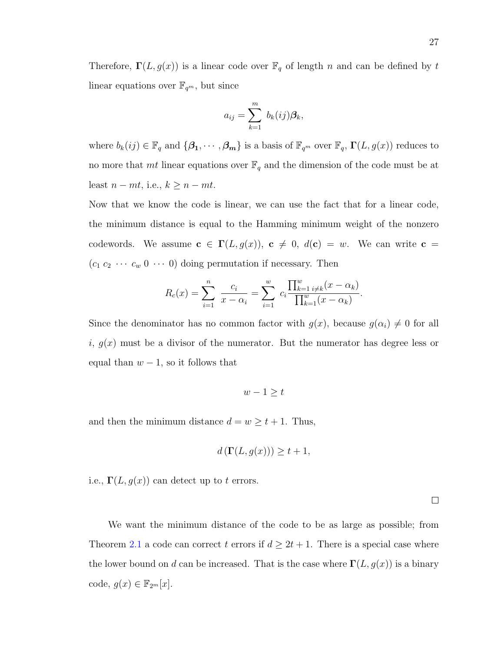Therefore,  $\Gamma(L, g(x))$  is a linear code over  $\mathbb{F}_q$  of length n and can be defined by t linear equations over  $\mathbb{F}_{q^m}$ , but since

$$
a_{ij} = \sum_{k=1}^m b_k(ij)\beta_k,
$$

where  $b_k(ij) \in \mathbb{F}_q$  and  $\{\beta_1, \cdots, \beta_m\}$  is a basis of  $\mathbb{F}_{q^m}$  over  $\mathbb{F}_q$ ,  $\Gamma(L, g(x))$  reduces to no more that mt linear equations over  $\mathbb{F}_q$  and the dimension of the code must be at least  $n - mt$ , i.e.,  $k \geq n - mt$ .

Now that we know the code is linear, we can use the fact that for a linear code, the minimum distance is equal to the Hamming minimum weight of the nonzero codewords. We assume  $c \in \Gamma(L, g(x))$ ,  $c \neq 0$ ,  $d(c) = w$ . We can write  $c =$  $(c_1 c_2 \cdots c_w 0 \cdots 0)$  doing permutation if necessary. Then

$$
R_c(x) = \sum_{i=1}^n \frac{c_i}{x - \alpha_i} = \sum_{i=1}^w c_i \frac{\prod_{k=1}^w i \neq k}(\frac{x - \alpha_k}{\prod_{k=1}^w (x - \alpha_k)}).
$$

Since the denominator has no common factor with  $g(x)$ , because  $g(\alpha_i) \neq 0$  for all i,  $g(x)$  must be a divisor of the numerator. But the numerator has degree less or equal than  $w - 1$ , so it follows that

$$
w - 1 \geq t
$$

and then the minimum distance  $d = w \ge t + 1$ . Thus,

$$
d\left(\Gamma(L, g(x))\right) \ge t + 1,
$$

i.e.,  $\Gamma(L, g(x))$  can detect up to t errors.

 $\Box$ 

We want the minimum distance of the code to be as large as possible; from Theorem [2.1](#page-19-0) a code can correct t errors if  $d \geq 2t + 1$ . There is a special case where the lower bound on d can be increased. That is the case where  $\Gamma(L, g(x))$  is a binary code,  $g(x) \in \mathbb{F}_{2^m}[x]$ .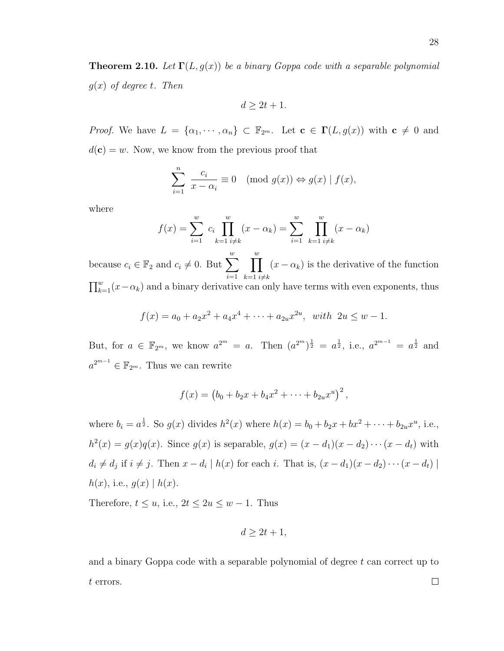<span id="page-37-0"></span>**Theorem 2.10.** Let  $\Gamma(L, g(x))$  be a binary Goppa code with a separable polynomial  $g(x)$  of degree t. Then

$$
d \geq 2t + 1.
$$

*Proof.* We have  $L = {\alpha_1, \cdots, \alpha_n} \subset \mathbb{F}_{2^m}$ . Let  $\mathbf{c} \in \Gamma(L, g(x))$  with  $\mathbf{c} \neq 0$  and  $d(\mathbf{c}) = w$ . Now, we know from the previous proof that

$$
\sum_{i=1}^{n} \frac{c_i}{x - \alpha_i} \equiv 0 \pmod{g(x)} \Leftrightarrow g(x) | f(x),
$$

where

$$
f(x) = \sum_{i=1}^{w} c_i \prod_{k=1 \ i \neq k}^{w} (x - \alpha_k) = \sum_{i=1}^{w} \prod_{k=1 \ i \neq k}^{w} (x - \alpha_k)
$$

because  $c_i \in \mathbb{F}_2$  and  $c_i \neq 0$ . But  $\sum_{i=1}^{w}$  $i=1$  $\prod^w$  $k=1$   $i \neq k$  $(x - \alpha_k)$  is the derivative of the function  $\prod_{k=1}^{w}(x-\alpha_k)$  and a binary derivative can only have terms with even exponents, thus

$$
f(x) = a_0 + a_2x^2 + a_4x^4 + \dots + a_{2u}x^{2u}, \text{ with } 2u \le w - 1.
$$

But, for  $a \in \mathbb{F}_{2^m}$ , we know  $a^{2^m} = a$ . Then  $(a^{2^m})^{\frac{1}{2}} = a^{\frac{1}{2}}$ , i.e.,  $a^{2^{m-1}} = a^{\frac{1}{2}}$  and  $a^{2^{m-1}} \in \mathbb{F}_{2^m}$ . Thus we can rewrite

$$
f(x) = (b_0 + b_2x + b_4x^2 + \cdots + b_{2u}x^u)^2,
$$

where  $b_i = a^{\frac{1}{2}}$ . So  $g(x)$  divides  $h^2(x)$  where  $h(x) = b_0 + b_2x + bx^2 + \cdots + b_{2u}x^u$ , i.e.,  $h^{2}(x) = g(x)q(x)$ . Since  $g(x)$  is separable,  $g(x) = (x - d_{1})(x - d_{2}) \cdots (x - d_{t})$  with  $d_i \neq d_j$  if  $i \neq j$ . Then  $x - d_i \mid h(x)$  for each i. That is,  $(x - d_1)(x - d_2) \cdots (x - d_t) \mid$  $h(x)$ , i.e.,  $g(x) | h(x)$ .

Therefore,  $t \le u$ , i.e.,  $2t \le 2u \le w - 1$ . Thus

$$
d \ge 2t + 1,
$$

and a binary Goppa code with a separable polynomial of degree t can correct up to t errors. $\Box$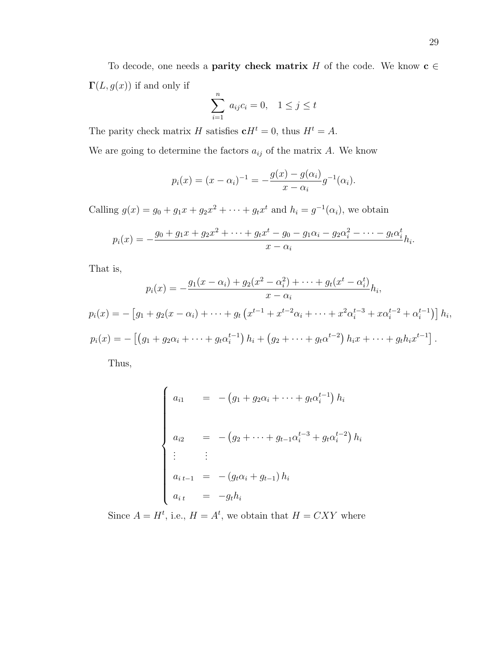To decode, one needs a **parity check matrix** H of the code. We know  $c \in$  $\Gamma(L, g(x))$  if and only if

$$
\sum_{i=1}^{n} a_{ij} c_i = 0, \quad 1 \le j \le t
$$

The parity check matrix H satisfies  $\mathbf{c}H^t = 0$ , thus  $H^t = A$ .

We are going to determine the factors  $a_{ij}$  of the matrix A. We know

$$
p_i(x) = (x - \alpha_i)^{-1} = -\frac{g(x) - g(\alpha_i)}{x - \alpha_i} g^{-1}(\alpha_i).
$$

Calling  $g(x) = g_0 + g_1 x + g_2 x^2 + \cdots + g_t x^t$  and  $h_i = g^{-1}(\alpha_i)$ , we obtain

$$
p_i(x) = -\frac{g_0 + g_1 x + g_2 x^2 + \dots + g_t x^t - g_0 - g_1 \alpha_i - g_2 \alpha_i^2 - \dots - g_t \alpha_i^t}{x - \alpha_i} h_i.
$$

That is,

$$
p_i(x) = -\frac{g_1(x - \alpha_i) + g_2(x^2 - \alpha_i^2) + \dots + g_t(x^t - \alpha_i^t)}{x - \alpha_i} h_i,
$$
  

$$
p_i(x) = -\left[g_1 + g_2(x - \alpha_i) + \dots + g_t\left(x^{t-1} + x^{t-2}\alpha_i + \dots + x^2\alpha_i^{t-3} + x\alpha_i^{t-2} + \alpha_i^{t-1}\right)\right] h_i,
$$
  

$$
p_i(x) = -\left[\left(g_1 + g_2\alpha_i + \dots + g_t\alpha_i^{t-1}\right)h_i + \left(g_2 + \dots + g_t\alpha_i^{t-2}\right)h_ix + \dots + g_th_ix^{t-1}\right].
$$

Thus,

$$
\begin{cases}\na_{i1} = -(g_1 + g_2 \alpha_i + \dots + g_t \alpha_i^{t-1}) h_i \\
a_{i2} = -(g_2 + \dots + g_{t-1} \alpha_i^{t-3} + g_t \alpha_i^{t-2}) h_i \\
\vdots \\
a_{i t-1} = -(g_t \alpha_i + g_{t-1}) h_i \\
a_{i t} = -g_t h_i\n\end{cases}
$$

Since  $A = H^t$ , i.e.,  $H = A^t$ , we obtain that  $H = CXY$  where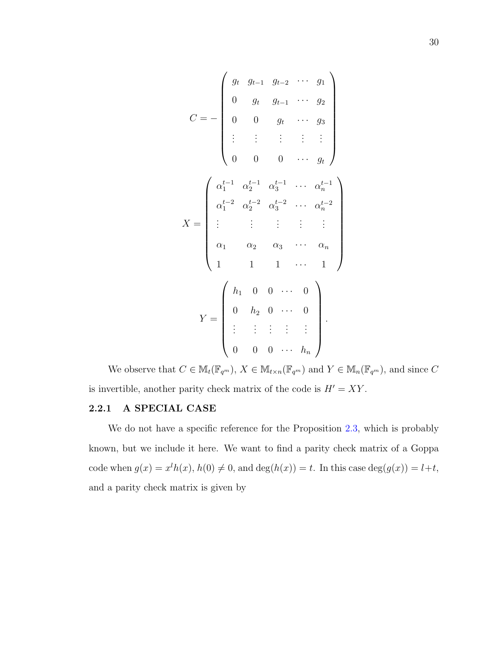$$
C = -\begin{pmatrix} g_t & g_{t-1} & g_{t-2} & \cdots & g_1 \\ 0 & g_t & g_{t-1} & \cdots & g_2 \\ 0 & 0 & g_t & \cdots & g_3 \\ \vdots & \vdots & \vdots & \vdots & \vdots \\ 0 & 0 & 0 & \cdots & g_t \end{pmatrix}
$$

$$
X = \begin{pmatrix} \alpha_1^{t-1} & \alpha_2^{t-1} & \alpha_3^{t-1} & \cdots & \alpha_n^{t-1} \\ \alpha_1^{t-2} & \alpha_2^{t-2} & \alpha_3^{t-2} & \cdots & \alpha_n^{t-2} \\ \vdots & \vdots & \vdots & \vdots & \vdots \\ \alpha_1 & \alpha_2 & \alpha_3 & \cdots & \alpha_n \\ 1 & 1 & 1 & \cdots & 1 \end{pmatrix}
$$

$$
Y = \begin{pmatrix} h_1 & 0 & 0 & \cdots & 0 \\ 0 & h_2 & 0 & \cdots & 0 \\ \vdots & \vdots & \vdots & \vdots & \vdots \\ 0 & 0 & 0 & \cdots & h_n \end{pmatrix}.
$$

We observe that  $C \in M_t(\mathbb{F}_{q^m})$ ,  $X \in M_{t \times n}(\mathbb{F}_{q^m})$  and  $Y \in M_n(\mathbb{F}_{q^m})$ , and since  $C$ is invertible, another parity check matrix of the code is  $H' = XY$ .

## 2.2.1 A SPECIAL CASE

We do not have a specific reference for the Proposition [2.3,](#page-41-0) which is probably known, but we include it here. We want to find a parity check matrix of a Goppa code when  $g(x) = x^l h(x)$ ,  $h(0) \neq 0$ , and  $deg(h(x)) = t$ . In this case  $deg(g(x)) = l+t$ , and a parity check matrix is given by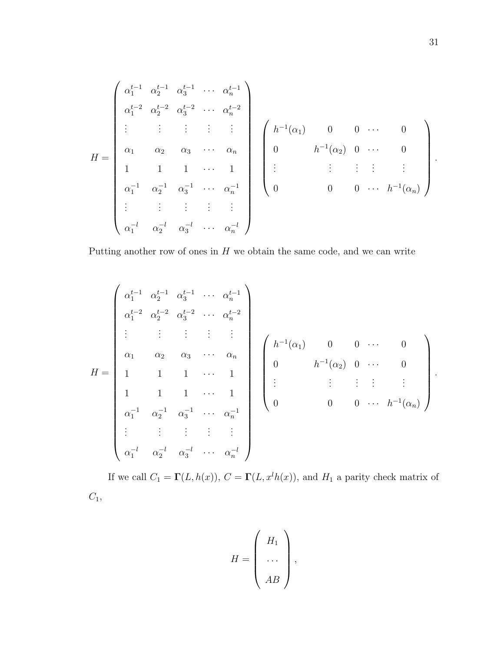$$
H = \begin{pmatrix} \alpha_1^{t-1} & \alpha_2^{t-1} & \alpha_3^{t-1} & \cdots & \alpha_n^{t-1} \\ \alpha_1^{t-2} & \alpha_2^{t-2} & \alpha_3^{t-2} & \cdots & \alpha_n^{t-2} \\ \vdots & \vdots & \vdots & \vdots & \vdots \\ \alpha_1 & \alpha_2 & \alpha_3 & \cdots & \alpha_n \\ 1 & 1 & 1 & \cdots & 1 \\ \alpha_1^{-1} & \alpha_2^{-1} & \alpha_3^{-1} & \cdots & \alpha_n^{-1} \\ \vdots & \vdots & \vdots & \vdots & \vdots \\ \alpha_1^{-1} & \alpha_2^{-1} & \alpha_3^{-1} & \cdots & \alpha_n^{-1} \end{pmatrix} \begin{pmatrix} h^{-1}(\alpha_1) & 0 & 0 & \cdots & 0 \\ 0 & h^{-1}(\alpha_2) & 0 & \cdots & 0 \\ \vdots & \vdots & \vdots & \vdots & \vdots \\ 0 & 0 & 0 & \cdots & h^{-1}(\alpha_n) \end{pmatrix}.
$$

Putting another row of ones in  $H$  we obtain the same code, and we can write

$$
H = \begin{pmatrix} \alpha_1^{t-1} & \alpha_2^{t-1} & \alpha_3^{t-1} & \cdots & \alpha_n^{t-1} \\ \alpha_1^{t-2} & \alpha_2^{t-2} & \alpha_3^{t-2} & \cdots & \alpha_n^{t-2} \\ \vdots & \vdots & \vdots & \vdots & \vdots \\ \alpha_1 & \alpha_2 & \alpha_3 & \cdots & \alpha_n \\ 1 & 1 & 1 & \cdots & 1 \\ 1 & 1 & 1 & \cdots & 1 \\ \alpha_1^{-1} & \alpha_2^{-1} & \alpha_3^{-1} & \cdots & \alpha_n^{-1} \\ \vdots & \vdots & \vdots & \vdots & \vdots \\ \alpha_1^{-l} & \alpha_2^{-l} & \alpha_3^{-l} & \cdots & \alpha_n^{-l} \end{pmatrix} \begin{pmatrix} h^{-1}(\alpha_1) & 0 & 0 & \cdots & 0 \\ 0 & h^{-1}(\alpha_2) & 0 & \cdots & 0 \\ \vdots & \vdots & \vdots & \vdots & \vdots \\ 0 & 0 & 0 & \cdots & h^{-1}(\alpha_n) \end{pmatrix}.
$$

If we call  $C_1 = \Gamma(L, h(x)), C = \Gamma(L, x^l h(x)),$  and  $H_1$  a parity check matrix of  $C_1$ ,

$$
H = \left(\begin{array}{c} H_1 \\ \cdots \\ AB \end{array}\right),
$$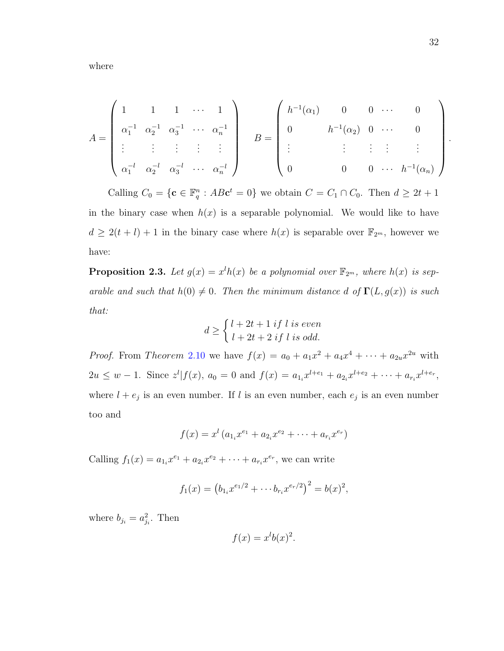where

$$
A = \begin{pmatrix} 1 & 1 & 1 & \cdots & 1 \\ \alpha_1^{-1} & \alpha_2^{-1} & \alpha_3^{-1} & \cdots & \alpha_n^{-1} \\ \vdots & \vdots & \vdots & \vdots & \vdots \\ \alpha_1^{-l} & \alpha_2^{-l} & \alpha_3^{-l} & \cdots & \alpha_n^{-l} \end{pmatrix} \qquad B = \begin{pmatrix} h^{-1}(\alpha_1) & 0 & 0 & \cdots & 0 \\ 0 & h^{-1}(\alpha_2) & 0 & \cdots & 0 \\ \vdots & \vdots & \vdots & \vdots & \vdots \\ 0 & 0 & 0 & \cdots & h^{-1}(\alpha_n) \end{pmatrix}.
$$

Calling  $C_0 = \{ \mathbf{c} \in \mathbb{F}_q^n : AB\mathbf{c}^t = 0 \}$  we obtain  $C = C_1 \cap C_0$ . Then  $d \geq 2t + 1$ in the binary case when  $h(x)$  is a separable polynomial. We would like to have  $d \geq 2(t+l)+1$  in the binary case where  $h(x)$  is separable over  $\mathbb{F}_{2^m}$ , however we have:

<span id="page-41-0"></span>**Proposition 2.3.** Let  $g(x) = x^l h(x)$  be a polynomial over  $\mathbb{F}_{2^m}$ , where  $h(x)$  is separable and such that  $h(0) \neq 0$ . Then the minimum distance d of  $\Gamma(L, g(x))$  is such that:

$$
d \ge \begin{cases} l + 2t + 1 \text{ if } l \text{ is even} \\ l + 2t + 2 \text{ if } l \text{ is odd.} \end{cases}
$$

*Proof.* From Theorem 2.[10](#page-37-0) we have  $f(x) = a_0 + a_1x^2 + a_4x^4 + \cdots + a_{2u}x^{2u}$  with  $2u \leq w-1$ . Since  $z^{l}|f(x), a_{0}=0$  and  $f(x)=a_{1i}x^{l+e_{1}}+a_{2i}x^{l+e_{2}}+\cdots+a_{r_{i}}x^{l+e_{r}},$ where  $l + e_j$  is an even number. If l is an even number, each  $e_j$  is an even number too and

$$
f(x) = x^{l} (a_{1_i}x^{e_1} + a_{2_i}x^{e_2} + \dots + a_{r_i}x^{e_r})
$$

Calling  $f_1(x) = a_{1_i}x^{e_1} + a_{2_i}x^{e_2} + \cdots + a_{r_i}x^{e_r}$ , we can write

$$
f_1(x) = (b_{1_i}x^{e_1/2} + \cdots b_{r_i}x^{e_r/2})^2 = b(x)^2,
$$

where  $b_{j_i} = a_{j_i}^2$ . Then

$$
f(x) = x^l b(x)^2.
$$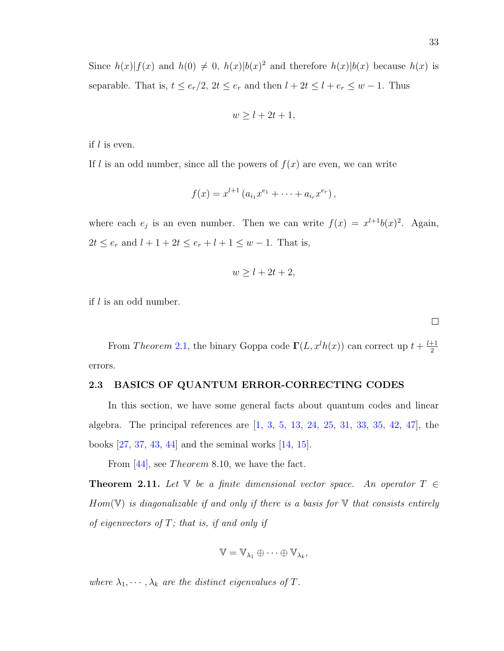Since  $h(x)|f(x)$  and  $h(0) \neq 0$ ,  $h(x)|b(x)|^2$  and therefore  $h(x)|b(x)$  because  $h(x)$  is separable. That is,  $t \leq e_r/2$ ,  $2t \leq e_r$  and then  $l + 2t \leq l + e_r \leq w - 1$ . Thus

$$
w \ge l + 2t + 1,
$$

if l is even.

If l is an odd number, since all the powers of  $f(x)$  are even, we can write

$$
f(x) = x^{l+1} (a_{i_1} x^{e_1} + \dots + a_{i_r} x^{e_r}),
$$

where each  $e_j$  is an even number. Then we can write  $f(x) = x^{l+1}b(x)^2$ . Again,  $2t \le e_r$  and  $l + 1 + 2t \le e_r + l + 1 \le w - 1$ . That is,

$$
w \ge l + 2t + 2,
$$

if  $l$  is an odd number.

From Theorem 2.[1,](#page-19-0) the binary Goppa code  $\Gamma(L, x^l h(x))$  can correct up  $t + \frac{l+1}{2}$ 2 errors.

### 2.3 BASICS OF QUANTUM ERROR-CORRECTING CODES

In this section, we have some general facts about quantum codes and linear algebra. The principal references are [\[1,](#page-127-0) [3,](#page-127-1) [5,](#page-127-2) [13,](#page-128-0) [24,](#page-129-0) [25,](#page-129-1) [31,](#page-129-2) [33,](#page-130-0) [35,](#page-130-1) [42,](#page-130-2) [47\]](#page-130-3), the books [\[27,](#page-129-3) [37,](#page-130-4) [43,](#page-130-5) [44\]](#page-130-6) and the seminal works [\[14,](#page-128-1) [15\]](#page-128-2).

From  $|44|$ , see *Theorem* 8.10, we have the fact.

**Theorem 2.11.** Let  $\mathbb{V}$  be a finite dimensional vector space. An operator  $T \in$  $Hom(\mathbb{V})$  is diagonalizable if and only if there is a basis for  $\mathbb {V}$  that consists entirely of eigenvectors of  $T$ ; that is, if and only if

$$
\mathbb{V} = \mathbb{V}_{\lambda_1} \oplus \cdots \oplus \mathbb{V}_{\lambda_k},
$$

where  $\lambda_1, \dots, \lambda_k$  are the distinct eigenvalues of T.

 $\Box$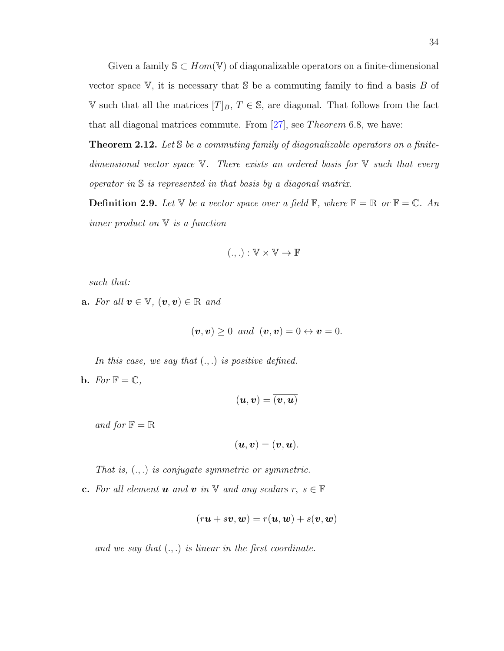Given a family  $\mathcal{S} \subset Hom(\mathbb{V})$  of diagonalizable operators on a finite-dimensional vector space  $V$ , it is necessary that  $S$  be a commuting family to find a basis  $B$  of V such that all the matrices  $[T]_B$ ,  $T \in \mathbb{S}$ , are diagonal. That follows from the fact that all diagonal matrices commute. From  $[27]$ , see *Theorem* 6.8, we have:

<span id="page-43-0"></span>**Theorem 2.12.** Let  $S$  be a commuting family of diagonalizable operators on a finitedimensional vector space  $V$ . There exists an ordered basis for  $V$  such that every operator in S is represented in that basis by a diagonal matrix.

**Definition 2.9.** Let V be a vector space over a field  $\mathbb{F}$ , where  $\mathbb{F} = \mathbb{R}$  or  $\mathbb{F} = \mathbb{C}$ . An inner product on  $V$  is a function

$$
(.,.): \mathbb{V} \times \mathbb{V} \to \mathbb{F}
$$

such that:

a. For all  $v \in \mathbb{V}$ ,  $(v, v) \in \mathbb{R}$  and

$$
(\mathbf{v}, \mathbf{v}) \geq 0
$$
 and  $(\mathbf{v}, \mathbf{v}) = 0 \leftrightarrow \mathbf{v} = 0.$ 

In this case, we say that  $(.,.)$  is positive defined.

**b.** For  $\mathbb{F} = \mathbb{C}$ ,

$$
(\bm{u},\bm{v})=\overline{(\bm{v},\bm{u})}
$$

and for  $\mathbb{F} = \mathbb{R}$ 

$$
(\boldsymbol{u},\boldsymbol{v})=(\boldsymbol{v},\boldsymbol{u}).
$$

That is,  $(.,.)$  is conjugate symmetric or symmetric.

c. For all element **u** and **v** in  $\mathbb{V}$  and any scalars  $r, s \in \mathbb{F}$ 

$$
(r\boldsymbol{u} + s\boldsymbol{v}, \boldsymbol{w}) = r(\boldsymbol{u}, \boldsymbol{w}) + s(\boldsymbol{v}, \boldsymbol{w})
$$

and we say that  $(.,.)$  is linear in the first coordinate.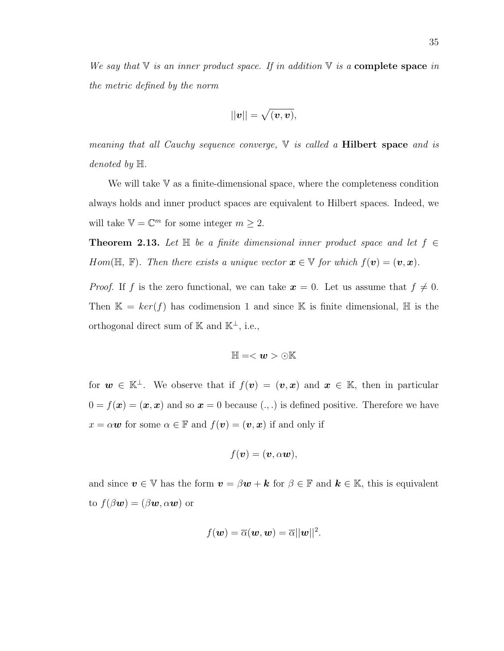We say that  $\nabla$  is an inner product space. If in addition  $\nabla$  is a **complete space** in the metric defined by the norm

$$
||\boldsymbol{v}||=\sqrt{(\boldsymbol{v},\boldsymbol{v})},
$$

meaning that all Cauchy sequence converge,  $\nabla$  is called a **Hilbert space** and is denoted by H.

We will take  $V$  as a finite-dimensional space, where the completeness condition always holds and inner product spaces are equivalent to Hilbert spaces. Indeed, we will take  $\mathbb{V} = \mathbb{C}^m$  for some integer  $m \geq 2$ .

<span id="page-44-0"></span>**Theorem 2.13.** Let  $\mathbb{H}$  be a finite dimensional inner product space and let  $f \in$ Hom( $\mathbb{H}, \mathbb{F}$ ). Then there exists a unique vector  $\mathbf{x} \in \mathbb{V}$  for which  $f(\mathbf{v}) = (\mathbf{v}, \mathbf{x})$ .

*Proof.* If f is the zero functional, we can take  $x = 0$ . Let us assume that  $f \neq 0$ . Then  $\mathbb{K} = \text{ker}(f)$  has codimension 1 and since K is finite dimensional, H is the orthogonal direct sum of K and  $\mathbb{K}^{\perp}$ , i.e.,

$$
\mathbb{H}=<\pmb{w}>\odot\mathbb{K}
$$

for  $w \in \mathbb{K}^{\perp}$ . We observe that if  $f(v) = (v, x)$  and  $x \in \mathbb{K}$ , then in particular  $0 = f(\boldsymbol{x}) = (\boldsymbol{x}, \boldsymbol{x})$  and so  $\boldsymbol{x} = 0$  because  $(., .)$  is defined positive. Therefore we have  $x = \alpha \mathbf{w}$  for some  $\alpha \in \mathbb{F}$  and  $f(\mathbf{v}) = (\mathbf{v}, \mathbf{x})$  if and only if

$$
f(\boldsymbol{v})=(\boldsymbol{v},\alpha\boldsymbol{w}),
$$

and since  $v \in V$  has the form  $v = \beta w + k$  for  $\beta \in \mathbb{F}$  and  $k \in \mathbb{K}$ , this is equivalent to  $f(\beta w) = (\beta w, \alpha w)$  or

$$
f(\boldsymbol{w}) = \overline{\alpha}(\boldsymbol{w}, \boldsymbol{w}) = \overline{\alpha}||\boldsymbol{w}||^2.
$$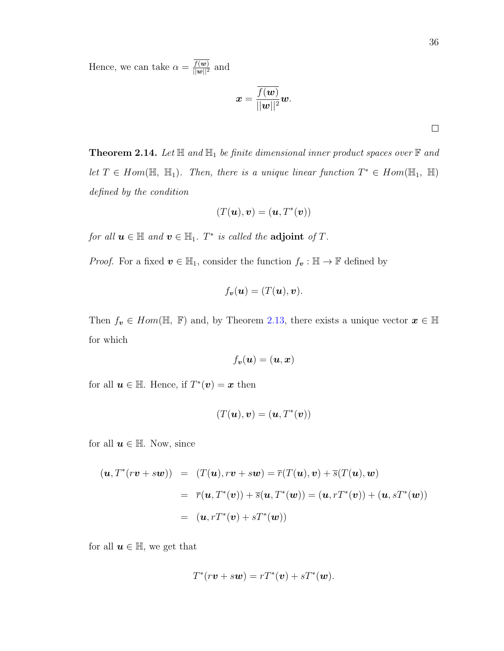Hence, we can take  $\alpha = \frac{f(w)}{||w||^2}$  and

$$
\boldsymbol{x} = \frac{\overline{f(\boldsymbol{w})}}{||\boldsymbol{w}||^2}\boldsymbol{w}.
$$

**Theorem 2.14.** Let  $\mathbb{H}$  and  $\mathbb{H}$  be finite dimensional inner product spaces over  $\mathbb{F}$  and let  $T \in Hom(\mathbb{H}, \mathbb{H}_1)$ . Then, there is a unique linear function  $T^* \in Hom(\mathbb{H}_1, \mathbb{H})$ defined by the condition

$$
(T(\boldsymbol{u}),\boldsymbol{v})=(\boldsymbol{u},T^*(\boldsymbol{v}))
$$

for all  $u \in \mathbb{H}$  and  $v \in \mathbb{H}_1$ .  $T^*$  is called the **adjoint** of  $T$ .

*Proof.* For a fixed  $v \in \mathbb{H}_1$ , consider the function  $f_v : \mathbb{H} \to \mathbb{F}$  defined by

$$
f_{\boldsymbol{v}}(\boldsymbol{u})=(T(\boldsymbol{u}),\boldsymbol{v}).
$$

Then  $f_v \in Hom(\mathbb{H}, \mathbb{F})$  and, by Theorem [2.13,](#page-44-0) there exists a unique vector  $x \in \mathbb{H}$ for which

$$
f_{\boldsymbol{v}}(\boldsymbol{u})=(\boldsymbol{u},\boldsymbol{x})
$$

for all  $u \in \mathbb{H}$ . Hence, if  $T^*(v) = x$  then

$$
(T(\boldsymbol{u}),\boldsymbol{v})=(\boldsymbol{u},T^*(\boldsymbol{v}))
$$

for all  $u \in \mathbb{H}$ . Now, since

$$
(\mathbf{u}, T^*(r\mathbf{v} + s\mathbf{w})) = (T(\mathbf{u}), r\mathbf{v} + s\mathbf{w}) = \overline{r}(T(\mathbf{u}), \mathbf{v}) + \overline{s}(T(\mathbf{u}), \mathbf{w})
$$
  

$$
= \overline{r}(\mathbf{u}, T^*(\mathbf{v})) + \overline{s}(\mathbf{u}, T^*(\mathbf{w})) = (\mathbf{u}, rT^*(\mathbf{v})) + (\mathbf{u}, sT^*(\mathbf{w}))
$$
  

$$
= (\mathbf{u}, rT^*(\mathbf{v}) + sT^*(\mathbf{w}))
$$

for all  $u \in \mathbb{H}$ , we get that

$$
T^*(r\boldsymbol{v} + s\boldsymbol{w}) = rT^*(\boldsymbol{v}) + sT^*(\boldsymbol{w}).
$$

 $\Box$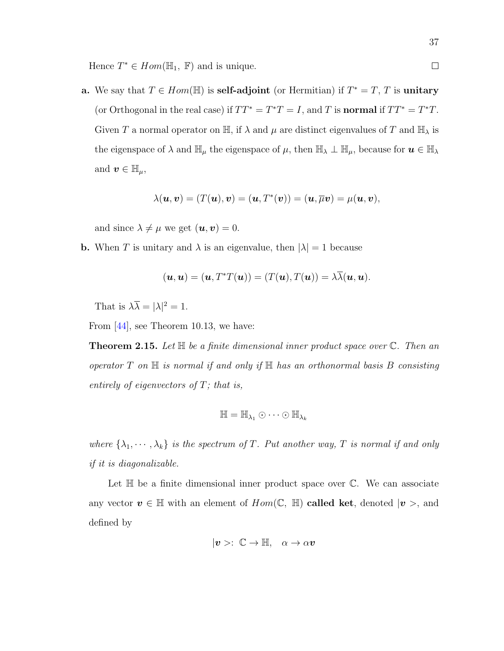**a.** We say that  $T \in Hom(\mathbb{H})$  is **self-adjoint** (or Hermitian) if  $T^* = T$ , T is **unitary** (or Orthogonal in the real case) if  $TT^* = T^*T = I$ , and T is **normal** if  $TT^* = T^*T$ . Given T a normal operator on  $\mathbb{H}$ , if  $\lambda$  and  $\mu$  are distinct eigenvalues of T and  $\mathbb{H}_{\lambda}$  is the eigenspace of  $\lambda$  and  $\mathbb{H}_{\mu}$  the eigenspace of  $\mu$ , then  $\mathbb{H}_{\lambda} \perp \mathbb{H}_{\mu}$ , because for  $u \in \mathbb{H}_{\lambda}$ and  $\boldsymbol{v} \in \mathbb{H}_{\mu}$ ,

$$
\lambda(\boldsymbol{u},\boldsymbol{v})=(T(\boldsymbol{u}),\boldsymbol{v})=(\boldsymbol{u},T^*(\boldsymbol{v}))=(\boldsymbol{u},\overline{\mu}\boldsymbol{v})=\mu(\boldsymbol{u},\boldsymbol{v}),
$$

and since  $\lambda \neq \mu$  we get  $(\mathbf{u}, \mathbf{v}) = 0$ .

**b.** When T is unitary and  $\lambda$  is an eigenvalue, then  $|\lambda| = 1$  because

$$
(\mathbf{u}, \mathbf{u}) = (\mathbf{u}, T^*T(\mathbf{u})) = (T(\mathbf{u}), T(\mathbf{u})) = \lambda \overline{\lambda}(\mathbf{u}, \mathbf{u}).
$$

That is  $\lambda \overline{\lambda} = |\lambda|^2 = 1$ .

<span id="page-46-0"></span>From [\[44\]](#page-130-6), see Theorem 10.13, we have:

**Theorem 2.15.** Let  $\mathbb{H}$  be a finite dimensional inner product space over  $\mathbb{C}$ . Then an operator  $T$  on  $\mathbb H$  is normal if and only if  $\mathbb H$  has an orthonormal basis  $B$  consisting entirely of eigenvectors of  $T$ ; that is,

$$
\mathbb{H} = \mathbb{H}_{\lambda_1} \odot \cdots \odot \mathbb{H}_{\lambda_k}
$$

where  $\{\lambda_1, \dots, \lambda_k\}$  is the spectrum of T. Put another way, T is normal if and only if it is diagonalizable.

Let  $\mathbb H$  be a finite dimensional inner product space over  $\mathbb C$ . We can associate any vector  $v \in \mathbb{H}$  with an element of  $Hom(\mathbb{C}, \mathbb{H})$  called ket, denoted  $|v\rangle$ , and defined by

$$
|v\rangle\colon\mathbb{C}\to\mathbb{H},\quad\alpha\to\alpha v
$$

 $\Box$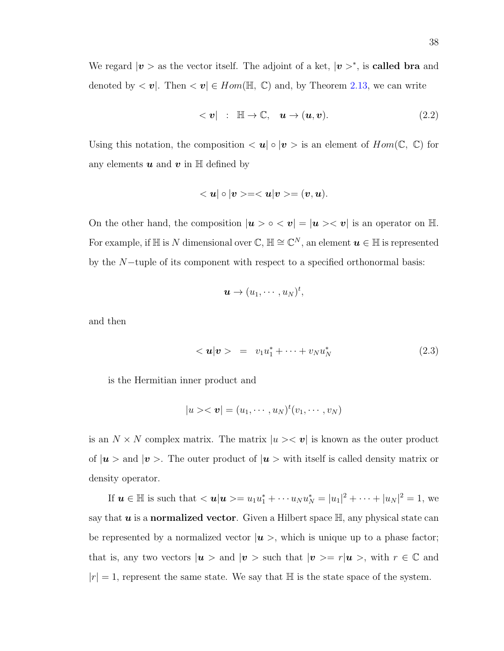We regard  $|v\rangle$  as the vector itself. The adjoint of a ket,  $|v\rangle^*$ , is **called bra** and denoted by  $\langle v |$ . Then  $\langle v | \in Hom(\mathbb{H}, \mathbb{C})$  and, by Theorem [2.13,](#page-44-0) we can write

$$
<\mathbf{v}
$$
| :  $\mathbb{H} \to \mathbb{C}$ ,  $\mathbf{u} \to (\mathbf{u}, \mathbf{v})$ . (2.2)

Using this notation, the composition  $\langle u | \circ | v \rangle$  is an element of  $Hom(\mathbb{C}, \mathbb{C})$  for any elements  $u$  and  $v$  in  $\mathbb H$  defined by

$$
<\boldsymbol{u}|\circ|\boldsymbol{v}>=<\boldsymbol{u}|\boldsymbol{v}>=(\boldsymbol{v},\boldsymbol{u}).
$$

On the other hand, the composition  $|\boldsymbol{u} > \circ \langle \boldsymbol{v}| = |\boldsymbol{u} > \langle \boldsymbol{v}|$  is an operator on  $\mathbb{H}$ . For example, if H is N dimensional over  $\mathbb{C}, \mathbb{H} \cong \mathbb{C}^N$ , an element  $u \in \mathbb{H}$  is represented by the N−tuple of its component with respect to a specified orthonormal basis:

$$
\boldsymbol{u}\rightarrow (u_1,\cdots,u_N)^t,
$$

and then

<span id="page-47-0"></span>
$$
<\mathbf{u}|\mathbf{v}\rangle = v_1u_1^* + \cdots + v_Nu_N^*
$$
 (2.3)

is the Hermitian inner product and

$$
|u\rangle\langle\mathbf{v}|=(u_1,\cdots,u_N)^t(v_1,\cdots,v_N)
$$

is an  $N \times N$  complex matrix. The matrix  $|u\rangle \langle v|$  is known as the outer product of  $|u\rangle$  and  $|v\rangle$ . The outer product of  $|u\rangle$  with itself is called density matrix or density operator.

If  $u \in \mathbb{H}$  is such that  $\langle u | u \rangle = u_1 u_1^* + \cdots u_N u_N^* = |u_1|^2 + \cdots + |u_N|^2 = 1$ , we say that  $u$  is a normalized vector. Given a Hilbert space  $\mathbb{H}$ , any physical state can be represented by a normalized vector  $|u\rangle$ , which is unique up to a phase factor; that is, any two vectors  $|\mathbf{u}\rangle$  and  $|\mathbf{v}\rangle$  such that  $|\mathbf{v}\rangle = r|\mathbf{u}\rangle$ , with  $r \in \mathbb{C}$  and  $|r| = 1$ , represent the same state. We say that  $\mathbb{H}$  is the state space of the system.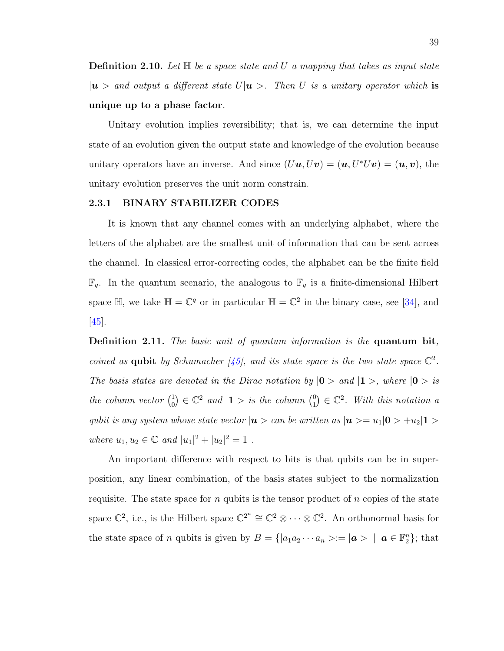**Definition 2.10.** Let  $\mathbb{H}$  be a space state and U a mapping that takes as input state  $|u\rangle$  and output a different state  $U|u\rangle$ . Then U is a unitary operator which is unique up to a phase factor.

Unitary evolution implies reversibility; that is, we can determine the input state of an evolution given the output state and knowledge of the evolution because unitary operators have an inverse. And since  $(Uu, Uv) = (u, U^*Uv) = (u, v)$ , the unitary evolution preserves the unit norm constrain.

#### 2.3.1 BINARY STABILIZER CODES

It is known that any channel comes with an underlying alphabet, where the letters of the alphabet are the smallest unit of information that can be sent across the channel. In classical error-correcting codes, the alphabet can be the finite field  $\mathbb{F}_q$ . In the quantum scenario, the analogous to  $\mathbb{F}_q$  is a finite-dimensional Hilbert space  $\mathbb{H}$ , we take  $\mathbb{H} = \mathbb{C}^q$  or in particular  $\mathbb{H} = \mathbb{C}^2$  in the binary case, see [\[34\]](#page-130-7), and [\[45\]](#page-130-8).

**Definition 2.11.** The basic unit of quantum information is the quantum bit, coined as qubit by Schumacher [\[45\]](#page-130-8), and its state space is the two state space  $\mathbb{C}^2$ . The basis states are denoted in the Dirac notation by  $|0>$  and  $|1>$ , where  $|0>$  is the column vector  $\binom{1}{0}$  $\binom{1}{0} \in \mathbb{C}^2$  and  $|1 \gt$  is the column  $\binom{0}{1}$  $\binom{0}{1} \in \mathbb{C}^2$ . With this notation a qubit is any system whose state vector  $|\mathbf{u} \rangle$  can be written as  $|\mathbf{u} \rangle = u_1 |\mathbf{0} \rangle + u_2 |\mathbf{1} \rangle$ where  $u_1, u_2 \in \mathbb{C}$  and  $|u_1|^2 + |u_2|^2 = 1$ .

An important difference with respect to bits is that qubits can be in superposition, any linear combination, of the basis states subject to the normalization requisite. The state space for  $n$  qubits is the tensor product of  $n$  copies of the state space  $\mathbb{C}^2$ , i.e., is the Hilbert space  $\mathbb{C}^{2^n} \cong \mathbb{C}^2 \otimes \cdots \otimes \mathbb{C}^2$ . An orthonormal basis for the state space of n qubits is given by  $B = \{|a_1 a_2 \cdots a_n > := | \boldsymbol{a} > | \boldsymbol{a} \in \mathbb{F}_2^n \};\$ that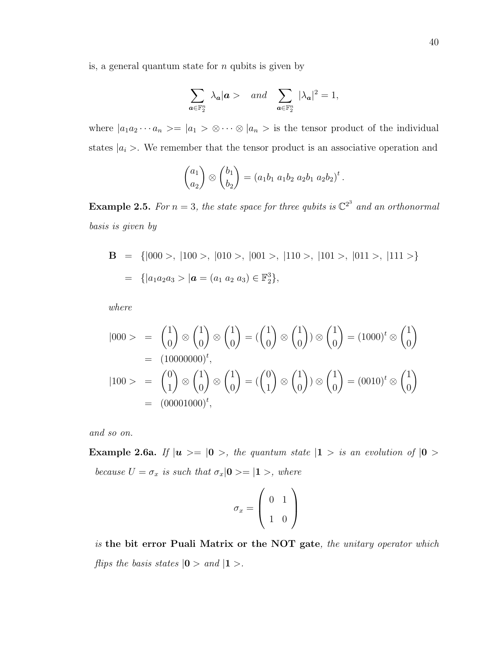is, a general quantum state for  $n$  qubits is given by

$$
\sum_{\mathbf{a}\in\mathbb{F}_2^n} \lambda_{\mathbf{a}} |\mathbf{a} > \quad \text{and} \quad \sum_{\mathbf{a}\in\mathbb{F}_2^n} |\lambda_{\mathbf{a}}|^2 = 1,
$$

where  $|a_1a_2\cdots a_n\rangle = |a_1\rangle \otimes \cdots \otimes |a_n\rangle$  is the tensor product of the individual states  $|a_i\rangle$ . We remember that the tensor product is an associative operation and

$$
\binom{a_1}{a_2} \otimes \binom{b_1}{b_2} = (a_1b_1 \ a_1b_2 \ a_2b_1 \ a_2b_2)^t.
$$

**Example 2.5.** For  $n = 3$ , the state space for three qubits is  $\mathbb{C}^{2^3}$  and an orthonormal basis is given by

$$
\mathbf{B} = \{ |000 \rangle, |100 \rangle, |010 \rangle, |001 \rangle, |110 \rangle, |101 \rangle, |011 \rangle, |111 \rangle \}
$$
  
= 
$$
\{ |a_1 a_2 a_3 \rangle | \mathbf{a} = (a_1 a_2 a_3) \in \mathbb{F}_2^3 \},
$$

where

$$
|000\rangle = \begin{pmatrix} 1 \\ 0 \end{pmatrix} \otimes \begin{pmatrix} 1 \\ 0 \end{pmatrix} \otimes \begin{pmatrix} 1 \\ 0 \end{pmatrix} = (\begin{pmatrix} 1 \\ 0 \end{pmatrix} \otimes \begin{pmatrix} 1 \\ 0 \end{pmatrix}) \otimes \begin{pmatrix} 1 \\ 0 \end{pmatrix} = (1000)^t \otimes \begin{pmatrix} 1 \\ 0 \end{pmatrix}
$$
  
= (10000000)<sup>t</sup>,  

$$
|100\rangle = \begin{pmatrix} 0 \\ 1 \end{pmatrix} \otimes \begin{pmatrix} 1 \\ 0 \end{pmatrix} \otimes \begin{pmatrix} 1 \\ 0 \end{pmatrix} = (\begin{pmatrix} 0 \\ 1 \end{pmatrix} \otimes \begin{pmatrix} 1 \\ 0 \end{pmatrix}) \otimes \begin{pmatrix} 1 \\ 0 \end{pmatrix} = (0010)^t \otimes \begin{pmatrix} 1 \\ 0 \end{pmatrix}
$$
  
= (00001000)<sup>t</sup>,

and so on.

Example 2.6a. If  $|u \rangle = |0 \rangle$ , the quantum state  $|1 \rangle$  is an evolution of  $|0 \rangle$ because  $U = \sigma_x$  is such that  $\sigma_x |0\rangle = |1\rangle$ , where

$$
\sigma_x = \left(\begin{array}{cc} 0 & 1 \\ 1 & 0 \end{array}\right)
$$

is the bit error Puali Matrix or the NOT gate, the unitary operator which flips the basis states  $|0>$  and  $|1>$ .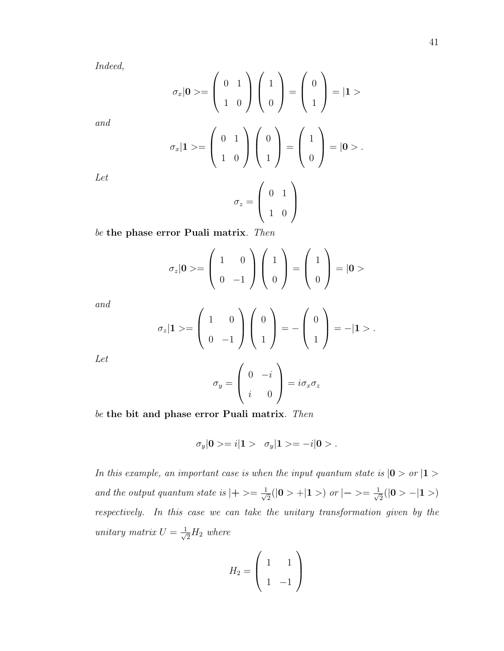Indeed,

$$
\sigma_x|\mathbf{0}\rangle = \begin{pmatrix} 0 & 1 \\ 1 & 0 \end{pmatrix} \begin{pmatrix} 1 \\ 0 \end{pmatrix} = \begin{pmatrix} 0 \\ 1 \end{pmatrix} = |\mathbf{1}\rangle
$$

$$
\sigma_x|\mathbf{1}\rangle = \begin{pmatrix} 0 & 1 \\ 1 & 0 \end{pmatrix} \begin{pmatrix} 0 \\ 1 \end{pmatrix} = \begin{pmatrix} 1 \\ 0 \end{pmatrix} = |\mathbf{0}\rangle.
$$

$$
\sigma_z = \begin{pmatrix} 0 & 1 \\ 1 & 0 \end{pmatrix}
$$

be the phase error Puali matrix. Then

$$
\sigma_z|\mathbf{0}\rangle = \left(\begin{array}{cc} 1 & 0 \\ 0 & -1 \end{array}\right)\left(\begin{array}{c} 1 \\ 0 \end{array}\right) = \left(\begin{array}{c} 1 \\ 0 \end{array}\right) = |\mathbf{0}\rangle
$$

and

$$
\sigma_z\vert \mathbf{1}>=\left(\begin{array}{cc}1&0\\0&-1\end{array}\right)\left(\begin{array}{c}0\\1\end{array}\right)=-\left(\begin{array}{c}0\\1\end{array}\right)=-\vert \mathbf{1}>.
$$

Let

$$
\sigma_y = \begin{pmatrix} 0 & -i \\ i & 0 \end{pmatrix} = i\sigma_x \sigma_z
$$

be the bit and phase error Puali matrix. Then

$$
\sigma_y|{\bf 0}>=i|{\bf 1}>\ \ \sigma_y|{\bf 1}>=-i|{\bf 0}>.
$$

In this example, an important case is when the input quantum state is  $|0 > or 1 >$ and the output quantum state is  $|+>=\frac{1}{\sqrt{2}}$  $\frac{1}{2}(|0> +|1>)$  or  $|-> = \frac{1}{\sqrt{2}}$  $\frac{1}{2}(|0>-|1>)$ respectively. In this case we can take the unitary transformation given by the unitary matrix  $U = \frac{1}{\sqrt{2}}$  $\frac{1}{2}H_2$  where

$$
H_2 = \left(\begin{array}{cc} 1 & 1 \\ 1 & -1 \end{array}\right)
$$

Let

and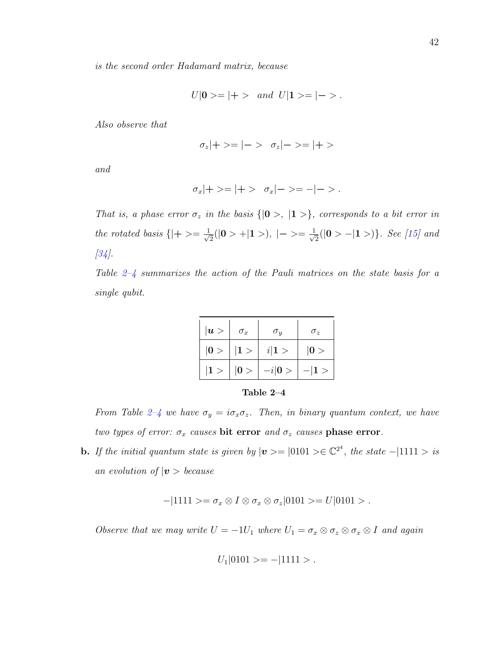is the second order Hadamard matrix, because

$$
U|0\rangle = |+\rangle \quad and \quad U|1\rangle = |-\rangle.
$$

Also observe that

$$
\sigma_z|+> = |-> \sigma_z|-> = |+>
$$

and

$$
\sigma_x|+>=|+>\sigma_x|->=-|->
$$

That is, a phase error  $\sigma_z$  in the basis  $\{|\mathbf{0}\rangle, |\mathbf{1}\rangle\}$ , corresponds to a bit error in the rotated basis  $\{|+>=\frac{1}{\sqrt{2}}\}$  $\frac{1}{2}(|0> + |1>), \ |-> = \frac{1}{\sqrt{2}}$  $\frac{1}{2}(|0\rangle -|1\rangle).$  See [\[15\]](#page-128-2) and [\[34\]](#page-130-7).

Table  $2-\frac{1}{4}$  summarizes the action of the Pauli matrices on the state basis for a single qubit.

| u> | $\sigma_x$ | $\sigma_y$ | $\sigma_z$ |
|----|------------|------------|------------|
| 0> | 1>         | i 1>       | 0>         |
| 1> | 0>         | $-i 0>$    | $- 1>$     |

<span id="page-51-0"></span>

| Table | 4 |
|-------|---|
|-------|---|

From Table [2–4](#page-51-0) we have  $\sigma_y = i\sigma_x \sigma_z$ . Then, in binary quantum context, we have two types of error:  $\sigma_x$  causes bit error and  $\sigma_z$  causes phase error.

**b.** If the initial quantum state is given by  $|v\rangle = |0101\rangle \in \mathbb{C}^{2^4}$ , the state  $-|1111\rangle$  is an evolution of  $|v\rangle$  because

 $-|1111\rangle = \sigma_x \otimes I \otimes \sigma_x \otimes \sigma_z |0101\rangle = U|0101\rangle.$ 

Observe that we may write  $U = -1U_1$  where  $U_1 = \sigma_x \otimes \sigma_z \otimes \sigma_x \otimes I$  and again

$$
U_1|0101\rangle = -|1111\rangle.
$$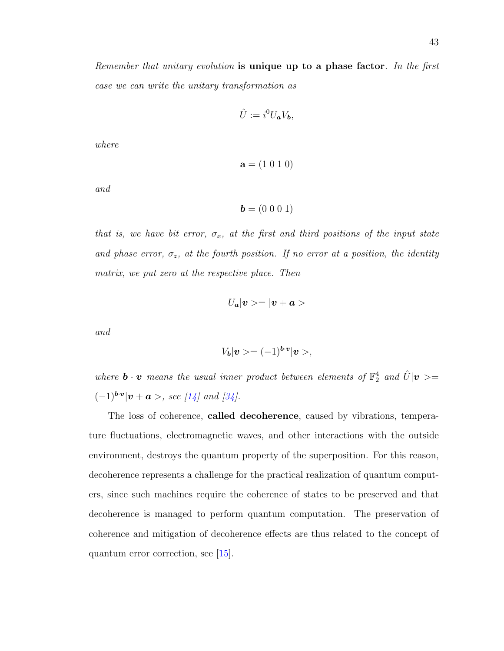Remember that unitary evolution is unique up to a phase factor. In the first case we can write the unitary transformation as

$$
\hat{U} := i^0 U_a V_b,
$$

where

```
a = (1 0 1 0)
```
and

 $\mathbf{b} = (0 \ 0 \ 0 \ 1)$ 

that is, we have bit error,  $\sigma_x$ , at the first and third positions of the input state and phase error,  $\sigma_z$ , at the fourth position. If no error at a position, the identity matrix, we put zero at the respective place. Then

$$
U_{\bm a} |{\bm v}>=|{\bm v}+{\bm a}>
$$

and

$$
V_{\boldsymbol{b}}|\boldsymbol{v}>=(-1)^{\boldsymbol{b}\cdot\boldsymbol{v}}|\boldsymbol{v}>,
$$

where  $\mathbf{b} \cdot \mathbf{v}$  means the usual inner product between elements of  $\mathbb{F}_2^4$  and  $\hat{U}|\mathbf{v} \rangle =$  $(-1)^{b\cdot v}|v + a >$ , see [\[14\]](#page-128-1) and [\[34\]](#page-130-7).

The loss of coherence, called decoherence, caused by vibrations, temperature fluctuations, electromagnetic waves, and other interactions with the outside environment, destroys the quantum property of the superposition. For this reason, decoherence represents a challenge for the practical realization of quantum computers, since such machines require the coherence of states to be preserved and that decoherence is managed to perform quantum computation. The preservation of coherence and mitigation of decoherence effects are thus related to the concept of quantum error correction, see [\[15\]](#page-128-2).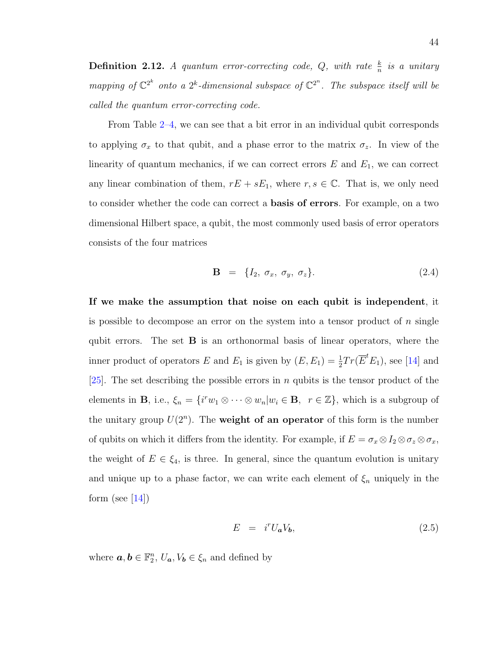**Definition 2.12.** A quantum error-correcting code,  $Q$ , with rate  $\frac{k}{n}$  is a unitary mapping of  $\mathbb{C}^{2^k}$  onto a  $2^k$ -dimensional subspace of  $\mathbb{C}^{2^n}$ . The subspace itself will be called the quantum error-correcting code.

From Table [2–4,](#page-51-0) we can see that a bit error in an individual qubit corresponds to applying  $\sigma_x$  to that qubit, and a phase error to the matrix  $\sigma_z$ . In view of the linearity of quantum mechanics, if we can correct errors  $E$  and  $E_1$ , we can correct any linear combination of them,  $rE + sE_1$ , where  $r, s \in \mathbb{C}$ . That is, we only need to consider whether the code can correct a basis of errors. For example, on a two dimensional Hilbert space, a qubit, the most commonly used basis of error operators consists of the four matrices

<span id="page-53-1"></span>
$$
\mathbf{B} = \{I_2, \sigma_x, \sigma_y, \sigma_z\}. \tag{2.4}
$$

If we make the assumption that noise on each qubit is independent, it is possible to decompose an error on the system into a tensor product of  $n$  single qubit errors. The set  $\bf{B}$  is an orthonormal basis of linear operators, where the inner product of operators E and  $E_1$  is given by  $(E, E_1) = \frac{1}{2} Tr(\overline{E}^t E_1)$ , see [\[14\]](#page-128-1) and [\[25\]](#page-129-1). The set describing the possible errors in n qubits is the tensor product of the elements in **B**, i.e.,  $\xi_n = \{i^r w_1 \otimes \cdots \otimes w_n | w_i \in \mathbf{B}, r \in \mathbb{Z}\}$ , which is a subgroup of the unitary group  $U(2^n)$ . The weight of an operator of this form is the number of qubits on which it differs from the identity. For example, if  $E = \sigma_x \otimes I_2 \otimes \sigma_z \otimes \sigma_x$ , the weight of  $E \in \xi_4$ , is three. In general, since the quantum evolution is unitary and unique up to a phase factor, we can write each element of  $\xi_n$  uniquely in the form (see  $[14]$ )

<span id="page-53-0"></span>
$$
E = i^r U_a V_b, \t\t(2.5)
$$

where  $\boldsymbol{a}, \boldsymbol{b} \in \mathbb{F}_2^n$ ,  $U_{\boldsymbol{a}}, V_{\boldsymbol{b}} \in \xi_n$  and defined by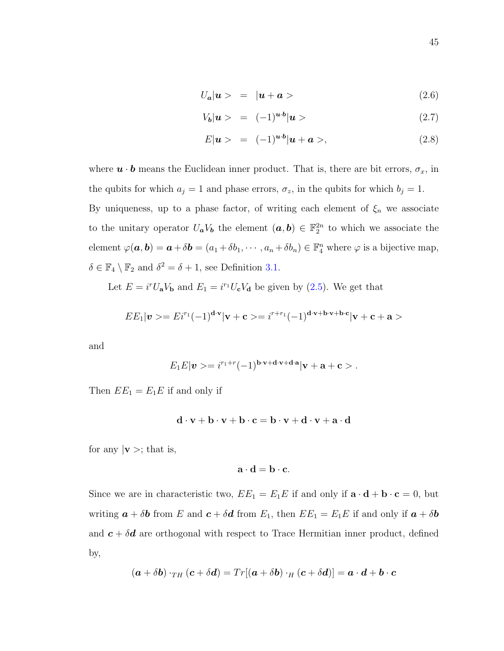$$
U_a|\boldsymbol{u}\rangle = |\boldsymbol{u} + \boldsymbol{a}\rangle \tag{2.6}
$$

$$
V_b|\mathbf{u}\rangle = (-1)^{\mathbf{u}\cdot\mathbf{b}}|\mathbf{u}\rangle \tag{2.7}
$$

$$
E|\mathbf{u}\rangle = (-1)^{\mathbf{u}\cdot\mathbf{b}}|\mathbf{u}+\mathbf{a}\rangle, \tag{2.8}
$$

where  $\boldsymbol{u} \cdot \boldsymbol{b}$  means the Euclidean inner product. That is, there are bit errors,  $\sigma_x$ , in the qubits for which  $a_j = 1$  and phase errors,  $\sigma_z$ , in the qubits for which  $b_j = 1$ . By uniqueness, up to a phase factor, of writing each element of  $\xi_n$  we associate to the unitary operator  $U_a V_b$  the element  $(a, b) \in \mathbb{F}_2^{2n}$  to which we associate the element  $\varphi(\mathbf{a}, \mathbf{b}) = \mathbf{a} + \delta \mathbf{b} = (a_1 + \delta b_1, \cdots, a_n + \delta b_n) \in \mathbb{F}_4^n$  where  $\varphi$  is a bijective map,  $\delta \in \mathbb{F}_4 \setminus \mathbb{F}_2$  and  $\delta^2 = \delta + 1$ , see Definition [3.1.](#page-65-0)

Let  $E = i^r U_a V_b$  and  $E_1 = i^{r_1} U_c V_d$  be given by [\(2.5\)](#page-53-0). We get that

$$
EE_1|\mathbf{v}\rangle = Ei^{r_1}(-1)^{\mathbf{d}\cdot\mathbf{v}}|\mathbf{v}+\mathbf{c}\rangle = i^{r+r_1}(-1)^{\mathbf{d}\cdot\mathbf{v}+\mathbf{b}\cdot\mathbf{v}+\mathbf{b}\cdot\mathbf{c}}|\mathbf{v}+\mathbf{c}+\mathbf{a}\rangle
$$

and

$$
E_1E|\mathbf{v}\rangle = i^{r_1+r}(-1)^{\mathbf{b}\cdot\mathbf{v}+\mathbf{d}\cdot\mathbf{v}+\mathbf{d}\cdot\mathbf{a}}|\mathbf{v}+\mathbf{a}+\mathbf{c}\rangle.
$$

Then  $EE_1 = E_1E$  if and only if

$$
\mathbf{d}\cdot\mathbf{v}+\mathbf{b}\cdot\mathbf{v}+\mathbf{b}\cdot\mathbf{c}=\mathbf{b}\cdot\mathbf{v}+\mathbf{d}\cdot\mathbf{v}+\mathbf{a}\cdot\mathbf{d}
$$

for any  $|\mathbf{v}\rangle$ ; that is,

$$
\mathbf{a} \cdot \mathbf{d} = \mathbf{b} \cdot \mathbf{c}.
$$

Since we are in characteristic two,  $EE_1 = E_1E$  if and only if  $\mathbf{a} \cdot \mathbf{d} + \mathbf{b} \cdot \mathbf{c} = 0$ , but writing  $\boldsymbol{a} + \delta \boldsymbol{b}$  from E and  $\boldsymbol{c} + \delta \boldsymbol{d}$  from  $E_1$ , then  $EE_1 = E_1E$  if and only if  $\boldsymbol{a} + \delta \boldsymbol{b}$ and  $c + \delta d$  are orthogonal with respect to Trace Hermitian inner product, defined by,

$$
(\boldsymbol{a}+\delta \boldsymbol{b})\cdot_{TH}(\boldsymbol{c}+\delta \boldsymbol{d})=Tr[(\boldsymbol{a}+\delta \boldsymbol{b})\cdot_H(\boldsymbol{c}+\delta \boldsymbol{d})]=\boldsymbol{a}\cdot \boldsymbol{d}+\boldsymbol{b}\cdot \boldsymbol{c}
$$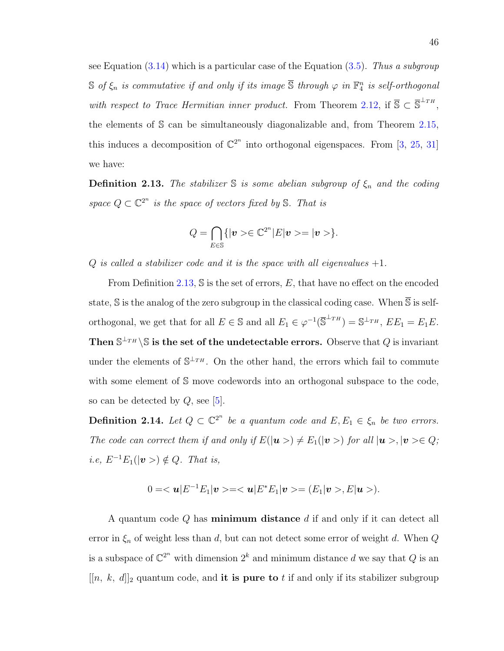see Equation  $(3.14)$  which is a particular case of the Equation  $(3.5)$ . Thus a subgroup  $\mathbb S$  of  $\xi_n$  is commutative if and only if its image  $\overline{\mathbb S}$  through  $\varphi$  in  $\mathbb F_4^n$  is self-orthogonal with respect to Trace Hermitian inner product. From Theorem [2.12,](#page-43-0) if  $\overline{S} \subset \overline{S}^{\perp_{TH}}$ , the elements of S can be simultaneously diagonalizable and, from Theorem [2.15,](#page-46-0) this induces a decomposition of  $\mathbb{C}^{2^n}$  into orthogonal eigenspaces. From [\[3,](#page-127-1) [25,](#page-129-1) [31\]](#page-129-2) we have:

<span id="page-55-0"></span>**Definition 2.13.** The stabilizer  $\mathbb S$  is some abelian subgroup of  $\xi_n$  and the coding space  $Q \subset \mathbb{C}^{2^n}$  is the space of vectors fixed by S. That is

$$
Q=\bigcap_{E\in\mathbb{S}}\{|{\boldsymbol v}>\in\mathbb{C}^{2^n}|E|{\boldsymbol v}>=|{\boldsymbol v}>\}.
$$

Q is called a stabilizer code and it is the space with all eigenvalues  $+1$ .

From Definition [2.13,](#page-55-0) S is the set of errors, E, that have no effect on the encoded state,  $\mathbb S$  is the analog of the zero subgroup in the classical coding case. When  $\overline{\mathbb S}$  is selforthogonal, we get that for all  $E \in \mathbb{S}$  and all  $E_1 \in \varphi^{-1}(\overline{\mathbb{S}}^{\perp_{TH}}) = \mathbb{S}^{\perp_{TH}},$   $EE_1 = E_1E$ . Then  $\mathbb{S}^{\perp_{TH}}\backslash\mathbb{S}$  is the set of the undetectable errors. Observe that Q is invariant under the elements of  $\mathbb{S}^{\perp_{TH}}$ . On the other hand, the errors which fail to commute with some element of S move codewords into an orthogonal subspace to the code, so can be detected by  $Q$ , see [\[5\]](#page-127-2).

**Definition 2.14.** Let  $Q \subset \mathbb{C}^{2^n}$  be a quantum code and  $E, E_1 \in \xi_n$  be two errors. The code can correct them if and only if  $E(|u \rangle) \neq E_1(|v \rangle)$  for all  $|u \rangle, |v \rangle \in Q$ ; *i.e,*  $E^{-1}E_1(|v\rangle) \notin Q$ . That is,

$$
0=<\mathbf{u}|E^{-1}E_1|\mathbf{v}>=<\mathbf{u}|E^*E_1|\mathbf{v}>=(E_1|\mathbf{v}>,E|\mathbf{u}>).
$$

A quantum code Q has minimum distance d if and only if it can detect all error in  $\xi_n$  of weight less than d, but can not detect some error of weight d. When Q is a subspace of  $\mathbb{C}^{2^n}$  with dimension  $2^k$  and minimum distance d we say that Q is an  $[[n, k, d]]_2$  quantum code, and it is pure to t if and only if its stabilizer subgroup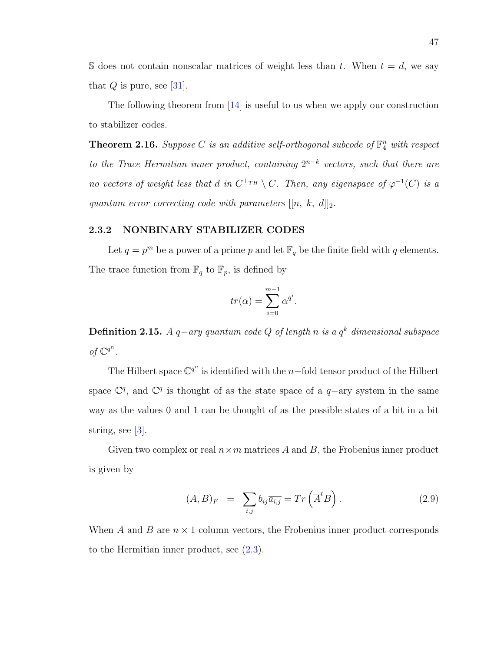S does not contain nonscalar matrices of weight less than t. When  $t = d$ , we say that  $Q$  is pure, see [\[31\]](#page-129-2).

The following theorem from [\[14\]](#page-128-1) is useful to us when we apply our construction to stabilizer codes.

**Theorem 2.16.** Suppose C is an additive self-orthogonal subcode of  $\mathbb{F}_4^n$  with respect to the Trace Hermitian inner product, containing  $2^{n-k}$  vectors, such that there are no vectors of weight less that d in  $C^{\perp_{TH}} \setminus C$ . Then, any eigenspace of  $\varphi^{-1}(C)$  is a quantum error correcting code with parameters  $[[n, k, d]]_2$ .

### 2.3.2 NONBINARY STABILIZER CODES

Let  $q = p^m$  be a power of a prime p and let  $\mathbb{F}_q$  be the finite field with q elements. The trace function from  $\mathbb{F}_q$  to  $\mathbb{F}_p$ , is defined by

$$
tr(\alpha) = \sum_{i=0}^{m-1} \alpha^{q^i}.
$$

**Definition 2.15.** A q–ary quantum code Q of length n is a  $q^k$  dimensional subspace of  $\mathbb{C}^{q^n}$ .

The Hilbert space  $\mathbb{C}^{q^n}$  is identified with the n-fold tensor product of the Hilbert space  $\mathbb{C}^q$ , and  $\mathbb{C}^q$  is thought of as the state space of a  $q$ -ary system in the same way as the values 0 and 1 can be thought of as the possible states of a bit in a bit string, see [\[3\]](#page-127-1).

Given two complex or real  $n \times m$  matrices A and B, the Frobenius inner product is given by

$$
(A, B)_F = \sum_{i,j} b_{ij} \overline{a_{i,j}} = Tr\left(\overline{A}^t B\right). \tag{2.9}
$$

When A and B are  $n \times 1$  column vectors, the Frobenius inner product corresponds to the Hermitian inner product, see [\(2.3\)](#page-47-0).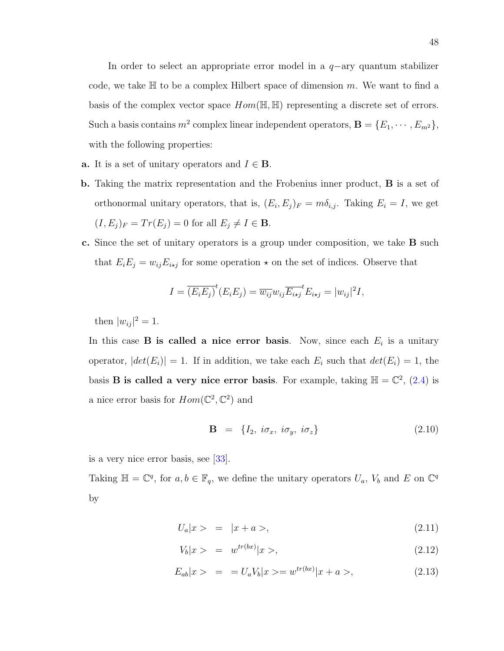In order to select an appropriate error model in a  $q$ −ary quantum stabilizer code, we take  $\mathbb H$  to be a complex Hilbert space of dimension m. We want to find a basis of the complex vector space  $Hom(\mathbb{H}, \mathbb{H})$  representing a discrete set of errors. Such a basis contains  $m^2$  complex linear independent operators,  $\mathbf{B} = \{E_1, \dots, E_{m^2}\},\$ with the following properties:

- **a.** It is a set of unitary operators and  $I \in \mathbf{B}$ .
- b. Taking the matrix representation and the Frobenius inner product, B is a set of orthonormal unitary operators, that is,  $(E_i, E_j)_F = m \delta_{i,j}$ . Taking  $E_i = I$ , we get  $(I, E_j)_F = Tr(E_j) = 0$  for all  $E_j \neq I \in \mathbf{B}$ .
- c. Since the set of unitary operators is a group under composition, we take B such that  $E_i E_j = w_{ij} E_{i \star j}$  for some operation  $\star$  on the set of indices. Observe that

$$
I = \overline{(E_i E_j)}^t (E_i E_j) = \overline{w_{ij}} w_{ij} \overline{E_{i \star j}}^t E_{i \star j} = |w_{ij}|^2 I,
$$

then  $|w_{ij}|^2 = 1$ .

In this case **B** is called a nice error basis. Now, since each  $E_i$  is a unitary operator,  $|det(E_i)| = 1$ . If in addition, we take each  $E_i$  such that  $det(E_i) = 1$ , the basis **B** is called a very nice error basis. For example, taking  $H = \mathbb{C}^2$ , [\(2.4\)](#page-53-1) is a nice error basis for  $Hom(\mathbb{C}^2, \mathbb{C}^2)$  and

$$
\mathbf{B} = \{I_2, i\sigma_x, i\sigma_y, i\sigma_z\} \tag{2.10}
$$

is a very nice error basis, see [\[33\]](#page-130-0).

Taking  $\mathbb{H} = \mathbb{C}^q$ , for  $a, b \in \mathbb{F}_q$ , we define the unitary operators  $U_a$ ,  $V_b$  and E on  $\mathbb{C}^q$ by

$$
U_a|x\rangle = |x + a\rangle,\tag{2.11}
$$

$$
V_b|x\rangle = w^{tr(bx)}|x\rangle, \tag{2.12}
$$

$$
E_{ab}|x\rangle = = U_a V_b |x\rangle = w^{tr(bx)} |x + a\rangle, \qquad (2.13)
$$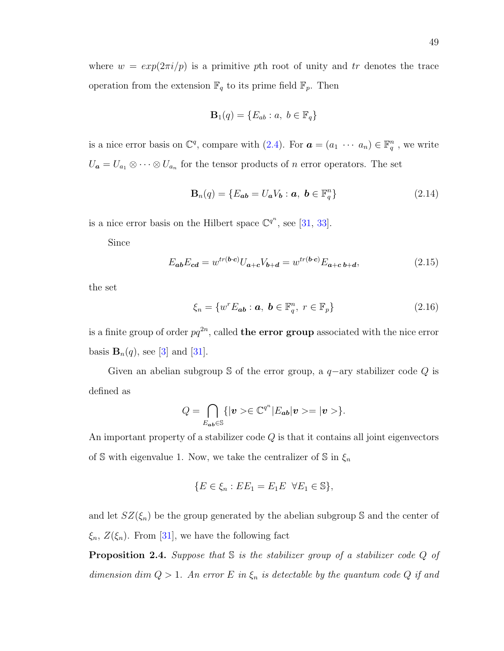where  $w = exp(2\pi i/p)$  is a primitive pth root of unity and tr denotes the trace operation from the extension  $\mathbb{F}_q$  to its prime field  $\mathbb{F}_p$ . Then

$$
\mathbf{B}_1(q) = \{ E_{ab} : a, \ b \in \mathbb{F}_q \}
$$

is a nice error basis on  $\mathbb{C}^q$ , compare with [\(2.4\)](#page-53-1). For  $\mathbf{a} = (a_1 \cdots a_n) \in \mathbb{F}_q^n$ , we write  $U_{\boldsymbol{a}} = U_{a_1} \otimes \cdots \otimes U_{a_n}$  for the tensor products of n error operators. The set

$$
\mathbf{B}_n(q) = \{ E_{ab} = U_a V_b : a, \ b \in \mathbb{F}_q^n \}
$$
 (2.14)

is a nice error basis on the Hilbert space  $\mathbb{C}^{q^n}$ , see [\[31,](#page-129-2) [33\]](#page-130-0).

Since

<span id="page-58-0"></span>
$$
E_{ab}E_{cd} = w^{tr(\mathbf{b}\cdot\mathbf{c})}U_{\mathbf{a}+\mathbf{c}}V_{\mathbf{b}+\mathbf{d}} = w^{tr(\mathbf{b}\cdot\mathbf{c})}E_{\mathbf{a}+\mathbf{c}\mathbf{b}+\mathbf{d}},\tag{2.15}
$$

the set

$$
\xi_n = \{ w^r E_{ab} : a, \ b \in \mathbb{F}_q^n, \ r \in \mathbb{F}_p \} \tag{2.16}
$$

is a finite group of order  $pq^{2n}$ , called **the error group** associated with the nice error basis  $\mathbf{B}_n(q)$ , see [\[3\]](#page-127-1) and [\[31\]](#page-129-2).

Given an abelian subgroup S of the error group, a  $q$ -ary stabilizer code Q is defined as

$$
Q = \bigcap_{E_{ab} \in \mathbb{S}} \{ |v> \in \mathbb{C}^{q^n} | E_{ab} | v > = |v> \}.
$$

An important property of a stabilizer code  $Q$  is that it contains all joint eigenvectors of S with eigenvalue 1. Now, we take the centralizer of S in  $\xi_n$ 

$$
\{E \in \xi_n : EE_1 = E_1E \ \forall E_1 \in \mathbb{S}\},\
$$

and let  $SZ(\xi_n)$  be the group generated by the abelian subgroup S and the center of  $\xi_n$ ,  $Z(\xi_n)$ . From [\[31\]](#page-129-2), we have the following fact

**Proposition 2.4.** Suppose that  $\mathbb S$  is the stabilizer group of a stabilizer code  $Q$  of dimension dim  $Q > 1$ . An error E in  $\xi_n$  is detectable by the quantum code Q if and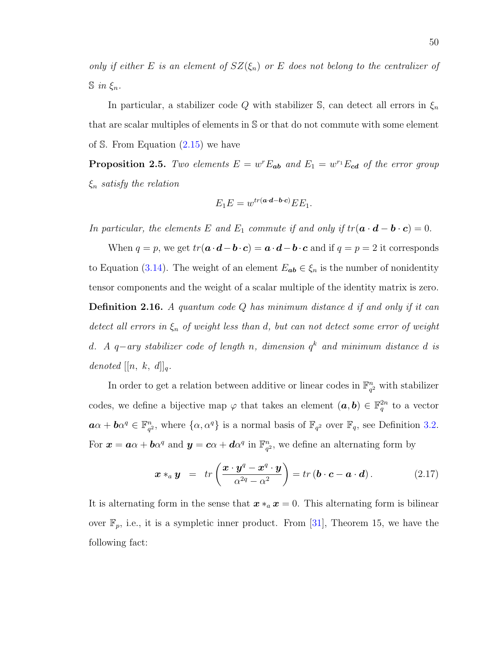only if either E is an element of  $SZ(\xi_n)$  or E does not belong to the centralizer of  $\mathbb{S}$  in  $\xi_n$ .

In particular, a stabilizer code Q with stabilizer S, can detect all errors in  $\xi_n$ that are scalar multiples of elements in S or that do not commute with some element of S. From Equation [\(2.15\)](#page-58-0) we have

**Proposition 2.5.** Two elements  $E = w^r E_{ab}$  and  $E_1 = w^{r_1} E_{cd}$  of the error group  $\xi_n$  satisfy the relation

$$
E_1 E = w^{tr(a \cdot d - b \cdot c)} E E_1.
$$

In particular, the elements E and  $E_1$  commute if and only if  $tr(\mathbf{a} \cdot \mathbf{d} - \mathbf{b} \cdot \mathbf{c}) = 0$ .

When  $q = p$ , we get  $tr(\mathbf{a} \cdot \mathbf{d} - \mathbf{b} \cdot \mathbf{c}) = \mathbf{a} \cdot \mathbf{d} - \mathbf{b} \cdot \mathbf{c}$  and if  $q = p = 2$  it corresponds to Equation [\(3.14\)](#page-87-0). The weight of an element  $E_{ab} \in \xi_n$  is the number of nonidentity tensor components and the weight of a scalar multiple of the identity matrix is zero.

**Definition 2.16.** A quantum code  $Q$  has minimum distance  $d$  if and only if it can detect all errors in  $\xi_n$  of weight less than d, but can not detect some error of weight d. A q-ary stabilizer code of length n, dimension  $q^k$  and minimum distance d is denoted  $[[n, k, d]]_q$ .

In order to get a relation between additive or linear codes in  $\mathbb{F}_{q}^{n}$  $\frac{n}{q^2}$  with stabilizer codes, we define a bijective map  $\varphi$  that takes an element  $(a, b) \in \mathbb{F}_q^{2n}$  to a vector  $a\alpha+b\alpha^q\in {\mathbb F}_{a^l}^n$  $_{q^2}^n$ , where  $\{\alpha,\alpha^q\}$  is a normal basis of  $\mathbb{F}_{q^2}$  over  $\mathbb{F}_q$ , see Definition [3.2.](#page-76-0) For  $\boldsymbol{x} = \boldsymbol{a} \alpha + \boldsymbol{b} \alpha^q$  and  $\boldsymbol{y} = \boldsymbol{c} \alpha + \boldsymbol{d} \alpha^q$  in  $\mathbb{F}_{q}^n$  $q^2$ , we define an alternating form by

$$
\boldsymbol{x} *_{a} \boldsymbol{y} = tr\left(\frac{\boldsymbol{x} \cdot \boldsymbol{y}^{q} - \boldsymbol{x}^{q} \cdot \boldsymbol{y}}{\alpha^{2q} - \alpha^{2}}\right) = tr\left(\boldsymbol{b} \cdot \boldsymbol{c} - \boldsymbol{a} \cdot \boldsymbol{d}\right).
$$
 (2.17)

It is alternating form in the sense that  $x \ast_a x = 0$ . This alternating form is bilinear over  $\mathbb{F}_p$ , i.e., it is a sympletic inner product. From [\[31\]](#page-129-2), Theorem 15, we have the following fact: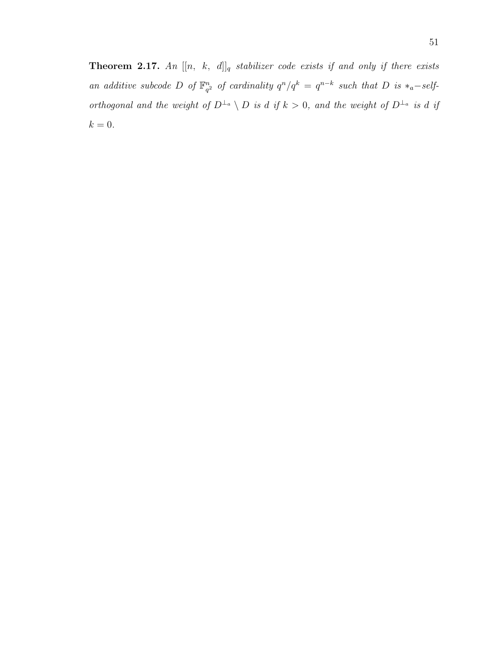**Theorem 2.17.** An  $[[n, k, d]]_q$  stabilizer code exists if and only if there exists an additive subcode D of  $\mathbb{F}_q^n$  $a_{q^2}^n$  of cardinality  $q^n/q^k = q^{n-k}$  such that D is  $*_a$ -selforthogonal and the weight of  $D^{\perp_a} \setminus D$  is d if  $k > 0$ , and the weight of  $D^{\perp_a}$  is d if  $\boldsymbol{k} = 0.$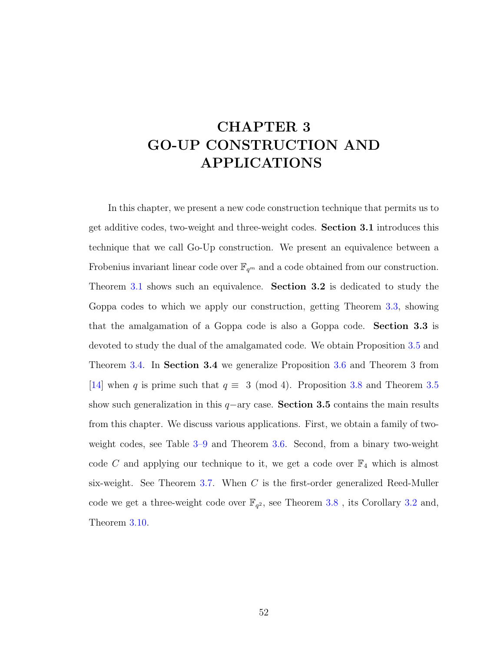# CHAPTER 3 GO-UP CONSTRUCTION AND APPLICATIONS

In this chapter, we present a new code construction technique that permits us to get additive codes, two-weight and three-weight codes. Section 3.1 introduces this technique that we call Go-Up construction. We present an equivalence between a Frobenius invariant linear code over  $\mathbb{F}_{q^m}$  and a code obtained from our construction. Theorem [3.1](#page-75-0) shows such an equivalence. Section 3.2 is dedicated to study the Goppa codes to which we apply our construction, getting Theorem [3.3,](#page-82-0) showing that the amalgamation of a Goppa code is also a Goppa code. Section 3.3 is devoted to study the dual of the amalgamated code. We obtain Proposition [3.5](#page-84-0) and Theorem [3.4.](#page-85-0) In Section 3.4 we generalize Proposition [3.6](#page-87-1) and Theorem 3 from [\[14\]](#page-128-1) when q is prime such that  $q \equiv 3 \pmod{4}$ . Proposition [3.8](#page-90-0) and Theorem [3.5](#page-91-0) show such generalization in this  $q$ −ary case. Section 3.5 contains the main results from this chapter. We discuss various applications. First, we obtain a family of twoweight codes, see Table [3–9](#page-98-0) and Theorem [3.6.](#page-96-0) Second, from a binary two-weight code C and applying our technique to it, we get a code over  $\mathbb{F}_4$  which is almost six-weight. See Theorem [3.7.](#page-101-0) When  $C$  is the first-order generalized Reed-Muller code we get a three-weight code over  $\mathbb{F}_{q^2}$ , see Theorem [3.8](#page-103-0), its Corollary [3.2](#page-104-0) and, Theorem [3.10.](#page-108-0)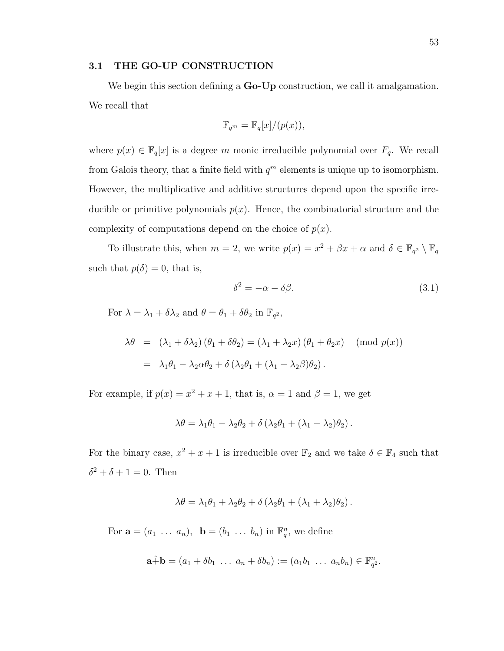#### 3.1 THE GO-UP CONSTRUCTION

We begin this section defining a **Go-Up** construction, we call it amalgamation. We recall that

$$
\mathbb{F}_{q^m} = \mathbb{F}_q[x]/(p(x)),
$$

where  $p(x) \in \mathbb{F}_q[x]$  is a degree m monic irreducible polynomial over  $F_q$ . We recall from Galois theory, that a finite field with  $q<sup>m</sup>$  elements is unique up to isomorphism. However, the multiplicative and additive structures depend upon the specific irreducible or primitive polynomials  $p(x)$ . Hence, the combinatorial structure and the complexity of computations depend on the choice of  $p(x)$ .

To illustrate this, when  $m = 2$ , we write  $p(x) = x^2 + \beta x + \alpha$  and  $\delta \in \mathbb{F}_{q^2} \setminus \mathbb{F}_q$ such that  $p(\delta) = 0$ , that is,

$$
\delta^2 = -\alpha - \delta\beta. \tag{3.1}
$$

For  $\lambda = \lambda_1 + \delta \lambda_2$  and  $\theta = \theta_1 + \delta \theta_2$  in  $\mathbb{F}_{q^2}$ ,

$$
\lambda \theta = (\lambda_1 + \delta \lambda_2) (\theta_1 + \delta \theta_2) = (\lambda_1 + \lambda_2 x) (\theta_1 + \theta_2 x) \pmod{p(x)}
$$
  
=  $\lambda_1 \theta_1 - \lambda_2 \alpha \theta_2 + \delta (\lambda_2 \theta_1 + (\lambda_1 - \lambda_2 \beta) \theta_2).$ 

For example, if  $p(x) = x^2 + x + 1$ , that is,  $\alpha = 1$  and  $\beta = 1$ , we get

$$
\lambda \theta = \lambda_1 \theta_1 - \lambda_2 \theta_2 + \delta \left( \lambda_2 \theta_1 + (\lambda_1 - \lambda_2) \theta_2 \right).
$$

For the binary case,  $x^2 + x + 1$  is irreducible over  $\mathbb{F}_2$  and we take  $\delta \in \mathbb{F}_4$  such that  $\delta^2 + \delta + 1 = 0$ . Then

$$
\lambda \theta = \lambda_1 \theta_1 + \lambda_2 \theta_2 + \delta \left( \lambda_2 \theta_1 + (\lambda_1 + \lambda_2) \theta_2 \right).
$$

For  $\mathbf{a} = (a_1 \dots a_n)$ ,  $\mathbf{b} = (b_1 \dots b_n)$  in  $\mathbb{F}_q^n$ , we define

$$
\mathbf{a} \hat{+} \mathbf{b} = (a_1 + \delta b_1 \ \ldots \ a_n + \delta b_n) := (a_1 b_1 \ \ldots \ a_n b_n) \in \mathbb{F}_{q^2}^n.
$$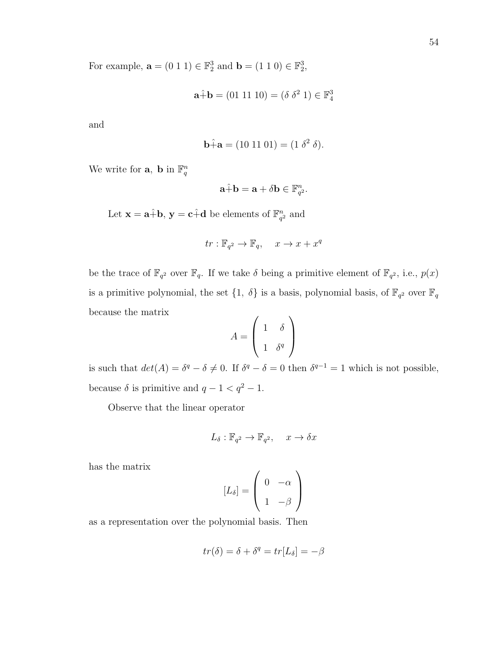For example,  $\mathbf{a} = (0 \ 1 \ 1) \in \mathbb{F}_2^3$  and  $\mathbf{b} = (1 \ 1 \ 0) \in \mathbb{F}_2^3$ ,

$$
\mathbf{a} \hat{+} \mathbf{b} = (01 \ 11 \ 10) = (\delta \ \delta^2 \ 1) \in \mathbb{F}_4^3
$$

and

$$
\hat{\mathbf{b}} + \hat{\mathbf{a}} = (10 \ 11 \ 01) = (1 \ \delta^2 \ \delta).
$$

We write for **a**, **b** in  $\mathbb{F}_q^n$ 

$$
\mathbf{a} \hat{+} \mathbf{b} = \mathbf{a} + \delta \mathbf{b} \in \mathbb{F}_{q^2}^n.
$$

Let  $\mathbf{x} = \mathbf{a} + \mathbf{b}$ ,  $\mathbf{y} = \mathbf{c} + \mathbf{d}$  be elements of  $\mathbb{F}_q^n$  $\frac{n}{q^2}$  and

$$
tr: \mathbb{F}_{q^2} \to \mathbb{F}_q, \quad x \to x + x^q
$$

be the trace of  $\mathbb{F}_{q^2}$  over  $\mathbb{F}_q$ . If we take  $\delta$  being a primitive element of  $\mathbb{F}_{q^2}$ , i.e.,  $p(x)$ is a primitive polynomial, the set  $\{1, \delta\}$  is a basis, polynomial basis, of  $\mathbb{F}_{q^2}$  over  $\mathbb{F}_q$ because the matrix

$$
A = \left(\begin{array}{cc} 1 & \delta \\ 1 & \delta^q \end{array}\right)
$$

is such that  $det(A) = \delta^q - \delta \neq 0$ . If  $\delta^q - \delta = 0$  then  $\delta^{q-1} = 1$  which is not possible, because  $\delta$  is primitive and  $q - 1 < q^2 - 1$ .

Observe that the linear operator

$$
L_{\delta}: \mathbb{F}_{q^2} \to \mathbb{F}_{q^2}, \quad x \to \delta x
$$

has the matrix

$$
[L_{\delta}] = \left(\begin{array}{cc} 0 & -\alpha \\ 1 & -\beta \end{array}\right)
$$

as a representation over the polynomial basis. Then

$$
tr(\delta) = \delta + \delta^q = tr[L_\delta] = -\beta
$$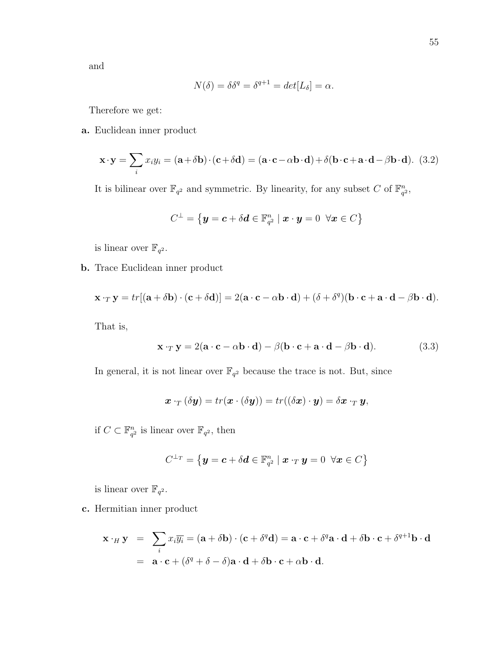and

$$
N(\delta) = \delta \delta^q = \delta^{q+1} = det[L_{\delta}] = \alpha.
$$

Therefore we get:

a. Euclidean inner product

$$
\mathbf{x} \cdot \mathbf{y} = \sum_{i} x_i y_i = (\mathbf{a} + \delta \mathbf{b}) \cdot (\mathbf{c} + \delta \mathbf{d}) = (\mathbf{a} \cdot \mathbf{c} - \alpha \mathbf{b} \cdot \mathbf{d}) + \delta (\mathbf{b} \cdot \mathbf{c} + \mathbf{a} \cdot \mathbf{d} - \beta \mathbf{b} \cdot \mathbf{d}). \tag{3.2}
$$

It is bilinear over  $\mathbb{F}_{q^2}$  and symmetric. By linearity, for any subset C of  $\mathbb{F}_{q^2}^n$  $\frac{n}{q^2}$ 

$$
C^\perp = \big\{ \boldsymbol{y} = \boldsymbol{c} + \delta \boldsymbol{d} \in \mathbb{F}_{q^2}^n \mid \boldsymbol{x} \cdot \boldsymbol{y} = 0 \;\; \forall \boldsymbol{x} \in C \big\}
$$

is linear over  $\mathbb{F}_{q^2}$ .

b. Trace Euclidean inner product

$$
\mathbf{x} \cdot_T \mathbf{y} = tr[(\mathbf{a} + \delta \mathbf{b}) \cdot (\mathbf{c} + \delta \mathbf{d})] = 2(\mathbf{a} \cdot \mathbf{c} - \alpha \mathbf{b} \cdot \mathbf{d}) + (\delta + \delta^q)(\mathbf{b} \cdot \mathbf{c} + \mathbf{a} \cdot \mathbf{d} - \beta \mathbf{b} \cdot \mathbf{d}).
$$

That is,

$$
\mathbf{x} \cdot_T \mathbf{y} = 2(\mathbf{a} \cdot \mathbf{c} - \alpha \mathbf{b} \cdot \mathbf{d}) - \beta(\mathbf{b} \cdot \mathbf{c} + \mathbf{a} \cdot \mathbf{d} - \beta \mathbf{b} \cdot \mathbf{d}). \tag{3.3}
$$

In general, it is not linear over  $\mathbb{F}_{q^2}$  because the trace is not. But, since

$$
\boldsymbol{x}\cdot_T(\delta \boldsymbol{y})=tr(\boldsymbol{x}\cdot (\delta \boldsymbol{y}))=tr((\delta \boldsymbol{x})\cdot \boldsymbol{y})=\delta \boldsymbol{x}\cdot_T \boldsymbol{y},
$$

if  $C \subset \mathbb{F}_{a}^{n}$  $\frac{n}{q^2}$  is linear over  $\mathbb{F}_{q^2}$ , then

$$
C^{\perp_T} = \left\{ \boldsymbol{y} = \boldsymbol{c} + \delta \boldsymbol{d} \in \mathbb{F}_{q^2}^n \mid \boldsymbol{x} \cdot_T \boldsymbol{y} = 0 \ \ \forall \boldsymbol{x} \in C \right\}
$$

is linear over  $\mathbb{F}_{q^2}$ .

c. Hermitian inner product

$$
\mathbf{x} \cdot_H \mathbf{y} = \sum_i x_i \overline{y_i} = (\mathbf{a} + \delta \mathbf{b}) \cdot (\mathbf{c} + \delta^q \mathbf{d}) = \mathbf{a} \cdot \mathbf{c} + \delta^q \mathbf{a} \cdot \mathbf{d} + \delta \mathbf{b} \cdot \mathbf{c} + \delta^{q+1} \mathbf{b} \cdot \mathbf{d}
$$
  
=  $\mathbf{a} \cdot \mathbf{c} + (\delta^q + \delta - \delta) \mathbf{a} \cdot \mathbf{d} + \delta \mathbf{b} \cdot \mathbf{c} + \alpha \mathbf{b} \cdot \mathbf{d}.$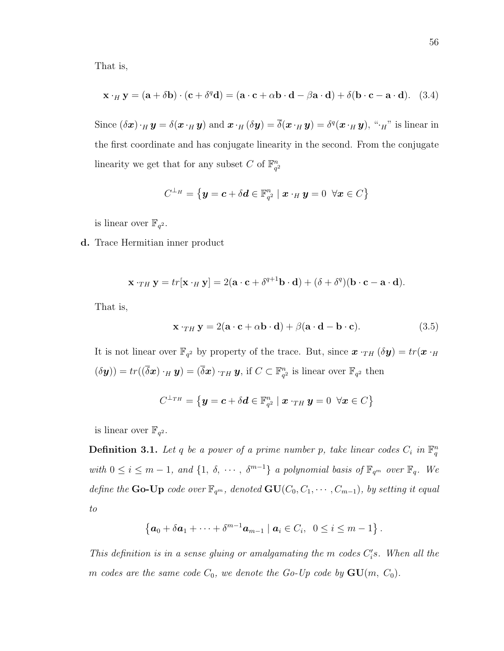That is,

$$
\mathbf{x} \cdot_H \mathbf{y} = (\mathbf{a} + \delta \mathbf{b}) \cdot (\mathbf{c} + \delta^q \mathbf{d}) = (\mathbf{a} \cdot \mathbf{c} + \alpha \mathbf{b} \cdot \mathbf{d} - \beta \mathbf{a} \cdot \mathbf{d}) + \delta (\mathbf{b} \cdot \mathbf{c} - \mathbf{a} \cdot \mathbf{d}). \tag{3.4}
$$

Since  $(\delta x) \cdot_H y = \delta(x \cdot_H y)$  and  $x \cdot_H (\delta y) = \overline{\delta}(x \cdot_H y) = \delta^q(x \cdot_H y)$ , " $\cdot_H$ " is linear in the first coordinate and has conjugate linearity in the second. From the conjugate linearity we get that for any subset C of  $\mathbb{F}_{q}^{n}$  $q^2$ 

$$
C^{\perp_H} = \left\{ \boldsymbol{y} = \boldsymbol{c} + \delta \boldsymbol{d} \in \mathbb{F}_{q^2}^n \mid \boldsymbol{x} \cdot_H \boldsymbol{y} = 0 \ \ \forall \boldsymbol{x} \in C \right\}
$$

is linear over  $\mathbb{F}_{q^2}$ .

d. Trace Hermitian inner product

$$
\mathbf{x} \cdot_{TH} \mathbf{y} = tr[\mathbf{x} \cdot_H \mathbf{y}] = 2(\mathbf{a} \cdot \mathbf{c} + \delta^{q+1} \mathbf{b} \cdot \mathbf{d}) + (\delta + \delta^q)(\mathbf{b} \cdot \mathbf{c} - \mathbf{a} \cdot \mathbf{d}).
$$

That is,

<span id="page-65-1"></span>
$$
\mathbf{x} \cdot_{TH} \mathbf{y} = 2(\mathbf{a} \cdot \mathbf{c} + \alpha \mathbf{b} \cdot \mathbf{d}) + \beta(\mathbf{a} \cdot \mathbf{d} - \mathbf{b} \cdot \mathbf{c}). \tag{3.5}
$$

It is not linear over  $\mathbb{F}_{q^2}$  by property of the trace. But, since  $\mathbf{x} \cdot_{TH} (\delta \mathbf{y}) = tr(\mathbf{x} \cdot_H)$  $(\delta \mathbf{y})) = tr((\overline{\delta} \mathbf{x}) \cdot_H \mathbf{y}) = (\overline{\delta} \mathbf{x}) \cdot_{TH} \mathbf{y}, \text{ if } C \subset \mathbb{F}_{q}^n$  $\frac{n}{q^2}$  is linear over  $\mathbb{F}_{q^2}$  then

$$
C^{\perp_{TH}} = \left\{ \boldsymbol{y} = \boldsymbol{c} + \delta \boldsymbol{d} \in \mathbb{F}_{q^2}^n \mid \boldsymbol{x} \cdot_{TH} \boldsymbol{y} = 0 \ \ \forall \boldsymbol{x} \in C \right\}
$$

<span id="page-65-0"></span>is linear over  $\mathbb{F}_{q^2}$ .

**Definition 3.1.** Let q be a power of a prime number p, take linear codes  $C_i$  in  $\mathbb{F}_q^n$ with  $0 \le i \le m-1$ , and  $\{1, \delta, \cdots, \delta^{m-1}\}\$ a polynomial basis of  $\mathbb{F}_{q^m}$  over  $\mathbb{F}_q$ . We define the **Go-Up** code over  $\mathbb{F}_{q^m}$ , denoted  $\mathbf{GU}(C_0, C_1, \cdots, C_{m-1})$ , by setting it equal to

$$
\left\{ \boldsymbol{a}_0 + \delta \boldsymbol{a}_1 + \cdots + \delta^{m-1} \boldsymbol{a}_{m-1} \mid \boldsymbol{a}_i \in C_i, \ 0 \leq i \leq m-1 \right\}.
$$

This definition is in a sense gluing or amalgamating the m codes  $C_i$ 's. When all the m codes are the same code  $C_0$ , we denote the Go-Up code by  $GU(m, C_0)$ .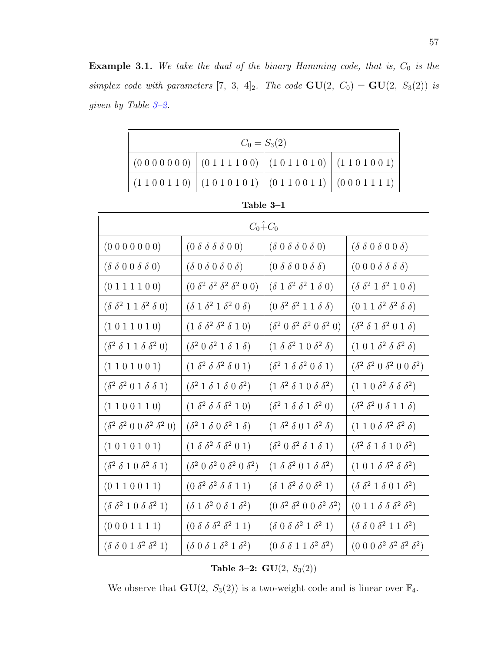**Example 3.1.** We take the dual of the binary Hamming code, that is,  $C_0$  is the simplex code with parameters [7, 3, 4]<sub>2</sub>. The code  $GU(2, C_0) = GU(2, S_3(2))$  is given by Table [3–2.](#page-66-0)

| $C_0 = S_3(2)$                                                                                  |  |  |                                                                                                 |  |
|-------------------------------------------------------------------------------------------------|--|--|-------------------------------------------------------------------------------------------------|--|
| $(0\ 0\ 0\ 0\ 0\ 0\ 0)$ $(0\ 1\ 1\ 1\ 1\ 0\ 0)$ $(1\ 0\ 1\ 1\ 0\ 1\ 0)$ $(1\ 1\ 0\ 1\ 0\ 0\ 1)$ |  |  |                                                                                                 |  |
|                                                                                                 |  |  | $(1\ 1\ 0\ 0\ 1\ 1\ 0)$ $(1\ 0\ 1\ 0\ 1\ 0\ 1)$ $(0\ 1\ 1\ 0\ 0\ 1\ 1)$ $(0\ 0\ 0\ 1\ 1\ 1\ 1)$ |  |

| Fable .<br>$\cdot$ |  |
|--------------------|--|
|--------------------|--|

| $C_0+C_0$                                                 |                                                 |                                                 |                                                           |  |
|-----------------------------------------------------------|-------------------------------------------------|-------------------------------------------------|-----------------------------------------------------------|--|
| (0 0 0 0 0 0 0)                                           | $(0 \delta \delta \delta \delta 0 0)$           | $(\delta 0 \delta \delta 0 \delta 0)$           | $(\delta \delta 0 \delta 0 0 \delta)$                     |  |
| $(\delta \delta 0 0 \delta \delta 0)$                     | $(\delta\ 0\ \delta\ 0\ \delta\ 0\ \delta)$     | $(0 \delta \delta 0 0 \delta \delta)$           | $(0 0 0 \delta \delta \delta \delta)$                     |  |
| (0 1 1 1 1 0 0)                                           | $(0 \delta^2 \delta^2 \delta^2 \delta^2 0 0)$   | $(\delta 1 \delta^2 \delta^2 1 \delta 0)$       | $(\delta \ \delta^2 \ 1 \ \delta^2 \ 1 \ 0 \ \delta)$     |  |
| $(\delta \ \delta^2 \ 1 \ 1 \ \delta^2 \ \delta \ 0)$     | $(\delta 1 \delta^2 1 \delta^2 0 \delta)$       | $(0 \delta^2 \delta^2 1 1 \delta \delta)$       | $(0 1 1 \delta^2 \delta^2 \delta \delta)$                 |  |
| (1 0 1 1 0 1 0)                                           | $(1 \delta \delta^2 \delta^2 \delta 1 0)$       | $(\delta^2 0 \delta^2 \delta^2 0 \delta^2 0)$   | $(\delta^2 \delta 1 \delta^2 0 1 \delta)$                 |  |
| $(\delta^2 \delta 1 1 \delta \delta^2 0)$                 | $(\delta^2 0 \ \delta^2 1 \ \delta 1 \ \delta)$ | $(1 \delta \delta^2 1 0 \delta^2 \delta)$       | $(1\;0\;1\;\delta^2\;\delta\;\delta^2\;\delta)$           |  |
| (1 1 0 1 0 0 1)                                           | $(1 \delta^2 \delta \delta^2 \delta 0 1)$       | $(\delta^2 1 \delta \delta^2 0 \delta 1)$       | $(\delta^2 \ \delta^2 \ 0 \ \delta^2 \ 0 \ 0 \ \delta^2)$ |  |
| $(\delta^2 \ \delta^2 \ 0 \ 1 \ \delta \ \delta \ 1)$     | $(\delta^2 1 \delta 1 \delta 0 \delta^2)$       | $(1 \delta^2 \delta 1 0 \delta \delta^2)$       | $(1\ 1\ 0\ \delta^2\ \delta\ \delta\ \delta^2)$           |  |
| (1 1 0 0 1 1 0)                                           | $(1 \delta^2 \delta \delta \delta^2 1 0)$       | $(\delta^2 1 \delta \delta 1 \delta^2 0)$       | $(\delta^2 \ \delta^2 \ 0 \ \delta \ 1 \ 1 \ \delta)$     |  |
| $(\delta^2 \ \delta^2 \ 0 \ 0 \ \delta^2 \ \delta^2 \ 0)$ | $(\delta^2 1 \delta 0 \delta^2 1 \delta)$       | $(1 \delta^2 \delta 0 1 \delta^2 \delta)$       | $(1 1 0 \delta \delta^2 \delta^2 \delta)$                 |  |
| (1 0 1 0 1 0 1)                                           | $(1 \delta \delta^2 \delta \delta^2 0 1)$       | $(\delta^2 0 \ \delta^2 \ \delta 1 \ \delta 1)$ | $(\delta^2 \delta 1 \delta 1 0 \delta^2)$                 |  |
| $(\delta^2 \delta 1 0 \delta^2 \delta 1)$                 | $(\delta^2 0 \delta^2 0 \delta^2 0 \delta^2)$   | $(1 \delta \delta^2 0 1 \delta \delta^2)$       | $(1\;0\;1\; \delta\; \delta^2\; \delta\; \delta^2)$       |  |
| (0 1 1 0 0 1 1)                                           | $(0 \delta^2 \delta^2 \delta \delta 1 1)$       | $(\delta 1 \delta^2 \delta 0 \delta^2 1)$       | $(\delta \ \delta^2 \ 1 \ \delta \ 0 \ 1 \ \delta^2)$     |  |
| $(\delta \ \delta^2 \ 1 \ 0 \ \delta \ \delta^2 \ 1)$     | $(\delta 1 \delta^2 0 \delta 1 \delta^2)$       | $(0 \delta^2 \delta^2 0 0 \delta^2 \delta^2)$   | $(0 1 1 \delta \delta \delta^2 \delta^2)$                 |  |
| (0 0 0 1 1 1 1)                                           | $(0 \delta \delta \delta^2 \delta^2 1 1)$       | $(\delta\ 0\ \delta\ \delta^2\ 1\ \delta^2\ 1)$ | $(\delta \ \delta \ 0 \ \delta^2 \ 1 \ 1 \ \delta^2)$     |  |
| $(\delta \ \delta \ 0 \ 1 \ \delta^2 \ \delta^2 \ 1)$     | $(\delta\ 0\ \delta\ 1\ \delta^2\ 1\ \delta^2)$ | $(0 \delta \delta 1 1 \delta^2 \delta^2)$       | $(0\;0\;0\; \delta^2\; \delta^2\; \delta^2\; \delta^2)$   |  |

<span id="page-66-0"></span>Table 3-2:  $GU(2, S_3(2))$ 

We observe that  $GU(2, S_3(2))$  is a two-weight code and is linear over  $\mathbb{F}_4$ .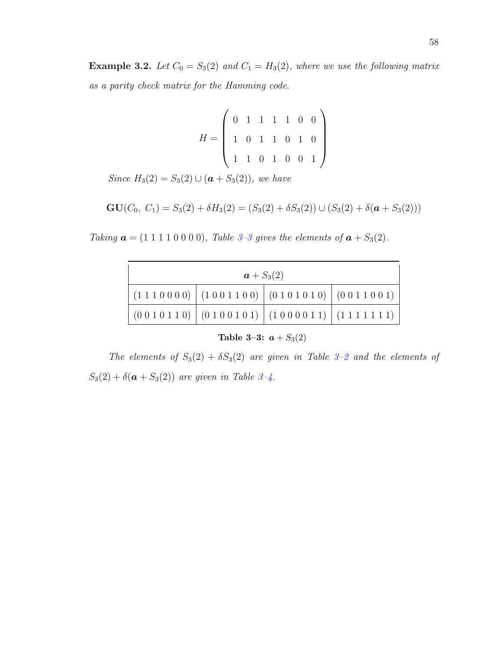**Example 3.2.** Let  $C_0 = S_3(2)$  and  $C_1 = H_3(2)$ , where we use the following matrix as a parity check matrix for the Hamming code.

> $H =$  $\sqrt{ }$  $\overline{\phantom{a}}$ 0 1 1 1 1 0 0 1 0 1 1 0 1 0 1 1 0 1 0 0 1  $\setminus$  $\begin{array}{c} \hline \end{array}$

Since  $H_3(2) = S_3(2) \cup (\mathbf{a} + S_3(2))$ , we have

$$
GU(C_0, C_1) = S_3(2) + \delta H_3(2) = (S_3(2) + \delta S_3(2)) \cup (S_3(2) + \delta(a + S_3(2)))
$$

Taking  $a = (1 1 1 1 1 0 0 0 0)$ , Table 3-3 gives the elements of  $a + S_3(2)$ .

| $a + S_3(2)$                                                                       |                                                                                                    |  |  |  |
|------------------------------------------------------------------------------------|----------------------------------------------------------------------------------------------------|--|--|--|
|                                                                                    | $\mid$ (1 1 1 0 0 0 0) $\mid$ (1 0 0 1 1 0 0) $\mid$ (0 1 0 1 0 1 0) $\mid$ (0 0 1 1 0 0 1) $\mid$ |  |  |  |
| $\left(0010110\right)\left(0100101\right)\left(1000011\right)\left(1111111\right)$ |                                                                                                    |  |  |  |

<span id="page-67-0"></span>Table 3-3:  $a + S_3(2)$ 

The elements of  $S_3(2) + \delta S_3(2)$  are given in Table 3-2 and the elements of  $S_3(2) + \delta(\mathbf{a} + S_3(2))$  are given in Table 3-4.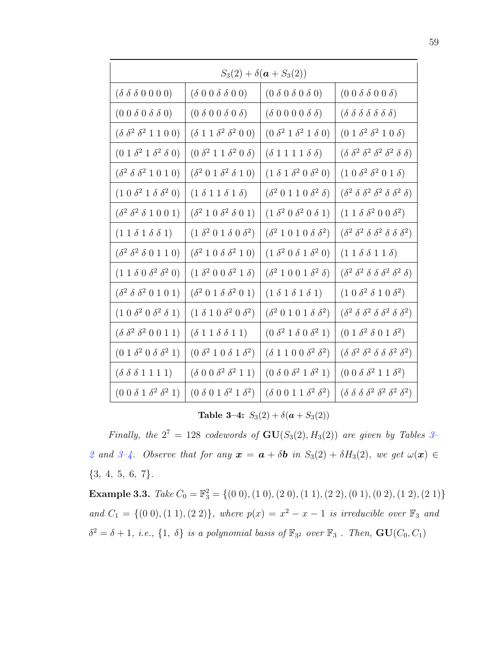| $S_3(2) + \delta(a + S_3(2))$                    |                                            |                                            |                                                              |  |
|--------------------------------------------------|--------------------------------------------|--------------------------------------------|--------------------------------------------------------------|--|
| $(\delta \delta \delta 0 0 0 0)$                 | $(\delta 0 0 \delta \delta 0 0)$           | $(0 \delta 0 \delta 0 \delta 0)$           | $(0 0 \delta \delta 0 0 \delta)$                             |  |
| $(0 0 \delta 0 \delta \delta 0)$                 | $(0 \delta 0 0 \delta 0 \delta)$           | $(\delta\;0\;0\;0\;0\;\delta\;\delta)$     | $(\delta \delta \delta \delta \delta \delta \delta)$         |  |
| $(\delta \ \delta^2 \ \delta^2 \ 1 \ 1 \ 0 \ 0)$ | $(\delta 1 1 \delta^2 \delta^2 0 0)$       | $(0 \delta^2 1 \delta^2 1 \delta 0)$       | $(0 1 \delta^2 \delta^2 1 0 \delta)$                         |  |
| $(0 1 \delta^2 1 \delta^2 \delta 0)$             | $(0 \delta^2 1 1 \delta^2 0 \delta)$       | $(\delta 1 1 1 1 \delta \delta)$           | $(\delta \delta^2 \delta^2 \delta^2 \delta^2 \delta \delta)$ |  |
| $(\delta^2 \delta \delta^2 1 0 1 0)$             | $(\delta^2 0 1 \delta^2 \delta 1 0)$       | $(1 \delta 1 \delta^2 0 \delta^2 0)$       | $(1\ 0\ \delta^2\ \delta^2\ 0\ 1\ \delta)$                   |  |
| $(1\ 0\ \delta^2\ 1\ \delta\ \delta^2\ 0)$       | $(1 \delta 1 1 \delta 1 \delta)$           | $(\delta^2 0 1 1 0 \delta^2 \delta)$       | $(\delta^2 \delta \delta^2 \delta^2 \delta \delta^2 \delta)$ |  |
| $(\delta^2 \delta^2 \delta 1 0 0 1)$             | $(\delta^2 1 0 \delta^2 \delta 0 1)$       | $(1 \delta^2 0 \delta^2 0 \delta 1)$       | $(1\ 1\ \delta\ \delta^2\ 0\ 0\ \delta^2)$                   |  |
| $(1\;1\; \delta\;1\; \delta\; \delta\;1)$        | $(1 \delta^2 0 1 \delta 0 \delta^2)$       | $(\delta^2 1 0 1 0 \delta \delta^2)$       | $(\delta^2 \delta^2 \delta \delta^2 \delta \delta^2)$        |  |
| $(\delta^2 \ \delta^2 \ \delta \ 0 \ 1 \ 1 \ 0)$ | $(\delta^2 1 0 \delta \delta^2 1 0)$       | $(1 \delta^2 0 \delta 1 \delta^2 0)$       | $(1\;1\; \delta\; \delta\;1\;1\; \delta)$                    |  |
| $(1\ 1\ \delta\ 0\ \delta^2\ \delta^2\ 0)$       | $(1 \delta^2 0 0 \delta^2 1 \delta)$       | $(\delta^2 1 0 0 1 \delta^2 \delta)$       | $(\delta^2 \delta^2 \delta \delta \delta^2 \delta^2 \delta)$ |  |
| $(\delta^2 \delta \delta^2 0 1 0 1)$             | $(\delta^2 0 1 \delta \delta^2 0 1)$       | $(1 \delta 1 \delta 1 \delta 1)$           | $(1\ 0\ \delta^2\ \delta\ 1\ 0\ \delta^2)$                   |  |
| $(1\ 0\ \delta^2\ 0\ \delta^2\ \delta\ 1)$       | $(1 \delta 1 0 \delta^2 0 \delta^2)$       | $(\delta^2 0 1 0 1 \delta \delta^2)$       | $(\delta^2 \delta \delta^2 \delta \delta^2 \delta \delta^2)$ |  |
| $(\delta \ \delta^2 \ \delta^2 \ 0 \ 0 \ 1 \ 1)$ | $(\delta 1 1 \delta \delta 1 1)$           | $(0 \delta^2 1 \delta 0 \delta^2 1)$       | $(0 1 \delta^2 \delta 0 1 \delta^2)$                         |  |
| $(0 1 \delta^2 0 \delta \delta^2 1)$             | $(0 \delta^2 1 0 \delta 1 \delta^2)$       | $(\delta 1 1 0 0 \delta^2 \delta^2)$       | $(\delta \delta^2 \delta^2 \delta \delta \delta^2 \delta^2)$ |  |
| $(\delta \delta \delta 1 1 1 1)$                 | $(\delta\;0\;0\;\delta^2\;\delta^2\;1\;1)$ | $(0 \delta 0 \delta^2 1 \delta^2 1)$       | $(0\ 0\ \delta\ \delta^2\ 1\ 1\ \delta^2)$                   |  |
| $(0\;0\; \delta\;1\; \delta^2\; \delta^2\;1)$    | $(0 \delta 0 1 \delta^2 1 \delta^2)$       | $(\delta\;0\;0\;1\;1\;\delta^2\;\delta^2)$ | $(\delta \delta \delta \delta^2 \delta^2 \delta^2 \delta^2)$ |  |

<span id="page-68-0"></span>Table 3-4:  $S_3(2) + \delta(a + S_3(2))$ 

Finally, the  $2^7 = 128$  codewords of  $GU(S_3(2), H_3(2))$  are given by Tables 3-[2](#page-66-0) and [3–4.](#page-68-0) Observe that for any  $x = a + \delta b$  in  $S_3(2) + \delta H_3(2)$ , we get  $\omega(x) \in$ {3, 4, 5, 6, 7}.

**Example 3.3.** Take  $C_0 = \mathbb{F}_3^2 = \{(0\ 0), (1\ 0), (2\ 0), (1\ 1), (2\ 2), (0\ 1), (0\ 2), (1\ 2), (2\ 1)\}\$ and  $C_1 = \{(0\ 0), (1\ 1), (2\ 2)\}\$ , where  $p(x) = x^2 - x - 1$  is irreducible over  $\mathbb{F}_3$  and  $\delta^2 = \delta + 1$ , i.e.,  $\{1, \delta\}$  is a polynomial basis of  $\mathbb{F}_{3^2}$  over  $\mathbb{F}_3$ . Then,  $\mathbf{GU}(C_0, C_1)$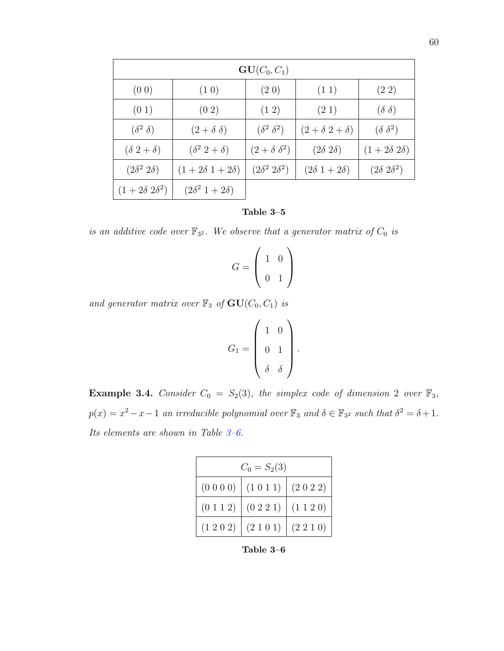| $GU(C_0, C_1)$          |                           |                         |                         |                        |  |
|-------------------------|---------------------------|-------------------------|-------------------------|------------------------|--|
| (0 0)                   | (1 0)                     | (2 0)                   | (11)                    | (22)                   |  |
| (01)                    | $(0\ 2)$                  | $(1\ 2)$                | (21)                    | $(\delta \delta)$      |  |
| $(\delta^2 \delta)$     | $(2+\delta \delta)$       | $(\delta^2 \delta^2)$   | $(2+\delta 2+\delta)$   | $(\delta \delta^2)$    |  |
| $(\delta 2 + \delta)$   | $(\delta^2 2 + \delta)$   | $(2+\delta \delta^2)$   | $(2\delta\ 2\delta)$    | $(1+2\delta 2\delta)$  |  |
| $(2\delta^2 2\delta)$   | $(1+2\delta 1+2\delta)$   | $(2\delta^2 2\delta^2)$ | $(2\delta 1 + 2\delta)$ | $(2\delta\ 2\delta^2)$ |  |
| $(1+2\delta 2\delta^2)$ | $(2\delta^2 1 + 2\delta)$ |                         |                         |                        |  |



is an additive code over  $\mathbb{F}_{3^2}$ . We observe that a generator matrix of  $C_0$  is

$$
G = \left(\begin{array}{cc} 1 & 0 \\ 0 & 1 \end{array}\right)
$$

and generator matrix over  $\mathbb{F}_3$  of  $\mathbf{GU}(C_0,C_1)$  is

$$
G_1 = \left(\begin{array}{cc} 1 & 0 \\ 0 & 1 \\ \delta & \delta \end{array}\right)
$$

.

**Example 3.4.** Consider  $C_0 = S_2(3)$ , the simplex code of dimension 2 over  $\mathbb{F}_3$ ,  $p(x) = x^2 - x - 1$  an irreducible polynomial over  $\mathbb{F}_3$  and  $\delta \in \mathbb{F}_{3^2}$  such that  $\delta^2 = \delta + 1$ . Its elements are shown in Table [3–6.](#page-69-0)

| $C_0 = S_2(3)$ |                                              |  |  |  |
|----------------|----------------------------------------------|--|--|--|
|                | (0 0 0 0) (1 0 1 1) (2 0 2 2)                |  |  |  |
|                | $(0\ 1\ 1\ 2)$ $(0\ 2\ 2\ 1)$ $(1\ 1\ 2\ 0)$ |  |  |  |
|                | $(1\ 2\ 0\ 2)$ $(2\ 1\ 0\ 1)$ $(2\ 2\ 1\ 0)$ |  |  |  |

<span id="page-69-0"></span>Table 3–6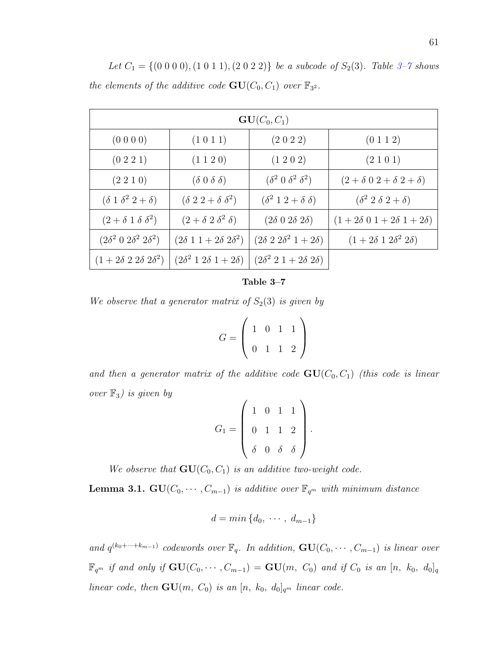Let  $C_1 = \{(0\ 0\ 0\ 0), (1\ 0\ 1\ 1), (2\ 0\ 2\ 2)\}\$ be a subcode of  $S_2(3)$ . Table 3-7 shows the elements of the additive code  $\mathbf{GU}(C_0, C_1)$  over  $\mathbb{F}_{3^2}$ .

| $GU(C_0, C_1)$                            |                                              |                                           |                                           |  |  |
|-------------------------------------------|----------------------------------------------|-------------------------------------------|-------------------------------------------|--|--|
| (0 0 0 0)                                 | (1 0 1 1)                                    | (2 0 2 2)                                 | (0 1 1 2)                                 |  |  |
| $(0\;2\;2\;1)$                            | $(1\ 1\ 2\ 0)$                               | $(1\ 2\ 0\ 2)$                            | (2101)                                    |  |  |
| $(2\; 2\; 1\; 0)$                         | $(\delta 0 \delta \delta)$                   | $(\delta^2 \theta \delta^2 \delta^2)$     | $(2+\delta 0 2+\delta 2+\delta)$          |  |  |
| $(\delta 1 \delta^2 2 + \delta)$          | $(\delta 2 2 + \delta \delta^2)$             | $(\delta^2 1 2 + \delta \delta)$          | $(\delta^2 2 \delta 2 + \delta)$          |  |  |
| $(2 + \delta \, 1 \, \delta \, \delta^2)$ | $(2+\delta 2 \delta^2 \delta)$               | $(2\delta\;0\;2\delta\;2\delta)$          | $(1+2\delta \ 0 \ 1+2\delta \ 1+2\delta)$ |  |  |
| $(2\delta^2 \ 0 \ 2\delta^2 \ 2\delta^2)$ | $(2\delta 1 1+2\delta 2\delta^2)$            | $(2\delta\ 2\ 2\delta^2\ 1+2\delta)$      | $(1+2\delta 1 2\delta^2 2\delta)$         |  |  |
| $(1+2\delta\ 2\ 2\delta\ 2\delta^2)$      | $(2\delta^2 \; 1 \; 2\delta \; 1 + 2\delta)$ | $(2\delta^2 \ 2 \ 1 + 2\delta \ 2\delta)$ |                                           |  |  |

#### <span id="page-70-0"></span>Table 3–7

We observe that a generator matrix of  $S_2(3)$  is given by

$$
G = \left(\begin{array}{rrr} 1 & 0 & 1 & 1 \\ 0 & 1 & 1 & 2 \end{array}\right)
$$

and then a generator matrix of the additive code  $GU(C_0, C_1)$  (this code is linear over  $\mathbb{F}_3$ ) is given by

$$
G_1 = \left(\begin{array}{rrr} 1 & 0 & 1 & 1 \\ 0 & 1 & 1 & 2 \\ \delta & 0 & \delta & \delta \end{array}\right).
$$

We observe that  $GU(C_0, C_1)$  is an additive two-weight code.

**Lemma 3.1.** GU( $C_0, \dots, C_{m-1}$ ) is additive over  $\mathbb{F}_{q^m}$  with minimum distance

$$
d = min \{d_0, \cdots, d_{m-1}\}\
$$

and  $q^{(k_0+\cdots+k_{m-1})}$  codewords over  $\mathbb{F}_q$ . In addition,  $\mathbf{GU}(C_0,\cdots,C_{m-1})$  is linear over  $\mathbb{F}_{q^m}$  if and only if  $\mathbf{GU}(C_0, \dots, C_{m-1}) = \mathbf{GU}(m, C_0)$  and if  $C_0$  is an  $[n, k_0, d_0]_q$ linear code, then  $GU(m, C_0)$  is an  $[n, k_0, d_0]_{q^m}$  linear code.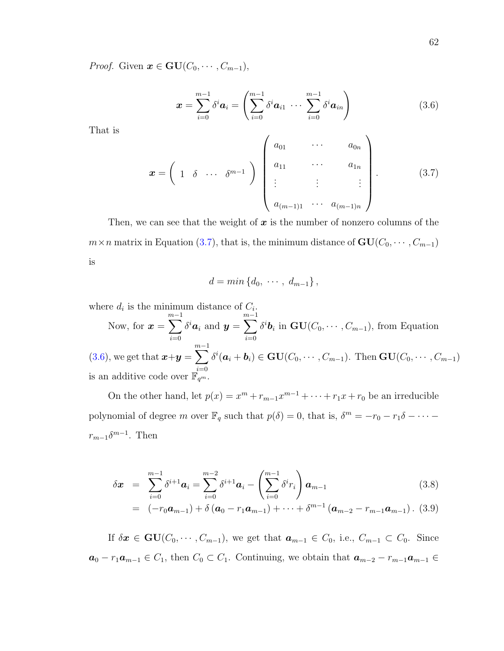*Proof.* Given  $\mathbf{x} \in \mathbf{GU}(C_0, \dots, C_{m-1}),$ 

<span id="page-71-1"></span>
$$
\boldsymbol{x} = \sum_{i=0}^{m-1} \delta^i \boldsymbol{a}_i = \left( \sum_{i=0}^{m-1} \delta^i \boldsymbol{a}_{i1} \ \cdots \ \sum_{i=0}^{m-1} \delta^i \boldsymbol{a}_{in} \right) \tag{3.6}
$$

That is

<span id="page-71-0"></span>
$$
\boldsymbol{x} = \begin{pmatrix} 1 & \delta & \cdots & \delta^{m-1} \end{pmatrix} \begin{pmatrix} a_{01} & \cdots & a_{0n} \\ a_{11} & \cdots & a_{1n} \\ \vdots & \vdots & \vdots \\ a_{(m-1)1} & \cdots & a_{(m-1)n} \end{pmatrix} . \tag{3.7}
$$

Then, we can see that the weight of  $x$  is the number of nonzero columns of the  $m \times n$  matrix in Equation [\(3.7\)](#page-71-0), that is, the minimum distance of  $GU(C_0, \dots, C_{m-1})$ is

$$
d = min \left\{ d_0, \cdots, d_{m-1} \right\},\,
$$

where  $d_i$  is the minimum distance of  $C_i$ . Now, for  $\boldsymbol{x} =$  $\sum^{m-1}$  $i=0$  $\delta^i \boldsymbol{a}_i$  and  $\boldsymbol{y} =$  $\sum^{m-1}$  $i=0$  $\delta^i \mathbf{b}_i$  in  $\mathbf{GU}(C_0, \cdots, C_{m-1})$ , from Equation  $(3.6)$ , we get that  $\boldsymbol{x}+\boldsymbol{y}=$  $\sum^{m-1}$  $i=0$  $\delta^{i}(\boldsymbol{a}_i + \boldsymbol{b}_i) \in \mathbf{GU}(C_0, \cdots, C_{m-1})$ . Then  $\mathbf{GU}(C_0, \cdots, C_{m-1})$ is an additive code over  $\mathbb{F}_{q^m}$ .

On the other hand, let  $p(x) = x^m + r_{m-1}x^{m-1} + \cdots + r_1x + r_0$  be an irreducible polynomial of degree m over  $\mathbb{F}_q$  such that  $p(\delta) = 0$ , that is,  $\delta^m = -r_0 - r_1 \delta - \cdots$  $r_{m-1}\delta^{m-1}$ . Then

$$
\delta \boldsymbol{x} = \sum_{i=0}^{m-1} \delta^{i+1} \boldsymbol{a}_i = \sum_{i=0}^{m-2} \delta^{i+1} \boldsymbol{a}_i - \left( \sum_{i=0}^{m-1} \delta^i r_i \right) \boldsymbol{a}_{m-1} \qquad (3.8)
$$
  
=  $(-r_0 \boldsymbol{a}_{m-1}) + \delta (\boldsymbol{a}_0 - r_1 \boldsymbol{a}_{m-1}) + \cdots + \delta^{m-1} (\boldsymbol{a}_{m-2} - r_{m-1} \boldsymbol{a}_{m-1})$ . (3.9)

If  $\delta x \in \mathbf{GU}(C_0, \cdots, C_{m-1}),$  we get that  $a_{m-1} \in C_0$ , i.e.,  $C_{m-1} \subset C_0$ . Since  $a_0 - r_1 a_{m-1} \in C_1$ , then  $C_0 \subset C_1$ . Continuing, we obtain that  $a_{m-2} - r_{m-1} a_{m-1} \in$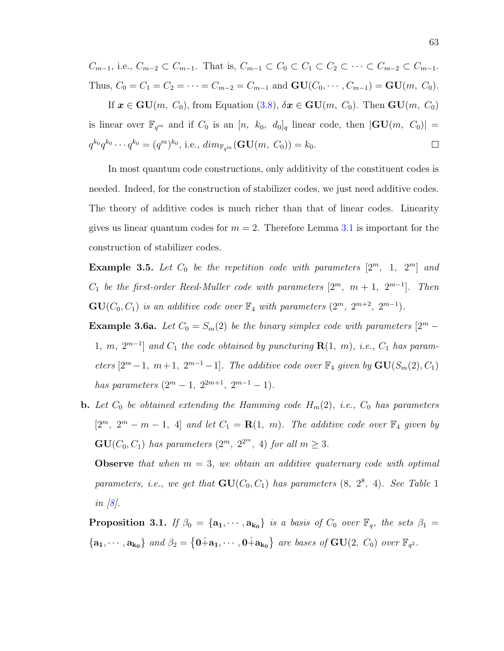$C_{m-1}$ , i.e.,  $C_{m-2} \subset C_{m-1}$ . That is,  $C_{m-1} \subset C_0 \subset C_1 \subset C_2 \subset \cdots \subset C_{m-2} \subset C_{m-1}$ . Thus,  $C_0 = C_1 = C_2 = \cdots = C_{m-2} = C_{m-1}$  and  $\mathbf{GU}(C_0, \cdots, C_{m-1}) = \mathbf{GU}(m, C_0)$ .

If  $x \in \mathbf{GU}(m, C_0)$ , from Equation [\(3.8\)](#page-71-0),  $\delta x \in \mathbf{GU}(m, C_0)$ . Then  $\mathbf{GU}(m, C_0)$ is linear over  $\mathbb{F}_{q^m}$  and if  $C_0$  is an  $[n, k_0, d_0]_q$  linear code, then  $|\mathbf{GU}(m, C_0)| =$  $q^{k_0}q^{k_0}\cdots q^{k_0} = (q^m)^{k_0}$ , i.e.,  $dim_{\mathbb{F}_{q^m}}(\mathbf{GU}(m, C_0)) = k_0$ .  $\Box$ 

In most quantum code constructions, only additivity of the constituent codes is needed. Indeed, for the construction of stabilizer codes, we just need additive codes. The theory of additive codes is much richer than that of linear codes. Linearity gives us linear quantum codes for  $m = 2$ . Therefore Lemma [3.1](#page-70-0) is important for the construction of stabilizer codes.

**Example 3.5.** Let  $C_0$  be the repetition code with parameters  $[2^m, 1, 2^m]$  and  $C_1$  be the first-order Reed-Muller code with parameters  $[2^m, m+1, 2^{m-1}]$ . Then  $\mathbf{GU}(C_0, C_1)$  is an additive code over  $\mathbb{F}_4$  with parameters  $(2^m, 2^{m+2}, 2^{m-1})$ .

**Example 3.6a.** Let  $C_0 = S_m(2)$  be the binary simplex code with parameters  $[2^m -$ 1, m,  $2^{m-1}$  and  $C_1$  the code obtained by puncturing  $\mathbf{R}(1, m)$ , i.e.,  $C_1$  has parameters  $[2^m-1, m+1, 2^{m-1}-1]$ . The additive code over  $\mathbb{F}_4$  given by  $\mathbf{GU}(S_m(2), C_1)$ has parameters  $(2^m - 1, 2^{2m+1}, 2^{m-1} - 1)$ .

**b.** Let  $C_0$  be obtained extending the Hamming code  $H_m(2)$ , i.e.,  $C_0$  has parameters  $[2^m, 2^m - m - 1, 4]$  and let  $C_1 = \mathbf{R}(1, m)$ . The additive code over  $\mathbb{F}_4$  given by  $\mathbf{GU}(C_0, C_1)$  has parameters  $(2^m, 2^{2^m}, 4)$  for all  $m \geq 3$ .

**Observe** that when  $m = 3$ , we obtain an additive quaternary code with optimal parameters, i.e., we get that  $GU(C_0, C_1)$  has parameters  $(8, 2^8, 4)$ . See Table 1 in  $|8|$ .

<span id="page-72-0"></span>**Proposition 3.1.** If  $\beta_0 = {\mathbf{a}_1, \cdots, \mathbf{a}_{k_0}}$  is a basis of  $C_0$  over  $\mathbb{F}_q$ , the sets  $\beta_1 =$  ${a_1, \dots, a_{k_0}}$  and  $\beta_2 = \{0, a_1, \dots, 0, a_{k_0}\}$  are bases of  $GU(2, C_0)$  over  $\mathbb{F}_{q^2}$ .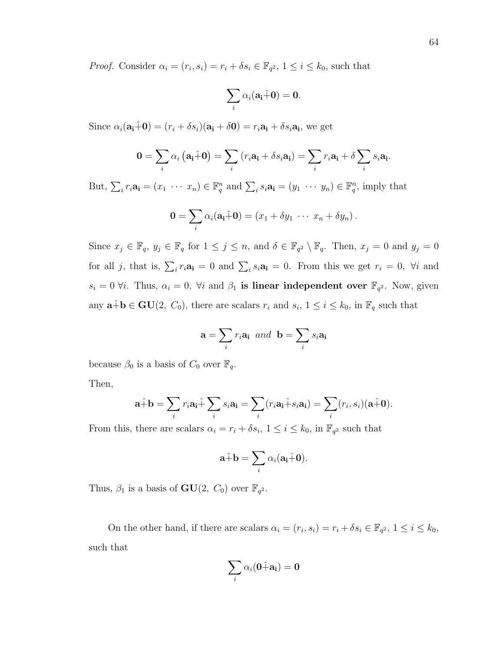*Proof.* Consider  $\alpha_i = (r_i, s_i) = r_i + \delta s_i \in \mathbb{F}_{q^2}, 1 \leq i \leq k_0$ , such that

$$
\sum_i \alpha_i({\bf a_i}\hat{+}{\bf 0}) = {\bf 0}.
$$

Since  $\alpha_i(\mathbf{a_i}+\mathbf{0}) = (r_i + \delta s_i)(\mathbf{a_i}+\delta \mathbf{0}) = r_i \mathbf{a_i} + \delta s_i \mathbf{a_i}$ , we get

$$
\mathbf{0} = \sum_i \alpha_i \left( \mathbf{a_i} + \mathbf{0} \right) = \sum_i \left( r_i \mathbf{a_i} + \delta s_i \mathbf{a_i} \right) = \sum_i r_i \mathbf{a_i} + \delta \sum_i s_i \mathbf{a_i}.
$$

But,  $\sum_i r_i \mathbf{a_i} = (x_1 \cdots x_n) \in \mathbb{F}_q^n$  and  $\sum_i s_i \mathbf{a_i} = (y_1 \cdots y_n) \in \mathbb{F}_q^n$ , imply that

$$
\mathbf{0} = \sum_i \alpha_i (\mathbf{a_i} \hat{+} \mathbf{0}) = (x_1 + \delta y_1 \ \cdots \ x_n + \delta y_n).
$$

Since  $x_j \in \mathbb{F}_q$ ,  $y_j \in \mathbb{F}_q$  for  $1 \leq j \leq n$ , and  $\delta \in \mathbb{F}_{q^2} \setminus \mathbb{F}_q$ . Then,  $x_j = 0$  and  $y_j = 0$ for all j, that is,  $\sum_i r_i \mathbf{a_i} = 0$  and  $\sum_i s_i \mathbf{a_i} = 0$ . From this we get  $r_i = 0$ ,  $\forall i$  and  $s_i = 0 \forall i$ . Thus,  $\alpha_i = 0$ ,  $\forall i$  and  $\beta_1$  is linear independent over  $\mathbb{F}_{q^2}$ . Now, given any  $\mathbf{a} + \mathbf{b} \in \mathbf{GU}(2, C_0)$ , there are scalars  $r_i$  and  $s_i$ ,  $1 \leq i \leq k_0$ , in  $\mathbb{F}_q$  such that

$$
\mathbf{a} = \sum_{i} r_i \mathbf{a_i} \ and \ \mathbf{b} = \sum_{i} s_i \mathbf{a_i}
$$

because  $\beta_0$  is a basis of  $C_0$  over  $\mathbb{F}_q$ .

Then,

$$
\mathbf{a}\hat{+}\mathbf{b}=\sum_{i}r_{i}\mathbf{a_{i}}\hat{+}\sum_{i}s_{i}\mathbf{a_{i}}=\sum_{i}(r_{i}\mathbf{a_{i}}\hat{+}s_{i}\mathbf{a_{i}})=\sum_{i}(r_{i},s_{i})(\mathbf{a}\hat{+}\mathbf{0}).
$$

From this, there are scalars  $\alpha_i = r_i + \delta s_i$ ,  $1 \leq i \leq k_0$ , in  $\mathbb{F}_{q^2}$  such that

$$
\mathbf{a}\hat{+}\mathbf{b}=\sum_i \alpha_i(\mathbf{a_i}\hat{+}\mathbf{0}).
$$

Thus,  $\beta_1$  is a basis of  $GU(2, C_0)$  over  $\mathbb{F}_{q^2}$ .

On the other hand, if there are scalars  $\alpha_i = (r_i, s_i) = r_i + \delta s_i \in \mathbb{F}_{q^2}, 1 \leq i \leq k_0$ , such that

$$
\sum_i \alpha_i(\mathbf{0} + \mathbf{a_i}) = \mathbf{0}
$$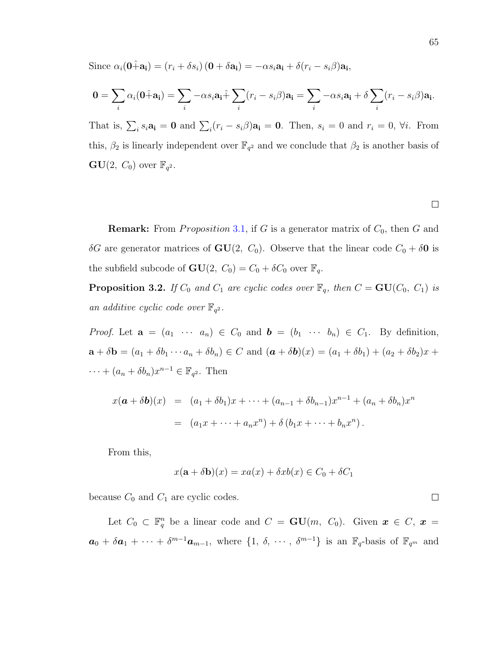Since  $\alpha_i(\mathbf{0} + \mathbf{a_i}) = (r_i + \delta s_i)(\mathbf{0} + \delta \mathbf{a_i}) = -\alpha s_i \mathbf{a_i} + \delta(r_i - s_i \beta) \mathbf{a_i}$ 

$$
\mathbf{0} = \sum_i \alpha_i (\mathbf{0} + \mathbf{a_i}) = \sum_i -\alpha s_i \mathbf{a_i} + \sum_i (r_i - s_i \beta) \mathbf{a_i} = \sum_i -\alpha s_i \mathbf{a_i} + \delta \sum_i (r_i - s_i \beta) \mathbf{a_i}.
$$

That is,  $\sum_i s_i \mathbf{a_i} = \mathbf{0}$  and  $\sum_i (r_i - s_i \beta) \mathbf{a_i} = \mathbf{0}$ . Then,  $s_i = 0$  and  $r_i = 0$ ,  $\forall i$ . From this,  $\beta_2$  is linearly independent over  $\mathbb{F}_{q^2}$  and we conclude that  $\beta_2$  is another basis of  $\mathbf{GU}(2, C_0)$  over  $\mathbb{F}_{q^2}$ .

 $\Box$ 

 $\Box$ 

**Remark:** From *Proposition* 3.[1,](#page-72-0) if G is a generator matrix of  $C_0$ , then G and δG are generator matrices of **GU**(2,  $C_0$ ). Observe that the linear code  $C_0 + \delta$ **0** is the subfield subcode of  $GU(2, C_0) = C_0 + \delta C_0$  over  $\mathbb{F}_q$ .

**Proposition 3.2.** If  $C_0$  and  $C_1$  are cyclic codes over  $\mathbb{F}_q$ , then  $C = \mathbf{GU}(C_0, C_1)$  is an additive cyclic code over  $\mathbb{F}_{q^2}$ .

*Proof.* Let  $\mathbf{a} = (a_1 \cdots a_n) \in C_0$  and  $\mathbf{b} = (b_1 \cdots b_n) \in C_1$ . By definition,  $\mathbf{a} + \delta \mathbf{b} = (a_1 + \delta b_1 \cdots a_n + \delta b_n) \in C$  and  $(\mathbf{a} + \delta \mathbf{b})(x) = (a_1 + \delta b_1) + (a_2 + \delta b_2)x + (a_3 + \delta b_2)x$  $\cdots + (a_n + \delta b_n)x^{n-1} \in \mathbb{F}_{q^2}$ . Then

$$
x(\mathbf{a} + \delta \mathbf{b})(x) = (a_1 + \delta b_1)x + \dots + (a_{n-1} + \delta b_{n-1})x^{n-1} + (a_n + \delta b_n)x^n
$$
  
=  $(a_1x + \dots + a_nx^n) + \delta (b_1x + \dots + b_nx^n).$ 

From this,

$$
x(\mathbf{a} + \delta \mathbf{b})(x) = xa(x) + \delta xb(x) \in C_0 + \delta C_1
$$

because  $C_0$  and  $C_1$  are cyclic codes.

Let  $C_0 \subset \mathbb{F}_q^n$  be a linear code and  $C = \mathbf{GU}(m, C_0)$ . Given  $\mathbf{x} \in C, \mathbf{x} =$  $a_0 + \delta a_1 + \cdots + \delta^{m-1} a_{m-1}$ , where  $\{1, \delta, \cdots, \delta^{m-1}\}$  is an  $\mathbb{F}_q$ -basis of  $\mathbb{F}_{q^m}$  and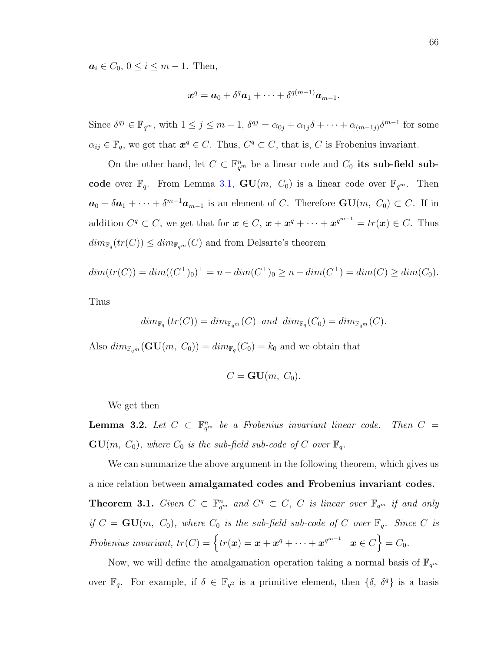$a_i \in C_0, 0 \le i \le m - 1$ . Then,

$$
\boldsymbol{x}^q = \boldsymbol{a}_0 + \delta^q \boldsymbol{a}_1 + \cdots + \delta^{q(m-1)} \boldsymbol{a}_{m-1}.
$$

Since  $\delta^{qj} \in \mathbb{F}_{q^m}$ , with  $1 \leq j \leq m-1$ ,  $\delta^{qj} = \alpha_{0j} + \alpha_{1j}\delta + \cdots + \alpha_{(m-1j)}\delta^{m-1}$  for some  $\alpha_{ij} \in \mathbb{F}_q$ , we get that  $\mathbf{x}^q \in C$ . Thus,  $C^q \subset C$ , that is, C is Frobenius invariant.

On the other hand, let  $C \subset \mathbb{F}_{q^m}^n$  be a linear code and  $C_0$  its sub-field subcode over  $\mathbb{F}_q$ . From Lemma [3.1,](#page-70-0)  $GU(m, C_0)$  is a linear code over  $\mathbb{F}_{q^m}$ . Then  $a_0 + \delta a_1 + \cdots + \delta^{m-1} a_{m-1}$  is an element of C. Therefore  $GU(m, C_0) \subset C$ . If in addition  $C^q \subset C$ , we get that for  $\mathbf{x} \in C$ ,  $\mathbf{x} + \mathbf{x}^q + \cdots + \mathbf{x}^{q^{m-1}} = tr(\mathbf{x}) \in C$ . Thus  $dim_{\mathbb{F}_q}(tr(C)) \leq dim_{\mathbb{F}_{q^m}}(C)$  and from Delsarte's theorem

$$
dim(tr(C)) = dim((C^{\perp})_{0})^{\perp} = n - dim(C^{\perp})_{0} \ge n - dim(C^{\perp}) = dim(C) \ge dim(C_{0}).
$$

Thus

$$
\dim_{\mathbb{F}_q}(tr(C)) = \dim_{\mathbb{F}_{q^m}}(C) \text{ and } \dim_{\mathbb{F}_q}(C_0) = \dim_{\mathbb{F}_{q^m}}(C).
$$

Also  $dim_{\mathbb{F}_{q^m}}(\mathbf{GU}(m, C_0)) = dim_{\mathbb{F}_q}(C_0) = k_0$  and we obtain that

$$
C = \mathbf{GU}(m, C_0).
$$

We get then

**Lemma 3.2.** Let  $C \subset \mathbb{F}_{q^m}^n$  be a Frobenius invariant linear code. Then  $C =$  $GU(m, C_0)$ , where  $C_0$  is the sub-field sub-code of C over  $\mathbb{F}_q$ .

<span id="page-75-0"></span>We can summarize the above argument in the following theorem, which gives us a nice relation between amalgamated codes and Frobenius invariant codes. **Theorem 3.1.** Given  $C \subset \mathbb{F}_{q^m}^n$  and  $C^q \subset C$ , C is linear over  $\mathbb{F}_{q^m}$  if and only if  $C = \mathbf{GU}(m, C_0)$ , where  $C_0$  is the sub-field sub-code of C over  $\mathbb{F}_q$ . Since C is Frobenius invariant,  $tr(C) = \{ tr(\boldsymbol{x}) = \boldsymbol{x} + \boldsymbol{x}^q + \cdots + \boldsymbol{x}^{q^{m-1}} \mid \boldsymbol{x} \in C \} = C_0.$ 

Now, we will define the amalgamation operation taking a normal basis of  $\mathbb{F}_{q^m}$ over  $\mathbb{F}_q$ . For example, if  $\delta \in \mathbb{F}_{q^2}$  is a primitive element, then  $\{\delta, \delta^q\}$  is a basis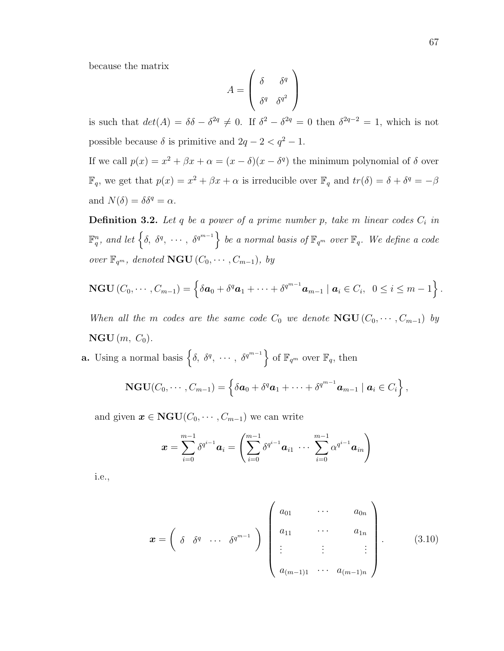because the matrix

$$
A = \begin{pmatrix} \delta & \delta^q \\ \delta^q & \delta^{q^2} \end{pmatrix}
$$

is such that  $det(A) = \delta \delta - \delta^{2q} \neq 0$ . If  $\delta^2 - \delta^{2q} = 0$  then  $\delta^{2q-2} = 1$ , which is not possible because  $\delta$  is primitive and  $2q - 2 < q^2 - 1$ .

If we call  $p(x) = x^2 + \beta x + \alpha = (x - \delta)(x - \delta^q)$  the minimum polynomial of  $\delta$  over  $\mathbb{F}_q$ , we get that  $p(x) = x^2 + \beta x + \alpha$  is irreducible over  $\mathbb{F}_q$  and  $tr(\delta) = \delta + \delta^q = -\beta$ and  $N(\delta) = \delta \delta^q = \alpha$ .

**Definition 3.2.** Let q be a power of a prime number p, take m linear codes  $C_i$  in  $\mathbb{F}_q^n$ , and let  $\left\{\delta, \ \delta^q, \ \cdots, \ \delta^{q^{m-1}}\right\}$  be a normal basis of  $\mathbb{F}_{q^m}$  over  $\mathbb{F}_q$ . We define a code over  $\mathbb{F}_{q^m}$ , denoted **NGU**  $(C_0, \dots, C_{m-1})$ , by

$$
\mathbf{NGU}\left(C_0,\cdots,C_{m-1}\right)=\left\{\delta \boldsymbol{a}_0+\delta^q \boldsymbol{a}_1+\cdots+\delta^{q^{m-1}} \boldsymbol{a}_{m-1}\mid \boldsymbol{a}_i\in C_i, \ \ 0\leq i\leq m-1\right\}.
$$

When all the m codes are the same code  $C_0$  we denote  $\mathbf{NGU} (C_0, \dots, C_{m-1})$  by  $\mathbf{NGU}\left(m, C_0\right)$ .

**a.** Using a normal basis  $\left\{\delta, \delta^q, \cdots, \delta^{q^{m-1}}\right\}$  of  $\mathbb{F}_{q^m}$  over  $\mathbb{F}_q$ , then

$$
\mathbf{NGU}(C_0,\cdots,C_{m-1})=\left\{\delta \boldsymbol{a}_0+\delta^q \boldsymbol{a}_1+\cdots+\delta^{q^{m-1}} \boldsymbol{a}_{m-1} \mid \boldsymbol{a}_i \in C_i\right\},\,
$$

and given  $x \in \text{NGU}(C_0, \dots, C_{m-1})$  we can write

$$
\boldsymbol{x} = \sum_{i=0}^{m-1} \delta^{q^{i-1}} \boldsymbol{a}_i = \left( \sum_{i=0}^{m-1} \delta^{q^{i-1}} \boldsymbol{a}_{i1} \; \cdots \; \sum_{i=0}^{m-1} \alpha^{q^{i-1}} \boldsymbol{a}_{in} \right)
$$

i.e.,

<span id="page-76-0"></span>
$$
\boldsymbol{x} = \begin{pmatrix} \delta & \delta^{q} & \cdots & \delta^{q^{m-1}} \end{pmatrix} \begin{pmatrix} a_{01} & \cdots & a_{0n} \\ a_{11} & \cdots & a_{1n} \\ \vdots & \vdots & \vdots \\ a_{(m-1)1} & \cdots & a_{(m-1)n} \end{pmatrix} .
$$
 (3.10)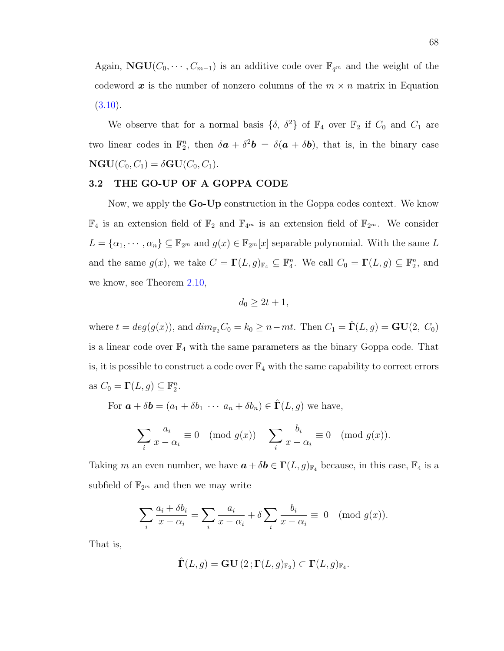Again,  $\mathbf{NGU}(C_0, \dots, C_{m-1})$  is an additive code over  $\mathbb{F}_{q^m}$  and the weight of the codeword x is the number of nonzero columns of the  $m \times n$  matrix in Equation  $(3.10).$  $(3.10).$ 

We observe that for a normal basis  $\{\delta, \delta^2\}$  of  $\mathbb{F}_4$  over  $\mathbb{F}_2$  if  $C_0$  and  $C_1$  are two linear codes in  $\mathbb{F}_2^n$ , then  $\delta \mathbf{a} + \delta^2 \mathbf{b} = \delta(\mathbf{a} + \delta \mathbf{b})$ , that is, in the binary case  $\mathbf{NGU}(C_0, C_1) = \delta \mathbf{GU}(C_0, C_1).$ 

## 3.2 THE GO-UP OF A GOPPA CODE

Now, we apply the Go-Up construction in the Goppa codes context. We know  $\mathbb{F}_4$  is an extension field of  $\mathbb{F}_2$  and  $\mathbb{F}_{4^m}$  is an extension field of  $\mathbb{F}_{2^m}$ . We consider  $L = {\alpha_1, \dots, \alpha_n} \subseteq \mathbb{F}_{2^m}$  and  $g(x) \in \mathbb{F}_{2^m}[x]$  separable polynomial. With the same L and the same  $g(x)$ , we take  $C = \Gamma(L, g)_{\mathbb{F}_4} \subseteq \mathbb{F}_4^n$ . We call  $C_0 = \Gamma(L, g) \subseteq \mathbb{F}_2^n$ , and we know, see Theorem [2.10,](#page-37-0)

$$
d_0 \ge 2t + 1,
$$

where  $t = deg(g(x))$ , and  $dim_{\mathbb{F}_2}C_0 = k_0 \ge n - mt$ . Then  $C_1 = \Gamma(L, g) = \mathbf{GU}(2, C_0)$ is a linear code over  $\mathbb{F}_4$  with the same parameters as the binary Goppa code. That is, it is possible to construct a code over  $\mathbb{F}_4$  with the same capability to correct errors as  $C_0 = \mathbf{\Gamma}(L, g) \subseteq \mathbb{F}_2^n$ .

For  $\mathbf{a} + \delta \mathbf{b} = (a_1 + \delta b_1 \cdots a_n + \delta b_n) \in \hat{\Gamma}(L, g)$  we have,

$$
\sum_{i} \frac{a_i}{x - \alpha_i} \equiv 0 \pmod{g(x)} \quad \sum_{i} \frac{b_i}{x - \alpha_i} \equiv 0 \pmod{g(x)}.
$$

Taking m an even number, we have  $\mathbf{a} + \delta \mathbf{b} \in \Gamma(L, g)_{\mathbb{F}_4}$  because, in this case,  $\mathbb{F}_4$  is a subfield of  $\mathbb{F}_{2^m}$  and then we may write

$$
\sum_{i} \frac{a_i + \delta b_i}{x - \alpha_i} = \sum_{i} \frac{a_i}{x - \alpha_i} + \delta \sum_{i} \frac{b_i}{x - \alpha_i} \equiv 0 \pmod{g(x)}.
$$

That is,

$$
\widehat{\Gamma}(L,g) = \mathbf{GU}\left(2\,;\Gamma(L,g)_{\mathbb{F}_2}\right) \subset \Gamma(L,g)_{\mathbb{F}_4}.
$$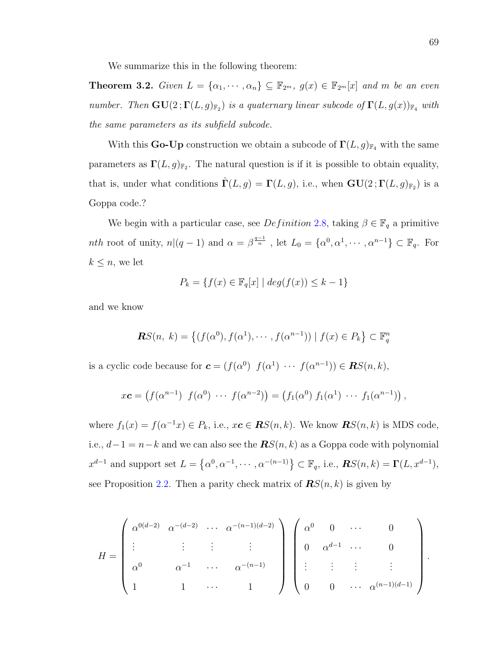We summarize this in the following theorem:

**Theorem 3.2.** Given  $L = {\alpha_1, \cdots, \alpha_n} \subseteq \mathbb{F}_{2^m}$ ,  $g(x) \in \mathbb{F}_{2^m}[x]$  and m be an even number. Then  $\mathbf{GU}(2;\mathbf{\Gamma}(L,g)_{\mathbb{F}_2})$  is a quaternary linear subcode of  $\mathbf{\Gamma}(L,g(x))_{\mathbb{F}_4}$  with the same parameters as its subfield subcode.

With this **Go-Up** construction we obtain a subcode of  $\Gamma(L, g)_{\mathbb{F}_4}$  with the same parameters as  $\Gamma(L, g)_{\mathbb{F}_2}$ . The natural question is if it is possible to obtain equality, that is, under what conditions  $\hat{\Gamma}(L,g) = \Gamma(L,g)$ , i.e., when  $\mathbf{GU}(2;\Gamma(L,g)_{\mathbb{F}_2})$  is a Goppa code.?

We begin with a particular case, see  $Definition\ 2.8$ , taking  $\beta \in \mathbb{F}_q$  a primitive *nth* root of unity,  $n|(q-1)$  and  $\alpha = \beta^{\frac{q-1}{n}}$ , let  $L_0 = {\alpha^0, \alpha^1, \cdots, \alpha^{n-1}} \subset \mathbb{F}_q$ . For  $k \leq n$ , we let

$$
P_k = \{ f(x) \in \mathbb{F}_q[x] \mid \deg(f(x)) \leq k - 1 \}
$$

and we know

$$
\mathbf{R}S(n, k) = \left\{ (f(\alpha^0), f(\alpha^1), \cdots, f(\alpha^{n-1})) \mid f(x) \in P_k \right\} \subset \mathbb{F}_q^n
$$

is a cyclic code because for  $\mathbf{c} = (f(\alpha^0), f(\alpha^1), \cdots, f(\alpha^{n-1})) \in \mathbf{R}S(n, k),$ 

$$
x\mathbf{c} = (f(\alpha^{n-1}) f(\alpha^0) \cdots f(\alpha^{n-2})) = (f_1(\alpha^0) f_1(\alpha^1) \cdots f_1(\alpha^{n-1})),
$$

where  $f_1(x) = f(\alpha^{-1}x) \in P_k$ , i.e.,  $x\mathbf{c} \in \mathbf{RS}(n, k)$ . We know  $\mathbf{RS}(n, k)$  is MDS code, i.e.,  $d-1 = n-k$  and we can also see the  $\mathbb{R}S(n,k)$  as a Goppa code with polynomial  $x^{d-1}$  and support set  $L = \{\alpha^0, \alpha^{-1}, \cdots, \alpha^{-(n-1)}\} \subset \mathbb{F}_q$ , i.e.,  $\mathbb{R}S(n,k) = \Gamma(L, x^{d-1}),$ see Proposition [2.2.](#page-34-0) Then a parity check matrix of  $\mathbf{R}S(n,k)$  is given by

$$
H = \begin{pmatrix} \alpha^{0(d-2)} & \alpha^{-(d-2)} & \cdots & \alpha^{-(n-1)(d-2)} \\ \vdots & \vdots & \vdots & \vdots \\ \alpha^0 & \alpha^{-1} & \cdots & \alpha^{-(n-1)} \\ 1 & 1 & \cdots & 1 \end{pmatrix} \begin{pmatrix} \alpha^0 & 0 & \cdots & 0 \\ 0 & \alpha^{d-1} & \cdots & 0 \\ \vdots & \vdots & \vdots & \vdots \\ 0 & 0 & \cdots & \alpha^{(n-1)(d-1)} \end{pmatrix}.
$$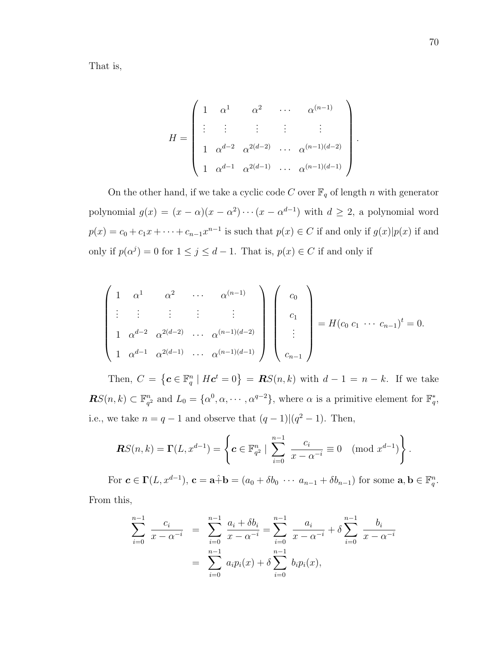That is,

$$
H = \begin{pmatrix} 1 & \alpha^{1} & \alpha^{2} & \cdots & \alpha^{(n-1)} \\ \vdots & \vdots & \vdots & \vdots & \vdots \\ 1 & \alpha^{d-2} & \alpha^{2(d-2)} & \cdots & \alpha^{(n-1)(d-2)} \\ 1 & \alpha^{d-1} & \alpha^{2(d-1)} & \cdots & \alpha^{(n-1)(d-1)} \end{pmatrix}
$$

On the other hand, if we take a cyclic code C over  $\mathbb{F}_q$  of length n with generator polynomial  $g(x) = (x - \alpha)(x - \alpha^2) \cdots (x - \alpha^{d-1})$  with  $d \ge 2$ , a polynomial word  $p(x) = c_0 + c_1x + \cdots + c_{n-1}x^{n-1}$  is such that  $p(x) \in C$  if and only if  $g(x)|p(x)$  if and only if  $p(\alpha^j) = 0$  for  $1 \leq j \leq d-1$ . That is,  $p(x) \in C$  if and only if

$$
\begin{pmatrix} 1 & \alpha^1 & \alpha^2 & \cdots & \alpha^{(n-1)} \\ \vdots & \vdots & \vdots & \vdots \\ 1 & \alpha^{d-2} & \alpha^{2(d-2)} & \cdots & \alpha^{(n-1)(d-2)} \\ 1 & \alpha^{d-1} & \alpha^{2(d-1)} & \cdots & \alpha^{(n-1)(d-1)} \end{pmatrix} \begin{pmatrix} c_0 \\ c_1 \\ \vdots \\ c_{n-1} \end{pmatrix} = H(c_0 \ c_1 \ \cdots \ c_{n-1})^t = 0.
$$

Then,  $C = \{c \in \mathbb{F}_q^n \mid Hc^t = 0\} = \mathbb{R}S(n,k)$  with  $d-1 = n-k$ . If we take  $RS(n, k) \subset \mathbb{F}_{a}^{n}$  $a_q^2$  and  $L_0 = \{ \alpha^0, \alpha, \cdots, \alpha^{q-2} \},\$  where  $\alpha$  is a primitive element for  $\mathbb{F}_q^*,$ i.e., we take  $n = q - 1$  and observe that  $(q - 1) \mid (q^2 - 1)$ . Then,

$$
\mathbf{R}S(n,k) = \Gamma(L, x^{d-1}) = \left\{ \mathbf{c} \in \mathbb{F}_{q^2}^n \mid \sum_{i=0}^{n-1} \frac{c_i}{x - \alpha^{-i}} \equiv 0 \pmod{x^{d-1}} \right\}.
$$

For  $\mathbf{c} \in \Gamma(L, x^{d-1}), \, \mathbf{c} = \mathbf{a} \hat{+} \mathbf{b} = (a_0 + \delta b_0 \ \cdots \ a_{n-1} + \delta b_{n-1})$  for some  $\mathbf{a}, \mathbf{b} \in \mathbb{F}_q^n$ . From this,

$$
\sum_{i=0}^{n-1} \frac{c_i}{x - \alpha^{-i}} = \sum_{i=0}^{n-1} \frac{a_i + \delta b_i}{x - \alpha^{-i}} = \sum_{i=0}^{n-1} \frac{a_i}{x - \alpha^{-i}} + \delta \sum_{i=0}^{n-1} \frac{b_i}{x - \alpha^{-i}}
$$

$$
= \sum_{i=0}^{n-1} a_i p_i(x) + \delta \sum_{i=0}^{n-1} b_i p_i(x),
$$

.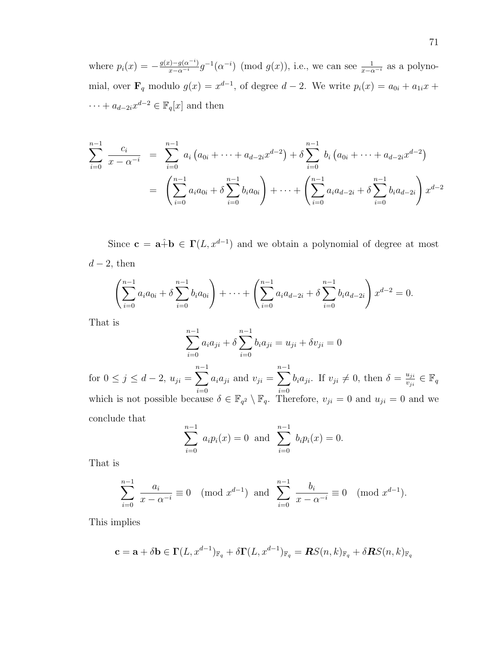where  $p_i(x) = -\frac{g(x) - g(\alpha^{-i})}{x - \alpha^{-i}} g^{-1}(\alpha^{-i}) \pmod{g(x)}$ , i.e., we can see  $\frac{1}{x - \alpha^{-i}}$  as a polynomial, over  $\mathbf{F}_q$  modulo  $g(x) = x^{d-1}$ , of degree  $d-2$ . We write  $p_i(x) = a_{0i} + a_{1i}x +$  $\cdots + a_{d-2i}x^{d-2} \in \mathbb{F}_q[x]$  and then

$$
\sum_{i=0}^{n-1} \frac{c_i}{x - \alpha^{-i}} = \sum_{i=0}^{n-1} a_i (a_{0i} + \dots + a_{d-2i} x^{d-2}) + \delta \sum_{i=0}^{n-1} b_i (a_{0i} + \dots + a_{d-2i} x^{d-2})
$$

$$
= \left( \sum_{i=0}^{n-1} a_i a_{0i} + \delta \sum_{i=0}^{n-1} b_i a_{0i} \right) + \dots + \left( \sum_{i=0}^{n-1} a_i a_{d-2i} + \delta \sum_{i=0}^{n-1} b_i a_{d-2i} \right) x^{d-2}
$$

Since  $\mathbf{c} = \mathbf{a} \hat{+} \mathbf{b} \in \Gamma(L, x^{d-1})$  and we obtain a polynomial of degree at most  $d-2$ , then

$$
\left(\sum_{i=0}^{n-1} a_i a_{0i} + \delta \sum_{i=0}^{n-1} b_i a_{0i}\right) + \cdots + \left(\sum_{i=0}^{n-1} a_i a_{d-2i} + \delta \sum_{i=0}^{n-1} b_i a_{d-2i}\right) x^{d-2} = 0.
$$

That is

$$
\sum_{i=0}^{n-1} a_i a_{ji} + \delta \sum_{i=0}^{n-1} b_i a_{ji} = u_{ji} + \delta v_{ji} = 0
$$

for  $0 \le j \le d-2$ ,  $u_{ji} = \sum_{j=1}^{n-1}$  $i=0$  $a_i a_{ji}$  and  $v_{ji} = \sum^{n-1}$  $i=0$  $b_i a_{ji}$ . If  $v_{ji} \neq 0$ , then  $\delta = \frac{u_{ji}}{v_{ji}}$  $\frac{u_{ji}}{v_{ji}} \in \mathbb{F}_q$ which is not possible because  $\delta \in \mathbb{F}_{q^2} \setminus \mathbb{F}_q$ . Therefore,  $v_{ji} = 0$  and  $u_{ji} = 0$  and we conclude that

$$
\sum_{i=0}^{n-1} a_i p_i(x) = 0 \text{ and } \sum_{i=0}^{n-1} b_i p_i(x) = 0.
$$

That is

$$
\sum_{i=0}^{n-1} \frac{a_i}{x - \alpha^{-i}} \equiv 0 \pmod{x^{d-1}} \text{ and } \sum_{i=0}^{n-1} \frac{b_i}{x - \alpha^{-i}} \equiv 0 \pmod{x^{d-1}}.
$$

This implies

$$
\mathbf{c} = \mathbf{a} + \delta \mathbf{b} \in \Gamma(L, x^{d-1})_{\mathbb{F}_q} + \delta \Gamma(L, x^{d-1})_{\mathbb{F}_q} = \mathbf{R} S(n, k)_{\mathbb{F}_q} + \delta \mathbf{R} S(n, k)_{\mathbb{F}_q}
$$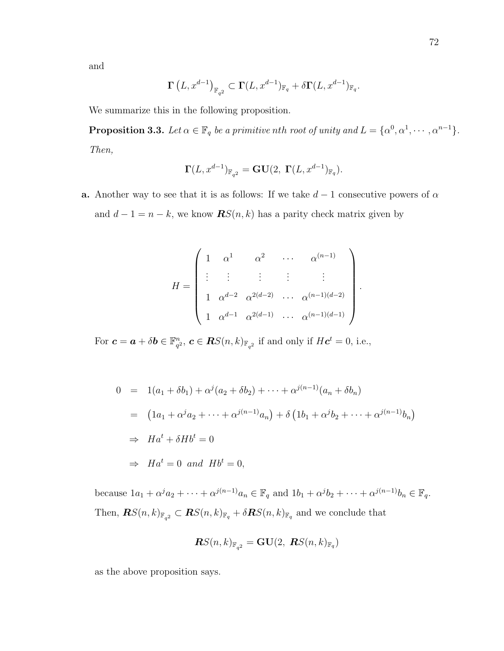and

$$
\Gamma\left(L, x^{d-1}\right)_{\mathbb{F}_{q^2}} \subset \Gamma(L, x^{d-1})_{\mathbb{F}_q} + \delta\Gamma(L, x^{d-1})_{\mathbb{F}_q}.
$$

We summarize this in the following proposition.

**Proposition 3.3.** Let  $\alpha \in \mathbb{F}_q$  be a primitive nth root of unity and  $L = {\alpha^0, \alpha^1, \cdots, \alpha^{n-1}}$ . Then,

$$
\Gamma(L,x^{d-1})_{{\mathbb F}_{q^2}} = \mathbf{GU}(2,\ \Gamma(L,x^{d-1})_{{\mathbb F}_q}).
$$

a. Another way to see that it is as follows: If we take  $d-1$  consecutive powers of  $\alpha$ and  $d-1 = n - k$ , we know  $\mathbf{R}S(n,k)$  has a parity check matrix given by

$$
H = \begin{pmatrix} 1 & \alpha^{1} & \alpha^{2} & \cdots & \alpha^{(n-1)} \\ \vdots & \vdots & \vdots & \vdots & \vdots \\ 1 & \alpha^{d-2} & \alpha^{2(d-2)} & \cdots & \alpha^{(n-1)(d-2)} \\ 1 & \alpha^{d-1} & \alpha^{2(d-1)} & \cdots & \alpha^{(n-1)(d-1)} \end{pmatrix}
$$

.

For  $\boldsymbol{c} = \boldsymbol{a} + \delta \boldsymbol{b} \in \mathbb{F}_{a}^{n}$  $q^2, c \in \mathbf{R}S(n,k)_{\mathbb{F}_{q^2}}$  if and only if  $H\mathbf{c}^t = 0$ , i.e.,

$$
0 = 1(a_1 + \delta b_1) + \alpha^j (a_2 + \delta b_2) + \dots + \alpha^{j(n-1)} (a_n + \delta b_n)
$$
  
\n
$$
= (1a_1 + \alpha^j a_2 + \dots + \alpha^{j(n-1)} a_n) + \delta (1b_1 + \alpha^j b_2 + \dots + \alpha^{j(n-1)} b_n)
$$
  
\n
$$
\Rightarrow Ha^t + \delta Hb^t = 0
$$
  
\n
$$
\Rightarrow Ha^t = 0 \text{ and } Hb^t = 0,
$$

because  $1a_1 + \alpha^j a_2 + \cdots + \alpha^{j(n-1)} a_n \in \mathbb{F}_q$  and  $1b_1 + \alpha^j b_2 + \cdots + \alpha^{j(n-1)} b_n \in \mathbb{F}_q$ . Then,  $\mathbf{R}S(n,k)_{\mathbb{F}_{q^2}} \subset \mathbf{R}S(n,k)_{\mathbb{F}_q} + \delta \mathbf{R}S(n,k)_{\mathbb{F}_q}$  and we conclude that

$$
\boldsymbol{R} S(n,k)_{\mathbb{F}_{q^2}}=\mathbf{GU}(2,\ \boldsymbol{R} S(n,k)_{\mathbb{F}_q})
$$

as the above proposition says.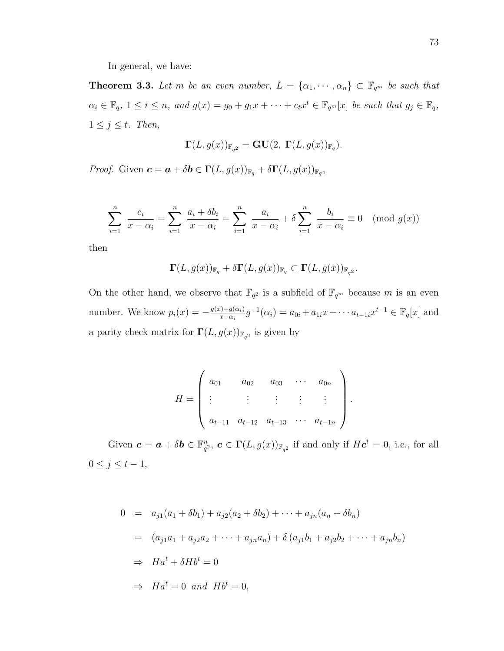In general, we have:

**Theorem 3.3.** Let m be an even number,  $L = {\alpha_1, \dots, \alpha_n} \subset \mathbb{F}_{q^m}$  be such that  $\alpha_i \in \mathbb{F}_q$ ,  $1 \leq i \leq n$ , and  $g(x) = g_0 + g_1 x + \cdots + c_t x^t \in \mathbb{F}_{q^m}[x]$  be such that  $g_j \in \mathbb{F}_q$ ,  $1 \leq j \leq t$ . Then,

$$
\Gamma(L, g(x))_{\mathbb{F}_{q^2}} = \mathbf{GU}(2, \ \Gamma(L, g(x))_{\mathbb{F}_q}).
$$

*Proof.* Given  $\mathbf{c} = \mathbf{a} + \delta \mathbf{b} \in \Gamma(L, g(x))_{\mathbb{F}_q} + \delta \Gamma(L, g(x))_{\mathbb{F}_q}$ ,

$$
\sum_{i=1}^{n} \frac{c_i}{x - \alpha_i} = \sum_{i=1}^{n} \frac{a_i + \delta b_i}{x - \alpha_i} = \sum_{i=1}^{n} \frac{a_i}{x - \alpha_i} + \delta \sum_{i=1}^{n} \frac{b_i}{x - \alpha_i} \equiv 0 \pmod{g(x)}
$$

then

$$
\Gamma(L, g(x))_{\mathbb{F}_q} + \delta \Gamma(L, g(x))_{\mathbb{F}_q} \subset \Gamma(L, g(x))_{\mathbb{F}_{q^2}}.
$$

On the other hand, we observe that  $\mathbb{F}_{q^2}$  is a subfield of  $\mathbb{F}_{q^m}$  because m is an even number. We know  $p_i(x) = -\frac{g(x) - g(\alpha_i)}{x - \alpha_i}$  $x_{\alpha-i}^{(i)}(a_i) = a_{0i} + a_{1i}x + \cdots + a_{t-1i}x^{t-1} \in \mathbb{F}_q[x]$  and a parity check matrix for  $\Gamma(L, g(x))_{\mathbb{F}_{q^2}}$  is given by

$$
H = \begin{pmatrix} a_{01} & a_{02} & a_{03} & \cdots & a_{0n} \\ \vdots & \vdots & \vdots & \vdots & \vdots \\ a_{t-11} & a_{t-12} & a_{t-13} & \cdots & a_{t-1n} \end{pmatrix}
$$

.

Given  $\boldsymbol{c} = \boldsymbol{a} + \delta \boldsymbol{b} \in \mathbb{F}_{q}^n$  $q^2$ ,  $\boldsymbol{c} \in \Gamma(L, g(x))_{\mathbb{F}_{q^2}}$  if and only if  $H\boldsymbol{c}^t = 0$ , i.e., for all  $0 \leq j \leq t-1$ ,

$$
0 = a_{j1}(a_1 + \delta b_1) + a_{j2}(a_2 + \delta b_2) + \cdots + a_{jn}(a_n + \delta b_n)
$$
  
\n
$$
= (a_{j1}a_1 + a_{j2}a_2 + \cdots + a_{jn}a_n) + \delta (a_{j1}b_1 + a_{j2}b_2 + \cdots + a_{jn}b_n)
$$
  
\n
$$
\Rightarrow Ha^t + \delta Hb^t = 0
$$
  
\n
$$
\Rightarrow Ha^t = 0 \text{ and } Hb^t = 0,
$$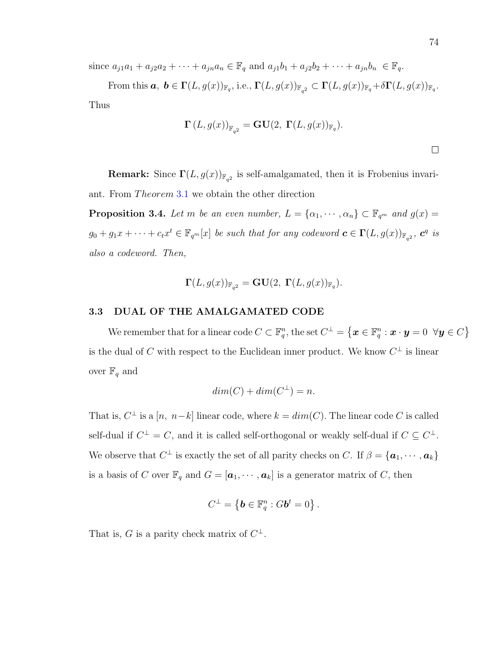since  $a_{j1}a_1 + a_{j2}a_2 + \cdots + a_{jn}a_n \in \mathbb{F}_q$  and  $a_{j1}b_1 + a_{j2}b_2 + \cdots + a_{jn}b_n \in \mathbb{F}_q$ .

From this  $a, b \in \Gamma(L, g(x))_{\mathbb{F}_q}$ , i.e.,  $\Gamma(L, g(x))_{\mathbb{F}_{q^2}} \subset \Gamma(L, g(x))_{\mathbb{F}_q} + \delta \Gamma(L, g(x))_{\mathbb{F}_q}$ . Thus

$$
\mathbf{\Gamma}(L,g(x))_{\mathbb{F}_{q^2}} = \mathbf{GU}(2, \ \mathbf{\Gamma}(L,g(x))_{\mathbb{F}_q}).
$$

**Remark:** Since  $\Gamma(L, g(x))_{\mathbb{F}_{q^2}}$  is self-amalgamated, then it is Frobenius invariant. From *Theorem* [3](#page-75-0).1 we obtain the other direction

**Proposition 3.4.** Let m be an even number,  $L = {\alpha_1, \dots, \alpha_n} \subset \mathbb{F}_{q^m}$  and  $g(x) =$  $g_0 + g_1x + \cdots + c_tx^t \in \mathbb{F}_{q^m}[x]$  be such that for any codeword  $\boldsymbol{c} \in \Gamma(L, g(x))_{\mathbb{F}_{q^2}}$ ,  $\boldsymbol{c}^q$  is also a codeword. Then,

$$
\Gamma(L, g(x))_{\mathbb{F}_{q^2}} = \mathbf{GU}(2, \ \Gamma(L, g(x))_{\mathbb{F}_q}).
$$

# 3.3 DUAL OF THE AMALGAMATED CODE

We remember that for a linear code  $C \subset \mathbb{F}_q^n,$  the set  $C^\perp = \big\{\bm{x} \in \mathbb{F}_q^n : \bm{x} \cdot \bm{y} = 0 \;\; \forall \bm{y} \in C\big\}$ is the dual of C with respect to the Euclidean inner product. We know  $C^{\perp}$  is linear over  $\mathbb{F}_q$  and

$$
dim(C) + dim(C^{\perp}) = n.
$$

That is,  $C^{\perp}$  is a  $[n, n-k]$  linear code, where  $k = dim(C)$ . The linear code C is called self-dual if  $C^{\perp} = C$ , and it is called self-orthogonal or weakly self-dual if  $C \subseteq C^{\perp}$ . We observe that  $C^{\perp}$  is exactly the set of all parity checks on C. If  $\beta = {\bf{a}}_1, \cdots, {\bf{a}}_k$ is a basis of C over  $\mathbb{F}_q$  and  $G = [\boldsymbol{a}_1, \cdots, \boldsymbol{a}_k]$  is a generator matrix of C, then

$$
C^{\perp} = \left\{ \boldsymbol{b} \in \mathbb{F}_q^n : G \boldsymbol{b}^t = 0 \right\}.
$$

That is, G is a parity check matrix of  $C^{\perp}$ .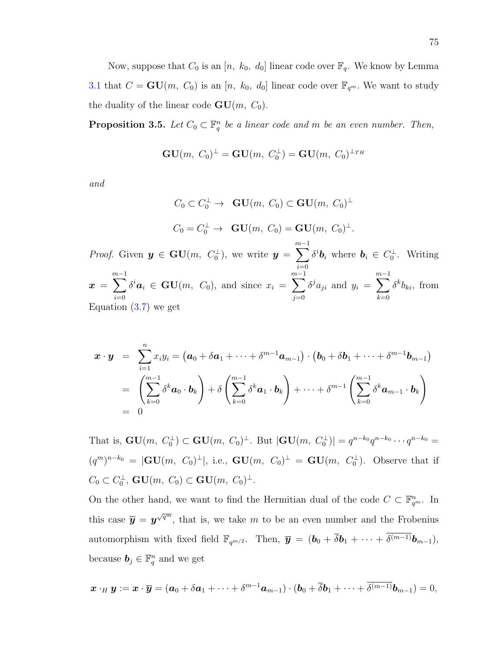Now, suppose that  $C_0$  is an  $[n, k_0, d_0]$  linear code over  $\mathbb{F}_q$ . We know by Lemma [3.1](#page-70-0) that  $C = \mathbf{GU}(m, C_0)$  is an  $[n, k_0, d_0]$  linear code over  $\mathbb{F}_{q^m}$ . We want to study the duality of the linear code  $GU(m, C_0)$ .

<span id="page-84-0"></span>**Proposition 3.5.** Let  $C_0 \subset \mathbb{F}_q^n$  be a linear code and m be an even number. Then,

$$
\mathbf{GU}(m, \; C_0)^\perp = \mathbf{GU}(m, \; C_0^\perp) = \mathbf{GU}(m, \; C_0)^{\perp_{TH}}
$$

and

$$
C_0 \subset C_0^{\perp} \to \mathbf{GU}(m, C_0) \subset \mathbf{GU}(m, C_0)^{\perp}
$$
  

$$
C_0 = C_0^{\perp} \to \mathbf{GU}(m, C_0) = \mathbf{GU}(m, C_0)^{\perp}.
$$

*Proof.* Given  $y \in GU(m, C_0^{\perp})$ , we write  $y =$  $\sum^{m-1}$  $i=0$  $\delta^i \mathbf{b}_i$  where  $\mathbf{b}_i \in C_0^{\perp}$ . Writing  $x =$  $\sum^{m-1}$  $i=0$  $\delta^i \mathbf{a}_i \in \mathbf{GU}(m, C_0)$ , and since  $x_i =$  $\sum^{m-1}$  $j=0$  $\delta^j a_{ji}$  and  $y_i =$  $\sum^{m-1}$  $_{k=0}$  $\delta^k b_{ki}$ , from Equation  $(3.7)$  we get

$$
\mathbf{x} \cdot \mathbf{y} = \sum_{i=1}^{n} x_i y_i = (\mathbf{a}_0 + \delta \mathbf{a}_1 + \dots + \delta^{m-1} \mathbf{a}_{m-1}) \cdot (\mathbf{b}_0 + \delta \mathbf{b}_1 + \dots + \delta^{m-1} \mathbf{b}_{m-1})
$$
  
= 
$$
\left( \sum_{k=0}^{m-1} \delta^k \mathbf{a}_0 \cdot \mathbf{b}_k \right) + \delta \left( \sum_{k=0}^{m-1} \delta^k \mathbf{a}_1 \cdot \mathbf{b}_k \right) + \dots + \delta^{m-1} \left( \sum_{k=0}^{m-1} \delta^k \mathbf{a}_{m-1} \cdot \mathbf{b}_k \right)
$$
  
= 0

That is,  $GU(m, C_0^{\perp}) \subset GU(m, C_0)^{\perp}$ . But  $|GU(m, C_0^{\perp})| = q^{n-k_0}q^{n-k_0} \cdots q^{n-k_0} =$  $(q^m)^{n-k_0} = |GU(m, C_0)^{\perp}|$ , i.e.,  $GU(m, C_0)^{\perp} = GU(m, C_0^{\perp})$ . Observe that if  $C_0 \subset C_0^{\perp}, \mathbf{GU}(m, C_0) \subset \mathbf{GU}(m, C_0)^{\perp}.$ 

On the other hand, we want to find the Hermitian dual of the code  $C \subset \mathbb{F}_{q^m}^n$ . In this case  $\bar{y} = y^{\sqrt{q^m}}$ , that is, we take m to be an even number and the Frobenius automorphism with fixed field  $\mathbb{F}_{q^{m/2}}$ . Then,  $\overline{y} = (b_0 + \overline{\delta}b_1 + \cdots + \overline{\delta^{(m-1)}}b_{m-1}),$ because  $\mathbf{b}_j \in \mathbb{F}_q^n$  and we get

$$
\boldsymbol{x}\cdot_H\boldsymbol{y}:=\boldsymbol{x}\cdot\overline{\boldsymbol{y}}=(\boldsymbol{a}_0+\delta \boldsymbol{a}_1+\cdots+\delta^{m-1}\boldsymbol{a}_{m-1})\cdot (\boldsymbol{b}_0+\overline{\delta} \boldsymbol{b}_1+\cdots+\overline{\delta^{(m-1)}}\boldsymbol{b}_{m-1})=0,
$$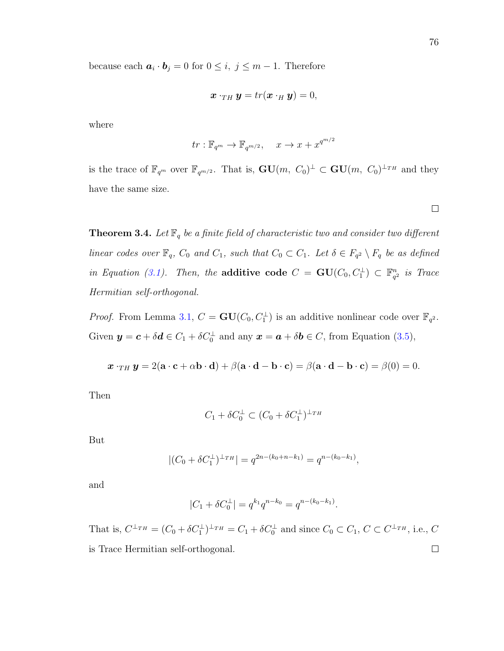because each  $a_i \cdot b_j = 0$  for  $0 \leq i, j \leq m-1$ . Therefore

$$
\boldsymbol{x}\cdot_{TH}\boldsymbol{y}=tr(\boldsymbol{x}\cdot_H\boldsymbol{y})=0,
$$

where

$$
tr: \mathbb{F}_{q^m} \to \mathbb{F}_{q^{m/2}}, \quad x \to x + x^{q^{m/2}}
$$

is the trace of  $\mathbb{F}_{q^m}$  over  $\mathbb{F}_{q^{m/2}}$ . That is,  $GU(m, C_0)^{\perp} \subset GU(m, C_0)^{\perp_{TH}}$  and they have the same size.

<span id="page-85-0"></span>**Theorem 3.4.** Let  $\mathbb{F}_q$  be a finite field of characteristic two and consider two different linear codes over  $\mathbb{F}_q$ ,  $C_0$  and  $C_1$ , such that  $C_0 \subset C_1$ . Let  $\delta \in F_{q^2} \setminus F_q$  be as defined in Equation [\(3.1\)](#page-62-0). Then, the **additive code**  $C = \mathbf{GU}(C_0, C_1^{\perp}) \subset \mathbb{F}_{q^2}^n$  $\frac{n}{q^2}$  is Trace Hermitian self-orthogonal.

*Proof.* From Lemma [3.1,](#page-70-0)  $C = \mathbf{GU}(C_0, C_1^{\perp})$  is an additive nonlinear code over  $\mathbb{F}_{q^2}$ . Given  $y = c + \delta d \in C_1 + \delta C_0^{\perp}$  and any  $x = a + \delta b \in C$ , from Equation [\(3.5\)](#page-65-0),

$$
\boldsymbol{x}\cdot_{TH}\boldsymbol{y}=2(\mathbf{a}\cdot\mathbf{c}+\alpha\mathbf{b}\cdot\mathbf{d})+\beta(\mathbf{a}\cdot\mathbf{d}-\mathbf{b}\cdot\mathbf{c})=\beta(\mathbf{a}\cdot\mathbf{d}-\mathbf{b}\cdot\mathbf{c})=\beta(0)=0.
$$

Then

$$
C_1 + \delta C_0^{\perp} \subset (C_0 + \delta C_1^{\perp})^{\perp_{TH}}
$$

But

$$
|(C_0 + \delta C_1^{\perp})^{\perp_{TH}}| = q^{2n - (k_0 + n - k_1)} = q^{n - (k_0 - k_1)},
$$

and

$$
|C_1 + \delta C_0^{\perp}| = q^{k_1} q^{n-k_0} = q^{n-(k_0-k_1)}.
$$

That is,  $C^{\perp_{TH}} = (C_0 + \delta C_1^{\perp})^{\perp_{TH}} = C_1 + \delta C_0^{\perp}$  and since  $C_0 \subset C_1$ ,  $C \subset C^{\perp_{TH}}$ , i.e.,  $C$ is Trace Hermitian self-orthogonal. $\Box$ 

 $\Box$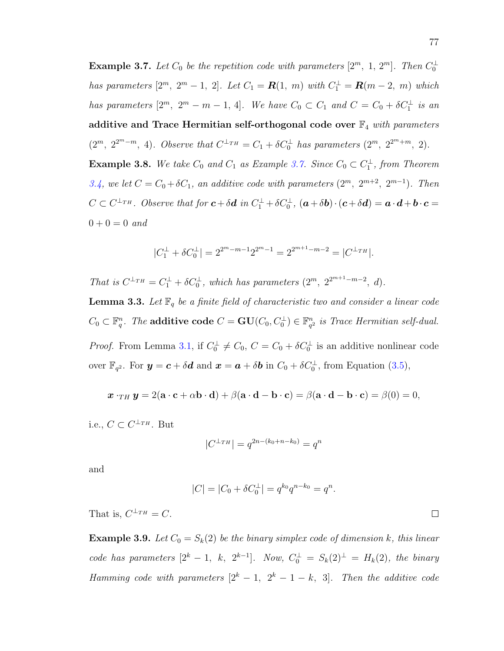<span id="page-86-0"></span>**Example 3.7.** Let  $C_0$  be the repetition code with parameters  $[2^m, 1, 2^m]$ . Then  $C_0^{\perp}$ has parameters  $[2^m, 2^m - 1, 2]$ . Let  $C_1 = \mathbf{R}(1, m)$  with  $C_1^{\perp} = \mathbf{R}(m - 2, m)$  which has parameters  $[2^m, 2^m - m - 1, 4]$ . We have  $C_0 \subset C_1$  and  $C = C_0 + \delta C_1^{\perp}$  is an additive and Trace Hermitian self-orthogonal code over  $\mathbb{F}_4$  with parameters  $(2^m, 2^{2^m-m}, 4)$ . Observe that  $C^{\perp_{TH}} = C_1 + \delta C_0^{\perp}$  has parameters  $(2^m, 2^{2^m+m}, 2)$ . **Example 3.8.** We take  $C_0$  and  $C_1$  as Example [3.7.](#page-86-0) Since  $C_0 \subset C_1^{\perp}$ , from Theorem [3.4,](#page-85-0) we let  $C = C_0 + \delta C_1$ , an additive code with parameters  $(2^m, 2^{m+2}, 2^{m-1})$ . Then  $C \subset C^{\perp_{TH}}$ . Observe that for  $c + \delta d$  in  $C_1^{\perp} + \delta C_0^{\perp}$ ,  $(a + \delta b) \cdot (c + \delta d) = a \cdot d + b \cdot c =$  $0 + 0 = 0$  and

$$
|C_1^{\perp} + \delta C_0^{\perp}| = 2^{2^m - m - 1} 2^{2^m - 1} = 2^{2^{m+1} - m - 2} = |C^{\perp_{TH}}|.
$$

That is  $C^{\perp_{TH}} = C_1^{\perp} + \delta C_0^{\perp}$ , which has parameters  $(2^m, 2^{2^{m+1}-m-2}, d)$ .

**Lemma 3.3.** Let  $\mathbb{F}_q$  be a finite field of characteristic two and consider a linear code  $C_0 \subset \mathbb{F}_q^n$ . The additive code  $C = \mathbf{GU}(C_0, C_0^{\perp}) \in \mathbb{F}_{q^2}^n$  $\frac{n}{q^2}$  is Trace Hermitian self-dual. *Proof.* From Lemma [3.1,](#page-70-0) if  $C_0^{\perp} \neq C_0$ ,  $C = C_0 + \delta C_0^{\perp}$  is an additive nonlinear code over  $\mathbb{F}_{q^2}$ . For  $y = c + \delta d$  and  $x = a + \delta b$  in  $C_0 + \delta C_0^{\perp}$ , from Equation [\(3.5\)](#page-65-0),

$$
\boldsymbol{x} \cdot_{TH} \boldsymbol{y} = 2(\mathbf{a} \cdot \mathbf{c} + \alpha \mathbf{b} \cdot \mathbf{d}) + \beta(\mathbf{a} \cdot \mathbf{d} - \mathbf{b} \cdot \mathbf{c}) = \beta(\mathbf{a} \cdot \mathbf{d} - \mathbf{b} \cdot \mathbf{c}) = \beta(0) = 0,
$$

i.e.,  $C \subset C^{\perp_{TH}}$ . But

$$
|C^{\perp_{TH}}| = q^{2n - (k_0 + n - k_0)} = q^n
$$

and

$$
|C| = |C_0 + \delta C_0^{\perp}| = q^{k_0} q^{n-k_0} = q^n.
$$

That is,  $C^{\perp_{TH}} = C$ .

**Example 3.9.** Let  $C_0 = S_k(2)$  be the binary simplex code of dimension k, this linear code has parameters  $[2^k - 1, k, 2^{k-1}]$ . Now,  $C_0^{\perp} = S_k(2)^{\perp} = H_k(2)$ , the binary Hamming code with parameters  $[2^k - 1, 2^k - 1 - k, 3]$ . Then the additive code

 $\Box$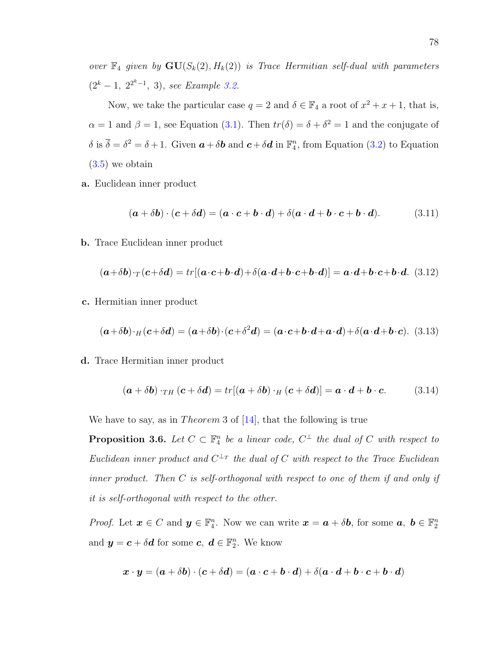over  $\mathbb{F}_4$  given by  $\mathbf{GU}(S_k(2), H_k(2))$  is Trace Hermitian self-dual with parameters  $(2<sup>k</sup> - 1, 2<sup>2<sup>k</sup> - 1, 3),</sup>$  see Example [3.2.](#page-67-0)

Now, we take the particular case  $q = 2$  and  $\delta \in \mathbb{F}_4$  a root of  $x^2 + x + 1$ , that is,  $\alpha = 1$  and  $\beta = 1$ , see Equation [\(3.1\)](#page-62-0). Then  $tr(\delta) = \delta + \delta^2 = 1$  and the conjugate of  $\delta$  is  $\overline{\delta} = \delta^2 = \delta + 1$ . Given  $\boldsymbol{a} + \delta \boldsymbol{b}$  and  $\boldsymbol{c} + \delta \boldsymbol{d}$  in  $\mathbb{F}_4^n$ , from Equation [\(3.2\)](#page-64-0) to Equation [\(3.5\)](#page-65-0) we obtain

a. Euclidean inner product

$$
(\mathbf{a} + \delta \mathbf{b}) \cdot (\mathbf{c} + \delta \mathbf{d}) = (\mathbf{a} \cdot \mathbf{c} + \mathbf{b} \cdot \mathbf{d}) + \delta (\mathbf{a} \cdot \mathbf{d} + \mathbf{b} \cdot \mathbf{c} + \mathbf{b} \cdot \mathbf{d}). \tag{3.11}
$$

b. Trace Euclidean inner product

<span id="page-87-0"></span>
$$
(\boldsymbol{a}+\delta\boldsymbol{b})\cdot_T(\boldsymbol{c}+\delta\boldsymbol{d})=tr[(\boldsymbol{a}\cdot\boldsymbol{c}+\boldsymbol{b}\cdot\boldsymbol{d})+\delta(\boldsymbol{a}\cdot\boldsymbol{d}+\boldsymbol{b}\cdot\boldsymbol{c}+\boldsymbol{b}\cdot\boldsymbol{d})]=\boldsymbol{a}\cdot\boldsymbol{d}+\boldsymbol{b}\cdot\boldsymbol{c}+\boldsymbol{b}\cdot\boldsymbol{d}.\tag{3.12}
$$

c. Hermitian inner product

$$
(\mathbf{a} + \delta \mathbf{b}) \cdot H(\mathbf{c} + \delta \mathbf{d}) = (\mathbf{a} + \delta \mathbf{b}) \cdot (\mathbf{c} + \delta^2 \mathbf{d}) = (\mathbf{a} \cdot \mathbf{c} + \mathbf{b} \cdot \mathbf{d} + \mathbf{a} \cdot \mathbf{d}) + \delta (\mathbf{a} \cdot \mathbf{d} + \mathbf{b} \cdot \mathbf{c}).
$$
 (3.13)

d. Trace Hermitian inner product

$$
(\boldsymbol{a} + \delta \boldsymbol{b}) \cdot_{TH} (\boldsymbol{c} + \delta \boldsymbol{d}) = tr[(\boldsymbol{a} + \delta \boldsymbol{b}) \cdot_H (\boldsymbol{c} + \delta \boldsymbol{d})] = \boldsymbol{a} \cdot \boldsymbol{d} + \boldsymbol{b} \cdot \boldsymbol{c}.
$$
 (3.14)

We have to say, as in *Theorem* 3 of  $[14]$ , that the following is true

**Proposition 3.6.** Let  $C \subset \mathbb{F}_4^n$  be a linear code,  $C^{\perp}$  the dual of C with respect to Euclidean inner product and  $C^{\perp_T}$  the dual of C with respect to the Trace Euclidean inner product. Then C is self-orthogonal with respect to one of them if and only if it is self-orthogonal with respect to the other.

*Proof.* Let  $\boldsymbol{x} \in C$  and  $\boldsymbol{y} \in \mathbb{F}_4^n$ . Now we can write  $\boldsymbol{x} = \boldsymbol{a} + \delta \boldsymbol{b}$ , for some  $\boldsymbol{a}, \boldsymbol{b} \in \mathbb{F}_2^n$ and  $y = c + \delta d$  for some  $c, d \in \mathbb{F}_2^n$ . We know

$$
\boldsymbol{x}\cdot\boldsymbol{y}=(\boldsymbol{a}+\delta\boldsymbol{b})\cdot(\boldsymbol{c}+\delta\boldsymbol{d})=(\boldsymbol{a}\cdot\boldsymbol{c}+\boldsymbol{b}\cdot\boldsymbol{d})+\delta(\boldsymbol{a}\cdot\boldsymbol{d}+\boldsymbol{b}\cdot\boldsymbol{c}+\boldsymbol{b}\cdot\boldsymbol{d})
$$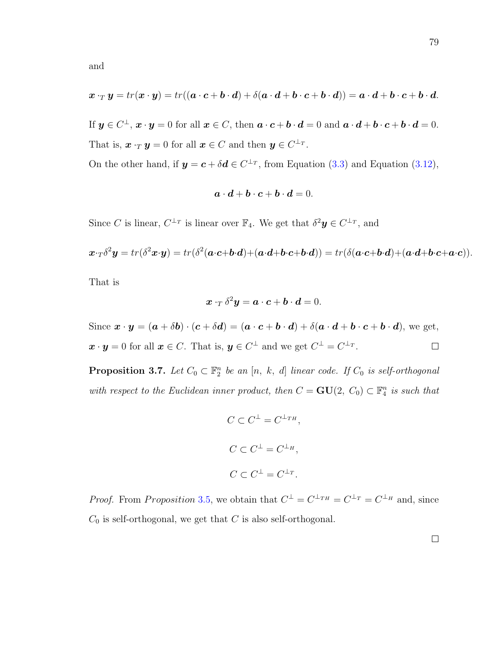If  $y \in C^{\perp}$ ,  $x \cdot y = 0$  for all  $x \in C$ , then  $a \cdot c + b \cdot d = 0$  and  $a \cdot d + b \cdot c + b \cdot d = 0$ . That is,  $\boldsymbol{x} \cdot_T \boldsymbol{y} = 0$  for all  $\boldsymbol{x} \in C$  and then  $\boldsymbol{y} \in C^{\perp_T}$ .

On the other hand, if  $y = c + \delta d \in C^{\perp_T}$ , from Equation [\(3.3\)](#page-64-1) and Equation [\(3.12\)](#page-87-0),

$$
a\cdot d + b\cdot c + b\cdot d = 0.
$$

Since C is linear,  $C^{\perp_T}$  is linear over  $\mathbb{F}_4$ . We get that  $\delta^2 \mathbf{y} \in C^{\perp_T}$ , and

$$
x \cdot_T \delta^2 y = tr(\delta^2 x \cdot y) = tr(\delta^2 (a \cdot c + b \cdot d) + (a \cdot d + b \cdot c + b \cdot d)) = tr(\delta (a \cdot c + b \cdot d) + (a \cdot d + b \cdot c + a \cdot c)).
$$

That is

$$
\boldsymbol{x}\cdot_T\delta^2\boldsymbol{y}=\boldsymbol{a}\cdot\boldsymbol{c}+\boldsymbol{b}\cdot\boldsymbol{d}=0.
$$

Since  $\mathbf{x} \cdot \mathbf{y} = (\mathbf{a} + \delta \mathbf{b}) \cdot (\mathbf{c} + \delta \mathbf{d}) = (\mathbf{a} \cdot \mathbf{c} + \mathbf{b} \cdot \mathbf{d}) + \delta (\mathbf{a} \cdot \mathbf{d} + \mathbf{b} \cdot \mathbf{c} + \mathbf{b} \cdot \mathbf{d}),$  we get,  $\boldsymbol{x} \cdot \boldsymbol{y} = 0$  for all  $\boldsymbol{x} \in C$ . That is,  $\boldsymbol{y} \in C^{\perp}$  and we get  $C^{\perp} = C^{\perp_T}$ .  $\Box$ 

**Proposition 3.7.** Let  $C_0 \subset \mathbb{F}_2^n$  be an  $[n, k, d]$  linear code. If  $C_0$  is self-orthogonal with respect to the Euclidean inner product, then  $C = \mathbf{GU}(2, C_0) \subset \mathbb{F}_4^n$  is such that

$$
C \subset C^{\perp} = C^{\perp_{TH}},
$$
  
\n
$$
C \subset C^{\perp} = C^{\perp_{H}},
$$
  
\n
$$
C \subset C^{\perp} = C^{\perp_{T}}.
$$

*Proof.* From Proposition 3.[5,](#page-84-0) we obtain that  $C^{\perp} = C^{\perp_{TH}} = C^{\perp_{T}} = C^{\perp_{H}}$  and, since  $C_0$  is self-orthogonal, we get that C is also self-orthogonal.

 $\Box$ 

and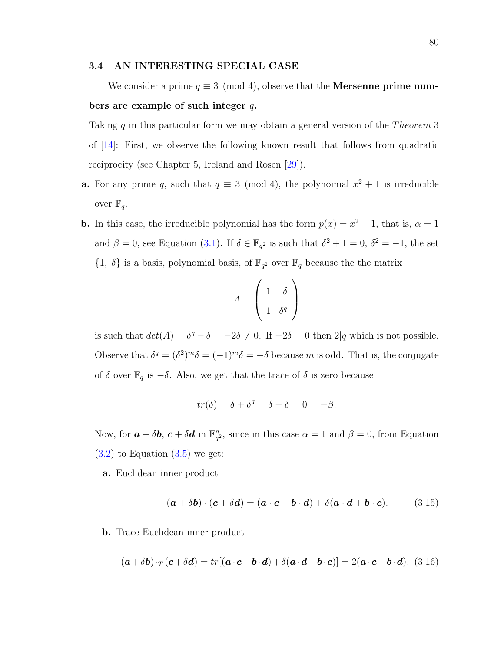## 3.4 AN INTERESTING SPECIAL CASE

We consider a prime  $q \equiv 3 \pmod{4}$ , observe that the **Mersenne prime num**bers are example of such integer  $q$ .

Taking q in this particular form we may obtain a general version of the Theorem 3 of [\[14\]](#page-128-0): First, we observe the following known result that follows from quadratic reciprocity (see Chapter 5, Ireland and Rosen [\[29\]](#page-129-0)).

- **a.** For any prime q, such that  $q \equiv 3 \pmod{4}$ , the polynomial  $x^2 + 1$  is irreducible over  $\mathbb{F}_q$ .
- **b.** In this case, the irreducible polynomial has the form  $p(x) = x^2 + 1$ , that is,  $\alpha = 1$ and  $\beta = 0$ , see Equation [\(3.1\)](#page-62-0). If  $\delta \in \mathbb{F}_{q^2}$  is such that  $\delta^2 + 1 = 0$ ,  $\delta^2 = -1$ , the set  $\{1, \delta\}$  is a basis, polynomial basis, of  $\mathbb{F}_{q^2}$  over  $\mathbb{F}_q$  because the the matrix

$$
A = \left(\begin{array}{cc} 1 & \delta \\ 1 & \delta^q \end{array}\right)
$$

is such that  $det(A) = \delta^q - \delta = -2\delta \neq 0$ . If  $-2\delta = 0$  then  $2|q$  which is not possible. Observe that  $\delta^q = (\delta^2)^m \delta = (-1)^m \delta = -\delta$  because m is odd. That is, the conjugate of  $\delta$  over  $\mathbb{F}_q$  is  $-\delta$ . Also, we get that the trace of  $\delta$  is zero because

$$
tr(\delta) = \delta + \delta^q = \delta - \delta = 0 = -\beta.
$$

Now, for  $\boldsymbol{a} + \delta \boldsymbol{b}$ ,  $\boldsymbol{c} + \delta \boldsymbol{d}$  in  $\mathbb{F}_q^n$  $_{q^2}^n$ , since in this case  $\alpha = 1$  and  $\beta = 0$ , from Equation  $(3.2)$  to Equation  $(3.5)$  we get:

a. Euclidean inner product

<span id="page-89-0"></span>
$$
(\boldsymbol{a} + \delta \boldsymbol{b}) \cdot (\boldsymbol{c} + \delta \boldsymbol{d}) = (\boldsymbol{a} \cdot \boldsymbol{c} - \boldsymbol{b} \cdot \boldsymbol{d}) + \delta (\boldsymbol{a} \cdot \boldsymbol{d} + \boldsymbol{b} \cdot \boldsymbol{c}). \tag{3.15}
$$

b. Trace Euclidean inner product

<span id="page-89-1"></span>
$$
(\mathbf{a} + \delta \mathbf{b}) \cdot_T (\mathbf{c} + \delta \mathbf{d}) = tr[(\mathbf{a} \cdot \mathbf{c} - \mathbf{b} \cdot \mathbf{d}) + \delta (\mathbf{a} \cdot \mathbf{d} + \mathbf{b} \cdot \mathbf{c})] = 2(\mathbf{a} \cdot \mathbf{c} - \mathbf{b} \cdot \mathbf{d}).
$$
 (3.16)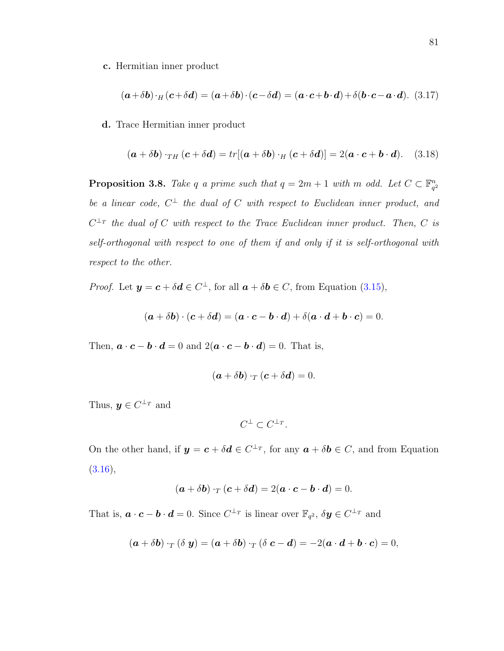c. Hermitian inner product

<span id="page-90-0"></span>
$$
(\boldsymbol{a} + \delta \boldsymbol{b}) \cdot \boldsymbol{h} (\boldsymbol{c} + \delta \boldsymbol{d}) = (\boldsymbol{a} + \delta \boldsymbol{b}) \cdot (\boldsymbol{c} - \delta \boldsymbol{d}) = (\boldsymbol{a} \cdot \boldsymbol{c} + \boldsymbol{b} \cdot \boldsymbol{d}) + \delta (\boldsymbol{b} \cdot \boldsymbol{c} - \boldsymbol{a} \cdot \boldsymbol{d}). \tag{3.17}
$$

d. Trace Hermitian inner product

<span id="page-90-1"></span>
$$
(\boldsymbol{a} + \delta \boldsymbol{b}) \cdot_{TH} (\boldsymbol{c} + \delta \boldsymbol{d}) = tr[(\boldsymbol{a} + \delta \boldsymbol{b}) \cdot_H (\boldsymbol{c} + \delta \boldsymbol{d})] = 2(\boldsymbol{a} \cdot \boldsymbol{c} + \boldsymbol{b} \cdot \boldsymbol{d}). \quad (3.18)
$$

**Proposition 3.8.** Take q a prime such that  $q = 2m + 1$  with m odd. Let  $C \subset \mathbb{F}_{q}^n$  $q^2$ be a linear code,  $C^{\perp}$  the dual of C with respect to Euclidean inner product, and  $C^{\perp_T}$  the dual of C with respect to the Trace Euclidean inner product. Then, C is self-orthogonal with respect to one of them if and only if it is self-orthogonal with respect to the other.

*Proof.* Let  $y = c + \delta d \in C^{\perp}$ , for all  $a + \delta b \in C$ , from Equation [\(3.15\)](#page-89-0),

$$
(\boldsymbol{a} + \delta \boldsymbol{b}) \cdot (\boldsymbol{c} + \delta \boldsymbol{d}) = (\boldsymbol{a} \cdot \boldsymbol{c} - \boldsymbol{b} \cdot \boldsymbol{d}) + \delta (\boldsymbol{a} \cdot \boldsymbol{d} + \boldsymbol{b} \cdot \boldsymbol{c}) = 0.
$$

Then,  $\mathbf{a} \cdot \mathbf{c} - \mathbf{b} \cdot \mathbf{d} = 0$  and  $2(\mathbf{a} \cdot \mathbf{c} - \mathbf{b} \cdot \mathbf{d}) = 0$ . That is,

$$
(\boldsymbol{a} + \delta \boldsymbol{b}) \cdot_T (\boldsymbol{c} + \delta \boldsymbol{d}) = 0.
$$

Thus,  $y \in C^{\perp_T}$  and

 $C^{\perp} \subset C^{\perp_T}.$ 

On the other hand, if  $y = c + \delta d \in C^{\perp_T}$ , for any  $a + \delta b \in C$ , and from Equation  $(3.16),$  $(3.16),$ 

$$
(\mathbf{a} + \delta \mathbf{b}) \cdot_T (\mathbf{c} + \delta \mathbf{d}) = 2(\mathbf{a} \cdot \mathbf{c} - \mathbf{b} \cdot \mathbf{d}) = 0.
$$

That is,  $\mathbf{a} \cdot \mathbf{c} - \mathbf{b} \cdot \mathbf{d} = 0$ . Since  $C^{\perp_T}$  is linear over  $\mathbb{F}_{q^2}$ ,  $\delta \mathbf{y} \in C^{\perp_T}$  and

$$
(\mathbf{a} + \delta \mathbf{b}) \cdot_T (\delta \mathbf{y}) = (\mathbf{a} + \delta \mathbf{b}) \cdot_T (\delta \mathbf{c} - \mathbf{d}) = -2(\mathbf{a} \cdot \mathbf{d} + \mathbf{b} \cdot \mathbf{c}) = 0,
$$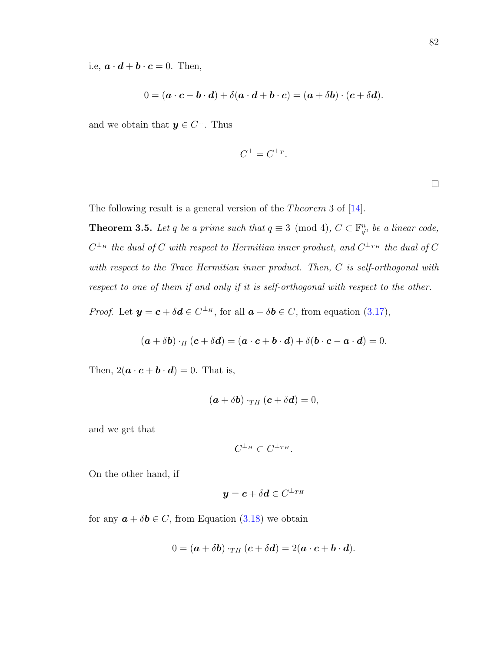i.e,  $\mathbf{a} \cdot \mathbf{d} + \mathbf{b} \cdot \mathbf{c} = 0$ . Then,

$$
0 = (\mathbf{a} \cdot \mathbf{c} - \mathbf{b} \cdot \mathbf{d}) + \delta(\mathbf{a} \cdot \mathbf{d} + \mathbf{b} \cdot \mathbf{c}) = (\mathbf{a} + \delta \mathbf{b}) \cdot (\mathbf{c} + \delta \mathbf{d}).
$$

and we obtain that  $y \in C^{\perp}$ . Thus

$$
C^{\perp} = C^{\perp_T}.
$$

 $\Box$ 

The following result is a general version of the *Theorem* 3 of  $[14]$ .

**Theorem 3.5.** Let q be a prime such that  $q \equiv 3 \pmod{4}$ ,  $C \subset \mathbb{F}_q^n$  $a_1^n$  be a linear code,  $C^{\perp_H}$  the dual of C with respect to Hermitian inner product, and  $C^{\perp_{TH}}$  the dual of C with respect to the Trace Hermitian inner product. Then, C is self-orthogonal with respect to one of them if and only if it is self-orthogonal with respect to the other.

*Proof.* Let  $y = c + \delta d \in C^{\perp_H}$ , for all  $a + \delta b \in C$ , from equation [\(3.17\)](#page-90-0),

$$
(\mathbf{a} + \delta \mathbf{b}) \cdot_H (\mathbf{c} + \delta \mathbf{d}) = (\mathbf{a} \cdot \mathbf{c} + \mathbf{b} \cdot \mathbf{d}) + \delta (\mathbf{b} \cdot \mathbf{c} - \mathbf{a} \cdot \mathbf{d}) = 0.
$$

Then,  $2(\mathbf{a} \cdot \mathbf{c} + \mathbf{b} \cdot \mathbf{d}) = 0$ . That is,

$$
(\boldsymbol{a} + \delta \boldsymbol{b}) \cdot_{TH} (\boldsymbol{c} + \delta \boldsymbol{d}) = 0,
$$

and we get that

$$
C^{\perp_H}\subset C^{\perp_{TH}}.
$$

On the other hand, if

$$
\bm{y} = \bm{c} + \delta \bm{d} \in C^{\perp_{TH}}
$$

for any  $\mathbf{a} + \delta \mathbf{b} \in C$ , from Equation [\(3.18\)](#page-90-1) we obtain

$$
0 = (\boldsymbol{a} + \delta \boldsymbol{b}) \cdot_{TH} (\boldsymbol{c} + \delta \boldsymbol{d}) = 2(\boldsymbol{a} \cdot \boldsymbol{c} + \boldsymbol{b} \cdot \boldsymbol{d}).
$$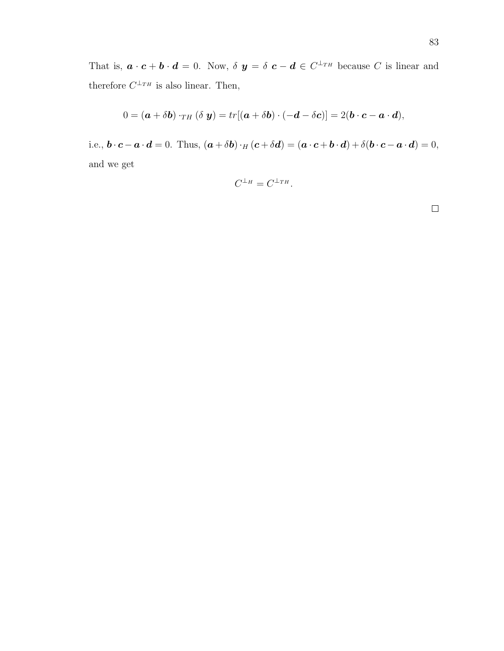That is,  $\mathbf{a} \cdot \mathbf{c} + \mathbf{b} \cdot \mathbf{d} = 0$ . Now,  $\delta \mathbf{y} = \delta \mathbf{c} - \mathbf{d} \in C^{\perp_{TH}}$  because C is linear and therefore  $C^{\perp_{TH}}$  is also linear. Then,

$$
0 = (\boldsymbol{a} + \delta \boldsymbol{b}) \cdot_{TH} (\delta \boldsymbol{y}) = tr[(\boldsymbol{a} + \delta \boldsymbol{b}) \cdot (-\boldsymbol{d} - \delta \boldsymbol{c})] = 2(\boldsymbol{b} \cdot \boldsymbol{c} - \boldsymbol{a} \cdot \boldsymbol{d}),
$$

i.e.,  $\mathbf{b} \cdot \mathbf{c} - \mathbf{a} \cdot \mathbf{d} = 0$ . Thus,  $(\mathbf{a} + \delta \mathbf{b}) \cdot H(\mathbf{c} + \delta \mathbf{d}) = (\mathbf{a} \cdot \mathbf{c} + \mathbf{b} \cdot \mathbf{d}) + \delta(\mathbf{b} \cdot \mathbf{c} - \mathbf{a} \cdot \mathbf{d}) = 0$ , and we get

$$
C^{\perp_H}=C^{\perp_{TH}}.
$$

 $\Box$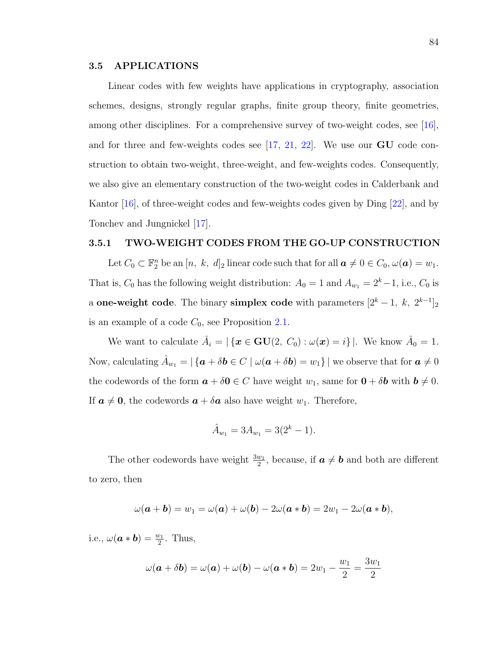## 3.5 APPLICATIONS

Linear codes with few weights have applications in cryptography, association schemes, designs, strongly regular graphs, finite group theory, finite geometries, among other disciplines. For a comprehensive survey of two-weight codes, see [\[16\]](#page-128-1), and for three and few-weights codes see  $[17, 21, 22]$  $[17, 21, 22]$  $[17, 21, 22]$  $[17, 21, 22]$ . We use our  $GU$  code construction to obtain two-weight, three-weight, and few-weights codes. Consequently, we also give an elementary construction of the two-weight codes in Calderbank and Kantor [\[16\]](#page-128-1), of three-weight codes and few-weights codes given by Ding [\[22\]](#page-129-1), and by Tonchev and Jungnickel [\[17\]](#page-128-2).

## 3.5.1 TWO-WEIGHT CODES FROM THE GO-UP CONSTRUCTION

Let  $C_0 \subset \mathbb{F}_2^n$  be an  $[n, k, d]_2$  linear code such that for all  $\mathbf{a} \neq 0 \in C_0, \omega(\mathbf{a}) = w_1$ . That is,  $C_0$  has the following weight distribution:  $A_0 = 1$  and  $A_{w_1} = 2<sup>k</sup> - 1$ , i.e.,  $C_0$  is a one-weight code. The binary simplex code with parameters  $[2^k - 1, k, 2^{k-1}]_2$ is an example of a code  $C_0$ , see Proposition [2.1.](#page-29-0)

We want to calculate  $\hat{A}_i = |\{\mathbf{x} \in \mathbf{GU}(2, C_0) : \omega(\mathbf{x}) = i\}|$ . We know  $\hat{A}_0 = 1$ . Now, calculating  $\hat{A}_{w_1} = |\{a + \delta b \in C \mid \omega(a + \delta b) = w_1\}|$  we observe that for  $a \neq 0$ the codewords of the form  $\mathbf{a} + \delta \mathbf{0} \in C$  have weight  $w_1$ , same for  $\mathbf{0} + \delta \mathbf{b}$  with  $\mathbf{b} \neq 0$ . If  $\mathbf{a} \neq \mathbf{0}$ , the codewords  $\mathbf{a} + \delta \mathbf{a}$  also have weight  $w_1$ . Therefore,

$$
\hat{A}_{w_1} = 3A_{w_1} = 3(2^k - 1).
$$

The other codewords have weight  $\frac{3w_1}{2}$ , because, if  $a \neq b$  and both are different to zero, then

$$
\omega(\mathbf{a}+\mathbf{b})=w_1=\omega(\mathbf{a})+\omega(\mathbf{b})-2\omega(\mathbf{a}*\mathbf{b})=2w_1-2\omega(\mathbf{a}*\mathbf{b}),
$$

i.e.,  $\omega(\mathbf{a} * \mathbf{b}) = \frac{w_1}{2}$ . Thus,

$$
\omega(\mathbf{a} + \delta \mathbf{b}) = \omega(\mathbf{a}) + \omega(\mathbf{b}) - \omega(\mathbf{a} * \mathbf{b}) = 2w_1 - \frac{w_1}{2} = \frac{3w_1}{2}
$$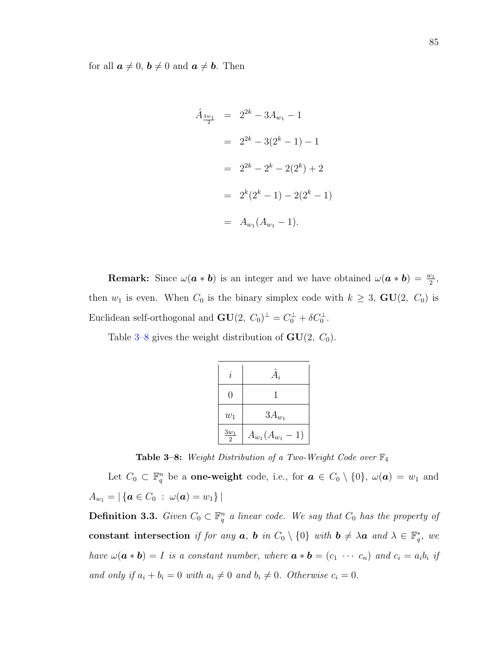for all  $\boldsymbol{a} \neq 0, \, \boldsymbol{b} \neq 0$  and  $\boldsymbol{a} \neq \boldsymbol{b}$ . Then

$$
\hat{A}_{\frac{3w_1}{2}} = 2^{2k} - 3A_{w_1} - 1
$$
  
=  $2^{2k} - 3(2^k - 1) - 1$   
=  $2^{2k} - 2^k - 2(2^k) + 2$   
=  $2^k(2^k - 1) - 2(2^k - 1)$   
=  $A_{w_1}(A_{w_1} - 1)$ .

**Remark:** Since  $\omega(\mathbf{a} * \mathbf{b})$  is an integer and we have obtained  $\omega(\mathbf{a} * \mathbf{b}) = \frac{w_1}{2}$ , then  $w_1$  is even. When  $C_0$  is the binary simplex code with  $k \geq 3$ ,  $GU(2, C_0)$  is Euclidean self-orthogonal and  $GU(2, C_0)^{\perp} = C_0^{\perp} + \delta C_0^{\perp}$ .

Table [3–8](#page-94-0) gives the weight distribution of  $GU(2, C_0)$ .

| $\dot{i}$        | $A_i$                    |  |  |
|------------------|--------------------------|--|--|
| 0                |                          |  |  |
| $w_1$            | $3A_{w_1}$               |  |  |
| $\frac{3w_1}{2}$ | $A_{w_1}(A_{w_1})$<br>1) |  |  |

<span id="page-94-0"></span>**Table 3–8:** Weight Distribution of a Two-Weight Code over  $\mathbb{F}_4$ 

Let  $C_0 \subset \mathbb{F}_q^n$  be a **one-weight** code, i.e., for  $\boldsymbol{a} \in C_0 \setminus \{0\}$ ,  $\omega(\boldsymbol{a}) = w_1$  and  $A_{w_1} = |\{ \mathbf{a} \in C_0 : \omega(\mathbf{a}) = w_1 \}|$ 

**Definition 3.3.** Given  $C_0 \subset \mathbb{F}_q^n$  a linear code. We say that  $C_0$  has the property of constant intersection if for any  $a, b$  in  $C_0 \setminus \{0\}$  with  $b \neq \lambda a$  and  $\lambda \in \mathbb{F}_q^*$ , we have  $\omega(\boldsymbol{a} * \boldsymbol{b}) = I$  is a constant number, where  $\boldsymbol{a} * \boldsymbol{b} = (c_1 \ \cdots \ c_n)$  and  $c_i = a_i b_i$  if and only if  $a_i + b_i = 0$  with  $a_i \neq 0$  and  $b_i \neq 0$ . Otherwise  $c_i = 0$ .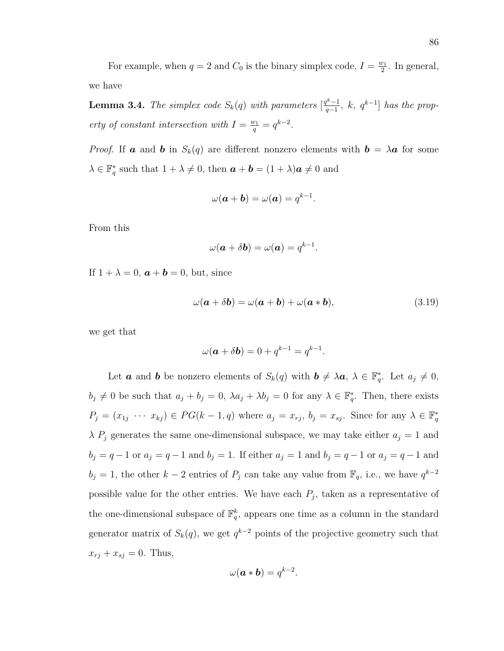<span id="page-95-1"></span>**Lemma 3.4.** The simplex code  $S_k(q)$  with parameters  $\left[\frac{q^{k-1}}{q-1}\right]$  $\frac{q^{k}-1}{q-1}$ , k,  $q^{k-1}$ ] has the property of constant intersection with  $I = \frac{w_1}{q} = q^{k-2}$ .

*Proof.* If **a** and **b** in  $S_k(q)$  are different nonzero elements with  $\mathbf{b} = \lambda \mathbf{a}$  for some  $\lambda \in \mathbb{F}_q^*$  such that  $1 + \lambda \neq 0$ , then  $\boldsymbol{a} + \boldsymbol{b} = (1 + \lambda)\boldsymbol{a} \neq 0$  and

$$
\omega(\mathbf{a} + \mathbf{b}) = \omega(\mathbf{a}) = q^{k-1}.
$$

From this

$$
\omega(\mathbf{a} + \delta \mathbf{b}) = \omega(\mathbf{a}) = q^{k-1}.
$$

If  $1 + \lambda = 0$ ,  $\boldsymbol{a} + \boldsymbol{b} = 0$ , but, since

<span id="page-95-0"></span>
$$
\omega(\mathbf{a} + \delta \mathbf{b}) = \omega(\mathbf{a} + \mathbf{b}) + \omega(\mathbf{a} * \mathbf{b}),
$$
\n(3.19)

we get that

$$
\omega(\mathbf{a} + \delta \mathbf{b}) = 0 + q^{k-1} = q^{k-1}.
$$

Let **a** and **b** be nonzero elements of  $S_k(q)$  with  $\mathbf{b} \neq \lambda \mathbf{a}, \lambda \in \mathbb{F}_q^*$ . Let  $a_j \neq 0$ ,  $b_j \neq 0$  be such that  $a_j + b_j = 0$ ,  $\lambda a_j + \lambda b_j = 0$  for any  $\lambda \in \mathbb{F}_q^*$ . Then, there exists  $P_j = (x_{1j} \cdots x_{kj}) \in PG(k-1, q)$  where  $a_j = x_{rj}, b_j = x_{sj}$ . Since for any  $\lambda \in \mathbb{F}_q^*$  $\lambda P_j$  generates the same one-dimensional subspace, we may take either  $a_j = 1$  and  $b_j = q - 1$  or  $a_j = q - 1$  and  $b_j = 1$ . If either  $a_j = 1$  and  $b_j = q - 1$  or  $a_j = q - 1$  and  $b_j = 1$ , the other  $k-2$  entries of  $P_j$  can take any value from  $\mathbb{F}_q$ , i.e., we have  $q^{k-2}$ possible value for the other entries. We have each  $P_j$ , taken as a representative of the one-dimensional subspace of  $\mathbb{F}_q^k$ , appears one time as a column in the standard generator matrix of  $S_k(q)$ , we get  $q^{k-2}$  points of the projective geometry such that  $x_{rj} + x_{sj} = 0$ . Thus,

$$
\omega(\mathbf{a} * \mathbf{b}) = q^{k-2}.
$$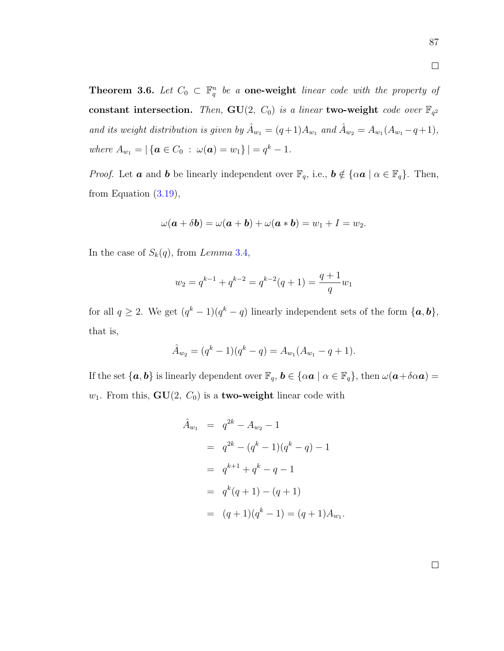<span id="page-96-0"></span>**Theorem 3.6.** Let  $C_0 \subset \mathbb{F}_q^n$  be a **one-weight** linear code with the property of constant intersection. Then,  $GU(2, C_0)$  is a linear two-weight code over  $\mathbb{F}_{q^2}$ and its weight distribution is given by  $\hat{A}_{w_1} = (q+1)A_{w_1}$  and  $\hat{A}_{w_2} = A_{w_1}(A_{w_1} - q + 1)$ , where  $A_{w_1} = |\{ \mathbf{a} \in C_0 : \omega(\mathbf{a}) = w_1 \}| = q^k - 1.$ 

*Proof.* Let **a** and **b** be linearly independent over  $\mathbb{F}_q$ , i.e.,  $\mathbf{b} \notin {\alpha \mathbf{a} \mid \alpha \in \mathbb{F}_q}$ . Then, from Equation  $(3.19)$ ,

$$
\omega(\boldsymbol{a} + \delta \boldsymbol{b}) = \omega(\boldsymbol{a} + \boldsymbol{b}) + \omega(\boldsymbol{a} * \boldsymbol{b}) = w_1 + I = w_2.
$$

In the case of  $S_k(q)$ , from Lemma 3.[4,](#page-95-1)

$$
w_2 = q^{k-1} + q^{k-2} = q^{k-2}(q+1) = \frac{q+1}{q}w_1
$$

for all  $q \ge 2$ . We get  $(q^k-1)(q^k-q)$  linearly independent sets of the form  $\{a, b\},\$ that is,

$$
\hat{A}_{w_2} = (q^k - 1)(q^k - q) = A_{w_1}(A_{w_1} - q + 1).
$$

If the set  $\{a, b\}$  is linearly dependent over  $\mathbb{F}_q$ ,  $b \in \{\alpha a \mid \alpha \in \mathbb{F}_q\}$ , then  $\omega(a+\delta \alpha a)$  $w_1$ . From this,  $GU(2, C_0)$  is a **two-weight** linear code with

$$
\hat{A}_{w_1} = q^{2k} - A_{w_2} - 1
$$
  
=  $q^{2k} - (q^k - 1)(q^k - q) - 1$   
=  $q^{k+1} + q^k - q - 1$   
=  $q^k(q+1) - (q+1)$   
=  $(q+1)(q^k - 1) = (q+1)A_{w_1}$ 

.

 $\Box$ 

 $\Box$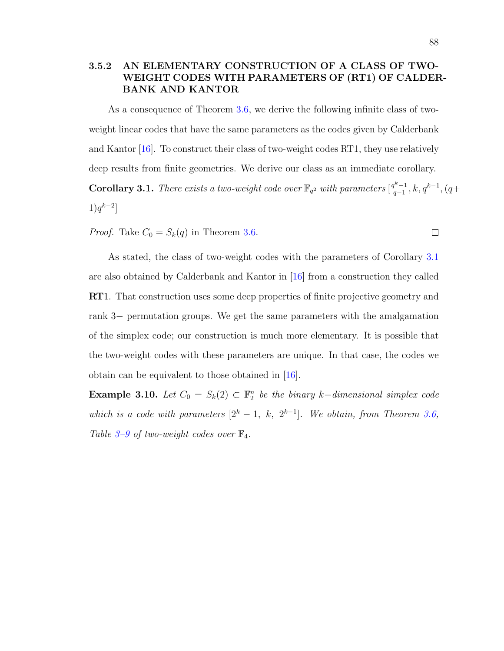# 3.5.2 AN ELEMENTARY CONSTRUCTION OF A CLASS OF TWO-WEIGHT CODES WITH PARAMETERS OF (RT1) OF CALDER-BANK AND KANTOR

As a consequence of Theorem [3.6,](#page-96-0) we derive the following infinite class of twoweight linear codes that have the same parameters as the codes given by Calderbank and Kantor [\[16\]](#page-128-1). To construct their class of two-weight codes RT1, they use relatively deep results from finite geometries. We derive our class as an immediate corollary. **Corollary 3.1.** There exists a two-weight code over  $\mathbb{F}_{q^2}$  with parameters  $\left[\frac{q^k-1}{q-1}\right]$  $q^{k-1}, k, q^{k-1}, (q+$  $1)q^{k-2}$ ]

<span id="page-97-0"></span>*Proof.* Take  $C_0 = S_k(q)$  in Theorem [3.6.](#page-96-0)

As stated, the class of two-weight codes with the parameters of Corollary [3.1](#page-97-0) are also obtained by Calderbank and Kantor in [\[16\]](#page-128-1) from a construction they called RT1. That construction uses some deep properties of finite projective geometry and rank 3− permutation groups. We get the same parameters with the amalgamation of the simplex code; our construction is much more elementary. It is possible that the two-weight codes with these parameters are unique. In that case, the codes we obtain can be equivalent to those obtained in [\[16\]](#page-128-1).

**Example 3.10.** Let  $C_0 = S_k(2) \subset \mathbb{F}_2^n$  be the binary k-dimensional simplex code which is a code with parameters  $[2^k - 1, k, 2^{k-1}]$ . We obtain, from Theorem [3.6,](#page-96-0) Table [3–9](#page-98-0) of two-weight codes over  $\mathbb{F}_4$ .

 $\Box$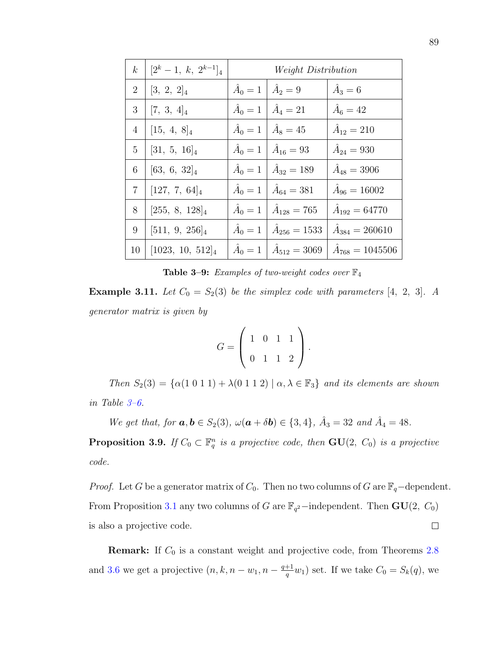| $\boldsymbol{k}$ | $[2^k-1, k, 2^{k-1}]_4$ | <i>Weight Distribution</i> |                                           |                           |
|------------------|-------------------------|----------------------------|-------------------------------------------|---------------------------|
| $\overline{2}$   | $[3, 2, 2]_4$           |                            | $\hat{A}_0 = 1   \hat{A}_2 = 9$           | $\hat{A}_3=6$             |
| 3                | $[7, 3, 4]_4$           |                            | $\hat{A}_0 = 1 \mid \hat{A}_4 = 21$       | $\hat{A}_6 = 42$          |
| 4                | $[15, 4, 8]_4$          | $\hat{A}_0=1$              | $\hat{A}_8 = 45$                          | $\hat{A}_{12} = 210$      |
| 5                | $[31, 5, 16]_4$         |                            | $\hat{A}_0 = 1   \hat{A}_{16} = 93$       | $\hat{A}_{24} = 930$      |
| 6                | $[63, 6, 32]_4$         |                            | $\hat{A}_0 = 1 \mid \hat{A}_{32} = 189$   | $\hat{A}_{48} = 3906$     |
| $\overline{7}$   | $[127, 7, 64]_4$        |                            | $\hat{A}_0 = 1 \mid \hat{A}_{64} = 381$   | $\hat{A}_{96} = 16002$    |
| 8                | $[255, 8, 128]_4$       | $\hat{A}_0=1$              | $\hat{A}_{128} = 765$                     | $\hat{A}_{192} = 64770$   |
| 9                | $[511, 9, 256]_4$       | $\hat{A}_0=1$              | $\hat{A}_{256} = 1533$                    | $\hat{A}_{384} = 260610$  |
| 10               | $[1023, 10, 512]_4$     |                            | $\hat{A}_0 = 1 \mid \hat{A}_{512} = 3069$ | $\hat{A}_{768} = 1045506$ |

<span id="page-98-0"></span>**Table 3-9:** Examples of two-weight codes over  $\mathbb{F}_4$ 

**Example 3.11.** Let  $C_0 = S_2(3)$  be the simplex code with parameters [4, 2, 3]. A generator matrix is given by

$$
G = \left(\begin{array}{rrr} 1 & 0 & 1 & 1 \\ 0 & 1 & 1 & 2 \end{array}\right).
$$

Then  $S_2(3) = {\alpha(1\ 0\ 1\ 1) + \lambda(0\ 1\ 1\ 2) | \alpha, \lambda \in \mathbb{F}_3}$  and its elements are shown in Table [3–6.](#page-69-0)

We get that, for  $a, b \in S_2(3)$ ,  $\omega(a + \delta b) \in \{3, 4\}$ ,  $\hat{A}_3 = 32$  and  $\hat{A}_4 = 48$ . **Proposition 3.9.** If  $C_0 \subset \mathbb{F}_q^n$  is a projective code, then  $GU(2, C_0)$  is a projective code.

*Proof.* Let G be a generator matrix of  $C_0$ . Then no two columns of G are  $\mathbb{F}_q$ -dependent. From Proposition [3.1](#page-72-0) any two columns of G are  $\mathbb{F}_{q^2}$ -independent. Then  $\mathbf{GU}(2, C_0)$  $\Box$ is also a projective code.

**Remark:** If  $C_0$  is a constant weight and projective code, from Theorems [2.8](#page-32-0) and [3.6](#page-96-0) we get a projective  $(n, k, n-w_1, n-\frac{q+1}{q})$  $\frac{+1}{q}w_1$ ) set. If we take  $C_0 = S_k(q)$ , we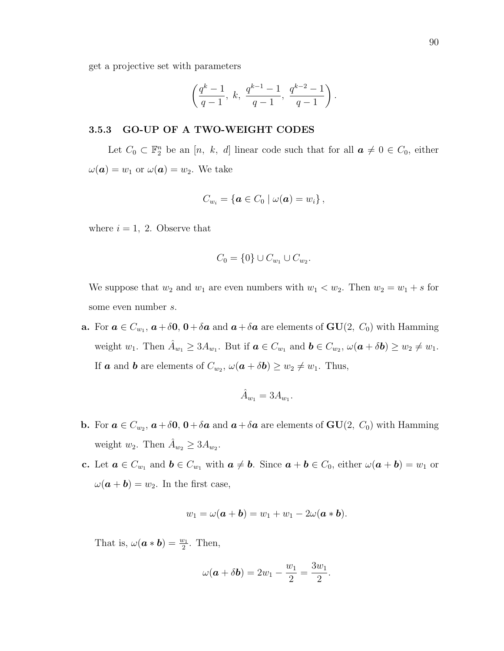get a projective set with parameters

$$
\left(\frac{q^k-1}{q-1}, \; k, \; \frac{q^{k-1}-1}{q-1}, \; \frac{q^{k-2}-1}{q-1}\right).
$$

### 3.5.3 GO-UP OF A TWO-WEIGHT CODES

Let  $C_0 \subset \mathbb{F}_2^n$  be an  $[n, k, d]$  linear code such that for all  $a \neq 0 \in C_0$ , either  $\omega(\boldsymbol{a}) = w_1$  or  $\omega(\boldsymbol{a}) = w_2$ . We take

$$
C_{w_i} = \{ \boldsymbol{a} \in C_0 \mid \omega(\boldsymbol{a}) = w_i \},
$$

where  $i = 1, 2$ . Observe that

$$
C_0 = \{0\} \cup C_{w_1} \cup C_{w_2}.
$$

We suppose that  $w_2$  and  $w_1$  are even numbers with  $w_1 < w_2$ . Then  $w_2 = w_1 + s$  for some even number s.

**a.** For  $a \in C_{w_1}$ ,  $a + \delta \mathbf{0}$ ,  $0 + \delta a$  and  $a + \delta a$  are elements of  $GU(2, C_0)$  with Hamming weight  $w_1$ . Then  $\hat{A}_{w_1} \geq 3A_{w_1}$ . But if  $\mathbf{a} \in C_{w_1}$  and  $\mathbf{b} \in C_{w_2}$ ,  $\omega(\mathbf{a} + \delta \mathbf{b}) \geq w_2 \neq w_1$ . If **a** and **b** are elements of  $C_{w_2}$ ,  $\omega(\mathbf{a} + \delta \mathbf{b}) \geq w_2 \neq w_1$ . Thus,

$$
\hat{A}_{w_1} = 3A_{w_1}.
$$

- **b.** For  $a \in C_{w_2}$ ,  $a + \delta \mathbf{0}$ ,  $0 + \delta a$  and  $a + \delta a$  are elements of  $GU(2, C_0)$  with Hamming weight  $w_2$ . Then  $\hat{A}_{w_2} \geq 3A_{w_2}$ .
- c. Let  $\boldsymbol{a} \in C_{w_1}$  and  $\boldsymbol{b} \in C_{w_1}$  with  $\boldsymbol{a} \neq \boldsymbol{b}$ . Since  $\boldsymbol{a} + \boldsymbol{b} \in C_0$ , either  $\omega(\boldsymbol{a} + \boldsymbol{b}) = w_1$  or  $\omega(\mathbf{a} + \mathbf{b}) = w_2$ . In the first case,

$$
w_1 = \omega(\mathbf{a} + \mathbf{b}) = w_1 + w_1 - 2\omega(\mathbf{a} * \mathbf{b}).
$$

That is,  $\omega(\mathbf{a} * \mathbf{b}) = \frac{w_1}{2}$ . Then,

$$
\omega(\mathbf{a} + \delta \mathbf{b}) = 2w_1 - \frac{w_1}{2} = \frac{3w_1}{2}.
$$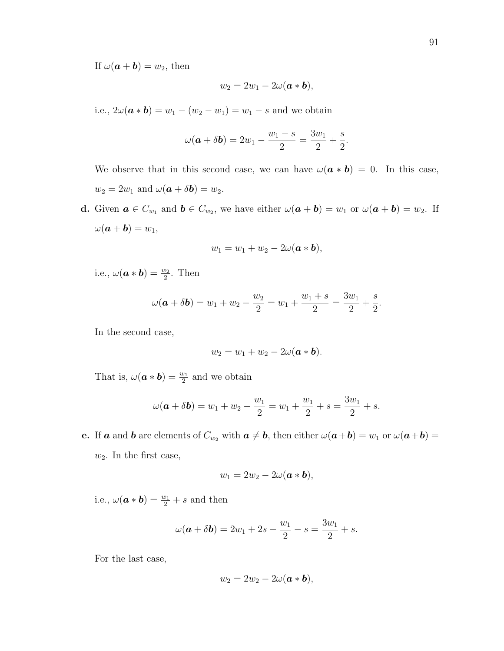If  $\omega(\mathbf{a} + \mathbf{b}) = w_2$ , then

$$
w_2=2w_1-2\omega(\mathbf{a}*\mathbf{b}),
$$

i.e.,  $2\omega(\mathbf{a} * \mathbf{b}) = w_1 - (w_2 - w_1) = w_1 - s$  and we obtain

$$
\omega(\mathbf{a} + \delta \mathbf{b}) = 2w_1 - \frac{w_1 - s}{2} = \frac{3w_1}{2} + \frac{s}{2}.
$$

We observe that in this second case, we can have  $\omega(\mathbf{a} * \mathbf{b}) = 0$ . In this case,  $w_2 = 2w_1$  and  $\omega(\mathbf{a} + \delta \mathbf{b}) = w_2$ .

**d.** Given  $a \in C_{w_1}$  and  $b \in C_{w_2}$ , we have either  $\omega(a+b) = w_1$  or  $\omega(a+b) = w_2$ . If  $\omega(\boldsymbol{a} + \boldsymbol{b}) = w_1$ ,

$$
w_1 = w_1 + w_2 - 2\omega(\mathbf{a} * \mathbf{b}),
$$

i.e.,  $\omega(\mathbf{a} * \mathbf{b}) = \frac{w_2}{2}$ . Then

$$
\omega(\mathbf{a} + \delta \mathbf{b}) = w_1 + w_2 - \frac{w_2}{2} = w_1 + \frac{w_1 + s}{2} = \frac{3w_1}{2} + \frac{s}{2}.
$$

In the second case,

$$
w_2 = w_1 + w_2 - 2\omega(\mathbf{a} * \mathbf{b}).
$$

That is,  $\omega(\mathbf{a} * \mathbf{b}) = \frac{w_1}{2}$  and we obtain

$$
\omega(\mathbf{a} + \delta \mathbf{b}) = w_1 + w_2 - \frac{w_1}{2} = w_1 + \frac{w_1}{2} + s = \frac{3w_1}{2} + s.
$$

e. If a and b are elements of  $C_{w_2}$  with  $a \neq b$ , then either  $\omega(a+b) = w_1$  or  $\omega(a+b) =$  $w_2$ . In the first case,

$$
w_1=2w_2-2\omega(\mathbf{a}*\mathbf{b}),
$$

i.e.,  $\omega(\mathbf{a} * \mathbf{b}) = \frac{w_1}{2} + s$  and then

$$
\omega(\mathbf{a} + \delta \mathbf{b}) = 2w_1 + 2s - \frac{w_1}{2} - s = \frac{3w_1}{2} + s.
$$

For the last case,

$$
w_2=2w_2-2\omega(\boldsymbol{a}*\boldsymbol{b}),
$$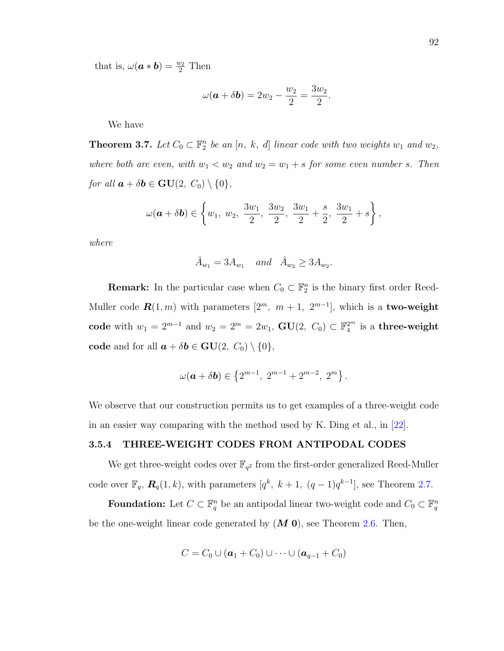that is,  $\omega(\boldsymbol{a} * \boldsymbol{b}) = \frac{w_2}{2}$  Then

$$
\omega(\mathbf{a}+\delta\mathbf{b})=2w_2-\frac{w_2}{2}=\frac{3w_2}{2}.
$$

We have

**Theorem 3.7.** Let  $C_0 \subset \mathbb{F}_2^n$  be an [n, k, d] linear code with two weights  $w_1$  and  $w_2$ , where both are even, with  $w_1 < w_2$  and  $w_2 = w_1 + s$  for some even number s. Then for all  $\mathbf{a} + \delta \mathbf{b} \in \mathbf{GU}(2, C_0) \setminus \{0\},\$ 

$$
\omega(\mathbf{a} + \delta \mathbf{b}) \in \left\{ w_1, w_2, \frac{3w_1}{2}, \frac{3w_2}{2}, \frac{3w_1}{2} + \frac{s}{2}, \frac{3w_1}{2} + s \right\},\,
$$

where

$$
\hat{A}_{w_1} = 3A_{w_1} \quad and \quad \hat{A}_{w_2} \ge 3A_{w_2}
$$

.

**Remark:** In the particular case when  $C_0 \subset \mathbb{F}_2^n$  is the binary first order Reed-Muller code  $\mathbf{R}(1,m)$  with parameters  $[2^m, m+1, 2^{m-1}]$ , which is a two-weight code with  $w_1 = 2^{m-1}$  and  $w_2 = 2^m = 2w_1$ ,  $GU(2, C_0) \subset \mathbb{F}_4^{2^m}$  is a three-weight code and for all  $\mathbf{a} + \delta \mathbf{b} \in \mathbf{GU}(2, C_0) \setminus \{0\},\$ 

$$
\omega(\mathbf{a} + \delta \mathbf{b}) \in \left\{2^{m-1},\ 2^{m-1} + 2^{m-2},\ 2^m\right\}.
$$

We observe that our construction permits us to get examples of a three-weight code in an easier way comparing with the method used by K. Ding et al., in [\[22\]](#page-129-1).

## 3.5.4 THREE-WEIGHT CODES FROM ANTIPODAL CODES

We get three-weight codes over  $\mathbb{F}_{q^2}$  from the first-order generalized Reed-Muller code over  $\mathbb{F}_q$ ,  $\mathbf{R}_q(1,k)$ , with parameters  $[q^k, k+1, (q-1)q^{k-1}]$ , see Theorem [2.7.](#page-30-0)

Foundation: Let  $C \subset \mathbb{F}_q^n$  be an antipodal linear two-weight code and  $C_0 \subset \mathbb{F}_q^n$ be the one-weight linear code generated by  $(M 0)$ , see Theorem [2.6.](#page-29-1) Then,

$$
C=C_0\cup (\boldsymbol{a}_1+C_0)\cup\cdots\cup (\boldsymbol{a}_{q-1}+C_0)
$$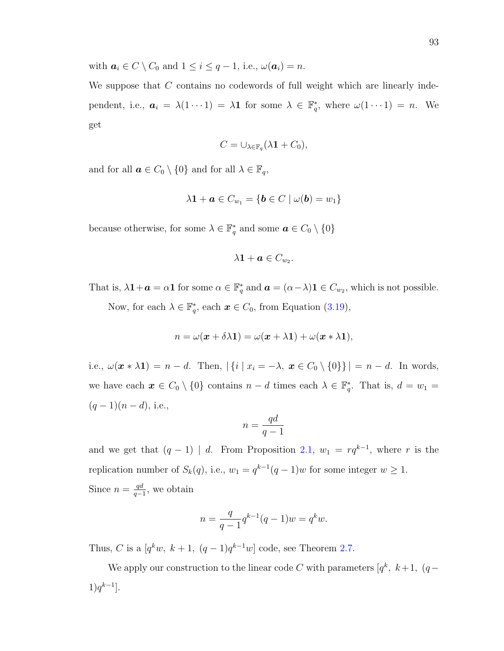with  $a_i \in C \setminus C_0$  and  $1 \le i \le q-1$ , i.e.,  $\omega(a_i) = n$ .

We suppose that  $C$  contains no codewords of full weight which are linearly independent, i.e.,  $a_i = \lambda(1 \cdots 1) = \lambda \mathbf{1}$  for some  $\lambda \in \mathbb{F}_q^*$ , where  $\omega(1 \cdots 1) = n$ . We get

$$
C=\cup_{\lambda\in\mathbb{F}_q}(\lambda\mathbf{1}+C_0),
$$

and for all  $\boldsymbol{a} \in C_0 \setminus \{0\}$  and for all  $\lambda \in \mathbb{F}_q$ ,

$$
\lambda \mathbf{1} + \boldsymbol{a} \in C_{w_1} = \{ \boldsymbol{b} \in C \mid \omega(\boldsymbol{b}) = w_1 \}
$$

because otherwise, for some  $\lambda \in \mathbb{F}_q^*$  and some  $\boldsymbol{a} \in C_0 \setminus \{0\}$ 

$$
\lambda \mathbf{1} + \boldsymbol{a} \in C_{w_2}.
$$

That is,  $\lambda \mathbf{1} + \mathbf{a} = \alpha \mathbf{1}$  for some  $\alpha \in \mathbb{F}_q^*$  and  $\mathbf{a} = (\alpha - \lambda) \mathbf{1} \in C_{w_2}$ , which is not possible.

Now, for each  $\lambda \in \mathbb{F}_q^*$ , each  $\boldsymbol{x} \in C_0$ , from Equation [\(3.19\)](#page-95-0),

$$
n = \omega(\mathbf{x} + \delta \lambda \mathbf{1}) = \omega(\mathbf{x} + \lambda \mathbf{1}) + \omega(\mathbf{x} * \lambda \mathbf{1}),
$$

i.e.,  $\omega(\mathbf{x} * \lambda \mathbf{1}) = n - d$ . Then,  $|\{i \mid x_i = -\lambda, \mathbf{x} \in C_0 \setminus \{0\}\}| = n - d$ . In words, we have each  $x \in C_0 \setminus \{0\}$  contains  $n - d$  times each  $\lambda \in \mathbb{F}_q^*$ . That is,  $d = w_1 =$  $(q-1)(n-d)$ , i.e.,

$$
n = \frac{qd}{q-1}
$$

and we get that  $(q-1)$  | d. From Proposition [2.1,](#page-29-0)  $w_1 = rq^{k-1}$ , where r is the replication number of  $S_k(q)$ , i.e.,  $w_1 = q^{k-1}(q-1)w$  for some integer  $w \ge 1$ . Since  $n = \frac{qd}{q}$  $\frac{qa}{q-1}$ , we obtain

$$
n = \frac{q}{q-1}q^{k-1}(q-1)w = q^k w.
$$

Thus, C is a  $[q^k w, k+1, (q-1)q^{k-1} w]$  code, see Theorem [2.7.](#page-30-0)

We apply our construction to the linear code C with parameters  $[q^k, k+1, (q-\mathcal{E})]$  $1)q^{k-1}$ .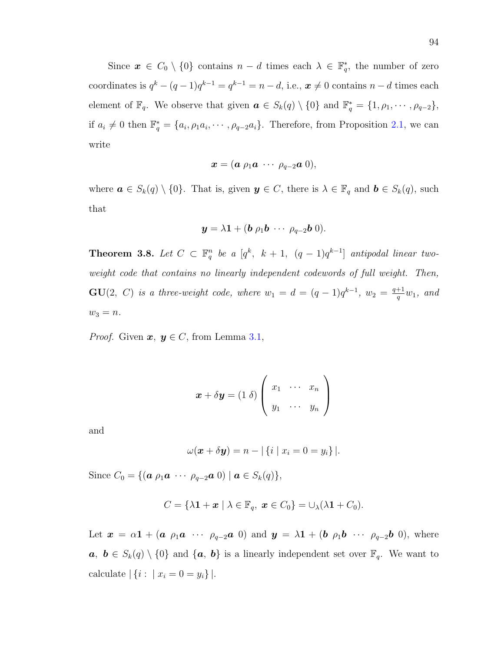Since  $\mathbf{x} \in C_0 \setminus \{0\}$  contains  $n - d$  times each  $\lambda \in \mathbb{F}_q^*$ , the number of zero coordinates is  $q^k - (q-1)q^{k-1} = q^{k-1} = n-d$ , i.e.,  $x \neq 0$  contains  $n-d$  times each element of  $\mathbb{F}_q$ . We observe that given  $\boldsymbol{a} \in S_k(q) \setminus \{0\}$  and  $\mathbb{F}_q^* = \{1, \rho_1, \cdots, \rho_{q-2}\},\$ if  $a_i \neq 0$  then  $\mathbb{F}_q^* = \{a_i, \rho_1 a_i, \cdots, \rho_{q-2} a_i\}$ . Therefore, from Proposition [2.1,](#page-29-0) we can write

$$
\boldsymbol{x}=(\boldsymbol{a}\;\rho_1\boldsymbol{a}\;\cdots\;\rho_{q-2}\boldsymbol{a}\;0),
$$

where  $\mathbf{a} \in S_k(q) \setminus \{0\}$ . That is, given  $\mathbf{y} \in C$ , there is  $\lambda \in \mathbb{F}_q$  and  $\mathbf{b} \in S_k(q)$ , such that

$$
\mathbf{y} = \lambda \mathbf{1} + (\mathbf{b} \rho_1 \mathbf{b} \cdots \rho_{q-2} \mathbf{b} \ 0).
$$

<span id="page-103-0"></span>**Theorem 3.8.** Let  $C \subset \mathbb{F}_q^n$  be a  $[q^k, k+1, (q-1)q^{k-1}]$  antipodal linear twoweight code that contains no linearly independent codewords of full weight. Then,  $\mathbf{GU}(2, C)$  is a three-weight code, where  $w_1 = d = (q-1)q^{k-1}$ ,  $w_2 = \frac{q+1}{q}$  $\frac{+1}{q}w_1$ , and  $w_3 = n.$ 

*Proof.* Given  $x, y \in C$ , from Lemma [3.1,](#page-70-0)

$$
\boldsymbol{x} + \delta \boldsymbol{y} = (1 \delta) \left( \begin{array}{ccc} x_1 & \cdots & x_n \\ y_1 & \cdots & y_n \end{array} \right)
$$

and

$$
\omega(\boldsymbol{x} + \delta \boldsymbol{y}) = n - |\{i \mid x_i = 0 = y_i\}|.
$$

Since  $C_0 = \{(\boldsymbol{a} \rho_1 \boldsymbol{a} \cdots \rho_{q-2} \boldsymbol{a} \boldsymbol{0}) \mid \boldsymbol{a} \in S_k(q)\},\$ 

$$
C = \{ \lambda \mathbf{1} + \mathbf{x} \mid \lambda \in \mathbb{F}_q, \ \mathbf{x} \in C_0 \} = \cup_{\lambda} (\lambda \mathbf{1} + C_0).
$$

Let  $\mathbf{x} = \alpha \mathbf{1} + (\mathbf{a} \ \rho_1 \mathbf{a} \ \cdots \ \rho_{q-2} \mathbf{a} \ 0)$  and  $\mathbf{y} = \lambda \mathbf{1} + (\mathbf{b} \ \rho_1 \mathbf{b} \ \cdots \ \rho_{q-2} \mathbf{b} \ 0)$ , where  $a, b \in S_k(q) \setminus \{0\}$  and  $\{a, b\}$  is a linearly independent set over  $\mathbb{F}_q$ . We want to calculate  $| \{ i : | x_i = 0 = y_i \} |$ .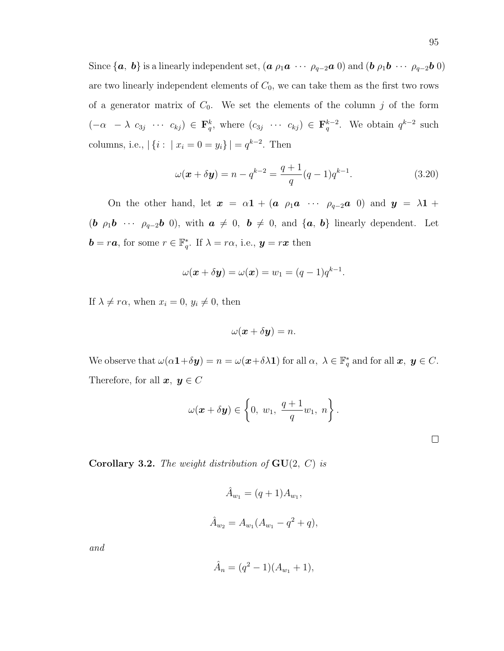Since  $\{a, b\}$  is a linearly independent set,  $(a \rho_1 a \cdots \rho_{q-2} a \ 0)$  and  $(b \rho_1 b \cdots \rho_{q-2} b \ 0)$ are two linearly independent elements of  $C_0$ , we can take them as the first two rows of a generator matrix of  $C_0$ . We set the elements of the column j of the form  $(-\alpha - \lambda c_{3j} \cdots c_{kj}) \in \mathbf{F}_q^k$ , where  $(c_{3j} \cdots c_{kj}) \in \mathbf{F}_q^{k-2}$ . We obtain  $q^{k-2}$  such columns, i.e.,  $|\{i : | x_i = 0 = y_i\}| = q^{k-2}$ . Then

<span id="page-104-0"></span>
$$
\omega(\boldsymbol{x} + \delta \boldsymbol{y}) = n - q^{k-2} = \frac{q+1}{q}(q-1)q^{k-1}.
$$
 (3.20)

On the other hand, let  $x = \alpha \mathbf{1} + (\mathbf{a} \rho_1 \mathbf{a} \cdots \rho_{q-2} \mathbf{a} 0)$  and  $y = \lambda \mathbf{1} + \lambda \mathbf{a}$ (b  $\rho_1$ b · · ·  $\rho_{q-2}$ b 0), with  $a \neq 0$ ,  $b \neq 0$ , and  $\{a, b\}$  linearly dependent. Let  $\mathbf{b} = r\mathbf{a}$ , for some  $r \in \mathbb{F}_q^*$ . If  $\lambda = r\alpha$ , i.e.,  $\mathbf{y} = r\mathbf{x}$  then

$$
\omega(\boldsymbol{x} + \delta \boldsymbol{y}) = \omega(\boldsymbol{x}) = w_1 = (q-1)q^{k-1}.
$$

If  $\lambda \neq r\alpha$ , when  $x_i = 0, y_i \neq 0$ , then

$$
\omega(\boldsymbol{x} + \delta \boldsymbol{y}) = n.
$$

We observe that  $\omega(\alpha \mathbf{1} + \delta \mathbf{y}) = n = \omega(\mathbf{x} + \delta \lambda \mathbf{1})$  for all  $\alpha, \lambda \in \mathbb{F}_q^*$  and for all  $\mathbf{x}, \mathbf{y} \in C$ . Therefore, for all  $x, y \in C$ 

$$
\omega(\boldsymbol{x}+\delta\boldsymbol{y})\in\left\{0, w_1, \frac{q+1}{q}w_1, n\right\}.
$$

<span id="page-104-1"></span>**Corollary 3.2.** The weight distribution of  $GU(2, C)$  is

$$
\hat{A}_{w_1} = (q+1)A_{w_1},
$$
  

$$
\hat{A}_{w_2} = A_{w_1}(A_{w_1} - q^2 + q),
$$

and

$$
\hat{A}_n = (q^2 - 1)(A_{w_1} + 1),
$$

 $\Box$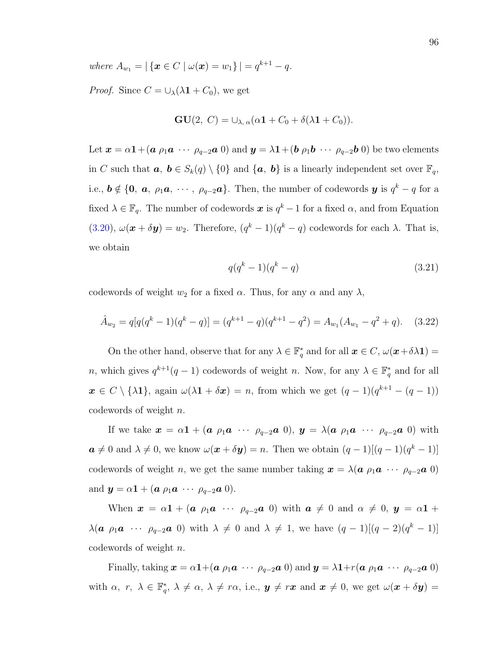where  $A_{w_1} = |\{ \mathbf{x} \in C \mid \omega(\mathbf{x}) = w_1 \}| = q^{k+1} - q.$ 

*Proof.* Since  $C = \bigcup_{\lambda} (\lambda \mathbf{1} + C_0)$ , we get

$$
GU(2, C) = \bigcup_{\lambda, \alpha} (\alpha \mathbf{1} + C_0 + \delta(\lambda \mathbf{1} + C_0)).
$$

Let  $x = \alpha \mathbf{1} + (a \rho_1 a \cdots \rho_{q-2} a 0)$  and  $y = \lambda \mathbf{1} + (b \rho_1 b \cdots \rho_{q-2} b 0)$  be two elements in C such that  $a, b \in S_k(q) \setminus \{0\}$  and  $\{a, b\}$  is a linearly independent set over  $\mathbb{F}_q$ , i.e.,  $\mathbf{b} \notin \{\mathbf{0}, \mathbf{a}, \rho_1 \mathbf{a}, \cdots, \rho_{q-2} \mathbf{a}\}.$  Then, the number of codewords  $\mathbf{y}$  is  $q^k - q$  for a fixed  $\lambda \in \mathbb{F}_q$ . The number of codewords  $\boldsymbol{x}$  is  $q^k-1$  for a fixed  $\alpha$ , and from Equation [\(3.20\)](#page-104-0),  $\omega(\mathbf{x} + \delta \mathbf{y}) = w_2$ . Therefore,  $(q^k - 1)(q^k - q)$  codewords for each  $\lambda$ . That is, we obtain

$$
q(q^k - 1)(q^k - q) \tag{3.21}
$$

codewords of weight  $w_2$  for a fixed  $\alpha$ . Thus, for any  $\alpha$  and any  $\lambda$ ,

<span id="page-105-0"></span>
$$
\hat{A}_{w_2} = q[q(q^k - 1)(q^k - q)] = (q^{k+1} - q)(q^{k+1} - q^2) = A_{w_1}(A_{w_1} - q^2 + q). \tag{3.22}
$$

On the other hand, observe that for any  $\lambda \in \mathbb{F}_q^*$  and for all  $\mathbf{x} \in C$ ,  $\omega(\mathbf{x} + \delta \lambda \mathbf{1}) =$ n, which gives  $q^{k+1}(q-1)$  codewords of weight n. Now, for any  $\lambda \in \mathbb{F}_q^*$  and for all  $x \in C \setminus {\lambda 1}$ , again  $\omega(\lambda \mathbf{1} + \delta x) = n$ , from which we get  $(q - 1)(q^{k+1} - (q - 1))$ codewords of weight n.

If we take  $\mathbf{x} = \alpha \mathbf{1} + (\mathbf{a} \rho_1 \mathbf{a} \cdots \rho_{q-2} \mathbf{a} \mathbf{0}), \mathbf{y} = \lambda (\mathbf{a} \rho_1 \mathbf{a} \cdots \rho_{q-2} \mathbf{a} \mathbf{0})$  with  $a \neq 0$  and  $\lambda \neq 0$ , we know  $\omega(x + \delta y) = n$ . Then we obtain  $(q - 1)[(q - 1)(q^k - 1)]$ codewords of weight *n*, we get the same number taking  $\mathbf{x} = \lambda (\mathbf{a} \rho_1 \mathbf{a} \cdots \rho_{q-2} \mathbf{a} \mathbf{0})$ and  $y = \alpha \mathbf{1} + (\boldsymbol{a} \; \rho_1 \boldsymbol{a} \; \cdots \; \rho_{q-2} \boldsymbol{a} \; 0).$ 

When  $\mathbf{x} = \alpha \mathbf{1} + (\mathbf{a} \rho_1 \mathbf{a} \cdots \rho_{q-2} \mathbf{a} \ \ 0)$  with  $\mathbf{a} \neq 0$  and  $\alpha \neq 0$ ,  $\mathbf{y} = \alpha \mathbf{1} + \alpha \rho_1 \mathbf{a} \cdots \mathbf{a} \mathbf{a}$  $\lambda(\mathbf{a} \rho_1 \mathbf{a} \cdots \rho_{q-2} \mathbf{a} 0)$  with  $\lambda \neq 0$  and  $\lambda \neq 1$ , we have  $(q-1)[(q-2)(q^k-1)]$ codewords of weight n.

Finally, taking  $\mathbf{x} = \alpha \mathbf{1} + (\mathbf{a} \rho_1 \mathbf{a} \cdots \rho_{q-2} \mathbf{a} \mathbf{0})$  and  $\mathbf{y} = \lambda \mathbf{1} + r(\mathbf{a} \rho_1 \mathbf{a} \cdots \rho_{q-2} \mathbf{a} \mathbf{0})$ with  $\alpha$ ,  $r$ ,  $\lambda \in \mathbb{F}_q^*$ ,  $\lambda \neq \alpha$ ,  $\lambda \neq r\alpha$ , i.e.,  $y \neq r\mathbf{x}$  and  $\mathbf{x} \neq 0$ , we get  $\omega(\mathbf{x} + \delta \mathbf{y}) =$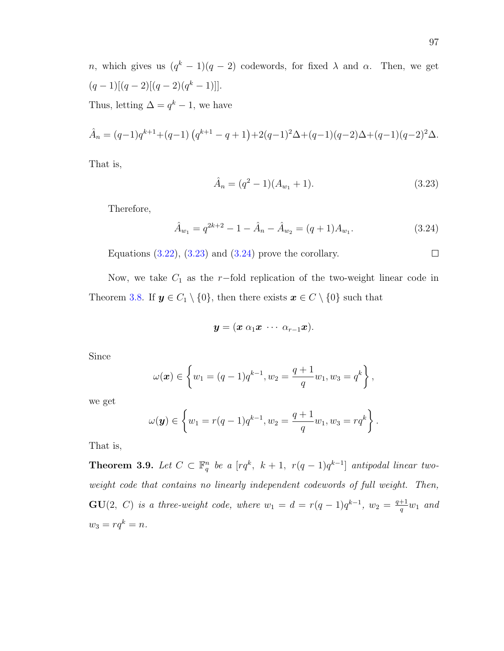n, which gives us  $(q^k-1)(q-2)$  codewords, for fixed  $\lambda$  and  $\alpha$ . Then, we get  $(q-1)[(q-2)[(q-2)(q<sup>k</sup>-1)]].$ Thus, letting  $\Delta = q^k - 1$ , we have

$$
\hat{A}_n = (q-1)q^{k+1} + (q-1)\left(q^{k+1} - q + 1\right) + 2(q-1)^2\Delta + (q-1)(q-2)\Delta + (q-1)(q-2)^2\Delta.
$$

That is,

<span id="page-106-0"></span>
$$
\hat{A}_n = (q^2 - 1)(A_{w_1} + 1). \tag{3.23}
$$

Therefore,

<span id="page-106-1"></span>
$$
\hat{A}_{w_1} = q^{2k+2} - 1 - \hat{A}_n - \hat{A}_{w_2} = (q+1)A_{w_1}.
$$
\n(3.24)

Equations  $(3.22)$ ,  $(3.23)$  and  $(3.24)$  prove the corollary.

Now, we take  $C_1$  as the r−fold replication of the two-weight linear code in Theorem [3.8.](#page-103-0) If  $y \in C_1 \setminus \{0\}$ , then there exists  $x \in C \setminus \{0\}$  such that

$$
\boldsymbol{y}=(\boldsymbol{x}\;\alpha_1\boldsymbol{x}\;\cdots\;\alpha_{r-1}\boldsymbol{x}).
$$

Since

$$
\omega(\boldsymbol{x}) \in \left\{ w_1 = (q-1)q^{k-1}, w_2 = \frac{q+1}{q}w_1, w_3 = q^k \right\},\,
$$

we get

$$
\omega(\mathbf{y}) \in \left\{ w_1 = r(q-1)q^{k-1}, w_2 = \frac{q+1}{q}w_1, w_3 = rq^k \right\}.
$$

That is,

**Theorem 3.9.** Let  $C \subset \mathbb{F}_q^n$  be a  $[rq^k, k+1, r(q-1)q^{k-1}]$  antipodal linear twoweight code that contains no linearly independent codewords of full weight. Then,  $GU(2, C)$  is a three-weight code, where  $w_1 = d = r(q-1)q^{k-1}$ ,  $w_2 = \frac{q+1}{q}$  $\frac{+1}{q}w_1$  and  $w_3 = rq^k = n.$ 

 $\Box$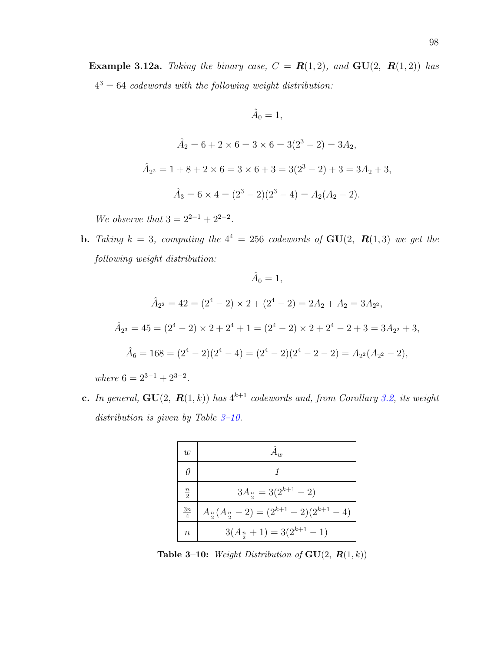$$
\hat{A}_0 = 1,
$$
  

$$
\hat{A}_2 = 6 + 2 \times 6 = 3 \times 6 = 3(2^3 - 2) = 3A_2,
$$
  

$$
\hat{A}_{2^2} = 1 + 8 + 2 \times 6 = 3 \times 6 + 3 = 3(2^3 - 2) + 3 = 3A_2 + 3,
$$

$$
\hat{A}_3 = 6 \times 4 = (2^3 - 2)(2^3 - 4) = A_2(A_2 - 2).
$$

We observe that  $3 = 2^{2-1} + 2^{2-2}$ .

**b.** Taking  $k = 3$ , computing the  $4^4 = 256$  codewords of  $GU(2, R(1,3))$  we get the following weight distribution:

$$
\hat{A}_0 = 1,
$$
  
\n
$$
\hat{A}_{2^2} = 42 = (2^4 - 2) \times 2 + (2^4 - 2) = 2A_2 + A_2 = 3A_{2^2},
$$
  
\n
$$
\hat{A}_{2^3} = 45 = (2^4 - 2) \times 2 + 2^4 + 1 = (2^4 - 2) \times 2 + 2^4 - 2 + 3 = 3A_{2^2} + 3,
$$
  
\n
$$
\hat{A}_6 = 168 = (2^4 - 2)(2^4 - 4) = (2^4 - 2)(2^4 - 2 - 2) = A_{2^2}(A_{2^2} - 2),
$$

where  $6 = 2^{3-1} + 2^{3-2}$ .

**c.** In general,  $GU(2, R(1, k))$  has  $4^{k+1}$  codewords and, from Corollary [3.2,](#page-104-1) its weight distribution is given by Table [3–10.](#page-107-0)



<span id="page-107-0"></span>Table 3–10: Weight Distribution of  $GU(2, R(1, k))$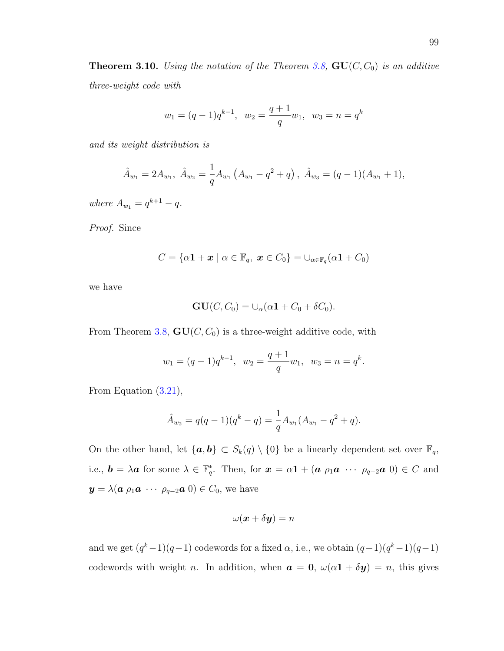**Theorem 3.10.** Using the notation of the Theorem [3.8,](#page-103-0)  $GU(C, C_0)$  is an additive three-weight code with

$$
w_1 = (q-1)q^{k-1}, w_2 = \frac{q+1}{q}w_1, w_3 = n = q^k
$$

and its weight distribution is

$$
\hat{A}_{w_1} = 2A_{w_1}, \ \hat{A}_{w_2} = \frac{1}{q}A_{w_1}\left(A_{w_1} - q^2 + q\right), \ \hat{A}_{w_3} = (q-1)(A_{w_1} + 1),
$$

where  $A_{w_1} = q^{k+1} - q$ .

Proof. Since

$$
C = \{ \alpha \mathbf{1} + \boldsymbol{x} \mid \alpha \in \mathbb{F}_q, \ \boldsymbol{x} \in C_0 \} = \cup_{\alpha \in \mathbb{F}_q} (\alpha \mathbf{1} + C_0)
$$

we have

$$
\mathbf{GU}(C, C_0) = \cup_{\alpha} (\alpha \mathbf{1} + C_0 + \delta C_0).
$$

From Theorem [3.8,](#page-103-0)  $GU(C, C_0)$  is a three-weight additive code, with

$$
w_1 = (q-1)q^{k-1}, w_2 = \frac{q+1}{q}w_1, w_3 = n = q^k.
$$

From Equation [\(3.21\)](#page-105-0),

$$
\hat{A}_{w_2} = q(q-1)(q^k - q) = \frac{1}{q}A_{w_1}(A_{w_1} - q^2 + q).
$$

On the other hand, let  $\{a, b\} \subset S_k(q) \setminus \{0\}$  be a linearly dependent set over  $\mathbb{F}_q$ , i.e.,  $\mathbf{b} = \lambda \mathbf{a}$  for some  $\lambda \in \mathbb{F}_q^*$ . Then, for  $\mathbf{x} = \alpha \mathbf{1} + (\mathbf{a} \rho_1 \mathbf{a} \cdots \rho_{q-2} \mathbf{a} \mathbf{0}) \in C$  and  $y = \lambda(\mathbf{a} \rho_1 \mathbf{a} \cdots \rho_{q-2} \mathbf{a} \mathbf{0}) \in C_0$ , we have

$$
\omega(\boldsymbol{x}+\delta\boldsymbol{y})=n
$$

and we get  $(q^k-1)(q-1)$  codewords for a fixed  $\alpha$ , i.e., we obtain  $(q-1)(q^k-1)(q-1)$ codewords with weight *n*. In addition, when  $\boldsymbol{a} = \boldsymbol{0}$ ,  $\omega(\alpha \boldsymbol{1} + \delta \boldsymbol{y}) = n$ , this gives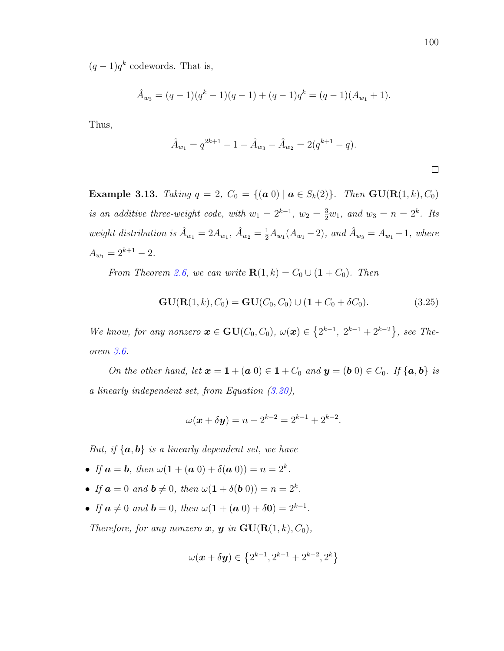$(q-1)q^k$  codewords. That is,

$$
\hat{A}_{w_3} = (q-1)(q^k-1)(q-1) + (q-1)q^k = (q-1)(A_{w_1} + 1).
$$

Thus,

$$
\hat{A}_{w_1} = q^{2k+1} - 1 - \hat{A}_{w_3} - \hat{A}_{w_2} = 2(q^{k+1} - q).
$$

Example 3.13. Taking  $q = 2$ ,  $C_0 = \{(\mathbf{a} \ 0) \mid \mathbf{a} \in S_k(2)\}\$ . Then  $\mathbf{GU}(\mathbf{R}(1,k), C_0)$ is an additive three-weight code, with  $w_1 = 2^{k-1}$ ,  $w_2 = \frac{3}{2}w_1$ , and  $w_3 = n = 2^k$ . Its weight distribution is  $\hat{A}_{w_1} = 2A_{w_1}, \hat{A}_{w_2} = \frac{1}{2}A_{w_1}(A_{w_1} - 2)$ , and  $\hat{A}_{w_3} = A_{w_1} + 1$ , where  $A_{w_1} = 2^{k+1} - 2.$ 

From Theorem [2.6,](#page-29-0) we can write  $\mathbf{R}(1, k) = C_0 \cup (1 + C_0)$ . Then

<span id="page-109-0"></span>
$$
GU(R(1, k), C_0) = GU(C_0, C_0) \cup (1 + C_0 + \delta C_0).
$$
\n(3.25)

We know, for any nonzero  $\mathbf{x} \in \mathbf{GU}(C_0, C_0)$ ,  $\omega(\mathbf{x}) \in \{2^{k-1}, 2^{k-1}+2^{k-2}\}$ , see Theorem [3.6.](#page-96-0)

On the other hand, let  $\mathbf{x} = \mathbf{1} + (\mathbf{a} \ 0) \in \mathbf{1} + C_0$  and  $\mathbf{y} = (\mathbf{b} \ 0) \in C_0$ . If  $\{\mathbf{a}, \mathbf{b}\}\$ is a linearly independent set, from Equation [\(3.20\)](#page-104-0),

$$
\omega(\mathbf{x} + \delta \mathbf{y}) = n - 2^{k-2} = 2^{k-1} + 2^{k-2}.
$$

But, if  $\{a, b\}$  is a linearly dependent set, we have

- If  $a = b$ , then  $\omega(1 + (a\ 0) + \delta(a\ 0)) = n = 2^k$ .
- If  $a = 0$  and  $b \neq 0$ , then  $\omega(1 + \delta(b_0)) = n = 2^k$ .
- If  $a \neq 0$  and  $b = 0$ , then  $\omega(1 + (a\ 0) + \delta 0) = 2^{k-1}$ .

Therefore, for any nonzero  $\boldsymbol{x}, \boldsymbol{y}$  in  $\mathbf{GU}(\mathbf{R}(1,k), C_0)$ ,

$$
\omega(\bm{x}+\delta\bm{y})\in\left\{2^{k-1},2^{k-1}+2^{k-2},2^{k}\right\}
$$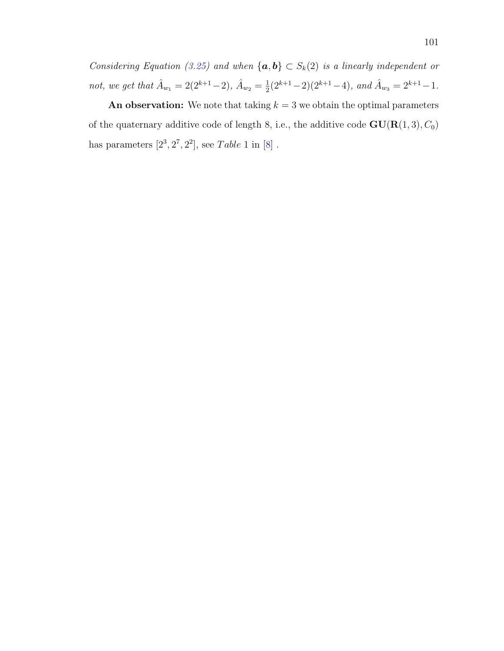Considering Equation [\(3.25\)](#page-109-0) and when  $\{a, b\} \subset S_k(2)$  is a linearly independent or not, we get that  $\hat{A}_{w_1} = 2(2^{k+1}-2), \, \hat{A}_{w_2} = \frac{1}{2}$  $\frac{1}{2}(2^{k+1}-2)(2^{k+1}-4)$ , and  $\hat{A}_{w_3} = 2^{k+1}-1$ .

An observation: We note that taking  $k = 3$  we obtain the optimal parameters of the quaternary additive code of length 8, i.e., the additive code  $GU(R(1,3), C_0)$ has parameters  $[2^3, 2^7, 2^2]$ , see Table 1 in  $[8]$ .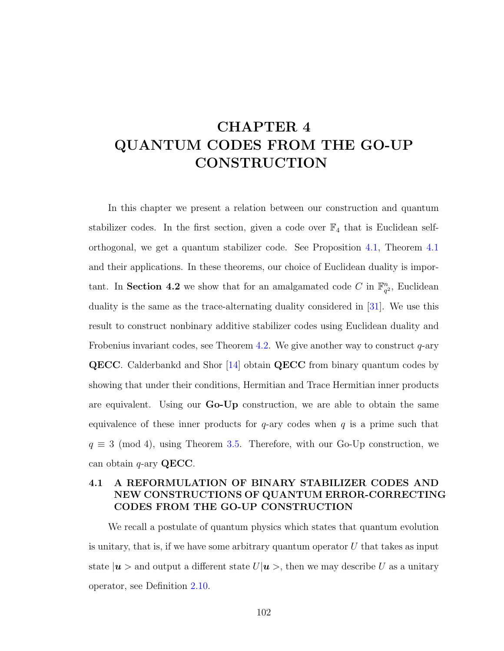# CHAPTER 4 QUANTUM CODES FROM THE GO-UP **CONSTRUCTION**

In this chapter we present a relation between our construction and quantum stabilizer codes. In the first section, given a code over  $\mathbb{F}_4$  that is Euclidean selforthogonal, we get a quantum stabilizer code. See Proposition [4.1,](#page-113-0) Theorem [4.1](#page-115-0) and their applications. In these theorems, our choice of Euclidean duality is important. In Section 4.2 we show that for an amalgamated code C in  $\mathbb{F}_q^n$  $\frac{n}{q^2}$ , Euclidean duality is the same as the trace-alternating duality considered in [\[31\]](#page-129-0). We use this result to construct nonbinary additive stabilizer codes using Euclidean duality and Frobenius invariant codes, see Theorem [4.2.](#page-124-0) We give another way to construct  $q$ -ary **QECC**. Calderbankd and Shor [\[14\]](#page-128-0) obtain **QECC** from binary quantum codes by showing that under their conditions, Hermitian and Trace Hermitian inner products are equivalent. Using our Go-Up construction, we are able to obtain the same equivalence of these inner products for  $q$ -ary codes when q is a prime such that  $q \equiv 3 \pmod{4}$ , using Theorem [3.5.](#page-91-0) Therefore, with our Go-Up construction, we can obtain  $q$ -ary QECC.

## 4.1 A REFORMULATION OF BINARY STABILIZER CODES AND NEW CONSTRUCTIONS OF QUANTUM ERROR-CORRECTING CODES FROM THE GO-UP CONSTRUCTION

We recall a postulate of quantum physics which states that quantum evolution is unitary, that is, if we have some arbitrary quantum operator  $U$  that takes as input state  $|\mathbf{u}\rangle$  and output a different state  $U|\mathbf{u}\rangle$ , then we may describe U as a unitary operator, see Definition [2.10.](#page-48-0)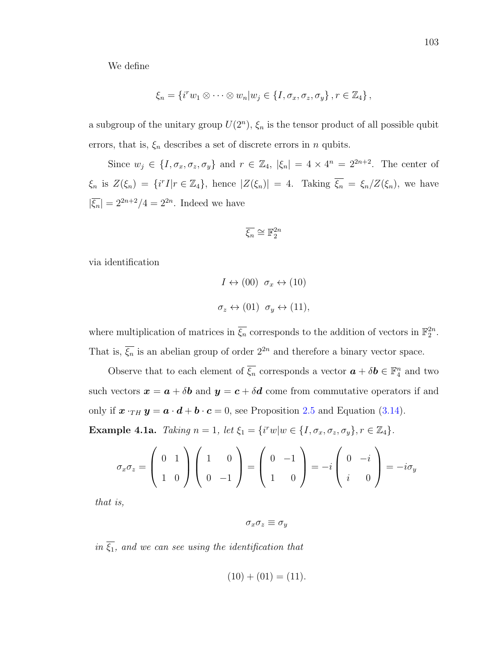We define

$$
\xi_n = \left\{ i^r w_1 \otimes \cdots \otimes w_n | w_j \in \{I, \sigma_x, \sigma_z, \sigma_y\}, r \in \mathbb{Z}_4 \right\},\
$$

a subgroup of the unitary group  $U(2^n)$ ,  $\xi_n$  is the tensor product of all possible qubit errors, that is,  $\xi_n$  describes a set of discrete errors in n qubits.

Since  $w_j \in \{I, \sigma_x, \sigma_z, \sigma_y\}$  and  $r \in \mathbb{Z}_4$ ,  $|\xi_n| = 4 \times 4^n = 2^{2n+2}$ . The center of  $\xi_n$  is  $Z(\xi_n) = \{i^r I | r \in \mathbb{Z}_4\}$ , hence  $|Z(\xi_n)| = 4$ . Taking  $\overline{\xi_n} = \xi_n/Z(\xi_n)$ , we have  $|\overline{\xi_n}| = 2^{2n+2}/4 = 2^{2n}$ . Indeed we have

$$
\overline{\xi_n} \cong \mathbb{F}_2^{2n}
$$

via identification

$$
I \leftrightarrow (00) \quad \sigma_x \leftrightarrow (10)
$$
  

$$
\sigma_z \leftrightarrow (01) \quad \sigma_y \leftrightarrow (11),
$$

where multiplication of matrices in  $\overline{\xi_n}$  corresponds to the addition of vectors in  $\mathbb{F}_2^{2n}$ . That is,  $\overline{\xi_n}$  is an abelian group of order  $2^{2n}$  and therefore a binary vector space.

Observe that to each element of  $\overline{\xi_n}$  corresponds a vector  $\mathbf{a} + \delta \mathbf{b} \in \mathbb{F}_4^n$  and two such vectors  $x = a + \delta b$  and  $y = c + \delta d$  come from commutative operators if and only if  $x \cdot_{TH} y = a \cdot d + b \cdot c = 0$ , see Proposition [2.5](#page-59-0) and Equation [\(3.14\)](#page-87-0). Example 4.1a. Taking  $n = 1$ , let  $\xi_1 = \{i^r w | w \in \{I, \sigma_x, \sigma_z, \sigma_y\}, r \in \mathbb{Z}_4\}.$ 

$$
\sigma_x \sigma_z = \begin{pmatrix} 0 & 1 \\ 1 & 0 \end{pmatrix} \begin{pmatrix} 1 & 0 \\ 0 & -1 \end{pmatrix} = \begin{pmatrix} 0 & -1 \\ 1 & 0 \end{pmatrix} = -i \begin{pmatrix} 0 & -i \\ i & 0 \end{pmatrix} = -i \sigma_y
$$

that is,

$$
\sigma_x \sigma_z \equiv \sigma_y
$$

in  $\overline{\xi_1}$ , and we can see using the identification that

$$
(10) + (01) = (11).
$$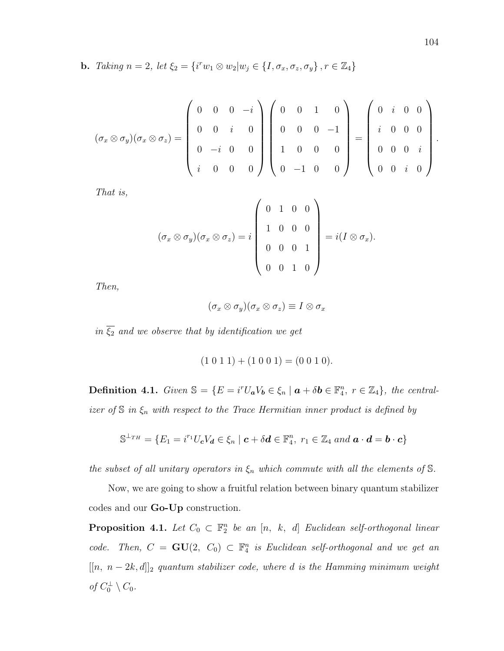**b.** Taking  $n = 2$ , let  $\xi_2 = \{i^r w_1 \otimes w_2 | w_j \in \{I, \sigma_x, \sigma_z, \sigma_y\}, r \in \mathbb{Z}_4\}$ 

$$
(\sigma_x \otimes \sigma_y)(\sigma_x \otimes \sigma_z) = \left(\begin{array}{cccc} 0 & 0 & 0 & -i \\ 0 & 0 & i & 0 \\ 0 & -i & 0 & 0 \\ i & 0 & 0 & 0 \end{array}\right) \left(\begin{array}{cccc} 0 & 0 & 1 & 0 \\ 0 & 0 & 0 & -1 \\ 1 & 0 & 0 & 0 \\ 0 & -1 & 0 & 0 \end{array}\right) = \left(\begin{array}{cccc} 0 & i & 0 & 0 \\ i & 0 & 0 & 0 \\ 0 & 0 & 0 & i \\ 0 & 0 & i & 0 \end{array}\right).
$$

That is,

$$
(\sigma_x \otimes \sigma_y)(\sigma_x \otimes \sigma_z) = i \begin{pmatrix} 0 & 1 & 0 & 0 \\ 1 & 0 & 0 & 0 \\ 0 & 0 & 0 & 1 \\ 0 & 0 & 1 & 0 \end{pmatrix} = i(I \otimes \sigma_x).
$$

Then,

$$
(\sigma_x\otimes\sigma_y)(\sigma_x\otimes\sigma_z)\equiv I\otimes\sigma_x
$$

in  $\overline{\xi_2}$  and we observe that by identification we get

$$
(1 0 1 1) + (1 0 0 1) = (0 0 1 0).
$$

**Definition 4.1.** Given  $\mathbb{S} = \{ E = i^r U_a V_b \in \xi_n \mid a + \delta b \in \mathbb{F}_4^n, r \in \mathbb{Z}_4 \},\$  the centralizer of  $S$  in  $\xi_n$  with respect to the Trace Hermitian inner product is defined by

$$
\mathbb{S}^{\perp_{TH}} = \{ E_1 = i^{r_1} U_c V_d \in \xi_n \mid \mathbf{c} + \delta \mathbf{d} \in \mathbb{F}_4^n, r_1 \in \mathbb{Z}_4 \text{ and } \mathbf{a} \cdot \mathbf{d} = \mathbf{b} \cdot \mathbf{c} \}
$$

the subset of all unitary operators in  $\xi_n$  which commute with all the elements of  $\mathbb S$ .

Now, we are going to show a fruitful relation between binary quantum stabilizer codes and our Go-Up construction.

<span id="page-113-0"></span>**Proposition 4.1.** Let  $C_0 \subset \mathbb{F}_2^n$  be an  $[n, k, d]$  Euclidean self-orthogonal linear code. Then,  $C = GU(2, C_0) \subset \mathbb{F}_4^n$  is Euclidean self-orthogonal and we get an  $[[n, n-2k, d]]_2$  quantum stabilizer code, where d is the Hamming minimum weight of  $C_0^{\perp} \setminus C_0$ .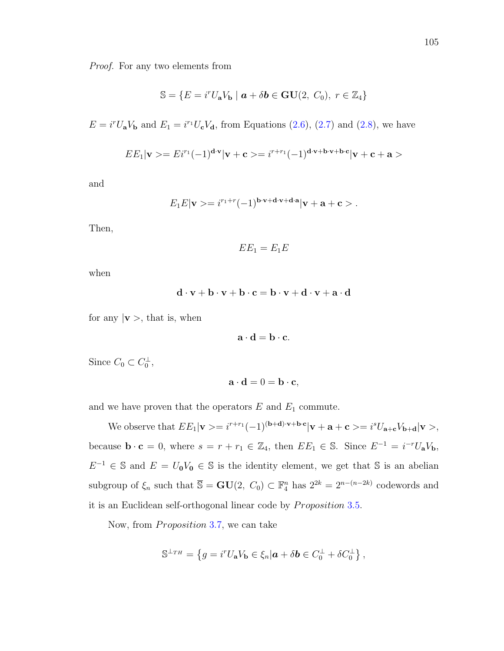Proof. For any two elements from

$$
\mathbb{S} = \{ E = i^r U_a V_b \mid \mathbf{a} + \delta \mathbf{b} \in \mathbf{GU}(2, C_0), r \in \mathbb{Z}_4 \}
$$

 $E = i^r U_a V_b$  and  $E_1 = i^{r_1} U_c V_d$ , from Equations [\(2.6\)](#page-54-0), [\(2.7\)](#page-54-0) and [\(2.8\)](#page-54-0), we have

$$
EE_1|\mathbf{v}\rangle = Ei^{r_1}(-1)^{\mathbf{d}\cdot\mathbf{v}}|\mathbf{v}+\mathbf{c}\rangle = i^{r+r_1}(-1)^{\mathbf{d}\cdot\mathbf{v}+\mathbf{b}\cdot\mathbf{v}+\mathbf{b}\cdot\mathbf{c}}|\mathbf{v}+\mathbf{c}+\mathbf{a}\rangle
$$

and

$$
E_1E|\mathbf{v}\rangle = i^{r_1+r}(-1)^{\mathbf{b}\cdot\mathbf{v}+\mathbf{d}\cdot\mathbf{v}+\mathbf{d}\cdot\mathbf{a}}|\mathbf{v}+\mathbf{a}+\mathbf{c}\rangle.
$$

Then,

$$
EE_1=E_1E
$$

when

$$
\mathbf{d} \cdot \mathbf{v} + \mathbf{b} \cdot \mathbf{v} + \mathbf{b} \cdot \mathbf{c} = \mathbf{b} \cdot \mathbf{v} + \mathbf{d} \cdot \mathbf{v} + \mathbf{a} \cdot \mathbf{d}
$$

for any  $|v\rangle$ , that is, when

$$
\mathbf{a} \cdot \mathbf{d} = \mathbf{b} \cdot \mathbf{c}.
$$

Since  $C_0 \subset C_0^{\perp}$ ,

$$
\mathbf{a} \cdot \mathbf{d} = 0 = \mathbf{b} \cdot \mathbf{c},
$$

and we have proven that the operators  $E$  and  $E_1$  commute.

We observe that  $EE_1|\mathbf{v}\rangle = i^{r+r_1}(-1)^{(\mathbf{b}+\mathbf{d})\cdot\mathbf{v}+\mathbf{b}\cdot\mathbf{c}}|\mathbf{v}+\mathbf{a}+\mathbf{c}\rangle = i^sU_{\mathbf{a}+\mathbf{c}}V_{\mathbf{b}+\mathbf{d}}|\mathbf{v}\rangle,$ because  $\mathbf{b} \cdot \mathbf{c} = 0$ , where  $s = r + r_1 \in \mathbb{Z}_4$ , then  $EE_1 \in \mathbb{S}$ . Since  $E^{-1} = i^{-r}U_aV_b$ ,  $E^{-1} \in \mathbb{S}$  and  $E = U_0 V_0 \in \mathbb{S}$  is the identity element, we get that  $\mathbb{S}$  is an abelian subgroup of  $\xi_n$  such that  $\overline{S} = GU(2, C_0) \subset \mathbb{F}_4^n$  has  $2^{2k} = 2^{n-(n-2k)}$  codewords and it is an Euclidean self-orthogonal linear code by *Proposition* [3](#page-84-0).5.

Now, from *Proposition* 3.[7,](#page-88-0) we can take

$$
\mathbb{S}^{\perp_{TH}} = \left\{ g = i^r U_a V_b \in \xi_n | \mathbf{a} + \delta \mathbf{b} \in C_0^{\perp} + \delta C_0^{\perp} \right\},
$$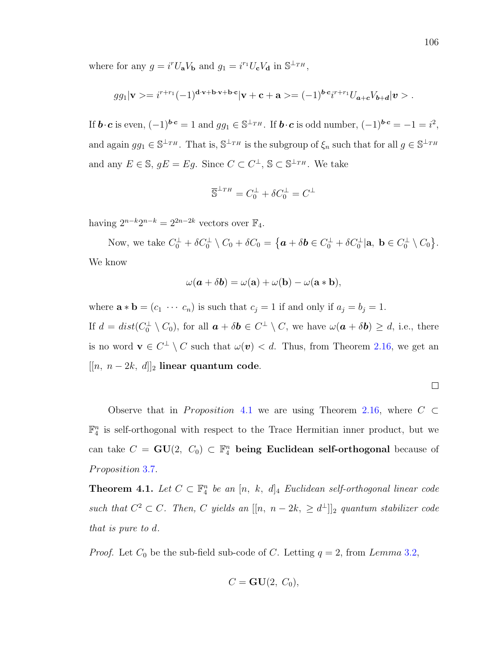where for any  $g = i^r U_a V_b$  and  $g_1 = i^{r_1} U_c V_d$  in  $\mathbb{S}^{\perp_{TH}}$ ,

$$
gg_1|\mathbf{v}\rangle = i^{r+r_1}(-1)^{\mathbf{d}\cdot\mathbf{v}+\mathbf{b}\cdot\mathbf{v}+\mathbf{b}\cdot\mathbf{c}}|\mathbf{v}+\mathbf{c}+\mathbf{a}\rangle = (-1)^{\mathbf{b}\cdot\mathbf{c}}i^{r+r_1}U_{\mathbf{a}+\mathbf{c}}V_{\mathbf{b}+\mathbf{d}}|\mathbf{v}\rangle.
$$

If  $\mathbf{b} \cdot \mathbf{c}$  is even,  $(-1)^{\mathbf{b} \cdot \mathbf{c}} = 1$  and  $gg_1 \in \mathbb{S}^{\perp_{TH}}$ . If  $\mathbf{b} \cdot \mathbf{c}$  is odd number,  $(-1)^{\mathbf{b} \cdot \mathbf{c}} = -1 = i^2$ , and again  $gg_1 \in \mathbb{S}^{\perp_{TH}}$ . That is,  $\mathbb{S}^{\perp_{TH}}$  is the subgroup of  $\xi_n$  such that for all  $g \in \mathbb{S}^{\perp_{TH}}$ and any  $E \in \mathbb{S}$ ,  $gE = Eg$ . Since  $C \subset C^{\perp}$ ,  $\mathbb{S} \subset \mathbb{S}^{\perp_{TH}}$ . We take

$$
\overline{\mathbb{S}}^{\perp_{TH}} = C_0^{\perp} + \delta C_0^{\perp} = C^{\perp}
$$

having  $2^{n-k}2^{n-k} = 2^{2n-2k}$  vectors over  $\mathbb{F}_4$ .

Now, we take  $C_0^{\perp} + \delta C_0^{\perp} \setminus C_0 + \delta C_0 = \{ \mathbf{a} + \delta \mathbf{b} \in C_0^{\perp} + \delta C_0^{\perp} | \mathbf{a}, \ \mathbf{b} \in C_0^{\perp} \setminus C_0 \}.$ We know

$$
\omega(\mathbf{a} + \delta \mathbf{b}) = \omega(\mathbf{a}) + \omega(\mathbf{b}) - \omega(\mathbf{a} * \mathbf{b}),
$$

where  $\mathbf{a} * \mathbf{b} = (c_1 \cdots c_n)$  is such that  $c_j = 1$  if and only if  $a_j = b_j = 1$ . If  $d = dist(C_0^{\perp} \setminus C_0)$ , for all  $\boldsymbol{a} + \delta \boldsymbol{b} \in C^{\perp} \setminus C$ , we have  $\omega(\boldsymbol{a} + \delta \boldsymbol{b}) \geq d$ , i.e., there is no word  $\mathbf{v} \in C^{\perp} \setminus C$  such that  $\omega(\mathbf{v}) < d$ . Thus, from Theorem [2.16,](#page-56-0) we get an  $[[n, n-2k, d]]_2$  linear quantum code.

Observe that in *Proposition* [4](#page-113-0).1 we are using Theorem [2.16,](#page-56-0) where  $C \subset$  $\mathbb{F}_4^n$  is self-orthogonal with respect to the Trace Hermitian inner product, but we can take  $C = \mathbf{GU}(2, C_0) \subset \mathbb{F}_4^n$  being Euclidean self-orthogonal because of Proposition 3.[7.](#page-88-0)

<span id="page-115-0"></span>**Theorem 4.1.** Let  $C \subset \mathbb{F}_4^n$  be an  $[n, k, d]_4$  Euclidean self-orthogonal linear code such that  $C^2 \subset C$ . Then, C yields an  $[[n, n-2k, \geq d^{\perp}]]_2$  quantum stabilizer code that is pure to d.

*Proof.* Let  $C_0$  be the sub-field sub-code of C. Letting  $q = 2$ , from Lemma 3.[2,](#page-75-0)

$$
C = \mathbf{GU}(2, C_0),
$$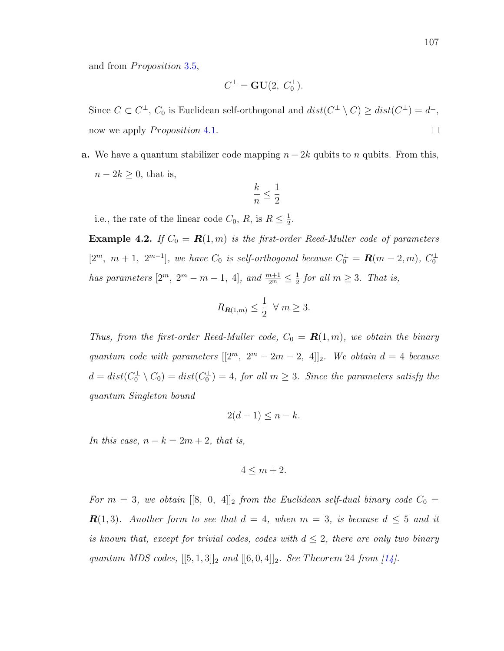and from *Proposition* 3.[5,](#page-84-0)

$$
C^{\perp} = \mathbf{GU}(2, C_0^{\perp}).
$$

Since  $C \subset C^{\perp}$ ,  $C_0$  is Euclidean self-orthogonal and  $dist(C^{\perp} \setminus C) \geq dist(C^{\perp}) = d^{\perp}$ , now we apply *Proposition* 4.[1.](#page-113-0)  $\Box$ 

a. We have a quantum stabilizer code mapping  $n - 2k$  qubits to n qubits. From this,  $n - 2k \geq 0$ , that is,

$$
\frac{k}{n} \le \frac{1}{2}
$$

i.e., the rate of the linear code  $C_0$ ,  $R$ , is  $R \leq \frac{1}{2}$  $\frac{1}{2}$ .

**Example 4.2.** If  $C_0 = \mathbf{R}(1, m)$  is the first-order Reed-Muller code of parameters  $[2^m, m+1, 2^{m-1}],$  we have  $C_0$  is self-orthogonal because  $C_0^{\perp} = \mathbf{R}(m-2, m), C_0^{\perp}$ has parameters  $[2^m, 2^m - m - 1, 4]$ , and  $\frac{m+1}{2^m} \leq \frac{1}{2}$  $\frac{1}{2}$  for all  $m \geq 3$ . That is,

$$
R_{\mathbf{R}(1,m)} \leq \frac{1}{2} \ \forall \ m \geq 3.
$$

Thus, from the first-order Reed-Muller code,  $C_0 = \mathbf{R}(1,m)$ , we obtain the binary quantum code with parameters  $[[2^m, 2^m - 2m - 2, 4]]_2$ . We obtain  $d = 4$  because  $d = dist(C_0^{\perp} \setminus C_0) = dist(C_0^{\perp}) = 4$ , for all  $m \geq 3$ . Since the parameters satisfy the quantum Singleton bound

$$
2(d-1) \le n - k.
$$

In this case,  $n - k = 2m + 2$ , that is,

$$
4 \le m+2.
$$

For  $m = 3$ , we obtain  $[[8, 0, 4]]_2$  from the Euclidean self-dual binary code  $C_0 =$  $\mathbf{R}(1,3)$ . Another form to see that  $d = 4$ , when  $m = 3$ , is because  $d \leq 5$  and it is known that, except for trivial codes, codes with  $d \leq 2$ , there are only two binary quantum MDS codes,  $[[5, 1, 3]]_2$  and  $[[6, 0, 4]]_2$ . See Theorem 24 from [\[14\]](#page-128-0).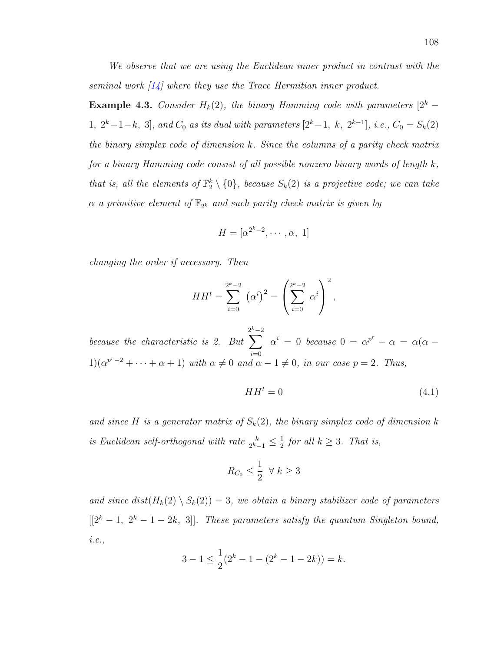We observe that we are using the Euclidean inner product in contrast with the seminal work  $\left[1\right]$  where they use the Trace Hermitian inner product.

**Example 4.3.** Consider  $H_k(2)$ , the binary Hamming code with parameters  $[2^k$  – 1,  $2^k-1-k$ , 3], and  $C_0$  as its dual with parameters  $[2^k-1, k, 2^{k-1}]$ , i.e.,  $C_0 = S_k(2)$ the binary simplex code of dimension k. Since the columns of a parity check matrix for a binary Hamming code consist of all possible nonzero binary words of length  $k$ , that is, all the elements of  $\mathbb{F}_2^k \setminus \{0\}$ , because  $S_k(2)$  is a projective code; we can take  $\alpha$  a primitive element of  $\mathbb{F}_{2^k}$  and such parity check matrix is given by

$$
H = [\alpha^{2^k - 2}, \cdots, \alpha, 1]
$$

changing the order if necessary. Then

$$
HH^{t} = \sum_{i=0}^{2^{k}-2} (\alpha^{i})^{2} = \left(\sum_{i=0}^{2^{k}-2} \alpha^{i}\right)^{2},
$$

because the characteristic is 2. But  $\sum^{k-2}$  $i=0$  $\alpha^i = 0$  because  $0 = \alpha^{p^r} - \alpha = \alpha(\alpha 1)(\alpha^{p^r-2}+\cdots+\alpha+1)$  with  $\alpha\neq 0$  and  $\alpha-1\neq 0$ , in our case  $p=2$ . Thus,

$$
HH^t = 0 \tag{4.1}
$$

and since H is a generator matrix of  $S_k(2)$ , the binary simplex code of dimension k is Euclidean self-orthogonal with rate  $\frac{k}{2^k-1} \leq \frac{1}{2}$  $\frac{1}{2}$  for all  $k \geq 3$ . That is,

$$
R_{C_0} \le \frac{1}{2} \ \ \forall \ k \ge 3
$$

and since  $dist(H_k(2) \setminus S_k(2)) = 3$ , we obtain a binary stabilizer code of parameters  $[[2<sup>k</sup>-1, 2<sup>k</sup>-1-2k, 3]].$  These parameters satisfy the quantum Singleton bound, i.e.,

$$
3 - 1 \le \frac{1}{2}(2^{k} - 1 - (2^{k} - 1 - 2k)) = k.
$$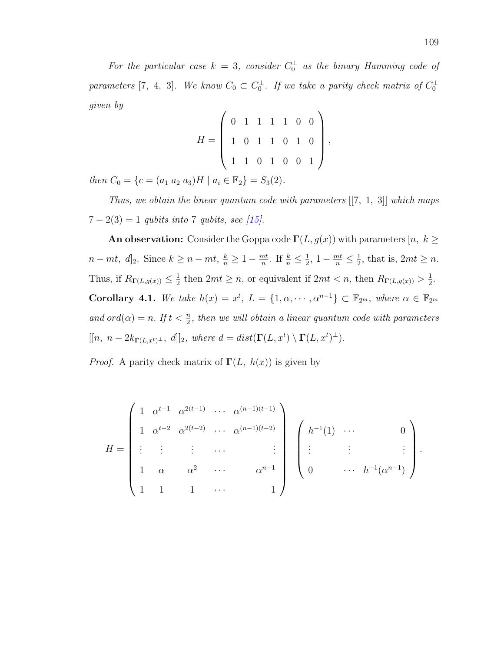For the particular case  $k = 3$ , consider  $C_0^{\perp}$  as the binary Hamming code of parameters [7, 4, 3]. We know  $C_0 \subset C_0^{\perp}$ . If we take a parity check matrix of  $C_0^{\perp}$ given by

$$
H = \left( \begin{array}{rrrrrrr} 0 & 1 & 1 & 1 & 1 & 0 & 0 \\ 1 & 0 & 1 & 1 & 0 & 1 & 0 \\ 1 & 1 & 0 & 1 & 0 & 0 & 1 \end{array} \right),
$$

then  $C_0 = \{c = (a_1 \ a_2 \ a_3)H \mid a_i \in \mathbb{F}_2\} = S_3(2)$ .

Thus, we obtain the linear quantum code with parameters [[7, 1, 3]] which maps  $7 - 2(3) = 1$  qubits into 7 qubits, see [\[15\]](#page-128-1).

An observation: Consider the Goppa code  $\Gamma(L, g(x))$  with parameters  $[n, k \geq$  $n - mt, d]_2$ . Since  $k \geq n - mt, \frac{k}{n} \geq 1 - \frac{mt}{n}$  $\frac{nt}{n}$ . If  $\frac{k}{n} \leq \frac{1}{2}$  $\frac{1}{2}, 1 - \frac{mt}{n} \leq \frac{1}{2}$  $\frac{1}{2}$ , that is,  $2mt \geq n$ . Thus, if  $R_{\Gamma(L,g(x))} \leq \frac{1}{2}$  $\frac{1}{2}$  then  $2mt \geq n$ , or equivalent if  $2mt < n$ , then  $R_{\Gamma(L,g(x))} > \frac{1}{2}$  $\frac{1}{2}$ . Corollary 4.1. We take  $h(x) = x^t$ ,  $L = \{1, \alpha, \dots, \alpha^{n-1}\} \subset \mathbb{F}_{2^m}$ , where  $\alpha \in \mathbb{F}_{2^m}$ and  $ord(\alpha) = n$ . If  $t < \frac{n}{2}$ , then we will obtain a linear quantum code with parameters  $[[n, n-2k_{\Gamma(L,x^t)^{\perp}}, d]]_2$ , where  $d = dist(\Gamma(L, x^t) \setminus \Gamma(L, x^t)^{\perp}).$ 

*Proof.* A parity check matrix of  $\Gamma(L, h(x))$  is given by

$$
H = \begin{pmatrix} 1 & \alpha^{t-1} & \alpha^{2(t-1)} & \cdots & \alpha^{(n-1)(t-1)} \\ 1 & \alpha^{t-2} & \alpha^{2(t-2)} & \cdots & \alpha^{(n-1)(t-2)} \\ \vdots & \vdots & \vdots & \cdots & \vdots \\ 1 & \alpha & \alpha^2 & \cdots & \alpha^{n-1} \\ 1 & 1 & 1 & \cdots & 1 \end{pmatrix} \begin{pmatrix} h^{-1}(1) & \cdots & 0 \\ \vdots & \vdots & \vdots \\ 0 & \cdots & h^{-1}(\alpha^{n-1}) \end{pmatrix}.
$$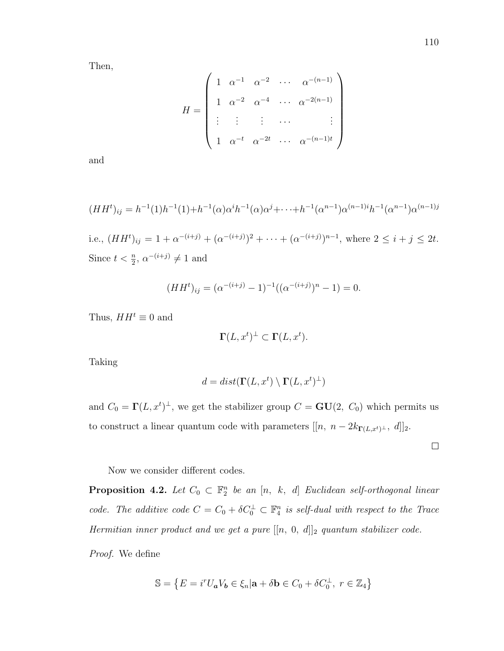Then,

$$
H = \begin{pmatrix} 1 & \alpha^{-1} & \alpha^{-2} & \cdots & \alpha^{-(n-1)} \\ 1 & \alpha^{-2} & \alpha^{-4} & \cdots & \alpha^{-2(n-1)} \\ \vdots & \vdots & \vdots & \cdots & \vdots \\ 1 & \alpha^{-t} & \alpha^{-2t} & \cdots & \alpha^{-(n-1)t} \end{pmatrix}
$$

and

$$
(HH^{t})_{ij} = h^{-1}(1)h^{-1}(1) + h^{-1}(\alpha)\alpha^{i}h^{-1}(\alpha)\alpha^{j} + \dots + h^{-1}(\alpha^{n-1})\alpha^{(n-1)i}h^{-1}(\alpha^{n-1})\alpha^{(n-1)j}
$$

i.e.,  $(HH^t)_{ij} = 1 + \alpha^{-(i+j)} + (\alpha^{-(i+j)})^2 + \cdots + (\alpha^{-(i+j)})^{n-1}$ , where  $2 \leq i + j \leq 2t$ . Since  $t < \frac{n}{2}$ ,  $\alpha^{-(i+j)} \neq 1$  and

$$
(HHt)ij = (\alpha-(i+j) - 1)-1((\alpha-(i+j))n - 1) = 0.
$$

Thus,  $HH^t \equiv 0$  and

$$
\Gamma(L, x^t)^{\perp} \subset \Gamma(L, x^t).
$$

Taking

$$
d = dist(\Gamma(L, x^t) \setminus \Gamma(L, x^t)^{\perp})
$$

and  $C_0 = \Gamma(L, x^t)^{\perp}$ , we get the stabilizer group  $C = \mathbf{GU}(2, C_0)$  which permits us to construct a linear quantum code with parameters  $[[n, n - 2k_{\Gamma(L,x^t)}\text{L}, d]]_2$ .

 $\Box$ 

Now we consider different codes.

**Proposition 4.2.** Let  $C_0 \subset \mathbb{F}_2^n$  be an  $[n, k, d]$  Euclidean self-orthogonal linear code. The additive code  $C = C_0 + \delta C_0^{\perp} \subset \mathbb{F}_4^n$  is self-dual with respect to the Trace Hermitian inner product and we get a pure  $[[n, 0, d]]_2$  quantum stabilizer code.

Proof. We define

$$
\mathbb{S} = \left\{ E = i^r U_a V_b \in \xi_n | \mathbf{a} + \delta \mathbf{b} \in C_0 + \delta C_0^{\perp}, \ r \in \mathbb{Z}_4 \right\}
$$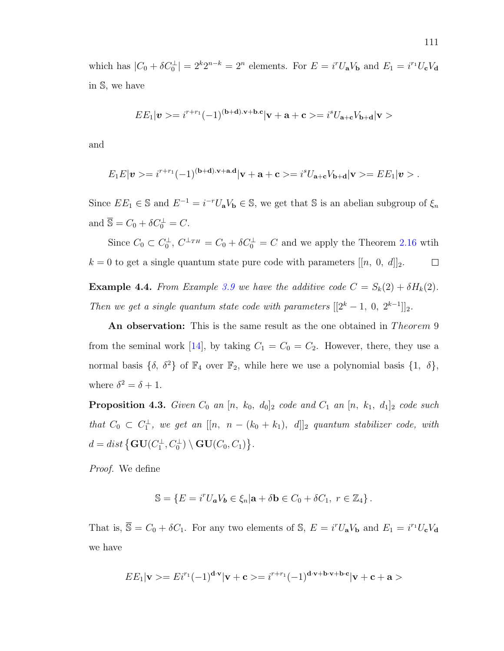which has  $|C_0 + \delta C_0^{\perp}| = 2^k 2^{n-k} = 2^n$  elements. For  $E = i^r U_a V_b$  and  $E_1 = i^{r_1} U_c V_d$ in S, we have

$$
EE_1|\boldsymbol{v}>=i^{r+r_1}(-1)^{(\mathbf{b}+\mathbf{d}).\mathbf{v}+\mathbf{b}.\mathbf{c}}|\mathbf{v}+\mathbf{a}+\mathbf{c}>=i^sU_{\mathbf{a}+\mathbf{c}}V_{\mathbf{b}+\mathbf{d}}|\mathbf{v}>
$$

and

$$
E_1E|\mathbf{v}\rangle = i^{r+r_1}(-1)^{(\mathbf{b}+\mathbf{d}).\mathbf{v}+\mathbf{a}.\mathbf{d}}|\mathbf{v}+\mathbf{a}+\mathbf{c}\rangle = i^sU_{\mathbf{a}+\mathbf{c}}V_{\mathbf{b}+\mathbf{d}}|\mathbf{v}\rangle = EE_1|\mathbf{v}\rangle.
$$

Since  $EE_1 \in \mathbb{S}$  and  $E^{-1} = i^{-r}U_aV_b \in \mathbb{S}$ , we get that  $\mathbb{S}$  is an abelian subgroup of  $\xi_n$ and  $\overline{\mathbb{S}} = C_0 + \delta C_0^{\perp} = C.$ 

Since  $C_0 \subset C_0^{\perp}, C^{\perp_{TH}} = C_0 + \delta C_0^{\perp} = C$  and we apply the Theorem [2.16](#page-56-0) wtih  $k = 0$  to get a single quantum state pure code with parameters  $[[n, 0, d]]_2$ .  $\Box$ 

**Example 4.4.** From Example [3.9](#page-86-0) we have the additive code  $C = S_k(2) + \delta H_k(2)$ . Then we get a single quantum state code with parameters  $[[2^k - 1, 0, 2^{k-1}]]_2$ .

An observation: This is the same result as the one obtained in Theorem 9 from the seminal work [\[14\]](#page-128-0), by taking  $C_1 = C_0 = C_2$ . However, there, they use a normal basis  $\{\delta, \delta^2\}$  of  $\mathbb{F}_4$  over  $\mathbb{F}_2$ , while here we use a polynomial basis  $\{1, \delta\}$ , where  $\delta^2 = \delta + 1$ .

**Proposition 4.3.** Given  $C_0$  an  $[n, k_0, d_0]_2$  code and  $C_1$  an  $[n, k_1, d_1]_2$  code such that  $C_0 \subset C_1^{\perp}$ , we get an  $[[n, n - (k_0 + k_1), d]]_2$  quantum stabilizer code, with  $d = dist \left\{ \mathbf{GU}(C_1^\perp, C_0^\perp) \setminus \mathbf{GU}(C_0, C_1) \right\}.$ 

Proof. We define

$$
\mathbb{S} = \{ E = i^r U_a V_b \in \xi_n | \mathbf{a} + \delta \mathbf{b} \in C_0 + \delta C_1, \ r \in \mathbb{Z}_4 \}.
$$

That is,  $\overline{S} = C_0 + \delta C_1$ . For any two elements of S,  $E = i^r U_a V_b$  and  $E_1 = i^{r_1} U_c V_d$ we have

$$
EE_1|\mathbf{v}\rangle = Ei^{r_1}(-1)^{\mathbf{d}\cdot\mathbf{v}}|\mathbf{v}+\mathbf{c}\rangle = i^{r+r_1}(-1)^{\mathbf{d}\cdot\mathbf{v}+\mathbf{b}\cdot\mathbf{v}+\mathbf{b}\cdot\mathbf{c}}|\mathbf{v}+\mathbf{c}+\mathbf{a}\rangle
$$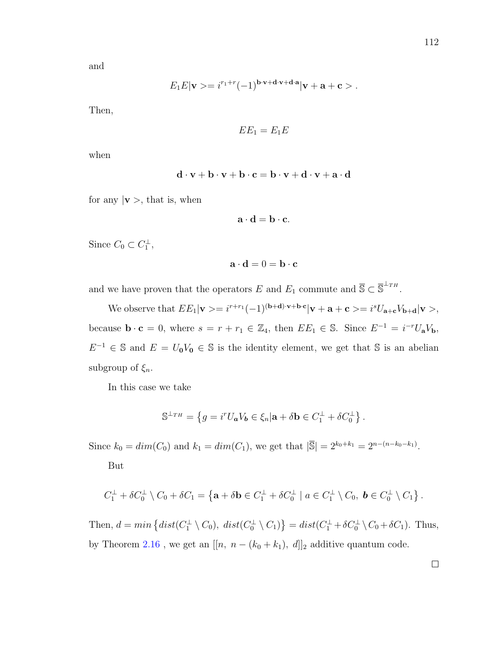and

$$
E_1E|\mathbf{v}\rangle = i^{r_1+r}(-1)^{\mathbf{b}\cdot\mathbf{v}+\mathbf{d}\cdot\mathbf{v}+\mathbf{d}\cdot\mathbf{a}}|\mathbf{v}+\mathbf{a}+\mathbf{c}\rangle.
$$

Then,

$$
EE_1=E_1E
$$

when

$$
\mathbf{d} \cdot \mathbf{v} + \mathbf{b} \cdot \mathbf{v} + \mathbf{b} \cdot \mathbf{c} = \mathbf{b} \cdot \mathbf{v} + \mathbf{d} \cdot \mathbf{v} + \mathbf{a} \cdot \mathbf{d}
$$

for any  $|v\rangle$ , that is, when

$$
\mathbf{a} \cdot \mathbf{d} = \mathbf{b} \cdot \mathbf{c}.
$$

Since  $C_0 \subset C_1^{\perp}$ ,

$$
\mathbf{a} \cdot \mathbf{d} = 0 = \mathbf{b} \cdot \mathbf{c}
$$

and we have proven that the operators E and  $E_1$  commute and  $\overline{S} \subset \overline{S}^{\perp_{TH}}$ .

We observe that  $EE_1|\mathbf{v}\rangle = i^{r+r_1}(-1)^{(\mathbf{b}+\mathbf{d})\cdot\mathbf{v}+\mathbf{b}\cdot\mathbf{c}}|\mathbf{v}+\mathbf{a}+\mathbf{c}\rangle = i^sU_{\mathbf{a}+\mathbf{c}}V_{\mathbf{b}+\mathbf{d}}|\mathbf{v}\rangle,$ because  $\mathbf{b} \cdot \mathbf{c} = 0$ , where  $s = r + r_1 \in \mathbb{Z}_4$ , then  $EE_1 \in \mathbb{S}$ . Since  $E^{-1} = i^{-r}U_aV_b$ ,  $E^{-1} \in \mathbb{S}$  and  $E = U_0 V_0 \in \mathbb{S}$  is the identity element, we get that  $\mathbb{S}$  is an abelian subgroup of  $\xi_n$ .

In this case we take

$$
\mathbb{S}^{\perp_{TH}} = \left\{ g = i^r U_a V_b \in \xi_n | \mathbf{a} + \delta \mathbf{b} \in C_1^{\perp} + \delta C_0^{\perp} \right\}.
$$

Since  $k_0 = dim(C_0)$  and  $k_1 = dim(C_1)$ , we get that  $|\overline{\mathbb{S}}| = 2^{k_0+k_1} = 2^{n-(n-k_0-k_1)}$ .

But

$$
C_1^{\perp} + \delta C_0^{\perp} \setminus C_0 + \delta C_1 = \left\{ \mathbf{a} + \delta \mathbf{b} \in C_1^{\perp} + \delta C_0^{\perp} \mid a \in C_1^{\perp} \setminus C_0, \; \mathbf{b} \in C_0^{\perp} \setminus C_1 \right\}.
$$

Then,  $d = min \{ dist(C_1^{\perp} \setminus C_0), \ dist(C_0^{\perp} \setminus C_1) \} = dist(C_1^{\perp} + \delta C_0^{\perp} \setminus C_0 + \delta C_1).$  Thus, by Theorem [2.16](#page-56-0) , we get an  $[[n,\;n-(k_0+k_1),\;d]]_2$  additive quantum code.

 $\Box$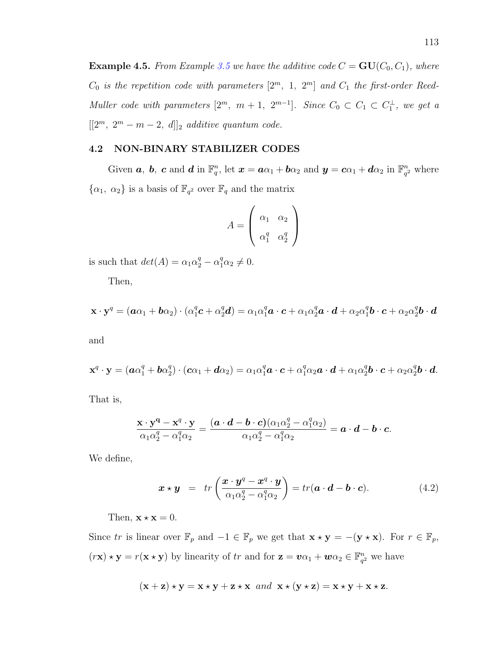**Example 4.5.** From Example [3.5](#page-72-0) we have the additive code  $C = \mathbf{GU}(C_0, C_1)$ , where  $C_0$  is the repetition code with parameters  $[2^m, 1, 2^m]$  and  $C_1$  the first-order Reed-Muller code with parameters  $[2^m, m+1, 2^{m-1}]$ . Since  $C_0 \subset C_1 \subset C_1^{\perp}$ , we get a  $[[2<sup>m</sup>, 2<sup>m</sup> - m - 2, d]]_2$  additive quantum code.

### 4.2 NON-BINARY STABILIZER CODES

Given a, b, c and d in  $\mathbb{F}_q^n$ , let  $\boldsymbol{x} = a\alpha_1 + b\alpha_2$  and  $\boldsymbol{y} = c\alpha_1 + d\alpha_2$  in  $\mathbb{F}_q^n$  $\frac{n}{q^2}$  where  $\{\alpha_1, \alpha_2\}$  is a basis of  $\mathbb{F}_{q^2}$  over  $\mathbb{F}_q$  and the matrix

$$
A = \begin{pmatrix} \alpha_1 & \alpha_2 \\ \alpha_1^q & \alpha_2^q \end{pmatrix}
$$

is such that  $det(A) = \alpha_1 \alpha_2^q - \alpha_1^q \alpha_2 \neq 0$ .

Then,

$$
\mathbf{x} \cdot \mathbf{y}^q = (\boldsymbol{a}\alpha_1 + \boldsymbol{b}\alpha_2) \cdot (\alpha_1^q \boldsymbol{c} + \alpha_2^q \boldsymbol{d}) = \alpha_1 \alpha_1^q \boldsymbol{a} \cdot \boldsymbol{c} + \alpha_1 \alpha_2^q \boldsymbol{a} \cdot \boldsymbol{d} + \alpha_2 \alpha_1^q \boldsymbol{b} \cdot \boldsymbol{c} + \alpha_2 \alpha_2^q \boldsymbol{b} \cdot \boldsymbol{d}
$$

and

$$
\mathbf{x}^q \cdot \mathbf{y} = (\boldsymbol{a} \alpha_1^q + \boldsymbol{b} \alpha_2^q) \cdot (\boldsymbol{c} \alpha_1 + \boldsymbol{d} \alpha_2) = \alpha_1 \alpha_1^q \boldsymbol{a} \cdot \boldsymbol{c} + \alpha_1^q \alpha_2 \boldsymbol{a} \cdot \boldsymbol{d} + \alpha_1 \alpha_2^q \boldsymbol{b} \cdot \boldsymbol{c} + \alpha_2 \alpha_2^q \boldsymbol{b} \cdot \boldsymbol{d}.
$$

That is,

$$
\frac{\mathbf{x}\cdot\mathbf{y}^{\mathbf{q}}-\mathbf{x}^q\cdot\mathbf{y}}{\alpha_1\alpha_2^q-\alpha_1^q\alpha_2}=\frac{(\boldsymbol{a}\cdot\boldsymbol{d}-\boldsymbol{b}\cdot\boldsymbol{c})(\alpha_1\alpha_2^q-\alpha_1^q\alpha_2)}{\alpha_1\alpha_2^q-\alpha_1^q\alpha_2}=\boldsymbol{a}\cdot\boldsymbol{d}-\boldsymbol{b}\cdot\boldsymbol{c}.
$$

We define,

<span id="page-122-0"></span>
$$
\boldsymbol{x} \star \boldsymbol{y} = tr\left(\frac{\boldsymbol{x} \cdot \boldsymbol{y}^q - \boldsymbol{x}^q \cdot \boldsymbol{y}}{\alpha_1 \alpha_2^q - \alpha_1^q \alpha_2}\right) = tr(\boldsymbol{a} \cdot \boldsymbol{d} - \boldsymbol{b} \cdot \boldsymbol{c}). \tag{4.2}
$$

Then,  $\mathbf{x} \star \mathbf{x} = 0$ .

Since tr is linear over  $\mathbb{F}_p$  and  $-1 \in \mathbb{F}_p$  we get that  $\mathbf{x} \star \mathbf{y} = -(\mathbf{y} \star \mathbf{x})$ . For  $r \in \mathbb{F}_p$ ,  $(r\mathbf{x}) \star \mathbf{y} = r(\mathbf{x} \star \mathbf{y})$  by linearity of tr and for  $\mathbf{z} = v\alpha_1 + w\alpha_2 \in \mathbb{F}_q^n$  $\frac{n}{q^2}$  we have

$$
(\mathbf{x} + \mathbf{z}) \star \mathbf{y} = \mathbf{x} \star \mathbf{y} + \mathbf{z} \star \mathbf{x} \text{ and } \mathbf{x} \star (\mathbf{y} \star \mathbf{z}) = \mathbf{x} \star \mathbf{y} + \mathbf{x} \star \mathbf{z}.
$$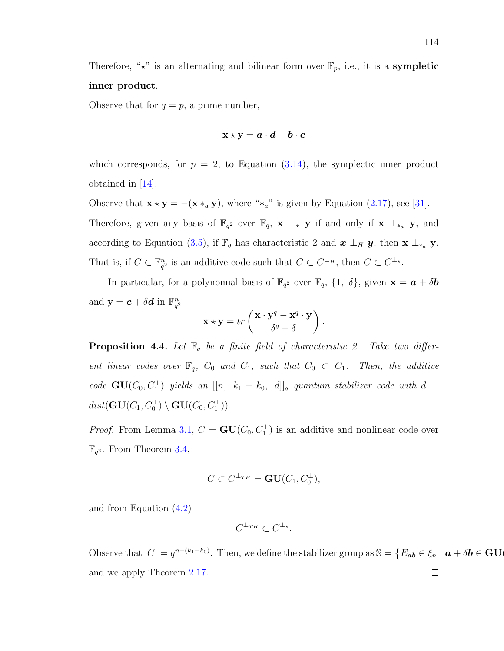Therefore, " $\star$ " is an alternating and bilinear form over  $\mathbb{F}_p$ , i.e., it is a **sympletic** inner product.

Observe that for  $q = p$ , a prime number,

$$
\text{x} \star \text{y} = a \cdot d - b \cdot c
$$

which corresponds, for  $p = 2$ , to Equation  $(3.14)$ , the symplectic inner product obtained in  $|14|$ .

Observe that  $\mathbf{x} \star \mathbf{y} = -(\mathbf{x} *_{a} \mathbf{y})$ , where "\*a" is given by Equation [\(2.17\)](#page-59-1), see [\[31\]](#page-129-0). Therefore, given any basis of  $\mathbb{F}_{q^2}$  over  $\mathbb{F}_q$ ,  $\mathbf{x} \perp_{\ast} \mathbf{y}$  if and only if  $\mathbf{x} \perp_{\ast} \mathbf{y}$ , and according to Equation [\(3.5\)](#page-65-0), if  $\mathbb{F}_q$  has characteristic 2 and  $\boldsymbol{x} \perp_H \boldsymbol{y}$ , then  $\mathbf{x} \perp_{*_a} \mathbf{y}$ . That is, if  $C \subset \mathbb{F}_{a}^{n}$  $_{q^2}^n$  is an additive code such that  $C \subset C^{\perp_H}$ , then  $C \subset C^{\perp_{\star}}$ .

In particular, for a polynomial basis of  $\mathbb{F}_{q^2}$  over  $\mathbb{F}_q$ ,  $\{1, \delta\}$ , given  $\mathbf{x} = \boldsymbol{a} + \delta \boldsymbol{b}$ and  $y = c + \delta d$  in  $\mathbb{F}_{a}^{n}$  $q^2$ 

$$
\mathbf{x} \star \mathbf{y} = tr\left(\frac{\mathbf{x} \cdot \mathbf{y}^q - \mathbf{x}^q \cdot \mathbf{y}}{\delta^q - \delta}\right).
$$

**Proposition 4.4.** Let  $\mathbb{F}_q$  be a finite field of characteristic 2. Take two different linear codes over  $\mathbb{F}_q$ ,  $C_0$  and  $C_1$ , such that  $C_0 \subset C_1$ . Then, the additive code  $GU(C_0, C_1^{\perp})$  yields an  $[[n, k_1 - k_0, d]]_q$  quantum stabilizer code with  $d =$  $dist(\mathbf{GU}(C_1,C_0^\perp)\setminus\mathbf{GU}(C_0,C_1^\perp)).$ 

*Proof.* From Lemma [3.1,](#page-70-0)  $C = \mathbf{GU}(C_0, C_1^{\perp})$  is an additive and nonlinear code over  $\mathbb{F}_{q^2}$ . From Theorem [3.4,](#page-85-0)

$$
C \subset C^{\perp_{TH}} = \mathbf{GU}(C_1, C_0^{\perp}),
$$

and from Equation [\(4.2\)](#page-122-0)

$$
C^{\perp_{TH}} \subset C^{\perp_{\star}}.
$$

Observe that  $|C| = q^{n-(k_1-k_0)}$ . Then, we define the stabilizer group as  $\mathbb{S} = \{E_{ab} \in \xi_n \mid a + \delta b \in \mathbf{GU}$ and we apply Theorem [2.17.](#page-60-0) $\Box$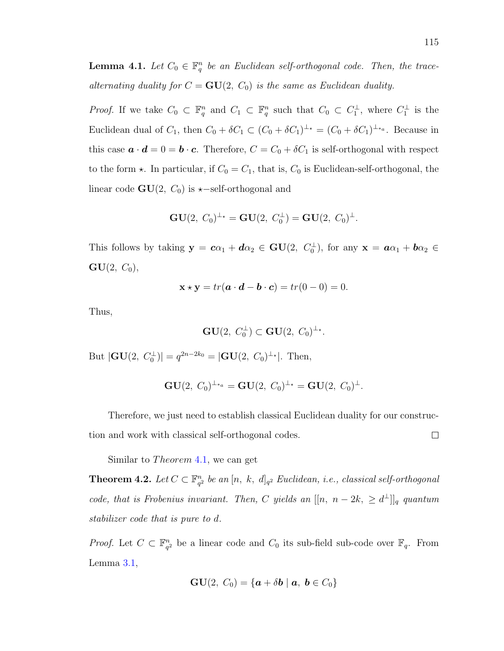<span id="page-124-1"></span>**Lemma 4.1.** Let  $C_0 \in \mathbb{F}_q^n$  be an Euclidean self-orthogonal code. Then, the tracealternating duality for  $C = \mathbf{GU}(2, C_0)$  is the same as Euclidean duality.

*Proof.* If we take  $C_0 \subset \mathbb{F}_q^n$  and  $C_1 \subset \mathbb{F}_q^n$  such that  $C_0 \subset C_1^{\perp}$ , where  $C_1^{\perp}$  is the Euclidean dual of  $C_1$ , then  $C_0 + \delta C_1 \subset (C_0 + \delta C_1)^{\perp_{\star}} = (C_0 + \delta C_1)^{\perp_{\star_a}}$ . Because in this case  $\mathbf{a} \cdot \mathbf{d} = 0 = \mathbf{b} \cdot \mathbf{c}$ . Therefore,  $C = C_0 + \delta C_1$  is self-orthogonal with respect to the form  $\star$ . In particular, if  $C_0 = C_1$ , that is,  $C_0$  is Euclidean-self-orthogonal, the linear code  $GU(2, C_0)$  is  $\star$ −self-orthogonal and

$$
GU(2, C_0)^{\perp_\star} = GU(2, C_0^{\perp}) = GU(2, C_0)^{\perp}.
$$

This follows by taking  $y = c\alpha_1 + d\alpha_2 \in GU(2, C_0^{\perp})$ , for any  $x = a\alpha_1 + b\alpha_2 \in$  $GU(2, C_0),$ 

$$
\mathbf{x} \star \mathbf{y} = tr(\mathbf{a} \cdot \mathbf{d} - \mathbf{b} \cdot \mathbf{c}) = tr(0 - 0) = 0.
$$

Thus,

$$
\mathbf{GU}(2,\ C_0^{\perp})\subset \mathbf{GU}(2,\ C_0)^{\perp_{\star}}.
$$

But  $|\mathbf{GU}(2, C_0^{\perp})| = q^{2n-2k_0} = |\mathbf{GU}(2, C_0)^{\perp_{\star}}|$ . Then,

$$
GU(2, C_0)^{\perp_{*a}} = GU(2, C_0)^{\perp_{*}} = GU(2, C_0)^{\perp}.
$$

Therefore, we just need to establish classical Euclidean duality for our construc- $\Box$ tion and work with classical self-orthogonal codes.

Similar to *Theorem* 4.[1,](#page-115-0) we can get

<span id="page-124-0"></span>Theorem 4.2. Let  $C \subset \mathbb{F}_{q^2}^n$  $\frac{n}{q^2}$  be an  $[n,~k,~d]_{q^2}$  Euclidean, i.e., classical self-orthogonal code, that is Frobenius invariant. Then, C yields an  $[[n, n-2k, \geq d^{\perp}]]_q$  quantum stabilizer code that is pure to d.

*Proof.* Let  $C \subset \mathbb{F}_{q^2}^n$  $q^2$  be a linear code and  $C_0$  its sub-field sub-code over  $\mathbb{F}_q$ . From Lemma [3.1,](#page-70-0)

$$
\mathbf{GU}(2,\ C_0)=\{\boldsymbol{a}+\delta \boldsymbol{b}\mid \boldsymbol{a},\ \boldsymbol{b}\in C_0\}
$$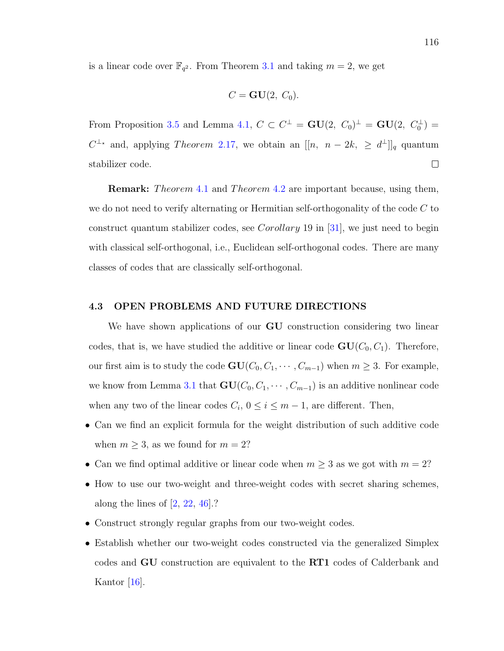is a linear code over  $\mathbb{F}_{q^2}$ . From Theorem [3.1](#page-75-1) and taking  $m = 2$ , we get

$$
C = \mathbf{GU}(2, C_0).
$$

From Proposition [3.5](#page-84-0) and Lemma [4.1,](#page-124-1)  $C \subset C^{\perp} = \mathbf{GU}(2, C_0)^{\perp} = \mathbf{GU}(2, C_0^{\perp}) =$  $C^{\perp_{\star}}$  and, applying *Theorem* 2.[17,](#page-60-0) we obtain an  $[[n, n-2k, \geq d^{\perp}]]_q$  quantum stabilizer code.  $\Box$ 

**Remark:** Theorem [4](#page-124-0).1 and Theorem 4.2 are important because, using them, we do not need to verify alternating or Hermitian self-orthogonality of the code  $C$  to construct quantum stabilizer codes, see Corollary 19 in [\[31\]](#page-129-0), we just need to begin with classical self-orthogonal, i.e., Euclidean self-orthogonal codes. There are many classes of codes that are classically self-orthogonal.

#### 4.3 OPEN PROBLEMS AND FUTURE DIRECTIONS

We have shown applications of our **GU** construction considering two linear codes, that is, we have studied the additive or linear code  $GU(C_0, C_1)$ . Therefore, our first aim is to study the code  $GU(C_0, C_1, \dots, C_{m-1})$  when  $m \geq 3$ . For example, we know from Lemma [3.1](#page-70-0) that  $GU(C_0, C_1, \cdots, C_{m-1})$  is an additive nonlinear code when any two of the linear codes  $C_i$ ,  $0 \le i \le m-1$ , are different. Then,

- Can we find an explicit formula for the weight distribution of such additive code when  $m \geq 3$ , as we found for  $m = 2$ ?
- Can we find optimal additive or linear code when  $m \geq 3$  as we got with  $m = 2$ ?
- How to use our two-weight and three-weight codes with secret sharing schemes, along the lines of  $[2, 22, 46]$  $[2, 22, 46]$  $[2, 22, 46]$  $[2, 22, 46]$ .?
- Construct strongly regular graphs from our two-weight codes.
- Establish whether our two-weight codes constructed via the generalized Simplex codes and GU construction are equivalent to the RT1 codes of Calderbank and Kantor [\[16\]](#page-128-2).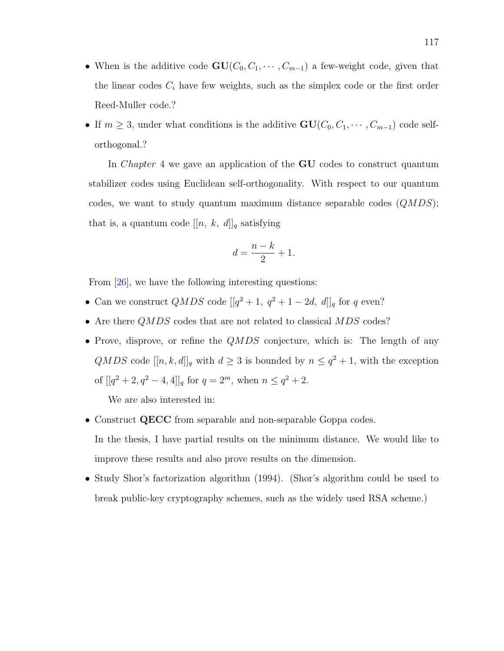- When is the additive code  $\mathbf{GU}(C_0, C_1, \cdots, C_{m-1})$  a few-weight code, given that the linear codes  $C_i$  have few weights, such as the simplex code or the first order Reed-Muller code.?
- If  $m \geq 3$ , under what conditions is the additive  $GU(C_0, C_1, \dots, C_{m-1})$  code selforthogonal.?

In Chapter 4 we gave an application of the GU codes to construct quantum stabilizer codes using Euclidean self-orthogonality. With respect to our quantum codes, we want to study quantum maximum distance separable codes  $(QMDS)$ ; that is, a quantum code  $[[n, k, d]]_q$  satisfying

$$
d = \frac{n-k}{2} + 1.
$$

From [\[26\]](#page-129-2), we have the following interesting questions:

- Can we construct  $QMDS$  code  $[[q^2+1, q^2+1-2d, d]]_q$  for q even?
- Are there  $QMDS$  codes that are not related to classical  $MDS$  codes?
- Prove, disprove, or refine the  $QMDS$  conjecture, which is: The length of any  $QMDS$  code  $[[n, k, d]]_q$  with  $d \geq 3$  is bounded by  $n \leq q^2 + 1$ , with the exception of  $[[q^2+2,q^2-4,4]]_q$  for  $q=2^m$ , when  $n \leq q^2+2$ .

We are also interested in:

- Construct QECC from separable and non-separable Goppa codes. In the thesis, I have partial results on the minimum distance. We would like to improve these results and also prove results on the dimension.
- Study Shor's factorization algorithm (1994). (Shor's algorithm could be used to break public-key cryptography schemes, such as the widely used RSA scheme.)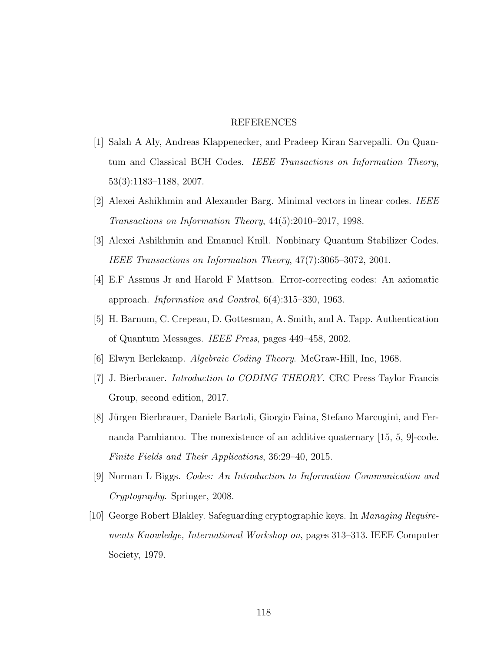#### REFERENCES

- [1] Salah A Aly, Andreas Klappenecker, and Pradeep Kiran Sarvepalli. On Quantum and Classical BCH Codes. *IEEE Transactions on Information Theory*, 53(3):1183–1188, 2007.
- <span id="page-127-1"></span>[2] Alexei Ashikhmin and Alexander Barg. Minimal vectors in linear codes. IEEE Transactions on Information Theory, 44(5):2010–2017, 1998.
- [3] Alexei Ashikhmin and Emanuel Knill. Nonbinary Quantum Stabilizer Codes. IEEE Transactions on Information Theory, 47(7):3065–3072, 2001.
- [4] E.F Assmus Jr and Harold F Mattson. Error-correcting codes: An axiomatic approach. Information and Control, 6(4):315–330, 1963.
- [5] H. Barnum, C. Crepeau, D. Gottesman, A. Smith, and A. Tapp. Authentication of Quantum Messages. IEEE Press, pages 449–458, 2002.
- [6] Elwyn Berlekamp. Algebraic Coding Theory. McGraw-Hill, Inc, 1968.
- [7] J. Bierbrauer. Introduction to CODING THEORY. CRC Press Taylor Francis Group, second edition, 2017.
- <span id="page-127-0"></span>[8] Jürgen Bierbrauer, Daniele Bartoli, Giorgio Faina, Stefano Marcugini, and Fernanda Pambianco. The nonexistence of an additive quaternary [15, 5, 9]-code. Finite Fields and Their Applications, 36:29–40, 2015.
- [9] Norman L Biggs. Codes: An Introduction to Information Communication and Cryptography. Springer, 2008.
- [10] George Robert Blakley. Safeguarding cryptographic keys. In Managing Requirements Knowledge, International Workshop on, pages 313–313. IEEE Computer Society, 1979.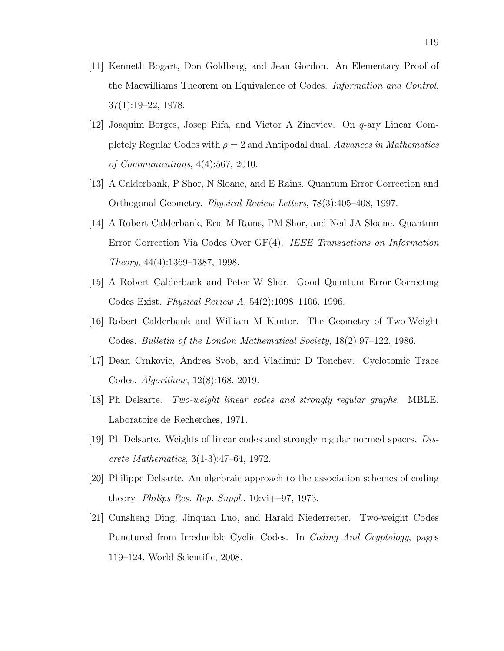- [11] Kenneth Bogart, Don Goldberg, and Jean Gordon. An Elementary Proof of the Macwilliams Theorem on Equivalence of Codes. Information and Control, 37(1):19–22, 1978.
- [12] Joaquim Borges, Josep Rifa, and Victor A Zinoviev. On q-ary Linear Completely Regular Codes with  $\rho = 2$  and Antipodal dual. Advances in Mathematics of Communications, 4(4):567, 2010.
- [13] A Calderbank, P Shor, N Sloane, and E Rains. Quantum Error Correction and Orthogonal Geometry. Physical Review Letters, 78(3):405–408, 1997.
- <span id="page-128-0"></span>[14] A Robert Calderbank, Eric M Rains, PM Shor, and Neil JA Sloane. Quantum Error Correction Via Codes Over GF(4). IEEE Transactions on Information Theory, 44(4):1369–1387, 1998.
- <span id="page-128-1"></span>[15] A Robert Calderbank and Peter W Shor. Good Quantum Error-Correcting Codes Exist. Physical Review A, 54(2):1098–1106, 1996.
- <span id="page-128-2"></span>[16] Robert Calderbank and William M Kantor. The Geometry of Two-Weight Codes. Bulletin of the London Mathematical Society, 18(2):97–122, 1986.
- [17] Dean Crnkovic, Andrea Svob, and Vladimir D Tonchev. Cyclotomic Trace Codes. Algorithms, 12(8):168, 2019.
- [18] Ph Delsarte. Two-weight linear codes and strongly regular graphs. MBLE. Laboratoire de Recherches, 1971.
- [19] Ph Delsarte. Weights of linear codes and strongly regular normed spaces. Discrete Mathematics, 3(1-3):47–64, 1972.
- [20] Philippe Delsarte. An algebraic approach to the association schemes of coding theory. Philips Res. Rep. Suppl.,  $10:\text{vi}+-97$ , 1973.
- [21] Cunsheng Ding, Jinquan Luo, and Harald Niederreiter. Two-weight Codes Punctured from Irreducible Cyclic Codes. In Coding And Cryptology, pages 119–124. World Scientific, 2008.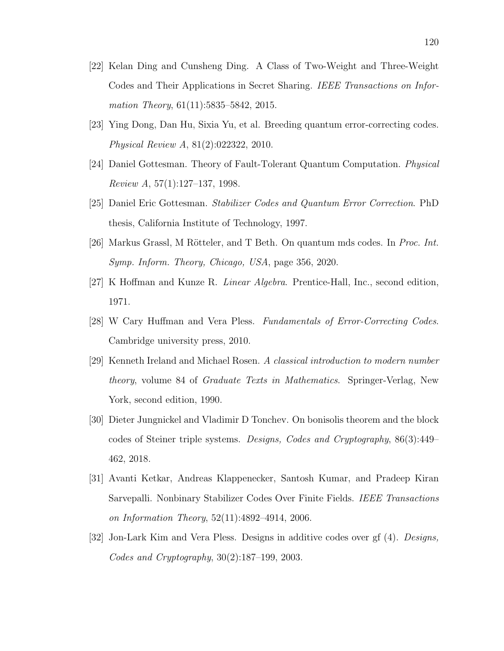- <span id="page-129-1"></span>[22] Kelan Ding and Cunsheng Ding. A Class of Two-Weight and Three-Weight Codes and Their Applications in Secret Sharing. IEEE Transactions on Information Theory, 61(11):5835–5842, 2015.
- [23] Ying Dong, Dan Hu, Sixia Yu, et al. Breeding quantum error-correcting codes. Physical Review A, 81(2):022322, 2010.
- [24] Daniel Gottesman. Theory of Fault-Tolerant Quantum Computation. Physical Review A, 57(1):127–137, 1998.
- [25] Daniel Eric Gottesman. Stabilizer Codes and Quantum Error Correction. PhD thesis, California Institute of Technology, 1997.
- <span id="page-129-2"></span>[26] Markus Grassl, M Rötteler, and T Beth. On quantum mds codes. In *Proc. Int.* Symp. Inform. Theory, Chicago, USA, page 356, 2020.
- [27] K Hoffman and Kunze R. Linear Algebra. Prentice-Hall, Inc., second edition, 1971.
- [28] W Cary Huffman and Vera Pless. Fundamentals of Error-Correcting Codes. Cambridge university press, 2010.
- [29] Kenneth Ireland and Michael Rosen. A classical introduction to modern number theory, volume 84 of Graduate Texts in Mathematics. Springer-Verlag, New York, second edition, 1990.
- [30] Dieter Jungnickel and Vladimir D Tonchev. On bonisolis theorem and the block codes of Steiner triple systems. Designs, Codes and Cryptography, 86(3):449– 462, 2018.
- <span id="page-129-0"></span>[31] Avanti Ketkar, Andreas Klappenecker, Santosh Kumar, and Pradeep Kiran Sarvepalli. Nonbinary Stabilizer Codes Over Finite Fields. IEEE Transactions on Information Theory, 52(11):4892–4914, 2006.
- [32] Jon-Lark Kim and Vera Pless. Designs in additive codes over gf (4). Designs, Codes and Cryptography, 30(2):187–199, 2003.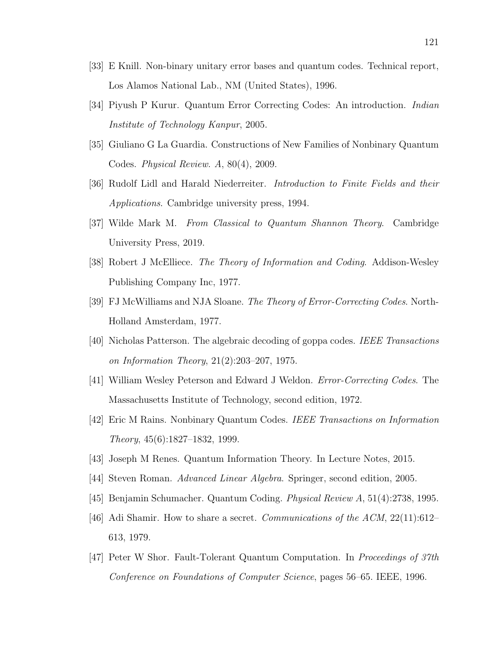- [33] E Knill. Non-binary unitary error bases and quantum codes. Technical report, Los Alamos National Lab., NM (United States), 1996.
- [34] Piyush P Kurur. Quantum Error Correcting Codes: An introduction. Indian Institute of Technology Kanpur, 2005.
- [35] Giuliano G La Guardia. Constructions of New Families of Nonbinary Quantum Codes. Physical Review. A, 80(4), 2009.
- [36] Rudolf Lidl and Harald Niederreiter. Introduction to Finite Fields and their Applications. Cambridge university press, 1994.
- [37] Wilde Mark M. From Classical to Quantum Shannon Theory. Cambridge University Press, 2019.
- [38] Robert J McElliece. The Theory of Information and Coding. Addison-Wesley Publishing Company Inc, 1977.
- [39] FJ McWilliams and NJA Sloane. The Theory of Error-Correcting Codes. North-Holland Amsterdam, 1977.
- [40] Nicholas Patterson. The algebraic decoding of goppa codes. IEEE Transactions on Information Theory, 21(2):203–207, 1975.
- [41] William Wesley Peterson and Edward J Weldon. Error-Correcting Codes. The Massachusetts Institute of Technology, second edition, 1972.
- [42] Eric M Rains. Nonbinary Quantum Codes. IEEE Transactions on Information Theory, 45(6):1827–1832, 1999.
- [43] Joseph M Renes. Quantum Information Theory. In Lecture Notes, 2015.
- [44] Steven Roman. Advanced Linear Algebra. Springer, second edition, 2005.
- <span id="page-130-0"></span>[45] Benjamin Schumacher. Quantum Coding. Physical Review A, 51(4):2738, 1995.
- [46] Adi Shamir. How to share a secret. *Communications of the ACM*,  $22(11):612-$ 613, 1979.
- [47] Peter W Shor. Fault-Tolerant Quantum Computation. In Proceedings of 37th Conference on Foundations of Computer Science, pages 56–65. IEEE, 1996.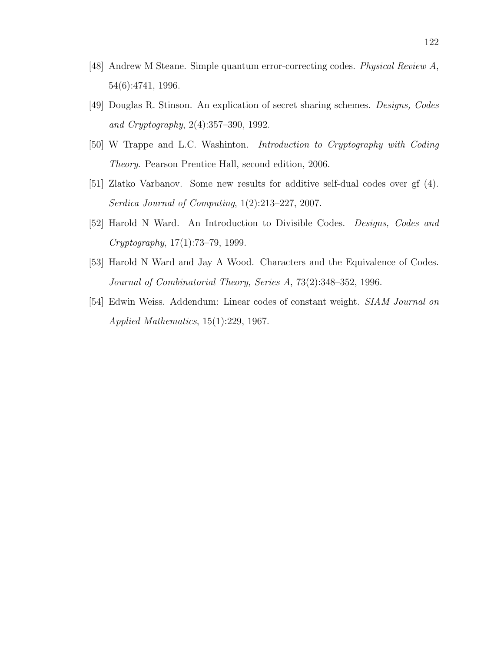- [48] Andrew M Steane. Simple quantum error-correcting codes. Physical Review A, 54(6):4741, 1996.
- [49] Douglas R. Stinson. An explication of secret sharing schemes. Designs, Codes and Cryptography, 2(4):357–390, 1992.
- [50] W Trappe and L.C. Washinton. Introduction to Cryptography with Coding Theory. Pearson Prentice Hall, second edition, 2006.
- [51] Zlatko Varbanov. Some new results for additive self-dual codes over gf (4). Serdica Journal of Computing, 1(2):213–227, 2007.
- [52] Harold N Ward. An Introduction to Divisible Codes. Designs, Codes and Cryptography, 17(1):73–79, 1999.
- [53] Harold N Ward and Jay A Wood. Characters and the Equivalence of Codes. Journal of Combinatorial Theory, Series A, 73(2):348–352, 1996.
- [54] Edwin Weiss. Addendum: Linear codes of constant weight. SIAM Journal on Applied Mathematics, 15(1):229, 1967.